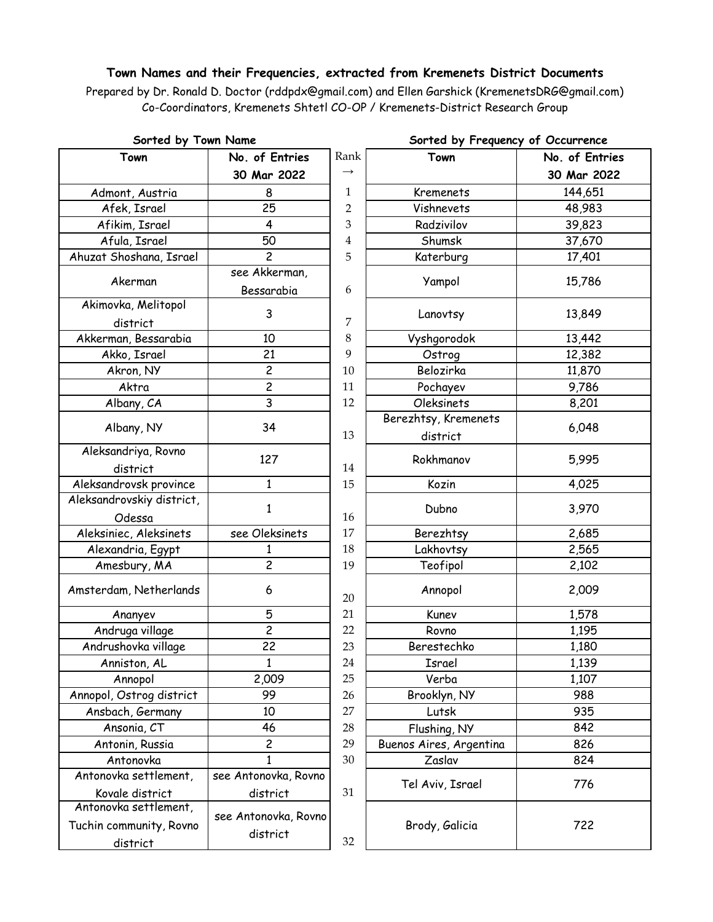## **Town Names and their Frequencies, extracted from Kremenets District Documents**

Prepared by Dr. Ronald D. Doctor (rddpdx@gmail.com) and Ellen Garshick (KremenetsDRG@gmail.com) Co-Coordinators, Kremenets Shtetl CO-OP / Kremenets-District Research Group

| Sorted by Town Name       |                         | Sorted by Frequency of Occurrence |                         |                |
|---------------------------|-------------------------|-----------------------------------|-------------------------|----------------|
| Town                      | No. of Entries          | Rank                              | Town                    | No. of Entries |
|                           | 30 Mar 2022             | $\rightarrow$                     |                         | 30 Mar 2022    |
| Admont, Austria           | 8                       | $\mathbf{1}$                      | <b>Kremenets</b>        | 144,651        |
| Afek, Israel              | 25                      | 2                                 | Vishnevets              | 48,983         |
| Afikim, Israel            | 4                       | 3                                 | Radzivilov              | 39,823         |
| Afula, Israel             | 50                      | 4                                 | Shumsk                  | 37,670         |
| Ahuzat Shoshana, Israel   | $\overline{c}$          | 5                                 | Katerburg               | 17,401         |
|                           | see Akkerman,           |                                   |                         |                |
| Akerman                   | Bessarabia              | 6                                 | Yampol                  | 15,786         |
| Akimovka, Melitopol       |                         |                                   |                         |                |
| district                  | 3                       | 7                                 | Lanovtsy                | 13,849         |
| Akkerman, Bessarabia      | 10                      | 8                                 | Vyshgorodok             | 13,442         |
| Akko, Israel              | 21                      | 9                                 | Ostrog                  | 12,382         |
| Akron, NY                 | $\overline{c}$          | 10                                | Belozirka               | 11,870         |
| Aktra                     | $\overline{\mathbf{c}}$ | 11                                | Pochayev                | 9,786          |
| Albany, CA                | 3                       | 12                                | <b>Oleksinets</b>       | 8,201          |
| Albany, NY                | 34                      |                                   | Berezhtsy, Kremenets    | 6,048          |
|                           |                         | 13                                | district                |                |
| Aleksandriya, Rovno       | 127                     |                                   | Rokhmanov               | 5,995          |
| district                  |                         | 14                                |                         |                |
| Aleksandrovsk province    | $\mathbf{1}$            | 15                                | Kozin                   | 4,025          |
| Aleksandrovskiy district, | $\mathbf{1}$            |                                   | Dubno                   | 3,970          |
| Odessa                    |                         | 16                                |                         |                |
| Aleksiniec, Aleksinets    | see Oleksinets          | 17                                | Berezhtsy               | 2,685          |
| Alexandria, Egypt         | 1                       | 18                                | Lakhovtsy               | 2,565          |
| Amesbury, MA              | $\overline{c}$          | 19                                | Teofipol                | 2,102          |
| Amsterdam, Netherlands    | 6                       | 20                                | Annopol                 | 2,009          |
| Ananyev                   | 5                       | 21                                | Kunev                   | 1,578          |
| Andruga village           | $\overline{\mathbf{c}}$ | 22                                | Rovno                   | 1,195          |
| Andrushovka village       | 22                      | 23                                | Berestechko             | 1,180          |
| Anniston, AL              | $\mathbf{1}$            | 24                                | Israel                  | 1,139          |
| Annopol                   | 2,009                   | 25                                | Verba                   | 1,107          |
| Annopol, Ostrog district  | 99                      | 26                                | Brooklyn, NY            | 988            |
| Ansbach, Germany          | 10                      | 27                                | Lutsk                   | 935            |
| Ansonia, CT               | 46                      | 28                                | Flushing, NY            | 842            |
| Antonin, Russia           | $\overline{\mathbf{c}}$ | 29                                | Buenos Aires, Argentina | 826            |
| Antonovka                 | 1                       | 30                                | Zaslav                  | 824            |
| Antonovka settlement,     | see Antonovka, Rovno    |                                   | Tel Aviv, Israel        | 776            |
| Kovale district           | district                | 31                                |                         |                |
| Antonovka settlement,     | see Antonovka, Rovno    |                                   |                         |                |
| Tuchin community, Rovno   |                         |                                   | Brody, Galicia          | 722            |
| district                  | district                | 32                                |                         |                |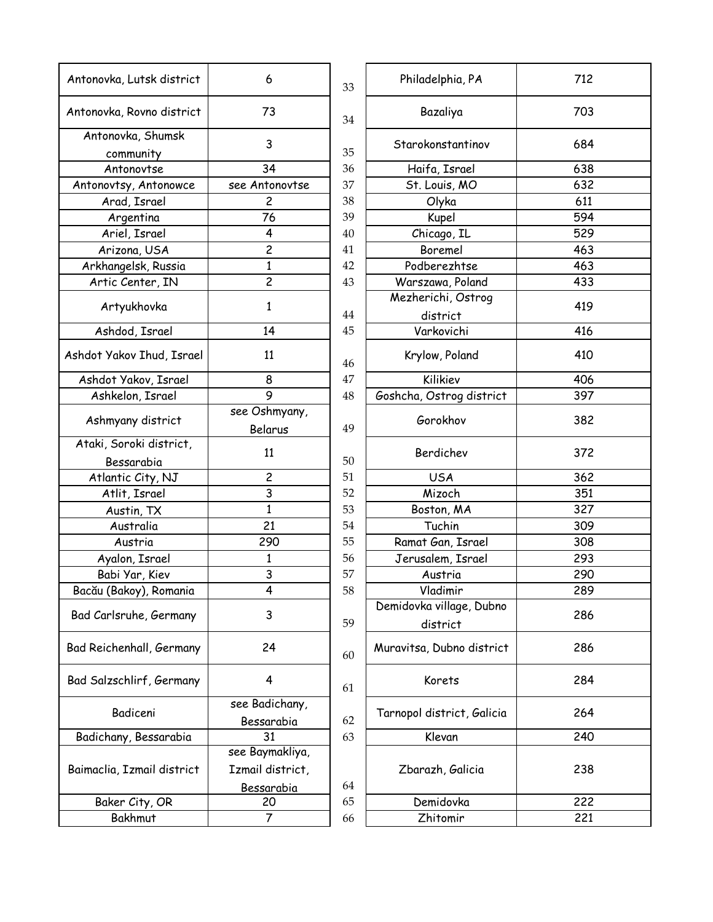| Antonovka, Lutsk district             | 6                            | 33 | Philadelphia, PA           | 712 |
|---------------------------------------|------------------------------|----|----------------------------|-----|
| Antonovka, Rovno district             | 73                           | 34 | Bazaliya                   | 703 |
| Antonovka, Shumsk                     | 3                            |    | Starokonstantinov          | 684 |
| community                             |                              | 35 |                            |     |
| Antonovtse                            | 34                           | 36 | Haifa, Israel              | 638 |
| Antonovtsy, Antonowce                 | see Antonovtse               | 37 | St. Louis, MO              | 632 |
| Arad, Israel                          | $\overline{c}$               | 38 | Olyka                      | 611 |
| Argentina                             | 76                           | 39 | Kupel                      | 594 |
| Ariel, Israel                         | 4                            | 40 | Chicago, IL                | 529 |
| Arizona, USA                          | $\overline{c}$               | 41 | Boremel                    | 463 |
| Arkhangelsk, Russia                   | $\mathbf{1}$                 | 42 | Podberezhtse               | 463 |
| Artic Center, IN                      | $\overline{c}$               | 43 | Warszawa, Poland           | 433 |
|                                       |                              |    | Mezherichi, Ostrog         |     |
| Artyukhovka                           | 1                            | 44 | district                   | 419 |
| Ashdod, Israel                        | 14                           | 45 | Varkovichi                 | 416 |
| Ashdot Yakov Ihud, Israel             | 11                           | 46 | Krylow, Poland             | 410 |
| Ashdot Yakov, Israel                  | 8                            | 47 | Kilikiev                   | 406 |
| Ashkelon, Israel                      | 9                            | 48 | Goshcha, Ostrog district   | 397 |
| Ashmyany district                     | see Oshmyany,                |    | Gorokhov                   | 382 |
|                                       | Belarus                      | 49 |                            |     |
| Ataki, Soroki district,<br>Bessarabia | 11                           | 50 | Berdichev                  | 372 |
| Atlantic City, NJ                     | $\overline{\mathbf{c}}$      | 51 | <b>USA</b>                 | 362 |
| Atlit, Israel                         | 3                            | 52 | Mizoch                     | 351 |
| Austin, TX                            | $\mathbf{1}$                 | 53 | Boston, MA                 | 327 |
| Australia                             | 21                           | 54 | Tuchin                     | 309 |
| Austria                               | 290                          | 55 | Ramat Gan, Israel          | 308 |
| Ayalon, Israel                        | 1                            | 56 | Jerusalem, Israel          | 293 |
| Babi Yar, Kiev                        | 3                            | 57 | Austria                    | 290 |
| Bacău (Bakoy), Romania                | 4                            | 58 | Vladimir                   | 289 |
|                                       |                              |    | Demidovka village, Dubno   |     |
| Bad Carlsruhe, Germany                | 3                            | 59 | district                   | 286 |
| Bad Reichenhall, Germany              | 24                           | 60 | Muravitsa, Dubno district  | 286 |
| Bad Salzschlirf, Germany              | 4                            | 61 | Korets                     | 284 |
| Badiceni                              | see Badichany,<br>Bessarabia | 62 | Tarnopol district, Galicia | 264 |
| Badichany, Bessarabia                 | 31                           | 63 | Klevan                     | 240 |
|                                       | see Baymakliya,              |    |                            |     |
| Baimaclia, Izmail district            | Izmail district,             |    | Zbarazh, Galicia           | 238 |
|                                       | Bessarabia                   | 64 |                            |     |
| Baker City, OR                        | 20                           | 65 | Demidovka                  | 222 |
| Bakhmut                               | 7                            | 66 | Zhitomir                   | 221 |

| 6              | 33       | Philadelphia, PA                     | 712 |
|----------------|----------|--------------------------------------|-----|
| 73             | 34       | Bazaliya                             | 703 |
| 3              | 35       | Starokonstantinov                    | 684 |
| 34             | 36       | Haifa, Israel                        | 638 |
| e Antonovtse   | 37       | St. Louis, MO                        | 632 |
| 2              | 38       | Olyka                                | 611 |
| 76             | 39       | Kupel                                | 594 |
| 4              | $40\,$   | Chicago, IL                          | 529 |
| $\overline{c}$ | 41       | Boremel                              | 463 |
| $\mathbf{1}$   | 42       | Podberezhtse                         | 463 |
| $\overline{c}$ | 43       | Warszawa, Poland                     | 433 |
| $\mathbf{1}$   |          | Mezherichi, Ostrog                   | 419 |
|                | 44       | district                             |     |
| 14             | 45       | Varkovichi                           | 416 |
| 11             | 46       | Krylow, Poland                       | 410 |
| 8              | 47       | Kilikiev                             | 406 |
| 9              | $\rm 48$ | Goshcha, Ostrog district             | 397 |
| e Oshmyany,    |          | Gorokhov                             | 382 |
| Belarus        | 49       |                                      |     |
| 11             | 50       | Berdichev                            | 372 |
| $\overline{c}$ | 51       | <b>USA</b>                           | 362 |
| 3              | 52       | Mizoch                               | 351 |
| $\mathbf{1}$   | 53       | Boston, MA                           | 327 |
| 21             | 54       | Tuchin                               | 309 |
| 290            | 55       | Ramat Gan, Israel                    | 308 |
| $\mathbf{1}$   | 56       | Jerusalem, Israel                    | 293 |
| 3              | 57       | Austria                              | 290 |
| 4              | 58       | Vladimir                             | 289 |
| 3              | 59       | Demidovka village, Dubno<br>district | 286 |
| 24             | 60       | Muravitsa, Dubno district            | 286 |
| 4              | 61       | Korets                               | 284 |
| e Badichany,   |          | Tarnopol district, Galicia           | 264 |
| Bessarabia     | 62       |                                      |     |
| 31             | 63       | Klevan                               | 240 |
| e Baymakliya,  |          |                                      |     |
| mail district, |          | Zbarazh, Galicia                     | 238 |
| Bessarabia     | 64       |                                      |     |
| 20             | 65       | Demidovka                            | 222 |
| $\overline{7}$ | 66       | Zhitomir                             | 221 |
|                |          |                                      |     |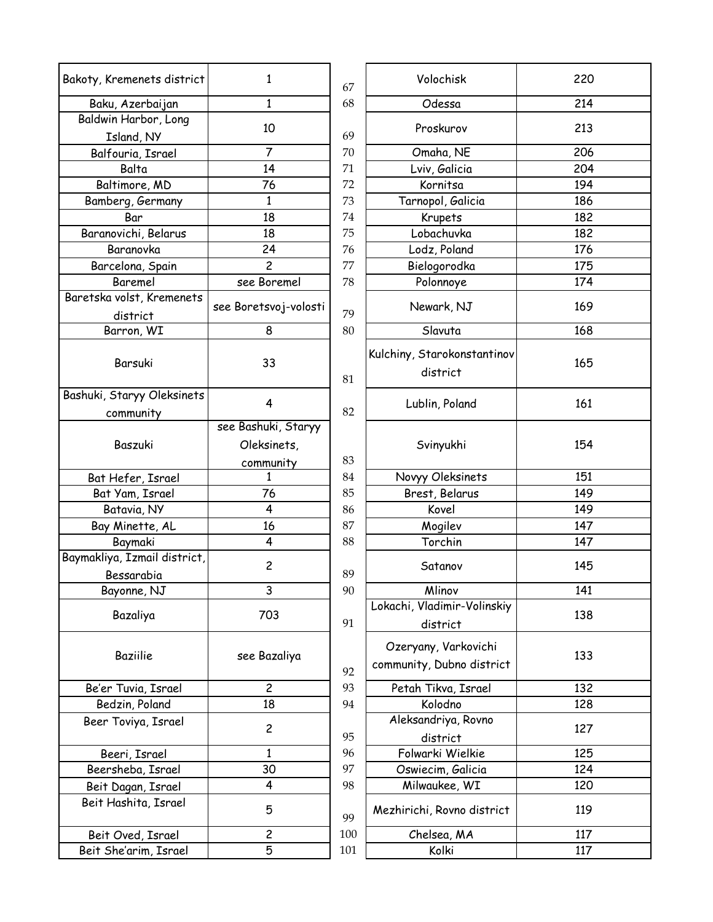| Bakoty, Kremenets district         | 1                       | 67  | Volochisk                      | 220        |
|------------------------------------|-------------------------|-----|--------------------------------|------------|
| Baku, Azerbaijan                   | $\mathbf{1}$            | 68  | Odessa                         | 214        |
| Baldwin Harbor, Long<br>Island, NY | 10                      | 69  | Proskurov                      | 213        |
| Balfouria, Israel                  | $\overline{7}$          | 70  | Omaha, NE                      | 206        |
| Balta                              | 14                      | 71  | Lviv, Galicia                  | 204        |
| Baltimore, MD                      | 76                      | 72  | Kornitsa                       | 194        |
| Bamberg, Germany                   | 1                       | 73  | Tarnopol, Galicia              | 186        |
| Bar                                | 18                      | 74  | Krupets                        | 182        |
| Baranovichi, Belarus               | 18                      | 75  | Lobachuvka                     | 182        |
| Baranovka                          | 24                      | 76  | Lodz, Poland                   | 176        |
|                                    | $\overline{c}$          | 77  |                                |            |
| Barcelona, Spain                   |                         |     | Bielogorodka                   | 175        |
| Baremel                            | see Boremel             | 78  | Polonnoye                      | 174        |
| Baretska volst, Kremenets          | see Boretsvoj-volosti   |     | Newark, NJ                     | 169        |
| district                           |                         | 79  |                                |            |
| Barron, WI                         | 8                       | 80  | Slavuta                        | 168        |
|                                    |                         |     | Kulchiny, Starokonstantinov    |            |
| Barsuki                            | 33                      |     | district                       | 165        |
|                                    |                         | 81  |                                |            |
| Bashuki, Staryy Oleksinets         | 4                       |     | Lublin, Poland                 | 161        |
| community                          |                         | 82  |                                |            |
|                                    | see Bashuki, Staryy     |     |                                |            |
| Baszuki                            | Oleksinets,             |     | Svinyukhi                      | 154        |
|                                    | community               | 83  |                                |            |
| Bat Hefer, Israel                  | 1                       | 84  | Novyy Oleksinets               | 151        |
| Bat Yam, Israel                    | 76                      | 85  | Brest, Belarus                 | 149        |
| Batavia, NY                        | 4                       | 86  | Kovel                          | 149        |
| Bay Minette, AL                    | 16                      | 87  | Mogilev                        | 147        |
| Baymaki                            | 4                       | 88  | Torchin                        | 147        |
| Baymakliya, Izmail district,       |                         |     |                                |            |
| Bessarabia                         | $\overline{c}$          | 89  | Satanov                        | 145        |
| Bayonne, NJ                        | 3                       | 90  | Mlinov                         | 141        |
|                                    |                         |     | Lokachi, Vladimir-Volinskiy    |            |
| Bazaliya                           | 703                     | 91  | district                       | 138        |
|                                    |                         |     |                                |            |
| <b>Baziilie</b>                    | see Bazaliya            |     | Ozeryany, Varkovichi           | 133        |
|                                    |                         | 92  | community, Dubno district      |            |
|                                    | $\overline{c}$          | 93  |                                |            |
| Be'er Tuvia, Israel                | 18                      | 94  | Petah Tikva, Israel<br>Kolodno | 132<br>128 |
| Bedzin, Poland                     |                         |     |                                |            |
| Beer Toviya, Israel                | $\overline{c}$          |     | Aleksandriya, Rovno            | 127        |
|                                    |                         | 95  | district                       |            |
| Beeri, Israel                      | $\mathbf{1}$            | 96  | Folwarki Wielkie               | 125        |
| Beersheba, Israel                  | 30                      | 97  | Oswiecim, Galicia              | 124        |
| Beit Dagan, Israel                 | 4                       | 98  | Milwaukee, WI                  | 120        |
| Beit Hashita, Israel               | 5                       | 99  | Mezhirichi, Rovno district     | 119        |
| Beit Oved, Israel                  | $\overline{\mathbf{c}}$ | 100 | Chelsea, MA                    | 117        |
| Beit She'arim, Israel              | 5                       | 101 | Kolki                          | 117        |
|                                    |                         |     |                                |            |

| emenets district          | 1                     | 67  | Volochisk                                         | 220 |
|---------------------------|-----------------------|-----|---------------------------------------------------|-----|
| Azerbaijan                | $\mathbf{1}$          | 68  | Odessa                                            | 214 |
| Harbor, Long<br>and, NY   | 10                    | 69  | Proskurov                                         | 213 |
| uria, Israel              | $\overline{7}$        | 70  | Omaha, NE                                         | 206 |
| Balta                     | 14                    | 71  | Lviv, Galicia                                     | 204 |
| more, MD                  | 76                    | 72  | Kornitsa                                          | 194 |
| rg, Germany               | 1                     | 73  | Tarnopol, Galicia                                 | 186 |
| Bar                       | 18                    | 74  | Krupets                                           | 182 |
| vichi, Belarus            | 18                    | 75  | Lobachuvka                                        | 182 |
| ranovka                   | 24                    | 76  | Lodz, Poland                                      | 176 |
|                           | $\overline{c}$        | 77  |                                                   | 175 |
| lona, Spain               |                       | 78  | Bielogorodka                                      |     |
| aremel<br>olst, Kremenets | see Boremel           |     | Polonnoye                                         | 174 |
|                           | see Boretsvoj-volosti | 79  | Newark, NJ                                        | 169 |
| istrict                   |                       |     |                                                   |     |
| ron, WI                   | 8                     | 80  | Slavuta                                           | 168 |
| arsuki                    | 33                    | 81  | Kulchiny, Starokonstantinov<br>district           | 165 |
| taryy Oleksinets          |                       |     |                                                   |     |
| nmunity                   | 4                     | 82  | Lublin, Poland                                    | 161 |
|                           | see Bashuki, Staryy   |     |                                                   |     |
| aszuki                    | Oleksinets,           |     | Svinyukhi                                         | 154 |
|                           | community             | 83  |                                                   |     |
| efer, Israel              | 1                     | 84  | Novyy Oleksinets                                  | 151 |
| 'am, Israel               | 76                    | 85  | Brest, Belarus                                    | 149 |
| avia, NY                  | $\overline{4}$        | 86  | Kovel                                             | 149 |
| \inette, AL               | 16                    | 87  | Mogilev                                           | 147 |
| aymaki                    | 4                     | 88  | Torchin                                           | 147 |
| , Izmail district,        |                       |     |                                                   |     |
| ssarabia                  | $\overline{c}$        | 89  | Satanov                                           | 145 |
| onne, NJ                  | 3                     | 90  | Mlinov                                            | 141 |
|                           |                       |     | Lokachi, Vladimir-Volinskiy                       |     |
| azaliya                   | 703                   | 91  | district                                          | 138 |
| aziilie                   | see Bazaliya          | 92  | Ozeryany, Varkovichi<br>community, Dubno district | 133 |
| Tuvia, Israel             | $\overline{c}$        | 93  | Petah Tikva, Israel                               | 132 |
| in, Poland                | 18                    | 94  | Kolodno                                           | 128 |
| oviya, Israel             |                       |     | Aleksandriya, Rovno                               |     |
|                           | $\overline{c}$        | 95  | district                                          | 127 |
| ri, Israel                | 1                     | 96  | Folwarki Wielkie                                  | 125 |
| ieba, Israel              | 30                    | 97  | Oswiecim, Galicia                                 | 124 |
| agan, Israel              | 4                     | 98  | Milwaukee, WI                                     | 120 |
| shita, Israel             | 5                     | 99  | Mezhirichi, Rovno district                        | 119 |
| ved, Israel               | $\overline{c}$        | 100 | Chelsea, MA                                       | 117 |
| e'arim, Israel            | 5                     | 101 | Kolki                                             | 117 |
|                           |                       |     |                                                   |     |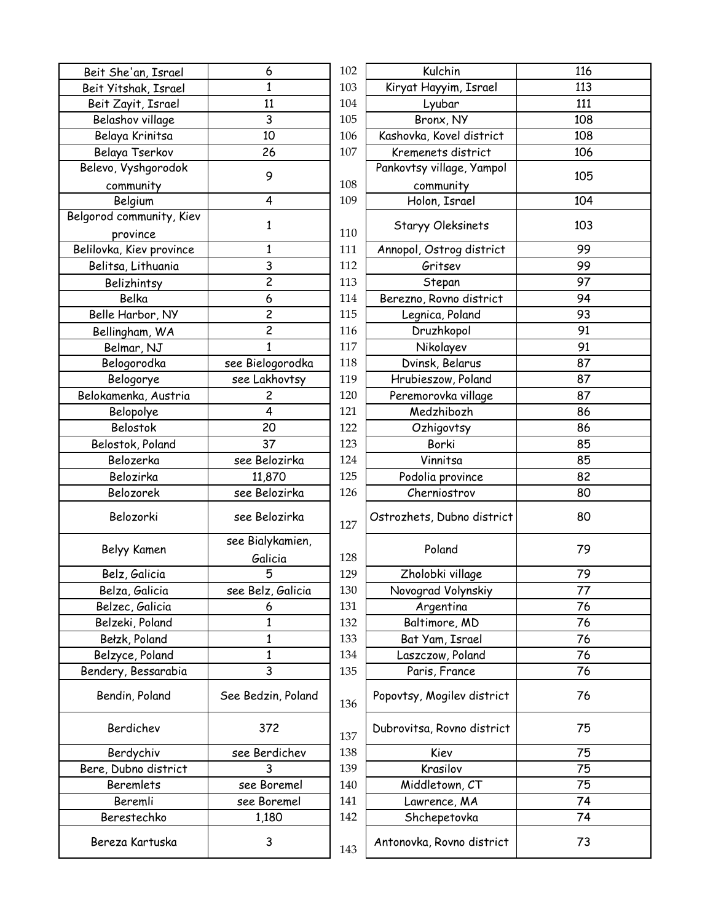| Beit She'an, Israel      | 6                       | 102 | Kulchin                    | 116 |
|--------------------------|-------------------------|-----|----------------------------|-----|
| Beit Yitshak, Israel     | 1                       | 103 | Kiryat Hayyim, Israel      | 113 |
| Beit Zayit, Israel       | 11                      | 104 | Lyubar                     | 111 |
| Belashov village         | 3                       | 105 | Bronx, NY                  | 108 |
| Belaya Krinitsa          | 10                      | 106 | Kashovka, Kovel district   | 108 |
| Belaya Tserkov           | 26                      | 107 | Kremenets district         | 106 |
| Belevo, Vyshgorodok      |                         |     | Pankovtsy village, Yampol  |     |
| community                | 9                       | 108 | community                  | 105 |
| Belgium                  | 4                       | 109 | Holon, Israel              | 104 |
| Belgorod community, Kiev |                         |     |                            |     |
| province                 | 1                       | 110 | Staryy Oleksinets          | 103 |
| Belilovka, Kiev province | $\mathbf{1}$            | 111 | Annopol, Ostrog district   | 99  |
| Belitsa, Lithuania       | 3                       | 112 | Gritsev                    | 99  |
| Belizhintsy              | $\overline{c}$          | 113 | Stepan                     | 97  |
| Belka                    | 6                       | 114 | Berezno, Rovno district    | 94  |
| Belle Harbor, NY         | $\overline{c}$          | 115 | Legnica, Poland            | 93  |
| Bellingham, WA           | $\overline{c}$          | 116 | Druzhkopol                 | 91  |
| Belmar, NJ               | $\mathbf{1}$            | 117 | Nikolayev                  | 91  |
| Belogorodka              | see Bielogorodka        | 118 | Dvinsk, Belarus            | 87  |
| Belogorye                | see Lakhovtsy           | 119 | Hrubieszow, Poland         | 87  |
| Belokamenka, Austria     | $\overline{\mathbf{c}}$ | 120 | Peremorovka village        | 87  |
| Belopolye                | 4                       | 121 | Medzhibozh                 | 86  |
| Belostok                 | 20                      | 122 | Ozhigovtsy                 | 86  |
| Belostok, Poland         | 37                      | 123 | Borki                      | 85  |
| Belozerka                | see Belozirka           | 124 | Vinnitsa                   | 85  |
| Belozirka                | 11,870                  | 125 | Podolia province           | 82  |
| Belozorek                | see Belozirka           | 126 | Cherniostrov               | 80  |
|                          |                         |     |                            |     |
| Belozorki                | see Belozirka           | 127 | Ostrozhets, Dubno district | 80  |
| Belyy Kamen              | see Bialykamien,        |     | Poland                     | 79  |
|                          | Galicia                 | 128 |                            |     |
| Belz, Galicia            | 5                       | 129 | Zholobki village           | 79  |
| Belza, Galicia           | see Belz, Galicia       | 130 | Novograd Volynskiy         | 77  |
| Belzec, Galicia          | 6                       | 131 | Argentina                  | 76  |
| Belzeki, Poland          | 1                       | 132 | Baltimore, MD              | 76  |
| Bełzk, Poland            | 1                       | 133 | Bat Yam, Israel            | 76  |
| Belzyce, Poland          | $\mathbf{1}$            | 134 | Laszczow, Poland           | 76  |
| Bendery, Bessarabia      | 3                       | 135 | Paris, France              | 76  |
| Bendin, Poland           | See Bedzin, Poland      | 136 | Popovtsy, Mogilev district | 76  |
| Berdichev                | 372                     | 137 | Dubrovitsa, Rovno district | 75  |
| Berdychiv                | see Berdichev           | 138 | Kiev                       | 75  |
| Bere, Dubno district     | 3                       | 139 | Krasilov                   | 75  |
| Beremlets                | see Boremel             | 140 | Middletown, CT             | 75  |
| Beremli                  | see Boremel             | 141 | Lawrence, MA               | 74  |
| Berestechko              | 1,180                   | 142 | Shchepetovka               | 74  |
| Bereza Kartuska          | 3                       | 143 | Antonovka, Rovno district  | 73  |

| 6              | 102 | Kulchin                                | 116 |
|----------------|-----|----------------------------------------|-----|
| $\mathbf{1}$   | 103 | Kiryat Hayyim, Israel                  | 113 |
| 11             | 104 | Lyubar                                 | 111 |
| 3              | 105 | Bronx, NY                              | 108 |
| 10             | 106 | Kashovka, Kovel district               | 108 |
| 26             | 107 | Kremenets district                     | 106 |
| 9              | 108 | Pankovtsy village, Yampol<br>community | 105 |
| 4              | 109 | Holon, Israel                          | 104 |
| 1              | 110 | Staryy Oleksinets                      | 103 |
| $\mathbf{1}$   | 111 | Annopol, Ostrog district               | 99  |
| 3              | 112 | Gritsev                                | 99  |
| $\overline{c}$ | 113 | Stepan                                 | 97  |
| 6              | 114 | Berezno, Rovno district                | 94  |
| $\overline{c}$ | 115 | Legnica, Poland                        | 93  |
| $\overline{c}$ | 116 | Druzhkopol                             | 91  |
| $\mathbf{1}$   | 117 | Nikolayev                              | 91  |
| ielogorodka    | 118 | Dvinsk, Belarus                        | 87  |
| Lakhovtsy      | 119 | Hrubieszow, Poland                     | 87  |
| $\overline{c}$ | 120 | Peremorovka village                    | 87  |
| 4              | 121 | Medzhibozh                             | 86  |
| 20             | 122 | Ozhigovtsy                             | 86  |
| 37             | 123 | Borki                                  | 85  |
| Belozirka      | 124 | Vinnitsa                               | 85  |
| 11,870         | 125 | Podolia province                       | 82  |
| Belozirka      | 126 | Cherniostrov                           | 80  |
| Belozirka      | 127 | Ostrozhets, Dubno district             | 80  |
| Bialykamien,   |     |                                        |     |
| Galicia        | 128 | Poland                                 | 79  |
| 5              | 129 | Zholobki village                       | 79  |
| selz, Galicia  | 130 | Novograd Volynskiy                     | 77  |
| 6              | 131 | Argentina                              | 76  |
| 1              | 132 | Baltimore, MD                          | 76  |
| 1              | 133 | Bat Yam, Israel                        | 76  |
| $\mathbf{1}$   | 134 | Laszczow, Poland                       | 76  |
| 3              | 135 | Paris, France                          | 76  |
| edzin, Poland  | 136 | Popovtsy, Mogilev district             | 76  |
| 372            | 137 | Dubrovitsa, Rovno district             | 75  |
| Berdichev      | 138 | Kiev                                   | 75  |
| 3              | 139 | Krasilov                               | 75  |
| e Boremel      | 140 | Middletown, CT                         | 75  |
| e Boremel      | 141 | Lawrence, MA                           | 74  |
| 1,180          | 142 | Shchepetovka                           | 74  |
| 3              | 143 | Antonovka, Rovno district              | 73  |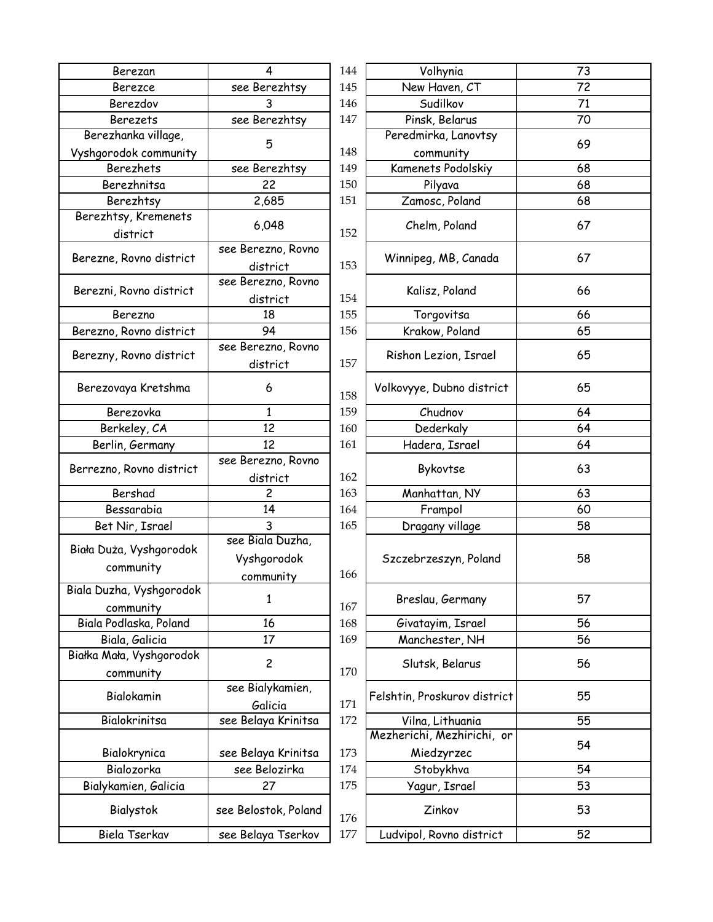| Berezan                  | 4                    | 144 | Volhynia                     | 73 |
|--------------------------|----------------------|-----|------------------------------|----|
| Berezce                  | see Berezhtsy        | 145 | New Haven, CT                | 72 |
| Berezdov                 | 3                    | 146 | Sudilkov                     | 71 |
| <b>Berezets</b>          | see Berezhtsy        | 147 | Pinsk, Belarus               | 70 |
| Berezhanka village,      |                      |     | Peredmirka, Lanovtsy         |    |
| Vyshgorodok community    | 5                    | 148 | community                    | 69 |
| <b>Berezhets</b>         | see Berezhtsy        | 149 | Kamenets Podolskiy           | 68 |
| Berezhnitsa              | 22                   | 150 | Pilyava                      | 68 |
| Berezhtsy                | 2,685                | 151 | Zamosc, Poland               | 68 |
| Berezhtsy, Kremenets     |                      |     |                              |    |
| district                 | 6,048                | 152 | Chelm, Poland                | 67 |
|                          | see Berezno, Rovno   |     |                              | 67 |
| Berezne, Rovno district  | district             | 153 | Winnipeg, MB, Canada         |    |
|                          | see Berezno, Rovno   |     |                              |    |
| Berezni, Rovno district  | district             | 154 | Kalisz, Poland               | 66 |
| Berezno                  | 18                   | 155 | Torgovitsa                   | 66 |
| Berezno, Rovno district  | 94                   | 156 | Krakow, Poland               | 65 |
|                          | see Berezno, Rovno   |     |                              |    |
| Berezny, Rovno district  | district             | 157 | Rishon Lezion, Israel        | 65 |
| Berezovaya Kretshma      | 6                    | 158 | Volkovyye, Dubno district    | 65 |
| Berezovka                | $\mathbf{1}$         | 159 | Chudnov                      | 64 |
| Berkeley, CA             | 12                   | 160 | Dederkaly                    | 64 |
| Berlin, Germany          | 12                   | 161 | Hadera, Israel               | 64 |
|                          | see Berezno, Rovno   |     |                              |    |
| Berrezno, Rovno district | district             | 162 | Bykovtse                     | 63 |
| Bershad                  | $\overline{c}$       | 163 | Manhattan, NY                | 63 |
| Bessarabia               | 14                   | 164 | Frampol                      | 60 |
| Bet Nir, Israel          | 3                    | 165 | Dragany village              | 58 |
|                          | see Biala Duzha,     |     |                              |    |
| Biała Duża, Vyshgorodok  | Vyshgorodok          |     | Szczebrzeszyn, Poland        | 58 |
| community                | community            | 166 |                              |    |
| Biala Duzha, Vyshgorodok |                      |     |                              |    |
| community                | 1                    | 167 | Breslau, Germany             | 57 |
| Biala Podlaska, Poland   | 16                   | 168 | Givatayim, Israel            | 56 |
| Biala, Galicia           | 17                   | 169 | Manchester, NH               | 56 |
| Białka Mała, Vyshgorodok |                      |     |                              |    |
|                          | $\overline{c}$       | 170 | Slutsk, Belarus              | 56 |
| community                | see Bialykamien,     |     |                              |    |
| Bialokamin               | Galicia              | 171 | Felshtin, Proskurov district | 55 |
| Bialokrinitsa            | see Belaya Krinitsa  | 172 | Vilna, Lithuania             | 55 |
|                          |                      |     | Mezherichi, Mezhirichi, or   |    |
|                          |                      |     |                              | 54 |
| Bialokrynica             | see Belaya Krinitsa  | 173 | Miedzyrzec                   |    |
| Bialozorka               | see Belozirka        | 174 | Stobykhva                    | 54 |
| Bialykamien, Galicia     | 27                   | 175 | Yagur, Israel                | 53 |
| Bialystok                | see Belostok, Poland | 176 | Zinkov                       | 53 |
| Biela Tserkav            | see Belaya Tserkov   | 177 | Ludvipol, Rovno district     | 52 |

| 4              | 144 | Volhynia                     | 73 |
|----------------|-----|------------------------------|----|
| Berezhtsy      | 145 | New Haven, CT                | 72 |
| 3              | 146 | Sudilkov                     | 71 |
| Berezhtsy      | 147 | Pinsk, Belarus               | 70 |
| 5              |     | Peredmirka, Lanovtsy         | 69 |
|                | 148 | community                    |    |
| Berezhtsy      | 149 | Kamenets Podolskiy           | 68 |
| 22             | 150 | Pilyava                      | 68 |
| 2,685          | 151 | Zamosc, Poland               | 68 |
| 6,048          | 152 | Chelm, Poland                | 67 |
| erezno, Rovno  |     |                              |    |
| district       | 153 | Winnipeg, MB, Canada         | 67 |
| erezno, Rovno  |     |                              |    |
| district       | 154 | Kalisz, Poland               | 66 |
| 18             | 155 | Torgovitsa                   | 66 |
| 94             | 156 | Krakow, Poland               | 65 |
| erezno, Rovno  |     |                              |    |
| district       | 157 | Rishon Lezion, Israel        | 65 |
| 6              | 158 | Volkovyye, Dubno district    | 65 |
| $\mathbf{1}$   | 159 | Chudnov                      | 64 |
| 12             | 160 | Dederkaly                    | 64 |
| 12             | 161 | Hadera, Israel               | 64 |
| erezno, Rovno  |     |                              |    |
| district       | 162 | Bykovtse                     | 63 |
| 2              | 163 | Manhattan, NY                | 63 |
| 14             | 164 | Frampol                      | 60 |
| 3              | 165 | Dragany village              | 58 |
| Biala Duzha,   |     |                              |    |
| shgorodok      |     | Szczebrzeszyn, Poland        | 58 |
| ommunity       | 166 |                              |    |
| $\mathbf{1}$   | 167 | Breslau, Germany             | 57 |
| 16             | 168 | Givatayim, Israel            | 56 |
| 17             | 169 | Manchester, NH               | 56 |
| $\overline{c}$ | 170 | Slutsk, Belarus              | 56 |
| Bialykamien,   |     |                              |    |
| Galicia        | 171 | Felshtin, Proskurov district | 55 |
| elaya Krinitsa | 172 | Vilna, Lithuania             | 55 |
|                |     | Mezherichi, Mezhirichi, or   |    |
| elaya Krinitsa | 173 | Miedzyrzec                   | 54 |
| e Belozirka    | 174 | Stobykhva                    | 54 |
| 27             | 175 | Yagur, Israel                | 53 |
| lostok, Poland | 176 | Zinkov                       | 53 |
| elaya Tserkov  | 177 | Ludvipol, Rovno district     | 52 |
|                |     |                              |    |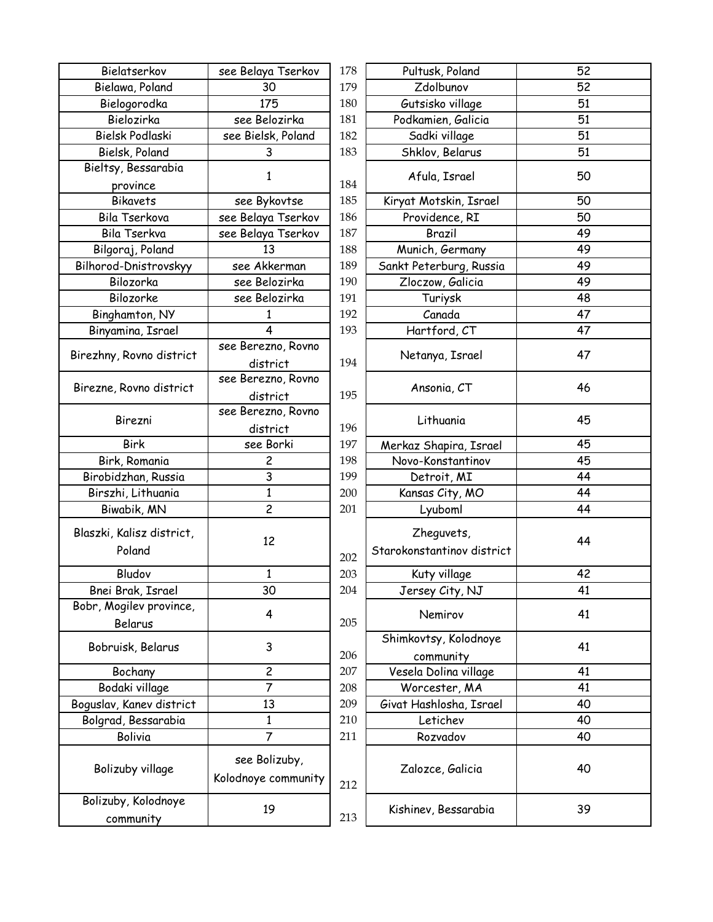| Bielatserkov                        | see Belaya Tserkov                   | 178        | Pultusk, Poland                          | 52       |
|-------------------------------------|--------------------------------------|------------|------------------------------------------|----------|
| Bielawa, Poland                     | 30                                   | 179        | Zdolbunov                                | 52       |
| Bielogorodka                        | 175                                  | 180        | Gutsisko village                         | 51       |
| Bielozirka                          | see Belozirka                        | 181        | Podkamien, Galicia                       | 51       |
| Bielsk Podlaski                     | see Bielsk, Poland                   | 182        | Sadki village                            | 51       |
| Bielsk, Poland                      | 3                                    | 183        | Shklov, Belarus                          | 51       |
| Bieltsy, Bessarabia                 | 1                                    |            | Afula, Israel                            | 50       |
| province                            |                                      | 184        |                                          |          |
| <b>Bikavets</b><br>Bila Tserkova    | see Bykovtse                         | 185        | Kiryat Motskin, Israel                   | 50       |
| Bila Tserkva                        | see Belaya Tserkov                   | 186<br>187 | Providence, RI<br>Brazil                 | 50<br>49 |
| Bilgoraj, Poland                    | see Belaya Tserkov<br>13             | 188        | Munich, Germany                          | 49       |
|                                     |                                      | 189        |                                          |          |
| Bilhorod-Dnistrovskyy               | see Akkerman                         |            | Sankt Peterburg, Russia                  | 49       |
| Bilozorka<br>Bilozorke              | see Belozirka                        | 190        | Zloczow, Galicia                         | 49<br>48 |
|                                     | see Belozirka                        | 191        | Turiysk                                  |          |
| Binghamton, NY                      | 1                                    | 192        | Canada                                   | 47       |
| Binyamina, Israel                   | 4                                    | 193        | Hartford, CT                             | 47       |
| Birezhny, Rovno district            | see Berezno, Rovno                   |            | Netanya, Israel                          | 47       |
|                                     | district                             | 194        |                                          |          |
| Birezne, Rovno district             | see Berezno, Rovno                   |            | Ansonia, CT                              | 46       |
|                                     | district                             | 195        |                                          |          |
| Birezni                             | see Berezno, Rovno                   |            | Lithuania                                | 45       |
|                                     | district                             | 196        |                                          |          |
| <b>Birk</b>                         | see Borki                            | 197        | Merkaz Shapira, Israel                   | 45       |
| Birk, Romania                       | 2                                    | 198        | Novo-Konstantinov                        | 45       |
| Birobidzhan, Russia                 | 3                                    | 199        | Detroit, MI                              | 44       |
| Birszhi, Lithuania                  | 1                                    | 200        | Kansas City, MO                          | 44       |
| Biwabik, MN                         | $\overline{c}$                       | 201        | Lyuboml                                  | 44       |
| Blaszki, Kalisz district,<br>Poland | 12                                   | 202        | Zheguvets,<br>Starokonstantinov district | 44       |
| Bludov                              | $\mathbf{1}$                         | 203        | Kuty village                             | 42       |
| Bnei Brak, Israel                   | 30                                   | 204        | Jersey City, NJ                          | 41       |
| Bobr, Mogilev province,<br>Belarus  | 4                                    | 205        | Nemirov                                  | 41       |
| Bobruisk, Belarus                   | 3                                    | 206        | Shimkovtsy, Kolodnoye<br>community       | 41       |
| Bochany                             | $\overline{c}$                       | 207        | Vesela Dolina village                    | 41       |
| Bodaki village                      | $\overline{7}$                       | 208        | Worcester, MA                            | 41       |
| Boguslav, Kanev district            | 13                                   | 209        | Givat Hashlosha, Israel                  | 40       |
| Bolgrad, Bessarabia                 | 1                                    | 210        | Letichev                                 | 40       |
| Bolivia                             | $\overline{7}$                       | 211        | Rozvadov                                 | 40       |
| Bolizuby village                    | see Bolizuby,<br>Kolodnoye community | 212        | Zalozce, Galicia                         | 40       |
| Bolizuby, Kolodnoye<br>community    | 19                                   | 213        | Kishinev, Bessarabia                     | 39       |

| atserkov                                                                                              | see Belaya Tserkov      | 178 | Pultusk, Poland            | 52 |  |
|-------------------------------------------------------------------------------------------------------|-------------------------|-----|----------------------------|----|--|
| va, Poland                                                                                            | 30                      | 179 | Zdolbunov                  | 52 |  |
| ogorodka                                                                                              | 175                     | 180 | Gutsisko village           | 51 |  |
| :lozirka                                                                                              | see Belozirka           | 181 | Podkamien, Galicia         | 51 |  |
| <podlaski< td=""><td>see Bielsk, Poland</td><td>182</td><td>Sadki village</td><td>51</td></podlaski<> | see Bielsk, Poland      | 182 | Sadki village              | 51 |  |
| k, Poland                                                                                             | 3                       | 183 | Shklov, Belarus            | 51 |  |
| Bessarabia                                                                                            |                         |     |                            | 50 |  |
| ovince                                                                                                | 1                       | 184 | Afula, Israel              |    |  |
| kavets                                                                                                | see Bykovtse            | 185 | Kiryat Motskin, Israel     | 50 |  |
| Tserkova                                                                                              | see Belaya Tserkov      | 186 | Providence, RI             | 50 |  |
| Tserkva                                                                                               | see Belaya Tserkov      | 187 | Brazil                     | 49 |  |
| aj, Poland                                                                                            | 13                      | 188 | Munich, Germany            | 49 |  |
| Dnistrovskyy                                                                                          | see Akkerman            | 189 | Sankt Peterburg, Russia    | 49 |  |
| ozorka                                                                                                | see Belozirka           | 190 | Zloczow, Galicia           | 49 |  |
| ozorke                                                                                                | see Belozirka           | 191 | Turiysk                    | 48 |  |
| amton, NY                                                                                             | 1                       | 192 | Canada                     | 47 |  |
| ina, Israel                                                                                           | $\overline{4}$          | 193 | Hartford, CT               | 47 |  |
| Rovno district                                                                                        | see Berezno, Rovno      |     |                            | 47 |  |
|                                                                                                       | district                | 194 | Netanya, Israel            |    |  |
|                                                                                                       | see Berezno, Rovno      |     |                            | 46 |  |
| Rovno district                                                                                        | district                | 195 | Ansonia, CT                |    |  |
|                                                                                                       | see Berezno, Rovno      |     |                            |    |  |
| irezni                                                                                                | district                | 196 | Lithuania                  | 45 |  |
| Birk                                                                                                  | see Borki               | 197 | Merkaz Shapira, Israel     | 45 |  |
| Romania                                                                                               | $\overline{\mathbf{c}}$ | 198 | Novo-Konstantinov          | 45 |  |
| zhan, Russia                                                                                          | 3                       | 199 | Detroit, MI                | 44 |  |
| i, Lithuania                                                                                          | 1                       | 200 | Kansas City, MO            | 44 |  |
| ıbik, MN                                                                                              | $\overline{c}$          | 201 | Lyuboml                    | 44 |  |
| alisz district,                                                                                       |                         |     | Zheguvets,                 |    |  |
|                                                                                                       | 12                      |     |                            | 44 |  |
| oland                                                                                                 |                         | 202 | Starokonstantinov district |    |  |
| ludov                                                                                                 | $\mathbf{1}$            | 203 | Kuty village               | 42 |  |
| rak, Israel                                                                                           | 30                      | 204 | Jersey City, NJ            | 41 |  |
| gilev province,                                                                                       | 4                       |     | Nemirov                    | 41 |  |
| elarus                                                                                                |                         | 205 |                            |    |  |
| sk, Belarus                                                                                           | 3                       |     | Shimkovtsy, Kolodnoye      | 41 |  |
|                                                                                                       |                         | 206 | community                  |    |  |
| ochany                                                                                                | $\overline{c}$          | 207 | Vesela Dolina village      | 41 |  |
| ki village                                                                                            | $\overline{7}$          | 208 | Worcester, MA              | 41 |  |
| Kanev district                                                                                        | 13                      | 209 | Givat Hashlosha, Israel    | 40 |  |
| , Bessarabia                                                                                          | 1                       | 210 | Letichev                   | 40 |  |
| olivia                                                                                                | $\overline{7}$          | 211 | Rozvadov                   | 40 |  |
|                                                                                                       |                         |     |                            |    |  |
| ıby village                                                                                           | see Bolizuby,           |     | Zalozce, Galicia           | 40 |  |
|                                                                                                       | Kolodnoye community     | 212 |                            |    |  |
| y, Kolodnoye                                                                                          |                         |     |                            |    |  |
| nmunity                                                                                               | 19                      | 213 | Kishinev, Bessarabia       | 39 |  |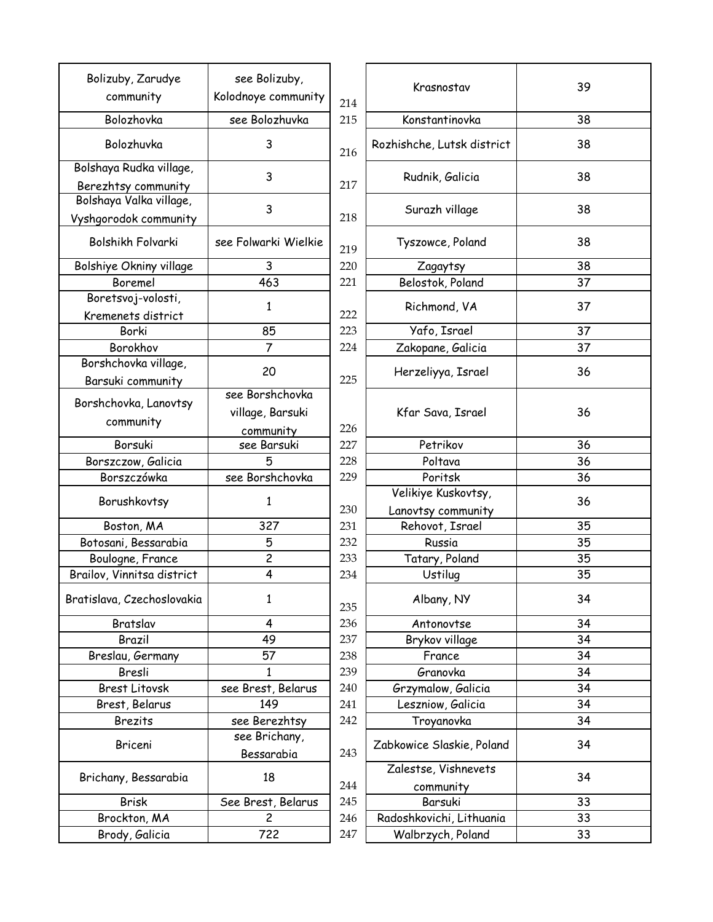| Bolizuby, Zarudye                              | see Bolizuby,        |            |                            |    |
|------------------------------------------------|----------------------|------------|----------------------------|----|
| community                                      | Kolodnoye community  |            | Krasnostav                 | 39 |
| Bolozhovka                                     | see Bolozhuvka       | 214<br>215 | Konstantinovka             | 38 |
| Bolozhuvka                                     | 3                    |            | Rozhishche, Lutsk district | 38 |
|                                                |                      | 216        |                            |    |
| Bolshaya Rudka village,                        | 3                    |            | Rudnik, Galicia            | 38 |
| Berezhtsy community<br>Bolshaya Valka village, |                      | 217        |                            |    |
| Vyshgorodok community                          | 3                    | 218        | Surazh village             | 38 |
| Bolshikh Folvarki                              | see Folwarki Wielkie | 219        | Tyszowce, Poland           | 38 |
| Bolshiye Okniny village                        | 3                    | 220        | Zagaytsy                   | 38 |
| Boremel                                        | 463                  | 221        | Belostok, Poland           | 37 |
| Boretsvoj-volosti,                             |                      |            |                            |    |
| Kremenets district                             | 1                    | 222        | Richmond, VA               | 37 |
| Borki                                          | 85                   | 223        | Yafo, Israel               | 37 |
| Borokhov                                       | $\overline{7}$       | 224        | Zakopane, Galicia          | 37 |
| Borshchovka village,                           |                      |            |                            |    |
| Barsuki community                              | 20                   | 225        | Herzeliyya, Israel         | 36 |
|                                                | see Borshchovka      |            |                            |    |
| Borshchovka, Lanovtsy                          | village, Barsuki     |            | Kfar Sava, Israel          | 36 |
| community                                      | community            | 226        |                            |    |
| Borsuki                                        | see Barsuki          | 227        | Petrikov                   | 36 |
| Borszczow, Galicia                             | 5                    | 228        | Poltava                    | 36 |
| Borszczówka                                    | see Borshchovka      | 229        | Poritsk                    | 36 |
| Borushkovtsy                                   | 1                    |            | Velikiye Kuskovtsy,        | 36 |
|                                                |                      | 230        | Lanovtsy community         |    |
| Boston, MA                                     | 327                  | 231        | Rehovot, Israel            | 35 |
| Botosani, Bessarabia                           | 5                    | 232        | Russia                     | 35 |
| Boulogne, France                               | $\overline{c}$       | 233        | Tatary, Poland             | 35 |
| Brailov, Vinnitsa district                     | 4                    | 234        | Ustilug                    | 35 |
| Bratislava, Czechoslovakia                     | 1                    | 235        | Albany, NY                 | 34 |
| Bratslav                                       | 4                    | 236        | Antonovtse                 | 34 |
| Brazil                                         | 49                   | 237        | Brykov village             | 34 |
| Breslau, Germany                               | 57                   | 238        | France                     | 34 |
| Bresli                                         | 1                    | 239        | Granovka                   | 34 |
| <b>Brest Litovsk</b>                           | see Brest, Belarus   | 240        | Grzymalow, Galicia         | 34 |
| Brest, Belarus                                 | 149                  | 241        | Leszniow, Galicia          | 34 |
| <b>Brezits</b>                                 | see Berezhtsy        | 242        | Troyanovka                 | 34 |
| Briceni                                        | see Brichany,        |            | Zabkowice Slaskie, Poland  | 34 |
|                                                | Bessarabia           | 243        |                            |    |
| Brichany, Bessarabia                           | 18                   | 244        | Zalestse, Vishnevets       | 34 |
| <b>Brisk</b>                                   | See Brest, Belarus   | 245        | community<br>Barsuki       | 33 |
| Brockton, MA                                   | $\overline{c}$       | 246        | Radoshkovichi, Lithuania   | 33 |
| Brody, Galicia                                 | 722                  | 247        | Walbrzych, Poland          | 33 |
|                                                |                      |            |                            |    |

| ee Bolizuby,<br>noye community | 214 | Krasnostav                                | 39 |
|--------------------------------|-----|-------------------------------------------|----|
| e Bolozhuvka                   | 215 | Konstantinovka                            | 38 |
| 3                              | 216 | Rozhishche, Lutsk district                | 38 |
| 3                              | 217 | Rudnik, Galicia                           | 38 |
| 3                              | 218 | Surazh village                            | 38 |
| olwarki Wielkie <sup>.</sup>   | 219 | Tyszowce, Poland                          | 38 |
| 3                              | 220 | Zagaytsy                                  | 38 |
| 463                            | 221 | Belostok, Poland                          | 37 |
| 1                              | 222 | Richmond, VA                              | 37 |
| 85                             | 223 | Yafo, Israel                              | 37 |
| 7                              | 224 | Zakopane, Galicia                         | 37 |
| 20                             | 225 | Herzeliyya, Israel                        | 36 |
| e Borshchovka                  |     |                                           |    |
| llage, Barsuki                 |     | Kfar Sava, Israel                         | 36 |
| community                      | 226 |                                           |    |
| see Barsuki                    | 227 | Petrikov                                  | 36 |
| 5                              | 228 | Poltava                                   | 36 |
| Borshchovka                    | 229 | Poritsk                                   | 36 |
| 1                              | 230 | Velikiye Kuskovtsy,<br>Lanovtsy community | 36 |
| 327                            | 231 | Rehovot, Israel                           | 35 |
| 5                              | 232 | Russia                                    | 35 |
| $\overline{c}$                 | 233 | Tatary, Poland                            | 35 |
| 4                              | 234 | Ustilug                                   | 35 |
| 1                              | 235 | Albany, NY                                | 34 |
| 4                              | 236 | Antonovtse                                | 34 |
| 49                             | 237 | Brykov village                            | 34 |
| 57                             | 238 | France                                    | 34 |
| 1                              | 239 | Granovka                                  | 34 |
| Brest, Belarus                 | 240 | Grzymalow, Galicia                        | 34 |
| 149                            | 241 | Leszniow, Galicia                         | 34 |
| e Berezhtsy                    | 242 | Troyanovka                                | 34 |
| ee Brichany,                   |     | Zabkowice Slaskie, Poland                 | 34 |
| Bessarabia                     | 243 |                                           |    |
| 18                             | 244 | Zalestse, Vishnevets<br>community         | 34 |
| Brest, Belarus                 | 245 | Barsuki                                   | 33 |
| $\overline{c}$                 | 246 | Radoshkovichi, Lithuania                  | 33 |
| 722                            | 247 | Walbrzych, Poland                         | 33 |
|                                |     |                                           |    |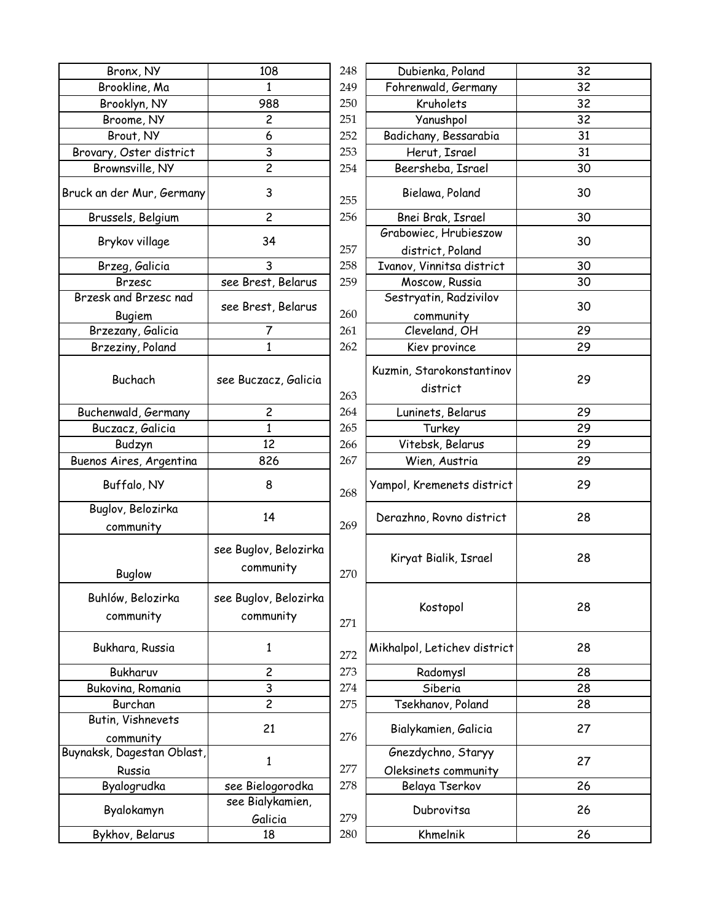| Bronx, NY                            | 108                                | 248 | Dubienka, Poland                           | 32 |
|--------------------------------------|------------------------------------|-----|--------------------------------------------|----|
| Brookline, Ma                        | 1                                  | 249 | Fohrenwald, Germany                        | 32 |
| Brooklyn, NY                         | 988                                | 250 | Kruholets                                  | 32 |
| Broome, NY                           | $\overline{c}$                     | 251 | Yanushpol                                  | 32 |
| Brout, NY                            | 6                                  | 252 | Badichany, Bessarabia                      | 31 |
| Brovary, Oster district              | 3                                  | 253 | Herut, Israel                              | 31 |
| Brownsville, NY                      | $\overline{c}$                     | 254 | Beersheba, Israel                          | 30 |
| Bruck an der Mur, Germany            | 3                                  | 255 | Bielawa, Poland                            | 30 |
| Brussels, Belgium                    | $\overline{c}$                     | 256 | Bnei Brak, Israel                          | 30 |
| Brykov village                       | 34                                 | 257 | Grabowiec, Hrubieszow<br>district, Poland  | 30 |
| Brzeg, Galicia                       | 3                                  | 258 | Ivanov, Vinnitsa district                  | 30 |
| <b>Brzesc</b>                        | see Brest, Belarus                 | 259 | Moscow, Russia                             | 30 |
| Brzesk and Brzesc nad                |                                    |     | Sestryatin, Radzivilov                     |    |
| Bugiem                               | see Brest, Belarus                 | 260 | community                                  | 30 |
| Brzezany, Galicia                    | 7                                  | 261 | Cleveland, OH                              | 29 |
| Brzeziny, Poland                     | $\mathbf{1}$                       | 262 | Kiev province                              | 29 |
| Buchach                              | see Buczacz, Galicia               | 263 | Kuzmin, Starokonstantinov<br>district      | 29 |
| Buchenwald, Germany                  | $\overline{c}$                     | 264 | Luninets, Belarus                          | 29 |
| Buczacz, Galicia                     | $\mathbf{1}$                       | 265 | Turkey                                     | 29 |
| Budzyn                               | 12                                 | 266 | Vitebsk, Belarus                           | 29 |
| Buenos Aires, Argentina              | 826                                | 267 | Wien, Austria                              | 29 |
| Buffalo, NY                          | 8                                  | 268 | Yampol, Kremenets district                 | 29 |
| Buglov, Belozirka<br>community       | 14                                 | 269 | Derazhno, Rovno district                   | 28 |
| <b>Buglow</b>                        | see Buglov, Belozirka<br>community | 270 | Kiryat Bialik, Israel                      | 28 |
| Buhlów, Belozirka<br>community       | see Buglov, Belozirka<br>community | 271 | Kostopol                                   | 28 |
| Bukhara, Russia                      | 1                                  | 272 | Mikhalpol, Letichev district               | 28 |
| Bukharuv                             | $\overline{c}$                     | 273 | Radomysl                                   | 28 |
| Bukovina, Romania                    | 3                                  | 274 | Siberia                                    | 28 |
| Burchan                              | $\overline{c}$                     | 275 | Tsekhanov, Poland                          | 28 |
| Butin, Vishnevets<br>community       | 21                                 | 276 | Bialykamien, Galicia                       | 27 |
| Buynaksk, Dagestan Oblast,<br>Russia | 1                                  | 277 | Gnezdychno, Staryy<br>Oleksinets community | 27 |
| Byalogrudka                          | see Bielogorodka                   | 278 | Belaya Tserkov                             | 26 |
| Byalokamyn                           | see Bialykamien,<br>Galicia        | 279 | Dubrovitsa                                 | 26 |
| Bykhov, Belarus                      | 18                                 | 280 | Khmelnik                                   | 26 |
|                                      |                                    |     |                                            |    |

| 108                        | 248 | Dubienka, Poland                           | 32 |
|----------------------------|-----|--------------------------------------------|----|
| $\mathbf{1}$               | 249 | Fohrenwald, Germany                        | 32 |
| 988                        | 250 | Kruholets                                  | 32 |
| $\overline{c}$             | 251 | Yanushpol                                  | 32 |
| 6                          | 252 | Badichany, Bessarabia                      | 31 |
| 3                          | 253 | Herut, Israel                              | 31 |
| $\overline{c}$             | 254 | Beersheba, Israel                          | 30 |
| 3                          | 255 | Bielawa, Poland                            | 30 |
| $\overline{c}$             | 256 | Bnei Brak, Israel                          | 30 |
| 34                         |     | Grabowiec, Hrubieszow                      | 30 |
|                            | 257 | district, Poland                           |    |
| 3                          | 258 | Ivanov, Vinnitsa district                  | 30 |
| est, Belarus               | 259 | Moscow, Russia                             | 30 |
| rest, Belarus              |     | Sestryatin, Radzivilov                     | 30 |
|                            | 260 | community                                  |    |
| 7                          | 261 | Cleveland, OH                              | 29 |
| $\mathbf{1}$               | 262 | Kiev province                              | 29 |
| czacz, Galicia             | 263 | Kuzmin, Starokonstantinov<br>district      | 29 |
| $\overline{c}$             | 264 | Luninets, Belarus                          | 29 |
| $\mathbf{1}$               | 265 | Turkey                                     | 29 |
| 12                         | 266 | Vitebsk, Belarus                           | 29 |
| 826                        | 267 | Wien, Austria                              | 29 |
| 8                          | 268 | Yampol, Kremenets district                 | 29 |
| 14                         | 269 | Derazhno, Rovno district                   | 28 |
| jlov, Belozirka<br>mmunity | 270 | Kiryat Bialik, Israel                      | 28 |
| jlov, Belozirka<br>mmunity | 271 | Kostopol                                   | 28 |
| $\mathbf{1}$               | 272 | Mikhalpol, Letichev district               | 28 |
| 2                          | 273 | Radomysl                                   | 28 |
| 3                          | 274 | Siberia                                    | 28 |
| $\overline{c}$             | 275 | Tsekhanov, Poland                          | 28 |
| 21                         | 276 | Bialykamien, Galicia                       | 27 |
| $\mathbf{1}$               | 277 | Gnezdychno, Staryy<br>Oleksinets community | 27 |
| ielogorodka                | 278 | Belaya Tserkov                             | 26 |
| Bialykamien,<br>Galicia    | 279 | Dubrovitsa                                 | 26 |
| 18                         | 280 | Khmelnik                                   | 26 |
|                            |     |                                            |    |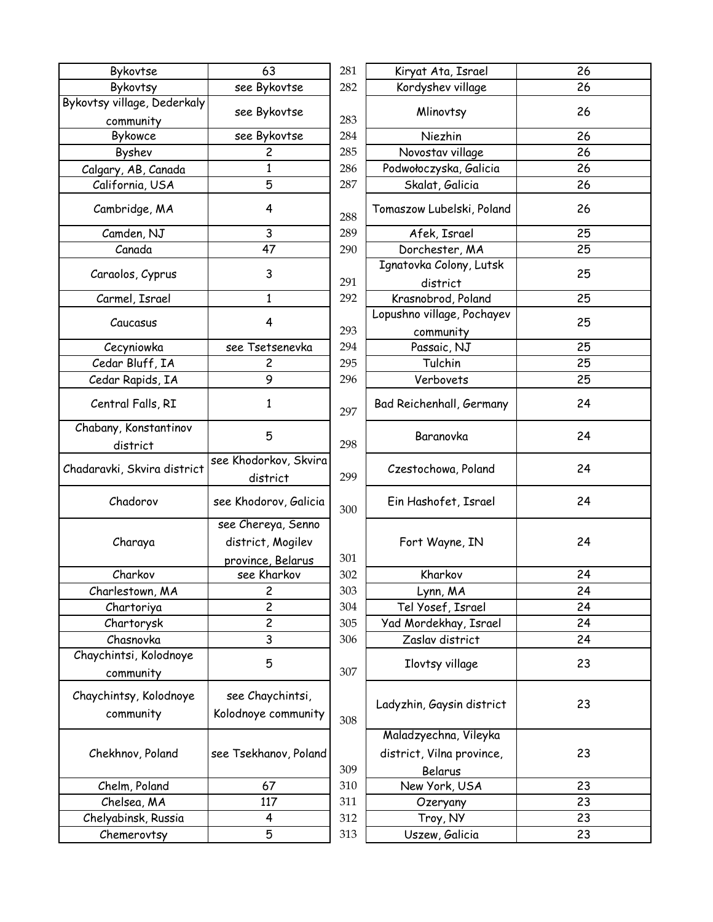| Bykovtse                                 | 63                                      | 281 | Kiryat Ata, Israel                  | 26 |
|------------------------------------------|-----------------------------------------|-----|-------------------------------------|----|
| Bykovtsy                                 | see Bykovtse                            | 282 | Kordyshev village                   | 26 |
| Bykovtsy village, Dederkaly<br>community | see Bykovtse                            | 283 | Mlinovtsy                           | 26 |
| Bykowce                                  | see Bykovtse                            | 284 | Niezhin                             | 26 |
| Byshev                                   | $\overline{c}$                          | 285 | Novostav village                    | 26 |
| Calgary, AB, Canada                      | 1                                       | 286 | Podwołoczyska, Galicia              | 26 |
| California, USA                          | 5                                       | 287 | Skalat, Galicia                     | 26 |
| Cambridge, MA                            | 4                                       | 288 | Tomaszow Lubelski, Poland           | 26 |
| Camden, NJ                               | 3                                       | 289 | Afek, Israel                        | 25 |
| Canada                                   | 47                                      | 290 | Dorchester, MA                      | 25 |
| Caraolos, Cyprus                         | 3                                       | 291 | Ignatovka Colony, Lutsk<br>district | 25 |
| Carmel, Israel                           | 1                                       | 292 | Krasnobrod, Poland                  | 25 |
|                                          |                                         |     | Lopushno village, Pochayev          |    |
| Caucasus                                 | 4                                       | 293 | community                           | 25 |
| Cecyniowka                               | see Tsetsenevka                         | 294 | Passaic, NJ                         | 25 |
| Cedar Bluff, IA                          | 2                                       | 295 | Tulchin                             | 25 |
| Cedar Rapids, IA                         | 9                                       | 296 | Verbovets                           | 25 |
| Central Falls, RI                        | 1                                       | 297 | Bad Reichenhall, Germany            | 24 |
| Chabany, Konstantinov<br>district        | 5                                       | 298 | Baranovka                           | 24 |
| Chadaravki, Skvira district              | see Khodorkov, Skvira<br>district       | 299 | Czestochowa, Poland                 | 24 |
| Chadorov                                 | see Khodorov, Galicia                   | 300 | Ein Hashofet, Israel                | 24 |
| Charaya                                  | see Chereya, Senno<br>district, Mogilev |     | Fort Wayne, IN                      | 24 |
|                                          | province, Belarus                       | 301 |                                     |    |
| Charkov                                  | see Kharkov                             | 302 | Kharkov                             | 24 |
| Charlestown, MA                          | $\overline{c}$                          | 303 | Lynn, MA                            | 24 |
| Chartoriya                               | $\overline{2}$                          | 304 | Tel Yosef, Israel                   | 24 |
| Chartorysk                               | $\overline{\mathbf{c}}$                 | 305 | Yad Mordekhay, Israel               | 24 |
| Chasnovka                                | 3                                       | 306 | Zaslav district                     | 24 |
| Chaychintsi, Kolodnoye<br>community      | 5                                       | 307 | Ilovtsy village                     | 23 |
| Chaychintsy, Kolodnoye<br>community      | see Chaychintsi,<br>Kolodnoye community |     | Ladyzhin, Gaysin district           | 23 |
|                                          |                                         | 308 |                                     |    |
|                                          |                                         |     | Maladzyechna, Vileyka               |    |
| Chekhnov, Poland                         | see Tsekhanov, Poland                   |     | district, Vilna province,           | 23 |
|                                          |                                         | 309 | Belarus                             |    |
| Chelm, Poland                            | 67                                      | 310 | New York, USA                       | 23 |
| Chelsea, MA                              | 117                                     | 311 | Ozeryany                            | 23 |
| Chelyabinsk, Russia                      | 4                                       | 312 | Troy, NY                            | 23 |
| Chemerovtsy                              | 5                                       | 313 | Uszew, Galicia                      | 23 |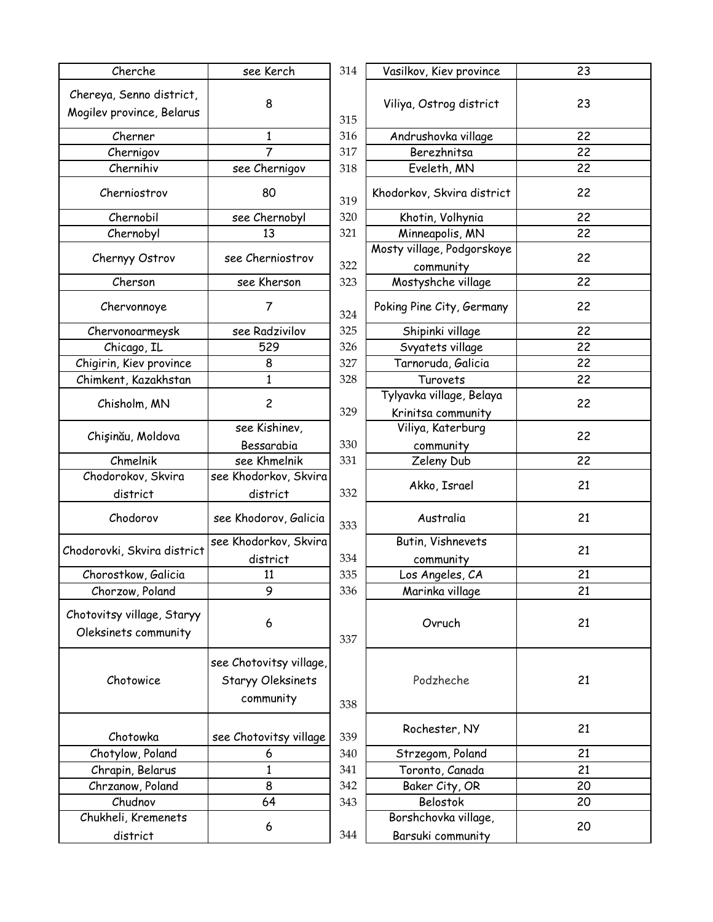| Cherche                                               | see Kerch                                                        | 314 | Vasilkov, Kiev province                        | 23 |
|-------------------------------------------------------|------------------------------------------------------------------|-----|------------------------------------------------|----|
| Chereya, Senno district,<br>Mogilev province, Belarus | 8                                                                | 315 | Viliya, Ostrog district                        | 23 |
| Cherner                                               | 1                                                                | 316 | Andrushovka village                            | 22 |
| Chernigov                                             | $\overline{7}$                                                   | 317 | Berezhnitsa                                    | 22 |
| Chernihiv                                             | see Chernigov                                                    | 318 | Eveleth, MN                                    | 22 |
| Cherniostrov                                          | 80                                                               | 319 | Khodorkov, Skvira district                     | 22 |
| Chernobil                                             | see Chernobyl                                                    | 320 | Khotin, Volhynia                               | 22 |
| Chernobyl                                             | 13                                                               | 321 | Minneapolis, MN                                | 22 |
| Chernyy Ostrov                                        | see Cherniostrov                                                 | 322 | Mosty village, Podgorskoye<br>community        | 22 |
| Cherson                                               | see Kherson                                                      | 323 | Mostyshche village                             | 22 |
| Chervonnoye                                           | $\overline{7}$                                                   | 324 | Poking Pine City, Germany                      | 22 |
| Chervonoarmeysk                                       | see Radzivilov                                                   | 325 | Shipinki village                               | 22 |
| Chicago, IL                                           | 529                                                              | 326 | Svyatets village                               | 22 |
| Chigirin, Kiev province                               | 8                                                                | 327 | Tarnoruda, Galicia                             | 22 |
| Chimkent, Kazakhstan                                  | 1                                                                | 328 | Turovets                                       | 22 |
| Chisholm, MN                                          | $\overline{c}$                                                   | 329 | Tylyavka village, Belaya<br>Krinitsa community | 22 |
| Chişinău, Moldova                                     | see Kishinev,<br>Bessarabia                                      | 330 | Viliya, Katerburg<br>community                 | 22 |
| Chmelnik                                              | see Khmelnik                                                     | 331 | Zeleny Dub                                     | 22 |
| Chodorokov, Skvira                                    | see Khodorkov, Skvira                                            |     |                                                |    |
| district                                              | district                                                         | 332 | Akko, Israel                                   | 21 |
| Chodorov                                              | see Khodorov, Galicia                                            | 333 | Australia                                      | 21 |
|                                                       | see Khodorkov, Skvira                                            |     | Butin, Vishnevets                              |    |
| Chodorovki, Skvira district                           | district                                                         | 334 | community                                      | 21 |
| Chorostkow, Galicia                                   | 11                                                               | 335 | Los Angeles, CA                                | 21 |
| Chorzow, Poland                                       | 9                                                                | 336 | Marinka village                                | 21 |
| Chotovitsy village, Staryy<br>Oleksinets community    | 6                                                                | 337 | Ovruch                                         | 21 |
| Chotowice                                             | see Chotovitsy village,<br><b>Staryy Oleksinets</b><br>community | 338 | Podzheche                                      | 21 |
| Chotowka                                              | see Chotovitsy village                                           | 339 | Rochester, NY                                  | 21 |
| Chotylow, Poland                                      | 6                                                                | 340 | Strzegom, Poland                               | 21 |
| Chrapin, Belarus                                      | 1                                                                | 341 | Toronto, Canada                                | 21 |
| Chrzanow, Poland                                      | 8                                                                | 342 | Baker City, OR                                 | 20 |
| Chudnov                                               | 64                                                               | 343 | Belostok                                       | 20 |
| Chukheli, Kremenets                                   | 6                                                                |     | Borshchovka village,                           | 20 |
| district                                              |                                                                  | 344 | Barsuki community                              |    |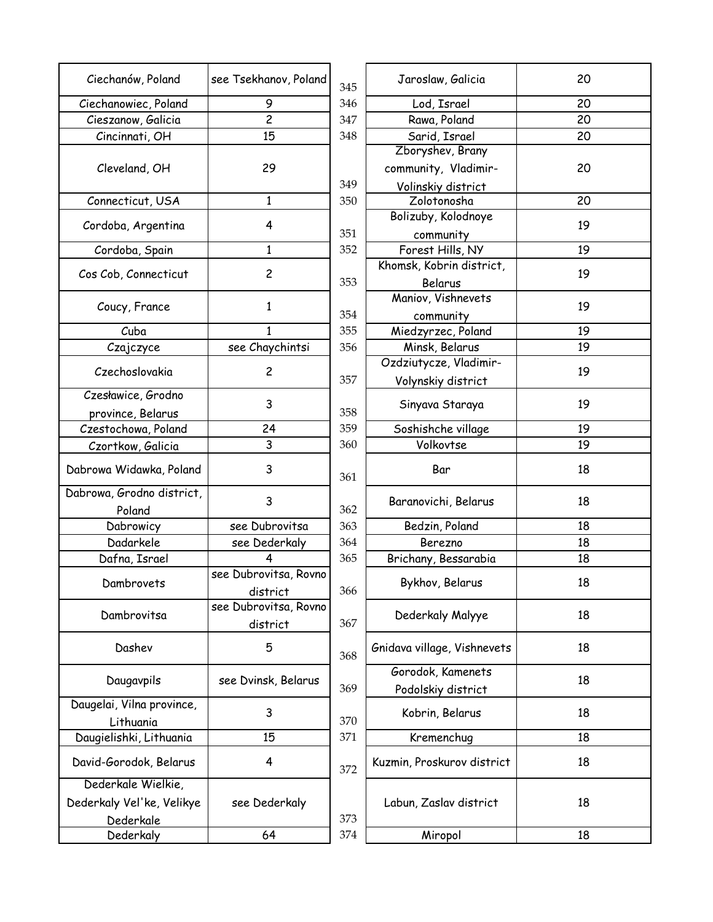| Ciechanów, Poland         | see Tsekhanov, Poland | 345 | Jaroslaw, Galicia           | 20 |
|---------------------------|-----------------------|-----|-----------------------------|----|
| Ciechanowiec, Poland      | 9                     | 346 | Lod, Israel                 | 20 |
| Cieszanow, Galicia        | $\overline{2}$        | 347 | Rawa, Poland                | 20 |
| Cincinnati, OH            | 15                    | 348 | Sarid, Israel               | 20 |
|                           |                       |     | Zboryshev, Brany            |    |
| Cleveland, OH             | 29                    |     | community, Vladimir-        | 20 |
|                           |                       | 349 | Volinskiy district          |    |
| Connecticut, USA          | $\mathbf{1}$          | 350 | Zolotonosha                 | 20 |
|                           |                       |     | Bolizuby, Kolodnoye         |    |
| Cordoba, Argentina        | 4                     | 351 | community                   | 19 |
| Cordoba, Spain            | $\mathbf{1}$          | 352 | Forest Hills, NY            | 19 |
|                           |                       |     | Khomsk, Kobrin district,    |    |
| Cos Cob, Connecticut      | $\overline{c}$        | 353 | Belarus                     | 19 |
|                           |                       |     | Maniov, Vishnevets          |    |
| Coucy, France             | 1                     | 354 |                             | 19 |
| Cuba                      | 1                     | 355 | community                   | 19 |
|                           |                       |     | Miedzyrzec, Poland          | 19 |
| Czajczyce                 | see Chaychintsi       | 356 | Minsk, Belarus              |    |
| Czechoslovakia            | $\overline{c}$        |     | Ozdziutycze, Vladimir-      | 19 |
|                           |                       | 357 | Volynskiy district          |    |
| Czesławice, Grodno        | 3                     |     | Sinyava Staraya             | 19 |
| province, Belarus         |                       | 358 |                             |    |
| Czestochowa, Poland       | 24                    | 359 | Soshishche village          | 19 |
| Czortkow, Galicia         | 3                     | 360 | Volkovtse                   | 19 |
| Dabrowa Widawka, Poland   | 3                     | 361 | Bar                         | 18 |
| Dabrowa, Grodno district, | 3                     |     |                             | 18 |
| Poland                    |                       | 362 | Baranovichi, Belarus        |    |
| Dabrowicy                 | see Dubrovitsa        | 363 | Bedzin, Poland              | 18 |
| Dadarkele                 | see Dederkaly         | 364 | Berezno                     | 18 |
| Dafna, Israel             | 4                     | 365 | Brichany, Bessarabia        | 18 |
|                           | see Dubrovitsa, Rovno |     |                             |    |
| Dambrovets                | district              | 366 | Bykhov, Belarus             | 18 |
|                           | see Dubrovitsa, Rovno |     |                             |    |
| Dambrovitsa               | district              | 367 | Dederkaly Malyye            | 18 |
| Dashev                    | 5                     | 368 | Gnidava village, Vishnevets | 18 |
|                           |                       |     | Gorodok, Kamenets           |    |
| Daugavpils                | see Dvinsk, Belarus   | 369 | Podolskiy district          | 18 |
| Daugelai, Vilna province, |                       |     |                             |    |
| Lithuania                 | 3                     | 370 | Kobrin, Belarus             | 18 |
| Daugielishki, Lithuania   | 15                    | 371 | Kremenchug                  | 18 |
|                           |                       |     |                             |    |
| David-Gorodok, Belarus    | 4                     | 372 | Kuzmin, Proskurov district  | 18 |
| Dederkale Wielkie,        |                       |     |                             |    |
| Dederkaly Vel'ke, Velikye | see Dederkaly         |     | Labun, Zaslav district      | 18 |
| Dederkale                 |                       | 373 |                             |    |
| Dederkaly                 | 64                    | 374 | Miropol                     | 18 |
|                           |                       |     |                             |    |

| khanov, Poland  | 345 | Jaroslaw, Galicia           | 20 |
|-----------------|-----|-----------------------------|----|
| 9               | 346 | Lod, Israel                 | 20 |
| $\overline{c}$  | 347 | Rawa, Poland                | 20 |
| 15              | 348 | Sarid, Israel               | 20 |
|                 |     | Zboryshev, Brany            |    |
| 29              |     | community, Vladimir-        | 20 |
|                 | 349 | Volinskiy district          |    |
| $\mathbf{1}$    | 350 | Zolotonosha                 | 20 |
|                 |     | Bolizuby, Kolodnoye         |    |
| 4               | 351 | community                   | 19 |
| $\mathbf{1}$    | 352 | Forest Hills, NY            | 19 |
|                 |     | Khomsk, Kobrin district,    |    |
| $\overline{c}$  | 353 | Belarus                     | 19 |
|                 |     | Maniov, Vishnevets          |    |
| $\mathbf{1}$    | 354 | community                   | 19 |
| 1               | 355 | Miedzyrzec, Poland          | 19 |
| Chaychintsi     | 356 | Minsk, Belarus              | 19 |
|                 |     | Ozdziutycze, Vladimir-      |    |
| $\overline{c}$  | 357 | Volynskiy district          | 19 |
| 3               |     |                             | 19 |
|                 | 358 | Sinyava Staraya             |    |
| 24              | 359 | Soshishche village          | 19 |
| 3               | 360 | Volkovtse                   | 19 |
| 3               | 361 | Bar                         | 18 |
| 3               | 362 | Baranovichi, Belarus        | 18 |
| Dubrovitsa      | 363 | Bedzin, Poland              | 18 |
| Dederkaly       | 364 | Berezno                     | 18 |
| 4               | 365 | Brichany, Bessarabia        | 18 |
| provitsa, Rovno |     |                             |    |
| district        | 366 | Bykhov, Belarus             | 18 |
| provitsa, Rovno |     |                             |    |
| district        | 367 | Dederkaly Malyye            | 18 |
| 5               | 368 | Gnidava village, Vishnevets | 18 |
|                 |     | Gorodok, Kamenets           |    |
| vinsk, Belarus  | 369 | Podolskiy district          | 18 |
| 3               | 370 | Kobrin, Belarus             | 18 |
| 15              | 371 | Kremenchug                  | 18 |
| 4               | 372 | Kuzmin, Proskurov district  | 18 |
| Dederkaly       | 373 | Labun, Zaslav district      | 18 |
| 64              | 374 | Miropol                     | 18 |
|                 |     |                             |    |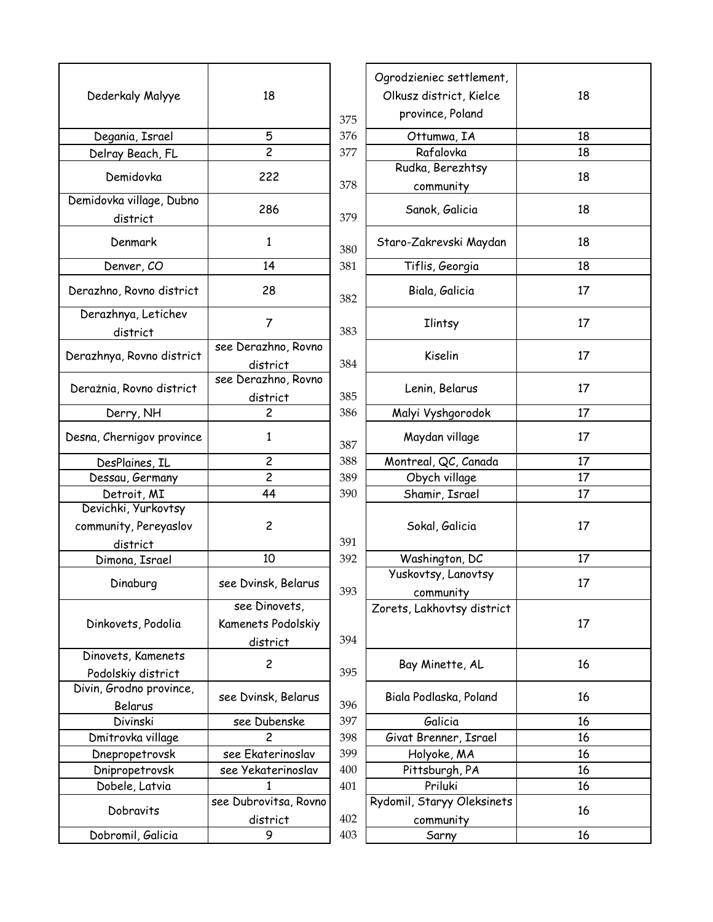|                                      |                       |            | Ogrodzieniec settlement,   |    |
|--------------------------------------|-----------------------|------------|----------------------------|----|
| Dederkaly Malyye                     | 18                    |            | Olkusz district, Kielce    | 18 |
|                                      |                       |            | province, Poland           |    |
| Degania, Israel                      | 5                     | 375<br>376 | Ottumwa, IA                | 18 |
|                                      | $\overline{c}$        | 377        | Rafalovka                  | 18 |
| Delray Beach, FL                     |                       |            | Rudka, Berezhtsy           |    |
| Demidovka                            | 222                   | 378        | community                  | 18 |
| Demidovka village, Dubno<br>district | 286                   | 379        | Sanok, Galicia             | 18 |
| Denmark                              | 1                     | 380        | Staro-Zakrevski Maydan     | 18 |
| Denver, CO                           | 14                    | 381        | Tiflis, Georgia            | 18 |
| Derazhno, Rovno district             | 28                    | 382        | Biala, Galicia             | 17 |
| Derazhnya, Letichev                  |                       |            |                            |    |
| district                             | $\overline{7}$        | 383        | <b>Ilintsy</b>             | 17 |
| Derazhnya, Rovno district            | see Derazhno, Rovno   |            | Kiselin                    | 17 |
|                                      | district              | 384        |                            |    |
| Derażnia, Rovno district             | see Derazhno, Rovno   |            | Lenin, Belarus             | 17 |
|                                      | district              | 385        |                            |    |
| Derry, NH                            | $\overline{c}$        | 386        | Malyi Vyshgorodok          | 17 |
| Desna, Chernigov province            | 1                     | 387        | Maydan village             | 17 |
| DesPlaines, IL                       | $\overline{c}$        | 388        | Montreal, QC, Canada       | 17 |
| Dessau, Germany                      | $\overline{c}$        | 389        | Obych village              | 17 |
| Detroit, MI                          | 44                    | 390        | Shamir, Israel             | 17 |
| Devichki, Yurkovtsy                  |                       |            |                            |    |
| community, Pereyaslov                | $\overline{c}$        |            | Sokal, Galicia             | 17 |
| district                             |                       | 391        |                            |    |
| Dimona, Israel                       | 10                    | 392        | Washington, DC             | 17 |
|                                      |                       |            | Yuskovtsy, Lanovtsy        |    |
| Dinaburg                             | see Dvinsk, Belarus   | 393        | community                  | 17 |
|                                      | see Dinovets,         |            | Zorets, Lakhovtsy district |    |
| Dinkovets, Podolia                   | Kamenets Podolskiy    |            |                            | 17 |
|                                      | district              | 394        |                            |    |
| Dinovets, Kamenets                   |                       |            |                            |    |
| Podolskiy district                   | $\overline{c}$        | 395        | Bay Minette, AL            | 16 |
| Divin, Grodno province,              |                       |            |                            |    |
| Belarus                              | see Dvinsk, Belarus   | 396        | Biala Podlaska, Poland     | 16 |
| Divinski                             | see Dubenske          | 397        | Galicia                    | 16 |
| Dmitrovka village                    | 2                     | 398        | Givat Brenner, Israel      | 16 |
| Dnepropetrovsk                       | see Ekaterinoslav     | 399        | Holyoke, MA                | 16 |
| Dnipropetrovsk                       | see Yekaterinoslav    | 400        | Pittsburgh, PA             | 16 |
| Dobele, Latvia                       | 1                     | 401        | Priluki                    | 16 |
|                                      | see Dubrovitsa, Rovno |            | Rydomil, Staryy Oleksinets |    |
| Dobravits                            |                       | 402        |                            | 16 |
|                                      | district              |            | community                  |    |
| Dobromil, Galicia                    | 9                     | 403        | Sarny                      | 16 |

|                                  |     | Ogrodzieniec settlement,                |    |
|----------------------------------|-----|-----------------------------------------|----|
| 18                               |     | Olkusz district, Kielce                 | 18 |
|                                  | 375 | province, Poland                        |    |
| 5                                | 376 | Ottumwa, IA                             | 18 |
| $\overline{2}$                   | 377 | Rafalovka                               | 18 |
|                                  |     | Rudka, Berezhtsy                        |    |
| 222                              | 378 | community                               | 18 |
| 286                              | 379 | Sanok, Galicia                          | 18 |
| 1                                | 380 | Staro-Zakrevski Maydan                  | 18 |
| 14                               | 381 | Tiflis, Georgia                         | 18 |
| 28                               | 382 | Biala, Galicia                          | 17 |
| $\overline{7}$                   | 383 | <b>Ilintsy</b>                          | 17 |
| see Derazhno, Rovno              |     | Kiselin                                 | 17 |
| district                         | 384 |                                         |    |
| iee Derazhno, Rovno              |     | Lenin, Belarus                          | 17 |
| district                         | 385 |                                         |    |
| 2                                | 386 | Malyi Vyshgorodok                       | 17 |
| 1                                | 387 | Maydan village                          | 17 |
| $\overline{c}$                   | 388 | Montreal, QC, Canada                    | 17 |
| $\overline{c}$                   | 389 | Obych village                           | 17 |
| 44                               | 390 | Shamir, Israel                          | 17 |
| $\overline{c}$                   | 391 | Sokal, Galicia                          | 17 |
| 10                               | 392 | Washington, DC                          | 17 |
|                                  |     | Yuskovtsy, Lanovtsy                     |    |
| see Dvinsk, Belarus              | 393 | community                               | 17 |
| see Dinovets,                    |     | Zorets, Lakhovtsy district              |    |
| Kamenets Podolskiy               |     |                                         | 17 |
| district                         | 394 |                                         |    |
| 2                                | 395 | Bay Minette, AL                         | 16 |
| see Dvinsk, Belarus              | 396 | Biala Podlaska, Poland                  | 16 |
| see Dubenske                     | 397 | Galicia                                 | 16 |
| 2                                | 398 | Givat Brenner, Israel                   | 16 |
| see Ekaterinoslav                | 399 | Holyoke, MA                             | 16 |
| see Yekaterinoslav               | 400 | Pittsburgh, PA                          | 16 |
| 1                                | 401 | Priluki                                 | 16 |
| ze Dubrovitsa, Rovno<br>district | 402 | Rydomil, Staryy Oleksinets<br>community | 16 |
| 9                                | 403 | Sarny                                   | 16 |
|                                  |     |                                         |    |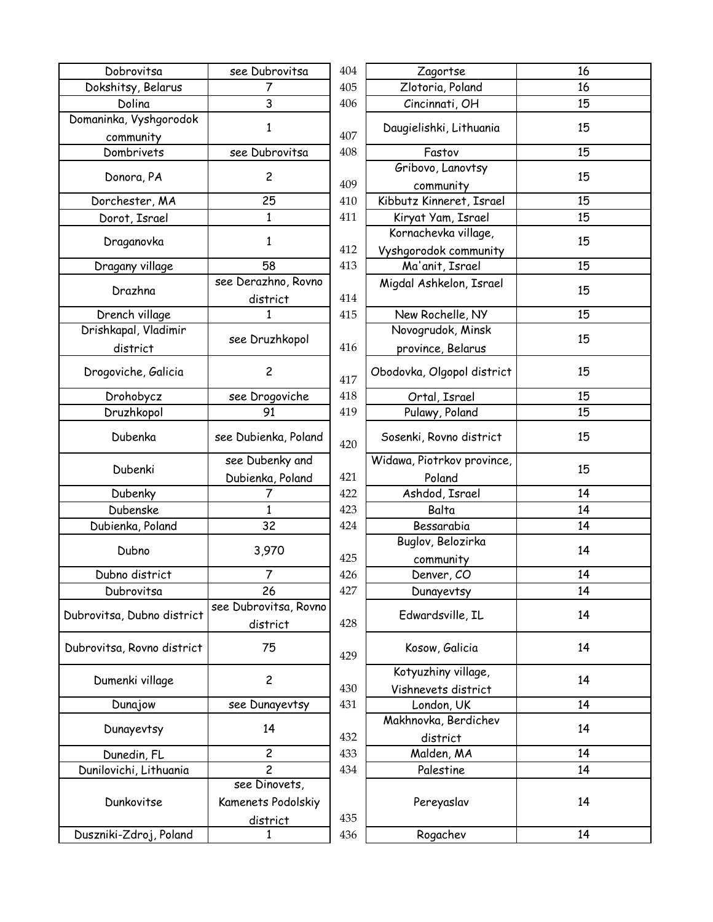| Dobrovitsa                             | see Dubrovitsa        | 404 | Zagortse                                 | 16 |
|----------------------------------------|-----------------------|-----|------------------------------------------|----|
| Dokshitsy, Belarus                     | 7                     | 405 | Zlotoria, Poland                         | 16 |
| Dolina                                 | 3                     | 406 | Cincinnati, OH                           | 15 |
| Domaninka, Vyshgorodok<br>community    | 1                     | 407 | Daugielishki, Lithuania                  | 15 |
| Dombrivets                             | see Dubrovitsa        | 408 | Fastov                                   | 15 |
|                                        |                       |     | Gribovo, Lanovtsy                        |    |
| Donora, PA                             | $\overline{c}$        | 409 | community                                | 15 |
| Dorchester, MA                         | 25                    | 410 | Kibbutz Kinneret, Israel                 | 15 |
| Dorot, Israel                          | 1                     | 411 | Kiryat Yam, Israel                       | 15 |
| Draganovka                             | 1                     | 412 | Kornachevka village,                     | 15 |
| Dragany village                        | 58                    | 413 | Vyshgorodok community<br>Ma'anit, Israel | 15 |
|                                        | see Derazhno, Rovno   |     |                                          |    |
| Drazhna                                |                       | 414 | Migdal Ashkelon, Israel                  | 15 |
|                                        | district<br>1         | 415 |                                          | 15 |
| Drench village<br>Drishkapal, Vladimir |                       |     | New Rochelle, NY<br>Novogrudok, Minsk    |    |
|                                        | see Druzhkopol        |     |                                          | 15 |
| district                               |                       | 416 | province, Belarus                        |    |
| Drogoviche, Galicia                    | $\overline{c}$        | 417 | Obodovka, Olgopol district               | 15 |
| Drohobycz                              | see Drogoviche        | 418 | Ortal, Israel                            | 15 |
| Druzhkopol                             | 91                    | 419 | Pulawy, Poland                           | 15 |
| Dubenka                                | see Dubienka, Poland  | 420 | Sosenki, Rovno district                  | 15 |
|                                        | see Dubenky and       |     | Widawa, Piotrkov province,               |    |
| Dubenki                                | Dubienka, Poland      | 421 | Poland                                   | 15 |
| Dubenky                                | 7                     | 422 | Ashdod, Israel                           | 14 |
| Dubenske                               | $\mathbf{1}$          | 423 | Balta                                    | 14 |
| Dubienka, Poland                       | 32                    | 424 | Bessarabia                               | 14 |
|                                        |                       |     | Buglov, Belozirka                        |    |
| Dubno                                  | 3,970                 | 425 | community                                | 14 |
| Dubno district                         | 7                     | 426 | Denver, CO                               | 14 |
| Dubrovitsa                             | 26                    | 427 | Dunayevtsy                               | 14 |
|                                        | see Dubrovitsa, Rovno |     |                                          |    |
| Dubrovitsa, Dubno district             | district              | 428 | Edwardsville, IL                         | 14 |
| Dubrovitsa, Rovno district             | 75                    | 429 | Kosow, Galicia                           | 14 |
|                                        |                       |     | Kotyuzhiny village,                      |    |
| Dumenki village                        | $\overline{c}$        | 430 | Vishnevets district                      | 14 |
| Dunajow                                | see Dunayevtsy        | 431 | London, UK                               | 14 |
|                                        |                       |     | Makhnovka, Berdichev                     |    |
| Dunayevtsy                             | 14                    | 432 | district                                 | 14 |
| Dunedin, FL                            | $\overline{c}$        | 433 | Malden, MA                               | 14 |
| Dunilovichi, Lithuania                 | $\overline{c}$        | 434 | Palestine                                | 14 |
|                                        | see Dinovets,         |     |                                          |    |
| Dunkovitse                             | Kamenets Podolskiy    |     | Pereyaslav                               | 14 |
|                                        |                       | 435 |                                          |    |
| Duszniki-Zdroj, Poland                 | district<br>1         | 436 | Rogachev                                 | 14 |
|                                        |                       |     |                                          |    |

| Dubrovitsa      | 404 | Zagortse                                 | 16 |
|-----------------|-----|------------------------------------------|----|
| 7               | 405 | Zlotoria, Poland                         | 16 |
| 3               | 406 | Cincinnati, OH                           | 15 |
| $\mathbf{1}$    | 407 | Daugielishki, Lithuania                  | 15 |
| Dubrovitsa      | 408 | Fastov                                   | 15 |
| 2               | 409 | Gribovo, Lanovtsy<br>community           | 15 |
| 25              | 410 | Kibbutz Kinneret, Israel                 | 15 |
| 1               | 411 | Kiryat Yam, Israel                       | 15 |
| 1               | 412 | Kornachevka village,                     | 15 |
| 58              | 413 | Vyshgorodok community<br>Ma'anit, Israel | 15 |
| razhno, Rovno:  |     | Migdal Ashkelon, Israel                  |    |
| district        | 414 |                                          | 15 |
| 1               | 415 | New Rochelle, NY                         | 15 |
|                 |     | Novogrudok, Minsk                        |    |
| Druzhkopol      | 416 | province, Belarus                        | 15 |
|                 |     |                                          |    |
| $\overline{c}$  | 417 | Obodovka, Olgopol district               | 15 |
| Drogoviche      | 418 | Ortal, Israel                            | 15 |
| 91              | 419 | Pulawy, Poland                           | 15 |
| ıbienka, Poland | 420 | Sosenki, Rovno district                  | 15 |
| Dubenky and     |     | Widawa, Piotrkov province,               |    |
|                 |     |                                          |    |
| enka, Poland    | 421 | Poland                                   | 15 |
| 7               | 422 | Ashdod, Israel                           | 14 |
| $\mathbf{1}$    | 423 | Balta                                    | 14 |
| 32              | 424 | Bessarabia                               | 14 |
|                 |     | Buglov, Belozirka                        |    |
| 3,970           | 425 | community                                | 14 |
| 7               | 426 | Denver, CO                               | 14 |
| 26              | 427 | Dunayevtsy                               | 14 |
| provitsa, Rovno |     | Edwardsville, IL                         | 14 |
| district        | 428 |                                          |    |
| 75              | 429 | Kosow, Galicia                           | 14 |
| $\overline{c}$  |     | Kotyuzhiny village,                      | 14 |
|                 | 430 | Vishnevets district                      |    |
| Dunayevtsy      | 431 | London, UK                               | 14 |
| 14              | 432 | Makhnovka, Berdichev                     | 14 |
| 2               | 433 | district                                 | 14 |
| $\overline{c}$  | 434 | Malden, MA<br>Palestine                  | 14 |
| Dinovets,       |     |                                          |    |
| nets Podolskiy  |     | Pereyaslav                               | 14 |
| district        | 435 |                                          |    |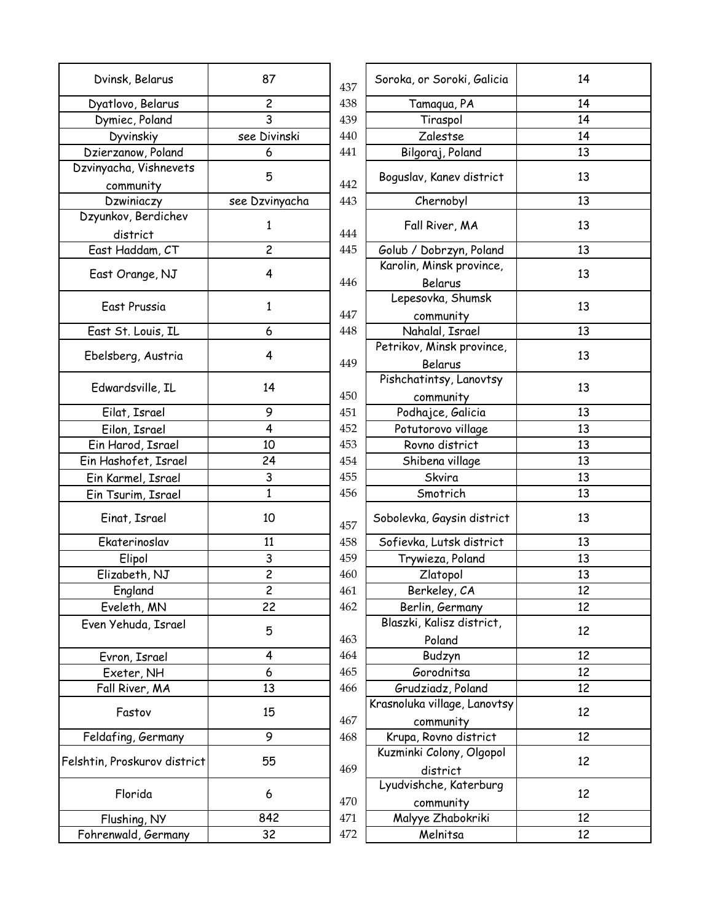| Dvinsk, Belarus                     | 87             | 437 | Soroka, or Soroki, Galicia   | 14 |
|-------------------------------------|----------------|-----|------------------------------|----|
| Dyatlovo, Belarus                   | $\overline{c}$ | 438 | Tamaqua, PA                  | 14 |
| Dymiec, Poland                      | 3              | 439 | Tiraspol                     | 14 |
| Dyvinskiy                           | see Divinski   | 440 | Zalestse                     | 14 |
| Dzierzanow, Poland                  | 6              | 441 | Bilgoraj, Poland             | 13 |
| Dzvinyacha, Vishnevets<br>community | 5              | 442 | Boguslav, Kanev district     | 13 |
| Dzwiniaczy                          | see Dzvinyacha | 443 | Chernobyl                    | 13 |
| Dzyunkov, Berdichev                 |                |     |                              |    |
| district                            | 1              | 444 | Fall River, MA               | 13 |
| East Haddam, CT                     | $\overline{c}$ |     |                              | 13 |
|                                     |                | 445 | Golub / Dobrzyn, Poland      |    |
| East Orange, NJ                     | 4              |     | Karolin, Minsk province,     | 13 |
|                                     |                | 446 | Belarus                      |    |
| East Prussia                        | $\mathbf{1}$   |     | Lepesovka, Shumsk            | 13 |
|                                     |                | 447 | community                    |    |
| East St. Louis, IL                  | 6              | 448 | Nahalal, Israel              | 13 |
|                                     | 4              |     | Petrikov, Minsk province,    | 13 |
| Ebelsberg, Austria                  |                | 449 | Belarus                      |    |
|                                     |                |     | Pishchatintsy, Lanovtsy      |    |
| Edwardsville, IL                    | 14             | 450 | community                    | 13 |
| Eilat, Israel                       | 9              | 451 | Podhajce, Galicia            | 13 |
| Eilon, Israel                       | 4              | 452 | Potutorovo village           | 13 |
| Ein Harod, Israel                   | 10             | 453 | Rovno district               | 13 |
| Ein Hashofet, Israel                | 24             | 454 | Shibena village              | 13 |
|                                     |                | 455 |                              |    |
| Ein Karmel, Israel                  | 3              |     | Skvira                       | 13 |
| Ein Tsurim, Israel                  | 1              | 456 | Smotrich                     | 13 |
| Einat, Israel                       | 10             | 457 | Sobolevka, Gaysin district   | 13 |
| Ekaterinoslav                       | 11             | 458 | Sofievka, Lutsk district     | 13 |
| Elipol                              | 3              | 459 | Trywieza, Poland             | 13 |
| Elizabeth, NJ                       | $\overline{c}$ | 460 | Zlatopol                     | 13 |
| England                             | 2              | 461 | Berkeley, CA                 | 12 |
| Eveleth, MN                         | 22             | 462 | Berlin, Germany              | 12 |
| Even Yehuda, Israel                 |                |     | Blaszki, Kalisz district,    |    |
|                                     | 5              | 463 | Poland                       | 12 |
| Evron, Israel                       | 4              | 464 | Budzyn                       | 12 |
| Exeter, NH                          | 6              | 465 | Gorodnitsa                   | 12 |
| Fall River, MA                      | 13             | 466 | Grudziadz, Poland            | 12 |
|                                     |                |     | Krasnoluka village, Lanovtsy |    |
| Fastov                              | 15             |     |                              | 12 |
|                                     |                | 467 | community                    |    |
| Feldafing, Germany                  | 9              | 468 | Krupa, Rovno district        | 12 |
| Felshtin, Proskurov district        | 55             |     | Kuzminki Colony, Olgopol     | 12 |
|                                     |                | 469 | district                     |    |
| Florida                             | 6              |     | Lyudvishche, Katerburg       | 12 |
|                                     |                | 470 | community                    |    |
| Flushing, NY                        | 842            | 471 | Malyye Zhabokriki            | 12 |
| Fohrenwald, Germany                 | 32             | 472 | Melnitsa                     | 12 |
|                                     |                |     |                              |    |

| 37                      |            | Soroka, or Soroki, Galicia           | 14 |
|-------------------------|------------|--------------------------------------|----|
| $\overline{\mathbf{c}}$ | 437<br>438 |                                      | 14 |
| $\overline{\mathbf{3}}$ |            | Tamaqua, PA                          | 14 |
|                         | 439        | Tiraspol                             |    |
| ivinski                 | 440        | Zalestse                             | 14 |
| 6                       | 441        | Bilgoraj, Poland                     | 13 |
| 5                       | 442        | Boguslav, Kanev district             | 13 |
| vinyacha                | 443        | Chernobyl                            | 13 |
| 1                       | 444        | Fall River, MA                       | 13 |
| $\overline{\mathsf{c}}$ | 445        | Golub / Dobrzyn, Poland              | 13 |
| 4                       | 446        | Karolin, Minsk province,<br>Belarus  | 13 |
|                         |            | Lepesovka, Shumsk                    |    |
| $\mathbf{1}$            | 447        | community                            | 13 |
| 6                       | 448        | Nahalal, Israel                      | 13 |
|                         |            | Petrikov, Minsk province,            |    |
| 4                       | 449        | Belarus                              | 13 |
| l4                      | 450        | Pishchatintsy, Lanovtsy<br>community | 13 |
| 9                       | 451        | Podhajce, Galicia                    | 13 |
| 4                       | 452        | Potutorovo village                   | 13 |
| $\overline{10}$         | 453        | Rovno district                       | 13 |
|                         | 454        | Shibena village                      | 13 |
| $\frac{24}{1}$          | 455        |                                      | 13 |
| $\frac{3}{1}$           |            | Skvira                               |    |
|                         | 456        | Smotrich                             | 13 |
| lO                      | 457        | Sobolevka, Gaysin district           | 13 |
| 11                      | 458        | Sofievka, Lutsk district             | 13 |
| $\overline{\mathbf{3}}$ | 459        | Trywieza, Poland                     | 13 |
| $\overline{2}$          | 460        | Zlatopol                             | 13 |
| $\overline{c}$          | 461        | Berkeley, CA                         | 12 |
| $\overline{2}$          | 462        | Berlin, Germany                      | 12 |
| 5                       | 463        | Blaszki, Kalisz district,<br>Poland  | 12 |
| 4                       | 464        | Budzyn                               | 12 |
| 6                       | 465        | Gorodnitsa                           | 12 |
| $\overline{3}$          | 466        | Grudziadz, Poland                    | 12 |
|                         |            | Krasnoluka village, Lanovtsy         |    |
| 15                      | 467        |                                      | 12 |
| $\overline{9}$          | 468        | community<br>Krupa, Rovno district   | 12 |
|                         |            | Kuzminki Colony, Olgopol             |    |
| 55                      | 469        | district                             | 12 |
| 6                       | 470        | Lyudvishche, Katerburg<br>community  | 12 |
| 42                      | 471        | Malyye Zhabokriki                    | 12 |
| $\overline{32}$         | 472        | Melnitsa                             | 12 |
|                         |            |                                      |    |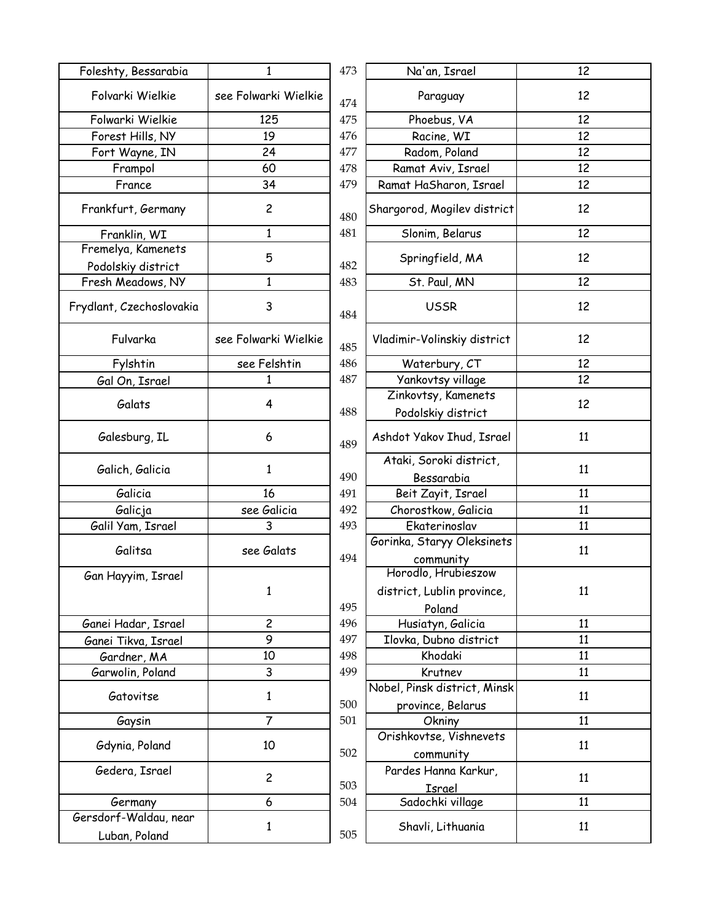| Foleshty, Bessarabia     | 1                    | 473 | Na'an, Israel                         | 12 |
|--------------------------|----------------------|-----|---------------------------------------|----|
| Folvarki Wielkie         | see Folwarki Wielkie | 474 | Paraguay                              | 12 |
| Folwarki Wielkie         | 125                  | 475 | Phoebus, VA                           | 12 |
| Forest Hills, NY         | 19                   | 476 | Racine, WI                            | 12 |
| Fort Wayne, IN           | 24                   | 477 | Radom, Poland                         | 12 |
| Frampol                  | 60                   | 478 | Ramat Aviv, Israel                    | 12 |
| France                   | 34                   | 479 | Ramat HaSharon, Israel                | 12 |
| Frankfurt, Germany       | $\overline{c}$       | 480 | Shargorod, Mogilev district           | 12 |
| Franklin, WI             | 1                    | 481 | Slonim, Belarus                       | 12 |
| Fremelya, Kamenets       |                      |     |                                       |    |
| Podolskiy district       | 5                    | 482 | Springfield, MA                       | 12 |
| Fresh Meadows, NY        | 1                    | 483 | St. Paul, MN                          | 12 |
| Frydlant, Czechoslovakia | 3                    | 484 | <b>USSR</b>                           | 12 |
| Fulvarka                 | see Folwarki Wielkie | 485 | Vladimir-Volinskiy district           | 12 |
| Fylshtin                 | see Felshtin         | 486 | Waterbury, CT                         | 12 |
| Gal On, Israel           | 1                    | 487 | Yankovtsy village                     | 12 |
| Galats                   | 4                    |     | Zinkovtsy, Kamenets                   | 12 |
|                          |                      | 488 | Podolskiy district                    |    |
| Galesburg, IL            | 6                    | 489 | Ashdot Yakov Ihud, Israel             | 11 |
| Galich, Galicia          | 1                    | 490 | Ataki, Soroki district,<br>Bessarabia | 11 |
| Galicia                  | 16                   | 491 | Beit Zayit, Israel                    | 11 |
| Galicja                  | see Galicia          | 492 | Chorostkow, Galicia                   | 11 |
| Galil Yam, Israel        | 3                    | 493 | Ekaterinoslav                         | 11 |
|                          |                      |     | Gorinka, Staryy Oleksinets            |    |
| Galitsa                  | see Galats           | 494 | community                             | 11 |
| Gan Hayyim, Israel       |                      |     | Horodlo, Hrubieszow                   |    |
|                          | 1                    |     | district, Lublin province,            | 11 |
|                          |                      | 495 | Poland                                |    |
| Ganei Hadar, Israel      | $\overline{c}$       | 496 | Husiatyn, Galicia                     | 11 |
| Ganei Tikva, Israel      | 9                    | 497 | Ilovka, Dubno district                | 11 |
| Gardner, MA              | 10                   | 498 | Khodaki                               | 11 |
| Garwolin, Poland         | 3                    | 499 | Krutnev                               | 11 |
|                          |                      |     | Nobel, Pinsk district, Minsk          |    |
| Gatovitse                | $\mathbf{1}$         | 500 | province, Belarus                     | 11 |
| Gaysin                   | $\overline{7}$       | 501 | Okniny                                | 11 |
|                          |                      |     | Orishkovtse, Vishnevets               |    |
| Gdynia, Poland           | 10                   | 502 | community                             | 11 |
| Gedera, Israel           | $\overline{c}$       | 503 | Pardes Hanna Karkur,<br>Israel        | 11 |
| Germany                  | 6                    | 504 | Sadochki village                      | 11 |
| Gersdorf-Waldau, near    |                      |     |                                       |    |
| Luban, Poland            | $\mathbf{1}$         | 505 | Shavli, Lithuania                     | 11 |

| 473 | Na'an, Israel                             | 12 |
|-----|-------------------------------------------|----|
| 474 | Paraguay                                  | 12 |
| 475 | Phoebus, VA                               | 12 |
| 476 | Racine, WI                                | 12 |
| 477 | Radom, Poland                             | 12 |
| 478 | Ramat Aviv, Israel                        | 12 |
| 479 | Ramat HaSharon, Israel                    | 12 |
| 480 | Shargorod, Mogilev district               | 12 |
| 481 | Slonim, Belarus                           | 12 |
| 482 | Springfield, MA                           | 12 |
| 483 | St. Paul, MN                              | 12 |
| 484 | <b>USSR</b>                               | 12 |
| 485 | Vladimir-Volinskiy district               | 12 |
| 486 | Waterbury, CT                             | 12 |
| 487 | Yankovtsy village                         | 12 |
| 488 | Zinkovtsy, Kamenets<br>Podolskiy district | 12 |
| 489 | Ashdot Yakov Ihud, Israel                 | 11 |
| 490 | Ataki, Soroki district,<br>Bessarabia     | 11 |
| 491 | Beit Zayit, Israel                        | 11 |
| 492 | Chorostkow, Galicia                       | 11 |
| 493 | Ekaterinoslav                             | 11 |
|     | Gorinka, Staryy Oleksinets                |    |
| 494 | community<br>Horodlo, Hrubieszow          | 11 |
| 495 | district, Lublin province,<br>Poland      | 11 |
| 496 | Husiatyn, Galicia                         | 11 |
| 497 | Ilovka, Dubno district                    | 11 |
| 498 | Khodaki                                   | 11 |
| 499 | Krutnev                                   | 11 |
|     | Nobel, Pinsk district, Minsk              |    |
| 500 | province, Belarus                         | 11 |
| 501 | Okniny                                    | 11 |
|     | Orishkovtse, Vishnevets                   | 11 |
| 502 | community                                 |    |
|     | Pardes Hanna Karkur,                      | 11 |
| 503 | <u>Israel</u>                             |    |
| 504 | Sadochki village                          | 11 |
| 505 | Shavli, Lithuania                         | 11 |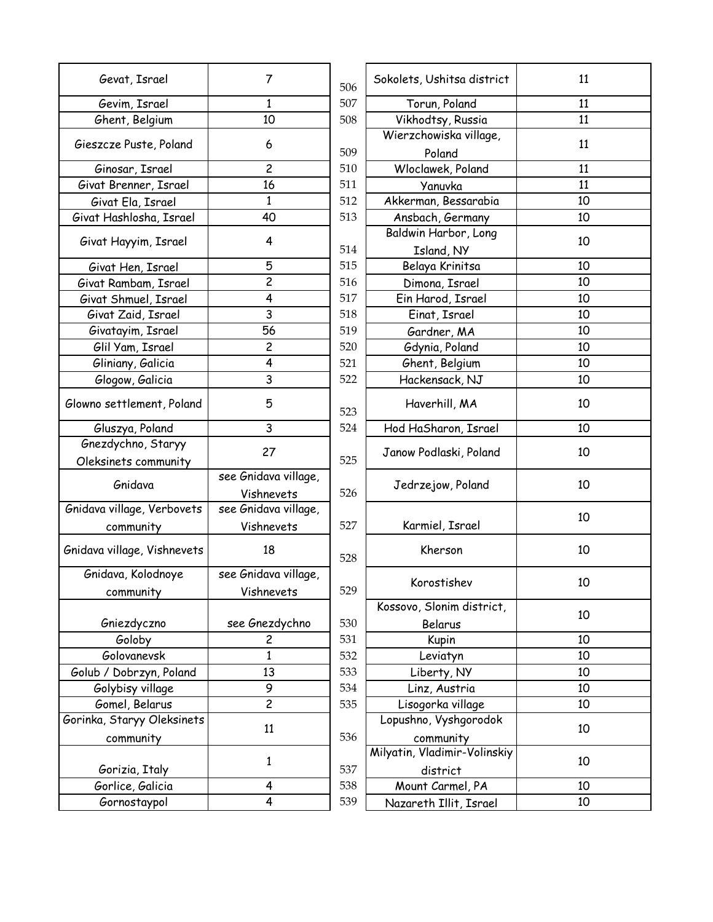| Gevat, Israel               | 7                    | 506 | Sokolets, Ushitsa district       | 11 |
|-----------------------------|----------------------|-----|----------------------------------|----|
| Gevim, Israel               | $\mathbf{1}$         | 507 | Torun, Poland                    | 11 |
| Ghent, Belgium              | 10                   | 508 | Vikhodtsy, Russia                | 11 |
| Gieszcze Puste, Poland      | 6                    | 509 | Wierzchowiska village,<br>Poland | 11 |
| Ginosar, Israel             | $\overline{c}$       | 510 | Wloclawek, Poland                | 11 |
| Givat Brenner, Israel       | 16                   | 511 | Yanuvka                          | 11 |
| Givat Ela, Israel           | $\mathbf{1}$         | 512 | Akkerman, Bessarabia             | 10 |
| Givat Hashlosha, Israel     | 40                   | 513 | Ansbach, Germany                 | 10 |
|                             |                      |     | Baldwin Harbor, Long             |    |
| Givat Hayyim, Israel        | 4                    | 514 | Island, NY                       | 10 |
| Givat Hen, Israel           | 5                    | 515 | Belaya Krinitsa                  | 10 |
| Givat Rambam, Israel        | $\overline{c}$       | 516 | Dimona, Israel                   | 10 |
| Givat Shmuel, Israel        | 4                    | 517 | Ein Harod, Israel                | 10 |
| Givat Zaid, Israel          | 3                    | 518 | Einat, Israel                    | 10 |
| Givatayim, Israel           | 56                   | 519 | Gardner, MA                      | 10 |
| Glil Yam, Israel            | $\overline{c}$       | 520 | Gdynia, Poland                   | 10 |
| Gliniany, Galicia           | 4                    | 521 | Ghent, Belgium                   | 10 |
| Glogow, Galicia             | 3                    | 522 | Hackensack, NJ                   | 10 |
| Glowno settlement, Poland   | 5                    | 523 | Haverhill, MA                    | 10 |
| Gluszya, Poland             | 3                    | 524 | Hod HaSharon, Israel             | 10 |
| Gnezdychno, Staryy          |                      |     |                                  |    |
| Oleksinets community        | 27                   | 525 | Janow Podlaski, Poland           | 10 |
|                             | see Gnidava village, |     |                                  |    |
| Gnidava                     | Vishnevets           | 526 | Jedrzejow, Poland                | 10 |
| Gnidava village, Verbovets  | see Gnidava village, |     |                                  |    |
| community                   | Vishnevets           | 527 | Karmiel, Israel                  | 10 |
| Gnidava village, Vishnevets | 18                   | 528 | Kherson                          | 10 |
| Gnidava, Kolodnoye          | see Gnidava village, |     |                                  |    |
| community                   | Vishnevets           | 529 | Korostishev                      | 10 |
|                             |                      |     | Kossovo, Slonim district,        |    |
| Gniezdyczno                 | see Gnezdychno       | 530 | Belarus                          | 10 |
| Goloby                      | 2                    | 531 | Kupin                            | 10 |
| Golovanevsk                 | $\mathbf{1}$         | 532 | Leviatyn                         | 10 |
| Golub / Dobrzyn, Poland     | 13                   | 533 | Liberty, NY                      | 10 |
| Golybisy village            | 9                    | 534 | Linz, Austria                    | 10 |
| Gomel, Belarus              | $\overline{2}$       | 535 | Lisogorka village                | 10 |
| Gorinka, Staryy Oleksinets  |                      |     | Lopushno, Vyshgorodok            |    |
| community                   | 11                   | 536 | community                        | 10 |
|                             |                      |     | Milyatin, Vladimir-Volinskiy     |    |
| Gorizia, Italy              | $\mathbf{1}$         | 537 | district                         | 10 |
| Gorlice, Galicia            | 4                    | 538 | Mount Carmel, PA                 | 10 |
| Gornostaypol                | 4                    | 539 | Nazareth Illit, Israel           | 10 |
|                             |                      |     |                                  |    |

| 7                              | 506 | Sokolets, Ushitsa district               | 11 |
|--------------------------------|-----|------------------------------------------|----|
| 1                              | 507 | Torun, Poland                            | 11 |
| 10                             | 508 | Vikhodtsy, Russia                        | 11 |
| 6                              | 509 | Wierzchowiska village,<br>Poland         | 11 |
| $\overline{c}$                 | 510 | Wloclawek, Poland                        | 11 |
| 16                             | 511 | Yanuvka                                  | 11 |
| $\mathbf{1}$                   | 512 | Akkerman, Bessarabia                     | 10 |
| 40                             | 513 | Ansbach, Germany                         | 10 |
| 4                              |     | Baldwin Harbor, Long                     | 10 |
|                                | 514 | Island, NY                               |    |
| 5                              | 515 | Belaya Krinitsa                          | 10 |
| $\overline{c}$                 | 516 | Dimona, Israel                           | 10 |
| 4                              | 517 | Ein Harod, Israel                        | 10 |
| 3                              | 518 | Einat, Israel                            | 10 |
| 56                             | 519 | Gardner, MA                              | 10 |
| $\overline{c}$                 | 520 | Gdynia, Poland                           | 10 |
| $\overline{\mathbf{4}}$        | 521 | Ghent, Belgium                           | 10 |
| 3                              | 522 | Hackensack, NJ                           | 10 |
| 5                              | 523 | Haverhill, MA                            | 10 |
| 3                              | 524 | Hod HaSharon, Israel                     | 10 |
| 27                             | 525 | Janow Podlaski, Poland                   | 10 |
| Gnidava village,<br>Vishnevets | 526 | Jedrzejow, Poland                        | 10 |
| Gnidava village,               |     |                                          |    |
| Vishnevets                     | 527 | Karmiel, Israel                          | 10 |
| 18                             | 528 | Kherson                                  | 10 |
| Gnidava village,               |     | Korostishev                              | 10 |
| Vishnevets                     | 529 |                                          |    |
|                                |     | Kossovo, Slonim district,                | 10 |
| e Gnezdychno                   | 530 | Belarus                                  |    |
| 2                              | 531 | Kupin                                    | 10 |
| $\mathbf{1}$                   | 532 | Leviatyn                                 | 10 |
| 13                             | 533 | Liberty, NY                              | 10 |
| 9                              | 534 | Linz, Austria                            | 10 |
| $\overline{c}$                 | 535 | Lisogorka village                        | 10 |
| 11                             | 536 | Lopushno, Vyshgorodok<br>community       | 10 |
| 1                              | 537 | Milyatin, Vladimir-Volinskiy<br>district | 10 |
| 4                              | 538 | Mount Carmel, PA                         | 10 |
| 4                              | 539 | Nazareth Illit, Israel                   | 10 |
|                                |     |                                          |    |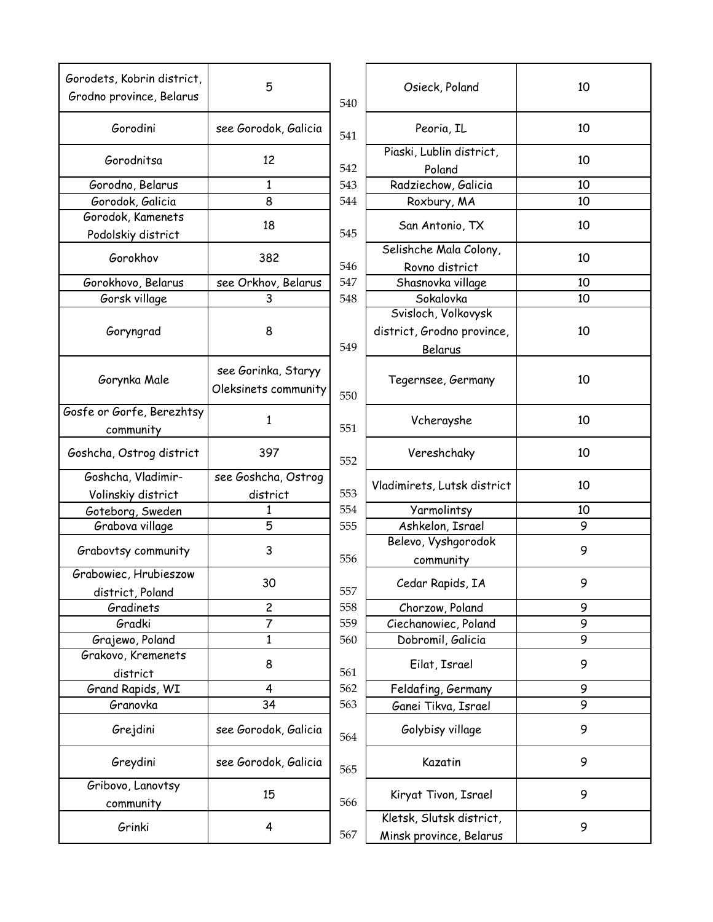| Gorodets, Kobrin district,<br>Grodno province, Belarus | 5                                           | 540 | Osieck, Poland                                      | 10 |
|--------------------------------------------------------|---------------------------------------------|-----|-----------------------------------------------------|----|
| Gorodini                                               | see Gorodok, Galicia                        | 541 | Peoria, IL                                          | 10 |
| Gorodnitsa                                             | 12                                          | 542 | Piaski, Lublin district,<br>Poland                  | 10 |
| Gorodno, Belarus                                       | $\mathbf{1}$                                | 543 | Radziechow, Galicia                                 | 10 |
| Gorodok, Galicia                                       | 8                                           | 544 | Roxbury, MA                                         | 10 |
| Gorodok, Kamenets<br>Podolskiy district                | 18                                          | 545 | San Antonio, TX                                     | 10 |
| Gorokhov                                               | 382                                         | 546 | Selishche Mala Colony,<br>Rovno district            | 10 |
| Gorokhovo, Belarus                                     | see Orkhov, Belarus                         | 547 | Shasnovka village                                   | 10 |
| Gorsk village                                          | 3                                           | 548 | Sokalovka                                           | 10 |
|                                                        |                                             |     | Svisloch, Volkovysk                                 |    |
| Goryngrad                                              | 8                                           |     | district, Grodno province,                          | 10 |
|                                                        |                                             | 549 | Belarus                                             |    |
| Gorynka Male                                           | see Gorinka, Staryy<br>Oleksinets community | 550 | Tegernsee, Germany                                  | 10 |
| Gosfe or Gorfe, Berezhtsy<br>community                 | 1                                           | 551 | Vcherayshe                                          | 10 |
| Goshcha, Ostrog district                               | 397                                         | 552 | Vereshchaky                                         | 10 |
| Goshcha, Vladimir-                                     | see Goshcha, Ostrog                         |     |                                                     |    |
| Volinskiy district                                     | district                                    | 553 | Vladimirets, Lutsk district                         | 10 |
| Goteborg, Sweden                                       | 1                                           | 554 | Yarmolintsy                                         | 10 |
| Grabova village                                        | 5                                           | 555 | Ashkelon, Israel                                    | 9  |
| Grabovtsy community                                    | 3                                           | 556 | Belevo, Vyshgorodok<br>community                    | 9  |
| Grabowiec, Hrubieszow<br>district, Poland              | 30                                          | 557 | Cedar Rapids, IA                                    | 9  |
| Gradinets                                              | $\overline{c}$                              | 558 | Chorzow, Poland                                     | 9  |
| Gradki                                                 | 7                                           | 559 | Ciechanowiec, Poland                                | 9  |
| Grajewo, Poland                                        | 1                                           | 560 | Dobromil, Galicia                                   | 9  |
| Grakovo, Kremenets<br>district                         | 8                                           | 561 | Eilat, Israel                                       | 9  |
| Grand Rapids, WI                                       | 4                                           | 562 | Feldafing, Germany                                  | 9  |
| Granovka                                               | 34                                          | 563 | Ganei Tikva, Israel                                 | 9  |
| Grejdini                                               | see Gorodok, Galicia                        | 564 | Golybisy village                                    | 9  |
| Greydini                                               | see Gorodok, Galicia                        | 565 | Kazatin                                             | 9  |
| Gribovo, Lanovtsy<br>community                         | 15                                          | 566 | Kiryat Tivon, Israel                                | 9  |
| Grinki                                                 | 4                                           | 567 | Kletsk, Slutsk district,<br>Minsk province, Belarus | 9  |
|                                                        |                                             |     |                                                     |    |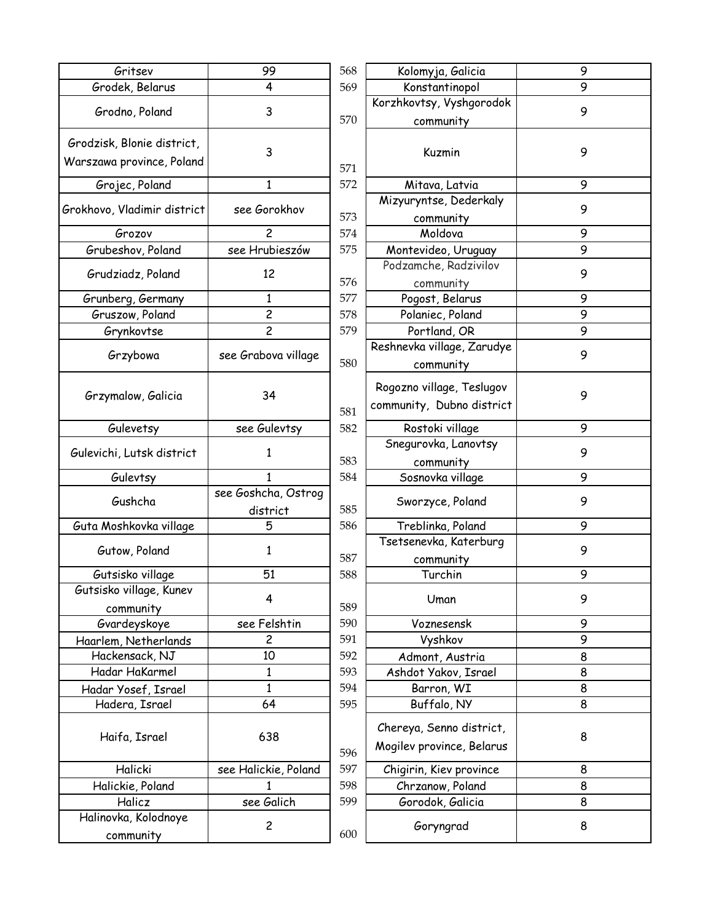| Gritsev                     | 99                      | 568 | Kolomyja, Galicia                       |
|-----------------------------|-------------------------|-----|-----------------------------------------|
| Grodek, Belarus             | 4                       | 569 | Konstantinopol                          |
| Grodno, Poland              | 3                       |     | Korzhkovtsy, Vyshgorod                  |
|                             |                         | 570 | community                               |
| Grodzisk, Blonie district,  |                         |     |                                         |
| Warszawa province, Poland   | 3                       |     | Kuzmin                                  |
|                             | $\mathbf{1}$            | 571 |                                         |
| Grojec, Poland              |                         | 572 | Mitava, Latvia<br>Mizyuryntse, Dederkal |
| Grokhovo, Vladimir district | see Gorokhov            | 573 | community                               |
| Grozov                      | 2                       | 574 | Moldova                                 |
| Grubeshov, Poland           | see Hrubieszów          | 575 | Montevideo, Uruguay                     |
|                             |                         |     | Podzamche, Radzivilov                   |
| Grudziadz, Poland           | 12                      | 576 | community                               |
| Grunberg, Germany           | $\mathbf{1}$            | 577 | Pogost, Belarus                         |
| Gruszow, Poland             | $\overline{\mathbf{c}}$ | 578 | Polaniec, Poland                        |
| Grynkovtse                  | $\overline{c}$          | 579 | Portland, OR                            |
|                             |                         |     | Reshnevka village, Zarud                |
| Grzybowa                    | see Grabova village     | 580 | community                               |
|                             |                         |     | Rogozno village, Teslugo                |
| Grzymalow, Galicia          | 34                      |     | community, Dubno distri                 |
|                             |                         | 581 |                                         |
| Gulevetsy                   | see Gulevtsy            | 582 | Rostoki village                         |
| Gulevichi, Lutsk district   | 1                       |     | Snegurovka, Lanovtsy                    |
|                             |                         | 583 | community                               |
| Gulevtsy                    | 1                       | 584 | Sosnovka village                        |
| Gushcha                     | see Goshcha, Ostrog     |     | Sworzyce, Poland                        |
|                             | district                | 585 |                                         |
| Guta Moshkovka village      | 5                       | 586 | Treblinka, Poland                       |
| Gutow, Poland               | 1                       |     | Tsetsenevka, Katerbur                   |
|                             |                         | 587 | community                               |
| Gutsisko village            | 51                      | 588 | Turchin                                 |
| Gutsisko village, Kunev     | 4                       |     | Uman                                    |
| community                   |                         | 589 |                                         |
| Gvardeyskoye                | see Felshtin            | 590 | Voznesensk                              |
| Haarlem, Netherlands        | $\overline{c}$          | 591 | Vyshkov                                 |
| Hackensack, NJ              | 10                      | 592 | Admont, Austria                         |
| Hadar HaKarmel              | 1                       | 593 | Ashdot Yakov, Israel                    |
| Hadar Yosef, Israel         | $\mathbf{1}$            | 594 | Barron, WI                              |
| Hadera, Israel              | 64                      | 595 | Buffalo, NY                             |
|                             |                         |     |                                         |
| Haifa, Israel               | 638                     |     | Chereya, Senno district                 |
|                             |                         | 596 | Mogilev province, Beları                |
| Halicki                     | see Halickie, Poland    | 597 | Chigirin, Kiev province                 |
| Halickie, Poland            | 1                       | 598 | Chrzanow, Poland                        |
| Halicz                      | see Galich              | 599 | Gorodok, Galicia                        |
| Halinovka, Kolodnoye        |                         |     |                                         |
| community                   | $\overline{c}$          | 600 | Goryngrad                               |
|                             |                         |     |                                         |

| 99                | 568        | Kolomyja, Galicia                           | 9      |
|-------------------|------------|---------------------------------------------|--------|
| 4                 | 569        | Konstantinopol                              | 9      |
| 3                 |            | Korzhkovtsy, Vyshgorodok                    | 9      |
|                   | 570        | community                                   |        |
|                   |            |                                             |        |
| 3                 |            | Kuzmin                                      | 9      |
|                   | 571        |                                             |        |
| $\mathbf{1}$      | 572        | Mitava, Latvia                              | 9      |
| e Gorokhov        |            | Mizyuryntse, Dederkaly                      | 9      |
|                   | 573        | community                                   |        |
| $\overline{c}$    | 574        | Moldova                                     | 9      |
| Hrubieszów        | 575        | Montevideo, Uruguay                         | 9      |
| 12                |            | Podzamche, Radzivilov                       | 9      |
|                   | 576        | community                                   |        |
| $\mathbf{1}$      | 577        | Pogost, Belarus                             | 9      |
| $\overline{c}$    | 578        | Polaniec, Poland                            | 9      |
| $\overline{c}$    | 579        | Portland, OR                                | 9      |
| rabova village    |            | Reshnevka village, Zarudye                  | 9      |
|                   | 580        | community                                   |        |
|                   |            | Rogozno village, Teslugov                   |        |
| 34                |            | community, Dubno district                   | 9      |
|                   | 581        |                                             |        |
| e Gulevtsy        | 582        | Rostoki village                             | 9      |
| $\mathbf{1}$      |            | Snegurovka, Lanovtsy                        | 9      |
|                   | 583        | community                                   |        |
| $\mathbf{1}$      | 584        | Sosnovka village                            | 9      |
| shcha, Ostrog     |            | Sworzyce, Poland                            | 9      |
| district          | 585        |                                             |        |
| 5                 | 586        | Treblinka, Poland                           | 9      |
| 1                 |            | Tsetsenevka, Katerburg                      | 9      |
|                   | 587        | community                                   |        |
| 51                | 588        | Turchin                                     | 9      |
| 4                 |            | Uman                                        | 9      |
|                   | 589        |                                             |        |
| e Felshtin        | 590        | Voznesensk                                  | 9      |
| 2                 | 591        | Vyshkov                                     | 9      |
| 10                | 592<br>593 | Admont, Austria                             | 8      |
| 1<br>$\mathbf{1}$ | 594        | Ashdot Yakov, Israel                        | 8<br>8 |
| 64                | 595        | Barron, WI                                  | 8      |
|                   |            | Buffalo, NY                                 |        |
| 638               |            | Chereya, Senno district,                    | 8      |
|                   | 596        | Mogilev province, Belarus                   |        |
| alickie, Poland   | 597        |                                             | 8      |
| 1                 | 598        | Chigirin, Kiev province<br>Chrzanow, Poland | 8      |
| ee Galich         | 599        |                                             | 8      |
|                   |            | Gorodok, Galicia                            |        |
| $\overline{c}$    | 600        | Goryngrad                                   | 8      |
|                   |            |                                             |        |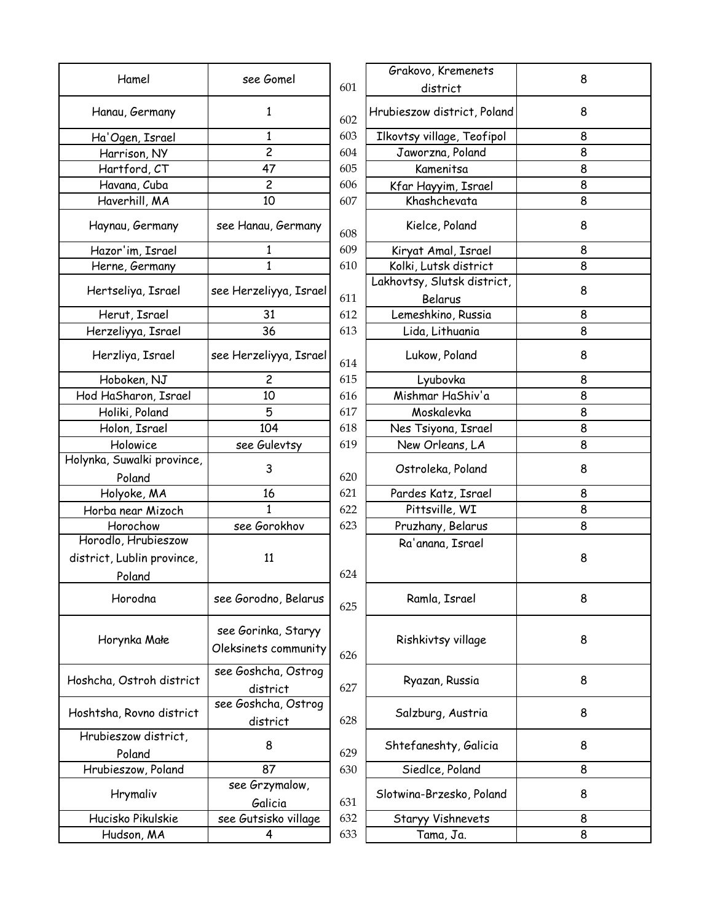|                            |                                             |     | Grakovo, Kremenets          |   |
|----------------------------|---------------------------------------------|-----|-----------------------------|---|
| Hamel                      | see Gomel                                   | 601 | district                    | 8 |
| Hanau, Germany             | $\mathbf{1}$                                | 602 | Hrubieszow district, Poland | 8 |
| Ha'Ogen, Israel            | 1                                           | 603 | Ilkovtsy village, Teofipol  | 8 |
| Harrison, NY               | $\overline{c}$                              | 604 | Jaworzna, Poland            | 8 |
| Hartford, CT               | 47                                          | 605 | Kamenitsa                   | 8 |
| Havana, Cuba               | $\overline{c}$                              | 606 | Kfar Hayyim, Israel         | 8 |
| Haverhill, MA              | 10                                          | 607 | Khashchevata                | 8 |
| Haynau, Germany            | see Hanau, Germany                          | 608 | Kielce, Poland              | 8 |
| Hazor'im, Israel           | 1                                           | 609 | Kiryat Amal, Israel         | 8 |
| Herne, Germany             | $\mathbf{1}$                                | 610 | Kolki, Lutsk district       | 8 |
|                            |                                             |     | Lakhovtsy, Slutsk district, |   |
| Hertseliya, Israel         | see Herzeliyya, Israel                      | 611 | Belarus                     | 8 |
| Herut, Israel              | 31                                          | 612 | Lemeshkino, Russia          | 8 |
| Herzeliyya, Israel         | 36                                          | 613 | Lida, Lithuania             | 8 |
| Herzliya, Israel           | see Herzeliyya, Israel                      | 614 | Lukow, Poland               | 8 |
| Hoboken, NJ                | 2                                           | 615 | Lyubovka                    | 8 |
| Hod HaSharon, Israel       | 10                                          | 616 | Mishmar HaShiv'a            | 8 |
| Holiki, Poland             | 5                                           | 617 | Moskalevka                  | 8 |
| Holon, Israel              | 104                                         | 618 | Nes Tsiyona, Israel         | 8 |
| Holowice                   | see Gulevtsy                                | 619 | New Orleans, LA             | 8 |
| Holynka, Suwalki province, | 3                                           |     | Ostroleka, Poland           | 8 |
| Poland                     |                                             | 620 |                             |   |
| Holyoke, MA                | 16                                          | 621 | Pardes Katz, Israel         | 8 |
| Horba near Mizoch          | 1                                           | 622 | Pittsville, WI              | 8 |
| Horochow                   | see Gorokhov                                | 623 | Pruzhany, Belarus           | 8 |
| Horodlo, Hrubieszow        |                                             |     | Ra'anana, Israel            |   |
| district, Lublin province, | 11                                          |     |                             | 8 |
| Poland                     |                                             | 624 |                             |   |
| Horodna                    | see Gorodno, Belarus                        | 625 | Ramla, Israel               | 8 |
| Horynka Małe               | see Gorinka, Staryy<br>Oleksinets community | 626 | Rishkivtsy village          | 8 |
| Hoshcha, Ostroh district   | see Goshcha, Ostrog<br>district             | 627 | Ryazan, Russia              | 8 |
| Hoshtsha, Rovno district   | see Goshcha, Ostrog<br>district             | 628 | Salzburg, Austria           | 8 |
| Hrubieszow district,       |                                             |     |                             |   |
| Poland                     | 8                                           | 629 | Shtefaneshty, Galicia       | 8 |
| Hrubieszow, Poland         | 87                                          | 630 | Siedlce, Poland             | 8 |
|                            | see Grzymalow,                              |     |                             |   |
| Hrymaliv                   | Galicia                                     | 631 | Slotwina-Brzesko, Poland    | 8 |
| Hucisko Pikulskie          | see Gutsisko village                        | 632 | Staryy Vishnevets           | 8 |
| Hudson, MA                 | 4                                           | 633 | Tama, Ja.                   | 8 |
|                            |                                             |     |                             |   |

|                                 |     | Grakovo, Kremenets                     |   |
|---------------------------------|-----|----------------------------------------|---|
| ee Gomel                        | 601 | district                               | 8 |
| $\mathbf{1}$                    | 602 | Hrubieszow district, Poland            | 8 |
| 1                               | 603 | Ilkovtsy village, Teofipol             | 8 |
| $\overline{c}$                  | 604 | Jaworzna, Poland                       | 8 |
| 47                              | 605 | Kamenitsa                              | 8 |
| $\overline{c}$                  | 606 | Kfar Hayyim, Israel                    | 8 |
| 10                              | 607 | Khashchevata                           | 8 |
| anau, Germany                   | 608 | Kielce, Poland                         | 8 |
| $\mathbf{1}$                    | 609 | Kiryat Amal, Israel                    | 8 |
| $\mathbf{1}$                    | 610 | Kolki, Lutsk district                  | 8 |
| rzeliyya, Israel                | 611 | Lakhovtsy, Slutsk district,<br>Belarus | 8 |
| 31                              | 612 | Lemeshkino, Russia                     | 8 |
| 36                              | 613 | Lida, Lithuania                        | 8 |
| rzeliyya, Israel                | 614 | Lukow, Poland                          | 8 |
| $\overline{c}$                  | 615 | Lyubovka                               | 8 |
| 10                              | 616 | Mishmar HaShiv'a                       | 8 |
| 5                               | 617 | Moskalevka                             | 8 |
| 104                             | 618 | Nes Tsiyona, Israel                    | 8 |
| e Gulevtsy                      | 619 | New Orleans, LA                        | 8 |
| 3                               | 620 | Ostroleka, Poland                      | 8 |
| 16                              | 621 | Pardes Katz, Israel                    | 8 |
| $\mathbf{1}$                    | 622 | Pittsville, WI                         | 8 |
| e Gorokhov                      | 623 | Pruzhany, Belarus                      | 8 |
| 11                              | 624 | Ra'anana, Israel                       | 8 |
| rodno, Belarus                  | 625 | Ramla, Israel                          | 8 |
| orinka, Staryy<br>ets community | 626 | Rishkivtsy village                     | 8 |
| shcha, Ostrog<br>district       | 627 | Ryazan, Russia                         | 8 |
| shcha, Ostrog                   |     |                                        |   |
| district                        | 628 | Salzburg, Austria                      | 8 |
| 8                               | 629 | Shtefaneshty, Galicia                  | 8 |
| 87                              | 630 | Siedlce, Poland                        | 8 |
| Grzymalow,<br>Galicia           | 631 | Slotwina-Brzesko, Poland               | 8 |
| utsisko village                 | 632 | Staryy Vishnevets                      | 8 |
| 4                               | 633 | Tama, Ja.                              | 8 |
|                                 |     |                                        |   |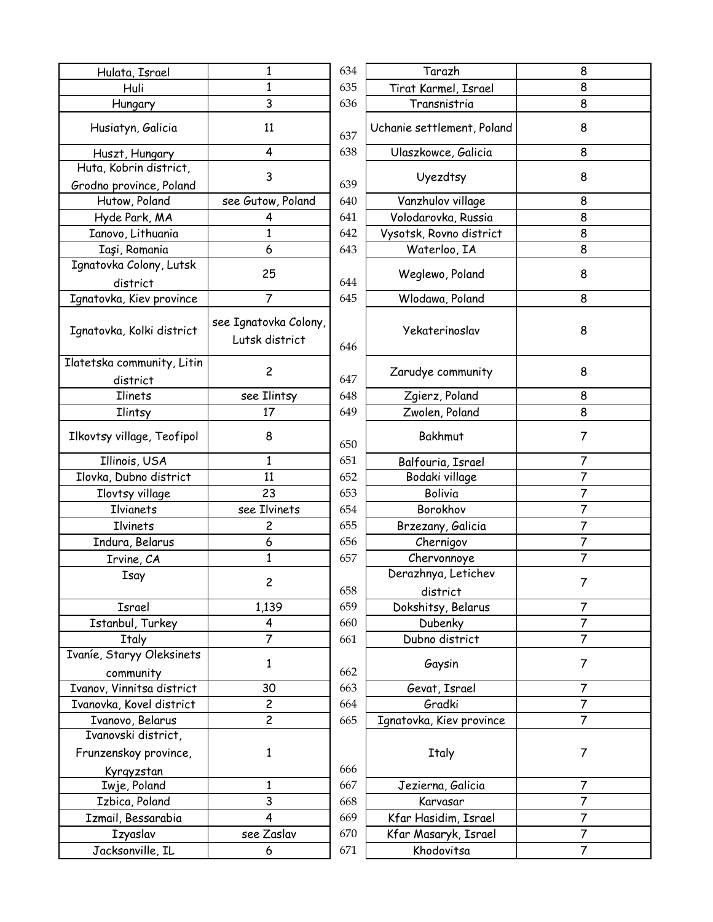| Hulata, Israel                                    | 1                                       | 634 | Tarazh                          | 8              |
|---------------------------------------------------|-----------------------------------------|-----|---------------------------------|----------------|
| Huli                                              | 1                                       | 635 | Tirat Karmel, Israel            | 8              |
| Hungary                                           | 3                                       | 636 | Transnistria                    | $\overline{8}$ |
| Husiatyn, Galicia                                 | 11                                      | 637 | Uchanie settlement, Poland      | 8              |
| Huszt, Hungary                                    | 4                                       | 638 | Ulaszkowce, Galicia             | 8              |
| Huta, Kobrin district,<br>Grodno province, Poland | 3                                       | 639 | Uyezdtsy                        | 8              |
| Hutow, Poland                                     | see Gutow, Poland                       | 640 | Vanzhulov village               | 8              |
| Hyde Park, MA                                     | 4                                       | 641 | Volodarovka, Russia             | 8              |
| Ianovo, Lithuania                                 | $\mathbf{1}$                            | 642 | Vysotsk, Rovno district         | 8              |
| Iași, Romania                                     | 6                                       | 643 | Waterloo, IA                    | 8              |
| Ignatovka Colony, Lutsk<br>district               | 25                                      | 644 | Weglewo, Poland                 | 8              |
| Ignatovka, Kiev province                          | $\overline{7}$                          | 645 | Wlodawa, Poland                 | 8              |
| Ignatovka, Kolki district                         | see Ignatovka Colony,<br>Lutsk district | 646 | Yekaterinoslav                  | 8              |
| Ilatetska community, Litin<br>district            | $\overline{c}$                          | 647 | Zarudye community               | 8              |
| <b>Ilinets</b>                                    | see Ilintsy                             | 648 | Zgierz, Poland                  | 8              |
| Ilintsy                                           | 17                                      | 649 | Zwolen, Poland                  | 8              |
| Ilkovtsy village, Teofipol                        | 8                                       | 650 | Bakhmut                         | 7              |
| Illinois, USA                                     | $\mathbf{1}$                            | 651 | Balfouria, Israel               | 7              |
| Ilovka, Dubno district                            | 11                                      | 652 | Bodaki village                  | 7              |
| Ilovtsy village                                   | 23                                      | 653 | Bolivia                         | 7              |
| Ilvianets                                         | see Ilvinets                            | 654 | Borokhov                        | $\overline{7}$ |
| Ilvinets                                          | $\overline{\mathbf{c}}$                 | 655 | Brzezany, Galicia               | $\overline{7}$ |
| Indura, Belarus                                   | 6                                       | 656 | Chernigov                       | $\overline{7}$ |
| Irvine, CA                                        | 1                                       | 657 | Chervonnoye                     | $\overline{7}$ |
| Isay                                              | $\overline{\mathbf{c}}$                 | 658 | Derazhnya, Letichev<br>district | 7              |
| Israel                                            | 1,139                                   | 659 | Dokshitsy, Belarus              | 7              |
| Istanbul, Turkey                                  | 4                                       | 660 | Dubenky                         | $\overline{7}$ |
| <b>Italy</b>                                      | 7                                       | 661 | Dubno district                  | 7              |
| Ivaníe, Staryy Oleksinets                         |                                         |     |                                 |                |
| community                                         | $\mathbf{1}$                            | 662 | Gaysin                          | 7              |
| Ivanov, Vinnitsa district                         | 30                                      | 663 | Gevat, Israel                   | 7              |
| Ivanovka, Kovel district                          | $\overline{c}$                          | 664 | Gradki                          | 7              |
| Ivanovo, Belarus                                  | $\overline{c}$                          | 665 | Ignatovka, Kiev province        | 7              |
| Ivanovski district,                               |                                         |     |                                 |                |
| Frunzenskoy province,                             | $\mathbf{1}$                            |     | <b>Italy</b>                    | 7              |
| Kyrgyzstan                                        |                                         | 666 |                                 |                |
| Iwje, Poland                                      | $\mathbf{1}$                            | 667 | Jezierna, Galicia               | 7              |
| Izbica, Poland                                    | 3                                       | 668 | Karvasar                        | 7              |
| Izmail, Bessarabia                                | 4                                       | 669 | Kfar Hasidim, Israel            | 7              |
| <b>Izyaslav</b>                                   | see Zaslav                              | 670 | Kfar Masaryk, Israel            | 7              |
| Jacksonville, IL                                  | 6                                       | 671 | Khodovitsa                      | 7              |
|                                                   |                                         |     |                                 |                |

| $\mathbf 1$              | 634 | Tarazh                          | 8              |
|--------------------------|-----|---------------------------------|----------------|
| $\mathbf{1}$             | 635 | Tirat Karmel, Israel            | 8              |
| 3                        | 636 | Transnistria                    | 8              |
| 11                       | 637 | Uchanie settlement, Poland      | 8              |
| 4                        | 638 | Ulaszkowce, Galicia             | 8              |
| 3                        | 639 | Uyezdtsy                        | 8              |
| ow, Poland               | 640 | Vanzhulov village               | 8              |
| $\overline{4}$           | 641 | Volodarovka, Russia             | 8              |
| $\mathbf{1}$             | 642 | Vysotsk, Rovno district         | 8              |
| $\mathbf 6$              | 643 | Waterloo, IA                    | 8              |
| 25                       | 644 | Weglewo, Poland                 | 8              |
| $\overline{7}$           | 645 | Wlodawa, Poland                 | 8              |
| ovka Colony,<br>district | 646 | Yekaterinoslav                  | 8              |
| $\overline{c}$           | 647 | Zarudye community               | 8              |
| <b>Ilintsy</b>           | 648 | Zgierz, Poland                  | 8              |
| 17                       | 649 | Zwolen, Poland                  | 8              |
| 8                        | 650 | Bakhmut                         | 7              |
| $\mathbf{1}$             | 651 | Balfouria, Israel               | 7              |
| 11                       | 652 | Bodaki village                  | $\overline{7}$ |
| 23                       | 653 | Bolivia                         | 7              |
| <b>Ilvinets</b>          | 654 | Borokhov                        | $\overline{7}$ |
| $\overline{c}$           | 655 | Brzezany, Galicia               | $\overline{7}$ |
| 6                        | 656 | Chernigov                       | 7              |
| $\mathbf{1}$             | 657 | Chervonnoye                     | $\overline{7}$ |
| $\overline{\mathbf{c}}$  | 658 | Derazhnya, Letichev<br>district | 7              |
| 139                      | 659 | Dokshitsy, Belarus              | 7              |
| $\overline{\mathbf{4}}$  | 660 | Dubenky                         | $\overline{7}$ |
| $\overline{7}$           | 661 | Dubno district                  | 7              |
| $\mathbf{1}$             | 662 | Gaysin                          | 7              |
| 30                       | 663 | Gevat, Israel                   | 7              |
| $\overline{c}$           | 664 | Gradki                          | 7              |
| $\overline{2}$           | 665 | Ignatovka, Kiev province        | 7              |
| $\mathbf{1}$             | 666 | <b>Italy</b>                    | 7              |
| 1                        | 667 | Jezierna, Galicia               | 7              |
| $\overline{3}$           | 668 | Karvasar                        | 7              |
| 4                        | 669 | Kfar Hasidim, Israel            | 7              |
| Zaslav                   | 670 | Kfar Masaryk, Israel            | $\overline{7}$ |
| $\boldsymbol{6}$         | 671 | Khodovitsa                      | 7              |
|                          |     |                                 |                |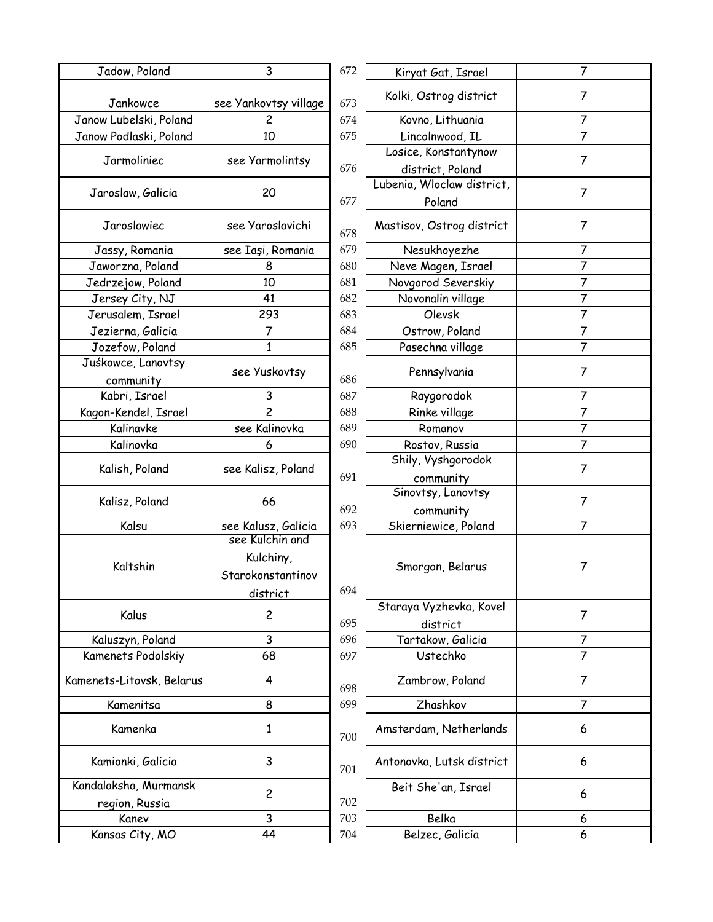| Jadow, Poland                           | 3                                          | 672 | Kiryat Gat, Israel         | 7              |
|-----------------------------------------|--------------------------------------------|-----|----------------------------|----------------|
| Jankowce                                | see Yankovtsy village                      | 673 | Kolki, Ostrog district     | 7              |
| Janow Lubelski, Poland                  | 2                                          | 674 | Kovno, Lithuania           | 7              |
| Janow Podlaski, Poland                  | 10                                         | 675 | Lincolnwood, IL            | $\overline{7}$ |
|                                         |                                            |     | Losice, Konstantynow       |                |
| Jarmoliniec                             | see Yarmolintsy                            | 676 | district, Poland           | $\overline{7}$ |
|                                         |                                            |     | Lubenia, Wloclaw district, |                |
| Jaroslaw, Galicia                       | 20                                         | 677 | Poland                     | 7              |
| Jaroslawiec                             | see Yaroslavichi                           | 678 | Mastisov, Ostrog district  | 7              |
| Jassy, Romania                          | see Iași, Romania                          | 679 | Nesukhoyezhe               | 7              |
| Jaworzna, Poland                        | 8                                          | 680 | Neve Magen, Israel         | $\overline{7}$ |
| Jedrzejow, Poland                       | 10                                         | 681 | Novgorod Severskiy         | 7              |
| Jersey City, NJ                         | 41                                         | 682 | Novonalin village          | $\overline{7}$ |
| Jerusalem, Israel                       | 293                                        | 683 | Olevsk                     | $\overline{7}$ |
|                                         |                                            |     |                            |                |
| Jezierna, Galicia                       | 7                                          | 684 | Ostrow, Poland             | $\overline{7}$ |
| Jozefow, Poland                         | $\mathbf{1}$                               | 685 | Pasechna village           | $\overline{7}$ |
| Juśkowce, Lanovtsy<br>community         | see Yuskovtsy                              | 686 | Pennsylvania               | 7              |
| Kabri, Israel                           | 3                                          | 687 | Raygorodok                 | 7              |
| Kagon-Kendel, Israel                    | $\overline{c}$                             | 688 | Rinke village              | 7              |
| Kalinavke                               | see Kalinovka                              | 689 | Romanov                    | $\overline{7}$ |
| Kalinovka                               | 6                                          | 690 | Rostov, Russia             | $\overline{7}$ |
|                                         |                                            |     | Shily, Vyshgorodok         |                |
| Kalish, Poland                          | see Kalisz, Poland                         | 691 | community                  | 7              |
|                                         |                                            |     | Sinovtsy, Lanovtsy         |                |
| Kalisz, Poland                          | 66                                         | 692 | community                  | 7              |
| Kalsu                                   | see Kalusz, Galicia                        | 693 | Skierniewice, Poland       | 7              |
|                                         | see Kulchin and                            |     |                            |                |
| Kaltshin                                | Kulchiny,<br>Starokonstantinov<br>district | 694 | Smorgon, Belarus           | 7              |
| Kalus                                   | $\overline{c}$                             |     | Staraya Vyzhevka, Kovel    | 7              |
|                                         |                                            | 695 | district                   |                |
| Kaluszyn, Poland                        | 3                                          | 696 | Tartakow, Galicia          | 7              |
| Kamenets Podolskiy                      | 68                                         | 697 | Ustechko                   | 7              |
| Kamenets-Litovsk, Belarus               | 4                                          | 698 | Zambrow, Poland            | 7              |
| Kamenitsa                               | 8                                          | 699 | Zhashkov                   | 7              |
|                                         |                                            |     |                            |                |
| Kamenka                                 | $\mathbf{1}$                               | 700 | Amsterdam, Netherlands     | 6              |
| Kamionki, Galicia                       | 3                                          | 701 | Antonovka, Lutsk district  | 6              |
| Kandalaksha, Murmansk<br>region, Russia | $\overline{c}$                             | 702 | Beit She'an, Israel        | 6              |
| Kanev                                   | 3                                          | 703 | Belka                      | 6              |
| Kansas City, MO                         | 44                                         | 704 | Belzec, Galicia            | 6              |
|                                         |                                            |     |                            |                |

| 3                 | 672 | Kiryat Gat, Israel         | 7              |
|-------------------|-----|----------------------------|----------------|
| Yankovtsy village | 673 | Kolki, Ostrog district     | 7              |
| 2                 | 674 | Kovno, Lithuania           | 7              |
| 10                | 675 | Lincolnwood, IL            | $\overline{7}$ |
|                   |     | Losice, Konstantynow       |                |
| ee Yarmolintsy    | 676 | district, Poland           | 7              |
|                   |     | Lubenia, Wloclaw district, |                |
| 20                | 677 | Poland                     | 7              |
| ee Yaroslavichi   | 678 | Mastisov, Ostrog district  | 7              |
| ee Iaşi, Romania  | 679 | Nesukhoyezhe               | 7              |
| 8                 | 680 | Neve Magen, Israel         | 7              |
| 10                | 681 | Novgorod Severskiy         | 7              |
| 41                | 682 | Novonalin village          | 7              |
| 293               | 683 | Olevsk                     | 7              |
| 7                 | 684 | Ostrow, Poland             | $\overline{7}$ |
| $\mathbf{1}$      | 685 | Pasechna village           | 7              |
|                   |     |                            |                |
| see Yuskovtsy     | 686 | Pennsylvania               | 7              |
| 3                 | 687 | Raygorodok                 | 7              |
| $\overline{c}$    | 688 | Rinke village              | $\overline{7}$ |
| see Kalinovka     | 689 | Romanov                    | 7              |
| 6                 | 690 | Rostov, Russia             | 7              |
| e Kalisz, Poland  |     | Shily, Vyshgorodok         | 7              |
|                   | 691 | community                  |                |
| 66                |     | Sinovtsy, Lanovtsy         | 7              |
|                   | 692 | community                  |                |
| e Kalusz, Galicia | 693 | Skierniewice, Poland       | 7              |
| see Kulchin and   |     |                            |                |
| Kulchiny,         |     |                            |                |
| arokonstantinov   |     | Smorgon, Belarus           | 7              |
| <u>district</u>   | 694 |                            |                |
|                   |     | Staraya Vyzhevka, Kovel    |                |
| $\overline{c}$    | 695 | district                   | $\overline{7}$ |
| 3                 | 696 | Tartakow, Galicia          | 7              |
| 68                | 697 | Ustechko                   | 7              |
|                   |     |                            |                |
| 4                 | 698 | Zambrow, Poland            | $\overline{7}$ |
| 8                 | 699 | Zhashkov                   | 7              |
|                   |     |                            |                |
| $\mathbf{1}$      | 700 | Amsterdam, Netherlands     | 6              |
| 3                 | 701 | Antonovka, Lutsk district  | 6              |
| $\overline{c}$    | 702 | Beit She'an, Israel        | 6              |
| 3                 | 703 | Belka                      | 6              |
| 44                | 704 | Belzec, Galicia            | 6              |
|                   |     |                            |                |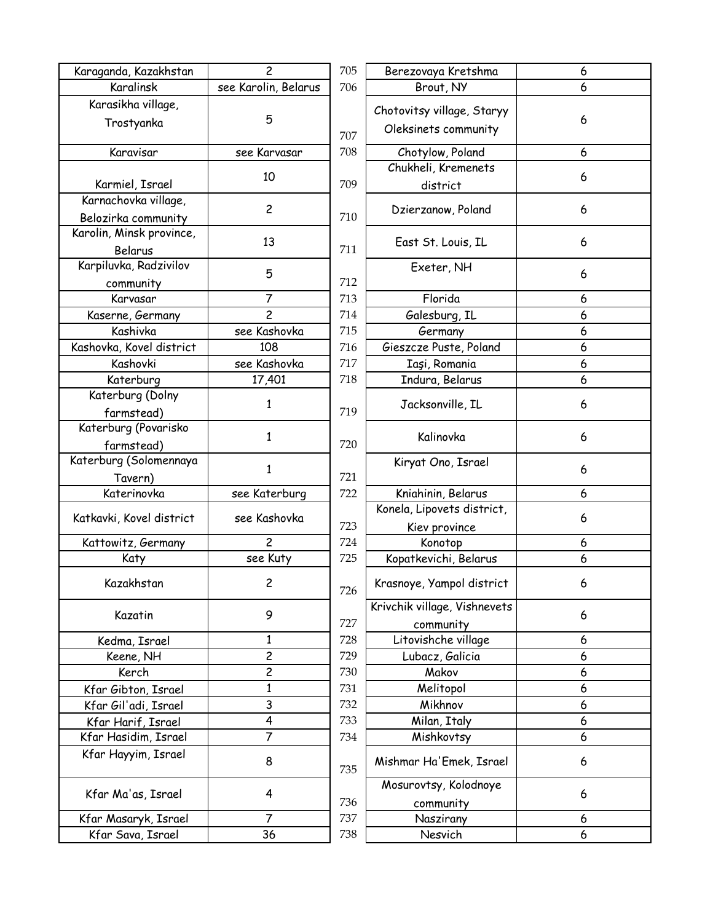| Karaganda, Kazakhstan    | $\overline{c}$       | 705 | Berezovaya Kretshma                |
|--------------------------|----------------------|-----|------------------------------------|
| Karalinsk                | see Karolin, Belarus | 706 | Brout, NY                          |
| Karasikha village,       |                      |     | Chotovitsy village, Stary          |
| Trostyanka               | 5                    | 707 | Oleksinets community               |
| Karavisar                | see Karvasar         | 708 | Chotylow, Poland                   |
|                          |                      |     | Chukheli, Kremenets                |
| Karmiel, Israel          | 10                   | 709 | district                           |
| Karnachovka village,     | $\overline{c}$       |     |                                    |
| Belozirka community      |                      | 710 | Dzierzanow, Poland                 |
| Karolin, Minsk province, | 13                   |     | East St. Louis, IL                 |
| Belarus                  |                      | 711 |                                    |
| Karpiluvka, Radzivilov   | 5                    |     | Exeter, NH                         |
| community                |                      | 712 |                                    |
| Karvasar                 | $\overline{7}$       | 713 | Florida                            |
| Kaserne, Germany         | $\overline{c}$       | 714 | Galesburg, IL                      |
| Kashivka                 | see Kashovka         | 715 | Germany                            |
| Kashovka, Kovel district | 108                  | 716 | Gieszcze Puste, Poland             |
| Kashovki                 | see Kashovka         | 717 | Iaşi, Romania                      |
| Katerburg                | 17,401               | 718 | Indura, Belarus                    |
| Katerburg (Dolny         |                      |     |                                    |
| farmstead)               | $\mathbf{1}$         | 719 | Jacksonville, IL                   |
| Katerburg (Povarisko     |                      |     |                                    |
| farmstead)               | $\mathbf{1}$         | 720 | Kalinovka                          |
| Katerburg (Solomennaya   |                      |     | Kiryat Ono, Israel                 |
| Tavern)                  | $\mathbf{1}$         | 721 |                                    |
| Katerinovka              | see Katerburg        | 722 | Kniahinin, Belarus                 |
|                          |                      |     | Konela, Lipovets distric           |
| Katkavki, Kovel district | see Kashovka         | 723 | Kiev province                      |
| Kattowitz, Germany       | $\overline{c}$       | 724 | Konotop                            |
| Katy                     | see Kuty             | 725 | Kopatkevichi, Belarus              |
| Kazakhstan               | 2                    |     | Krasnoye, Yampol distrio           |
|                          |                      | 726 |                                    |
| Kazatin                  | 9                    | 727 | Krivchik village, Vishneve         |
| Kedma, Israel            | 1                    | 728 | community<br>Litovishche village   |
| Keene, NH                | $\overline{c}$       | 729 | Lubacz, Galicia                    |
| Kerch                    | $\overline{c}$       | 730 | Makov                              |
|                          | $\mathbf{1}$         | 731 | Melitopol                          |
| Kfar Gibton, Israel      | 3                    | 732 | Mikhnov                            |
| Kfar Gil'adi, Israel     | 4                    |     |                                    |
| Kfar Harif, Israel       |                      | 733 | Milan, Italy                       |
| Kfar Hasidim, Israel     | 7                    | 734 | Mishkovtsy                         |
| Kfar Hayyim, Israel      | 8                    | 735 | Mishmar Ha'Emek, Isra              |
| Kfar Ma'as, Israel       | 4                    | 736 | Mosurovtsy, Kolodnoye<br>community |
| Kfar Masaryk, Israel     | $\overline{7}$       | 737 | Naszirany                          |
| Kfar Sava, Israel        | 36                   | 738 | Nesvich                            |
|                          |                      |     |                                    |

| $\overline{c}$          | 705 | Berezovaya Kretshma                       | 6  |
|-------------------------|-----|-------------------------------------------|----|
| lin, Be <u>larus</u>    | 706 | Brout, NY                                 | 6  |
|                         |     | Chotovitsy village, Staryy                |    |
| 5                       |     | Oleksinets community                      | 6  |
|                         | 707 |                                           |    |
| arvasar                 | 708 | Chotylow, Poland                          | 6  |
| 10                      |     | Chukheli, Kremenets                       | 6  |
|                         | 709 | district                                  |    |
| $\overline{c}$          | 710 | Dzierzanow, Poland                        | 6  |
| 13                      | 711 | East St. Louis, IL                        | 6  |
| 5                       |     | Exeter, NH                                | 6  |
|                         | 712 |                                           |    |
| $\overline{7}$          | 713 | Florida                                   | 6  |
| $\overline{2}$          | 714 | Galesburg, IL                             | 6  |
| ashovka                 | 715 | Germany                                   | 6  |
| .08                     | 716 | Gieszcze Puste, Poland                    | 6  |
| ashovka                 | 717 | Iași, Romania                             | 6  |
| 7,401                   | 718 | Indura, Belarus                           | 6  |
| $\mathbf{1}$            | 719 | Jacksonville, IL                          | 6  |
| $\mathbf{1}$            | 720 | Kalinovka                                 | 6  |
| $\mathbf{1}$            | 721 | Kiryat Ono, Israel                        | 6  |
| iterburg                | 722 | Kniahinin, Belarus                        | 6  |
| ashovka                 |     | Konela, Lipovets district,                | 6  |
|                         | 723 | Kiev province                             |    |
| $\overline{2}$          | 724 | Konotop                                   | 6  |
| . Kuty                  | 725 | Kopatkevichi, Belarus                     | 6  |
| $\overline{c}$          | 726 | Krasnoye, Yampol district                 | 6. |
| 9                       | 727 | Krivchik village, Vishnevets<br>community | 6  |
| $\mathbf{1}$            | 728 | Litovishche village                       | 6  |
| $\overline{\mathbf{c}}$ | 729 | Lubacz, Galicia                           | 6  |
| $\overline{c}$          | 730 | Makov                                     | 6  |
| $\overline{1}$          | 731 | Melitopol                                 | 6  |
|                         | 732 | Mikhnov                                   | 6  |
| $\frac{3}{4}$           | 733 | Milan, Italy                              | 6  |
| $\overline{7}$          | 734 | Mishkovtsy                                | 6  |
| 8                       | 735 | Mishmar Ha'Emek, Israel                   | 6  |
| 4                       | 736 | Mosurovtsy, Kolodnoye<br>community        | 6  |
| $\overline{7}$          | 737 | Naszirany                                 | 6  |
| 36                      | 738 | Nesvich                                   | 6  |
|                         |     |                                           |    |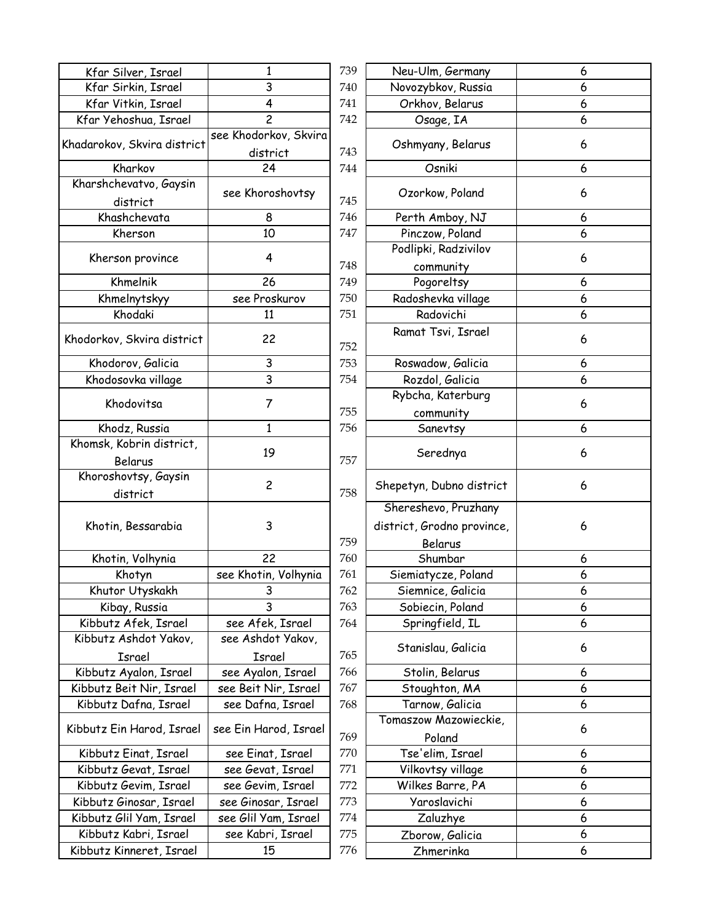| Kfar Silver, Israel         | 1                                 | 739 | Neu-Ulm, Germany           | 6 |
|-----------------------------|-----------------------------------|-----|----------------------------|---|
| Kfar Sirkin, Israel         | 3                                 | 740 | Novozybkov, Russia         | 6 |
| Kfar Vitkin, Israel         | 4                                 | 741 | Orkhov, Belarus            | 6 |
| Kfar Yehoshua, Israel       | $\overline{c}$                    | 742 | Osage, IA                  | 6 |
| Khadarokov, Skvira district | see Khodorkov, Skvira<br>district | 743 | Oshmyany, Belarus          | 6 |
| Kharkov                     | 24                                | 744 | Osniki                     | 6 |
| Kharshchevatvo, Gaysin      |                                   |     |                            |   |
| district                    | see Khoroshovtsy                  | 745 | Ozorkow, Poland            | 6 |
| Khashchevata                | 8                                 | 746 | Perth Amboy, NJ            | 6 |
| Kherson                     | 10                                | 747 | Pinczow, Poland            | 6 |
|                             |                                   |     | Podlipki, Radzivilov       |   |
| Kherson province            | 4                                 | 748 | community                  | 6 |
| Khmelnik                    | 26                                | 749 | Pogoreltsy                 | 6 |
| Khmelnytskyy                | see Proskurov                     | 750 | Radoshevka village         | 6 |
| Khodaki                     | 11                                | 751 | Radovichi                  | 6 |
|                             |                                   |     | Ramat Tsvi, Israel         |   |
| Khodorkov, Skvira district  | 22                                | 752 |                            | 6 |
| Khodorov, Galicia           | 3                                 | 753 | Roswadow, Galicia          | 6 |
| Khodosovka village          | $\overline{3}$                    | 754 | Rozdol, Galicia            | 6 |
|                             |                                   |     | Rybcha, Katerburg          |   |
| Khodovitsa                  | 7                                 | 755 | community                  | 6 |
| Khodz, Russia               | $\mathbf{1}$                      | 756 | Sanevtsy                   | 6 |
| Khomsk, Kobrin district,    |                                   |     |                            |   |
| Belarus                     | 19                                | 757 | Serednya                   | 6 |
| Khoroshovtsy, Gaysin        |                                   |     |                            |   |
| district                    | $\overline{c}$                    | 758 | Shepetyn, Dubno district   | 6 |
|                             |                                   |     | Shereshevo, Pruzhany       |   |
| Khotin, Bessarabia          | 3                                 |     | district, Grodno province, | 6 |
|                             |                                   | 759 | Belarus                    |   |
| Khotin, Volhynia            | 22                                | 760 | Shumbar                    | 6 |
| Khotyn                      | see Khotin, Volhynia              | 761 | Siemiatycze, Poland        | 6 |
| Khutor Utyskakh             | 3                                 | 762 | Siemnice, Galicia          | 6 |
| Kibay, Russia               | 3                                 | 763 | Sobiecin, Poland           | 6 |
| Kibbutz Afek, Israel        | see Afek, Israel                  | 764 | Springfield, IL            | 6 |
| Kibbutz Ashdot Yakov,       | see Ashdot Yakov,                 |     |                            |   |
| Israel                      | Israel                            | 765 | Stanislau, Galicia         | 6 |
| Kibbutz Ayalon, Israel      | see Ayalon, Israel                | 766 | Stolin, Belarus            | 6 |
| Kibbutz Beit Nir, Israel    | see Beit Nir, Israel              | 767 | Stoughton, MA              | 6 |
| Kibbutz Dafna, Israel       | see Dafna, Israel                 | 768 | Tarnow, Galicia            | 6 |
|                             |                                   |     | Tomaszow Mazowieckie,      |   |
| Kibbutz Ein Harod, Israel   | see Ein Harod, Israel             | 769 | Poland                     | 6 |
| Kibbutz Einat, Israel       | see Einat, Israel                 | 770 | Tse'elim, Israel           | 6 |
| Kibbutz Gevat, Israel       | see Gevat, Israel                 | 771 | Vilkovtsy village          | 6 |
| Kibbutz Gevim, Israel       | see Gevim, Israel                 | 772 | Wilkes Barre, PA           | 6 |
| Kibbutz Ginosar, Israel     | see Ginosar, Israel               | 773 | Yaroslavichi               | 6 |
| Kibbutz Glil Yam, Israel    | see Glil Yam, Israel              | 774 | Zaluzhye                   | 6 |
| Kibbutz Kabri, Israel       | see Kabri, Israel                 | 775 | Zborow, Galicia            | 6 |
| Kibbutz Kinneret, Israel    | 15                                | 776 | Zhmerinka                  | 6 |
|                             |                                   |     |                            |   |

| 1                               | 739 | Neu-Ulm, Germany                  | 6 |
|---------------------------------|-----|-----------------------------------|---|
| 3                               | 740 | Novozybkov, Russia                | 6 |
| 4                               | 741 | Orkhov, Belarus                   | 6 |
| $\overline{c}$                  | 742 | Osage, IA                         | 6 |
| e Khodorkov, Skvira<br>district | 743 | Oshmyany, Belarus                 | 6 |
| 24                              | 744 | Osniki                            | 6 |
| see Khoroshovtsy                | 745 | Ozorkow, Poland                   | 6 |
| 8                               | 746 | Perth Amboy, NJ                   | 6 |
| 10                              | 747 | Pinczow, Poland                   | 6 |
| 4                               | 748 | Podlipki, Radzivilov<br>community | 6 |
| 26                              | 749 | Pogoreltsy                        | 6 |
| see Proskurov                   | 750 | Radoshevka village                | 6 |
| 11                              | 751 | Radovichi                         | 6 |
| 22                              | 752 | Ramat Tsvi, Israel                | 6 |
| 3                               | 753 | Roswadow, Galicia                 | 6 |
| 3                               | 754 | Rozdol, Galicia                   | 6 |
|                                 |     | Rybcha, Katerburg                 |   |
| 7                               | 755 | community                         | 6 |
| 1                               | 756 | Sanevtsy                          | 6 |
|                                 |     |                                   |   |
| 19                              | 757 | Serednya                          | 6 |
| $\overline{c}$                  | 758 | Shepetyn, Dubno district          | 6 |
|                                 |     | Shereshevo, Pruzhany              |   |
| 3                               |     | district, Grodno province,        | 6 |
|                                 | 759 | Belarus                           |   |
| 22                              | 760 | Shumbar                           | 6 |
| ee Khotin, Volhynia             | 761 | Siemiatycze, Poland               | 6 |
| 3                               | 762 | Siemnice, Galicia                 | 6 |
| 3                               | 763 | Sobiecin, Poland                  | 6 |
| see Afek, Israel                | 764 | Springfield, IL                   | 6 |
| see Ashdot Yakov,               |     | Stanislau, Galicia                | 6 |
| Israel                          | 765 |                                   |   |
| see Ayalon, Israel              | 766 | Stolin, Belarus                   | 6 |
| ee Beit Nir, Israel             | 767 | Stoughton, MA                     | 6 |
| see Dafna, Israel               | 768 | Tarnow, Galicia                   | 6 |
| e Ein Harod, Israel:            | 769 | Tomaszow Mazowieckie,<br>Poland   | 6 |
| see Einat, Israel               | 770 | Tse'elim, Israel                  | 6 |
| see Gevat, Israel               | 771 | Vilkovtsy village                 | 6 |
| see Gevim, Israel               | 772 | Wilkes Barre, PA                  | 6 |
| see Ginosar, Israel             | 773 | Yaroslavichi                      | 6 |
| ee Glil Yam, Israel             | 774 | Zaluzhye                          | 6 |
| see Kabri, Israel               | 775 | Zborow, Galicia                   | 6 |
| 15                              | 776 | Zhmerinka                         | 6 |
|                                 |     |                                   |   |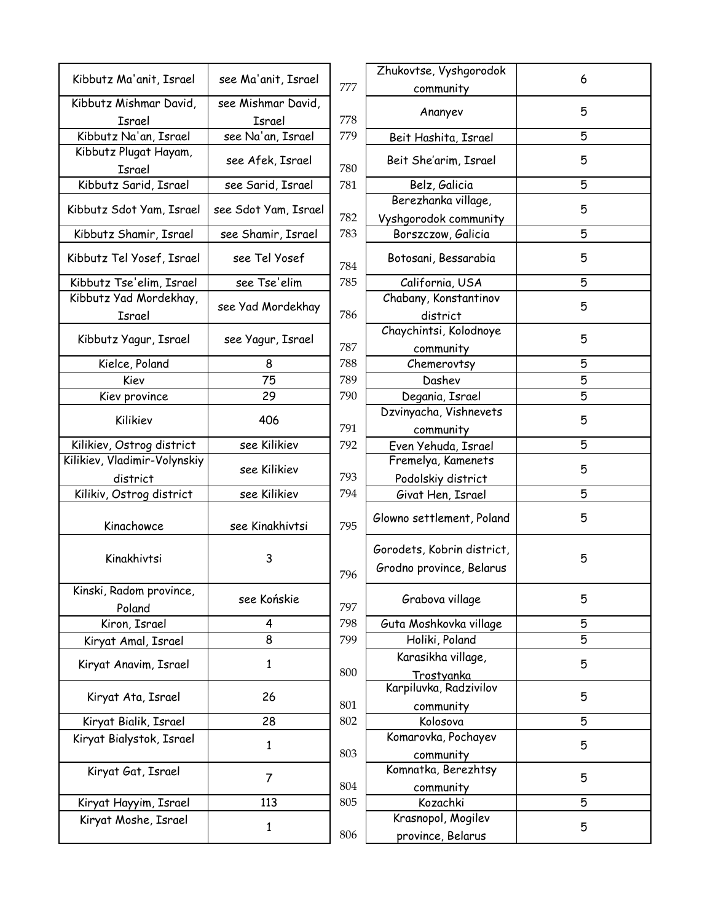|                                        |                      |     | Zhukovtse, Vyshgorodok                                 |
|----------------------------------------|----------------------|-----|--------------------------------------------------------|
| Kibbutz Ma'anit, Israel                | see Ma'anit, Israel  | 777 | community                                              |
| Kibbutz Mishmar David,                 | see Mishmar David,   |     |                                                        |
| <b>Israel</b>                          | Israel               | 778 | Ananyev                                                |
| Kibbutz Na'an, Israel                  | see Na'an, Israel    | 779 | Beit Hashita, Israel                                   |
| Kibbutz Plugat Hayam,<br><b>Israel</b> | see Afek, Israel     | 780 | Beit She'arim, Israel                                  |
| Kibbutz Sarid, Israel                  | see Sarid, Israel    | 781 | Belz, Galicia                                          |
| Kibbutz Sdot Yam, Israel               | see Sdot Yam, Israel | 782 | Berezhanka village,<br>Vyshgorodok community           |
| Kibbutz Shamir, Israel                 | see Shamir, Israel   | 783 | Borszczow, Galicia                                     |
| Kibbutz Tel Yosef, Israel              | see Tel Yosef        | 784 | Botosani, Bessarabia                                   |
| Kibbutz Tse'elim, Israel               | see Tse'elim         | 785 | California, USA                                        |
| Kibbutz Yad Mordekhay,                 |                      |     | Chabany, Konstantinov                                  |
| Israel                                 | see Yad Mordekhay    | 786 | district                                               |
|                                        |                      |     | Chaychintsi, Kolodnoye                                 |
| Kibbutz Yagur, Israel                  | see Yagur, Israel    | 787 | community                                              |
| Kielce, Poland                         | 8                    | 788 | Chemerovtsy                                            |
| Kiev                                   | 75                   | 789 | Dashev                                                 |
| Kiev province                          | 29                   | 790 | Degania, Israel                                        |
|                                        |                      |     | Dzvinyacha, Vishnevets                                 |
| Kilikiev                               | 406                  | 791 | community                                              |
| Kilikiev, Ostrog district              | see Kilikiev         | 792 | Even Yehuda, Israel                                    |
| Kilikiev, Vladimir-Volynskiy           | see Kilikiev         |     | Fremelya, Kamenets                                     |
| district                               |                      | 793 | Podolskiy district                                     |
| Kilikiv, Ostrog district               | see Kilikiev         | 794 | Givat Hen, Israel                                      |
| Kinachowce                             | see Kinakhivtsi      | 795 | Glowno settlement, Poland                              |
| Kinakhivtsi                            | 3                    | 796 | Gorodets, Kobrin district,<br>Grodno province, Belarus |
| Kinski, Radom province,<br>Poland      | see Końskie          | 797 | Grabova village                                        |
| Kiron, Israel                          | 4                    | 798 | Guta Moshkovka village                                 |
| Kiryat Amal, Israel                    | 8                    | 799 | Holiki, Poland                                         |
| Kiryat Anavim, Israel                  | 1                    | 800 | Karasikha village,                                     |
| Kiryat Ata, Israel                     | 26                   | 801 | Trostyanka<br>Karpiluvka, Radzivilov                   |
|                                        | 28                   | 802 | community<br>Kolosova                                  |
| Kiryat Bialik, Israel                  |                      |     | Komarovka, Pochayev                                    |
| Kiryat Bialystok, Israel               | $\mathbf{1}$         | 803 |                                                        |
|                                        |                      |     | community<br>Komnatka, Berezhtsy                       |
| Kiryat Gat, Israel                     | 7                    | 804 |                                                        |
| Kiryat Hayyim, Israel                  | 113                  | 805 | community<br>Kozachki                                  |
| Kiryat Moshe, Israel                   |                      |     | Krasnopol, Mogilev                                     |
|                                        | $\mathbf{1}$         | 806 |                                                        |
|                                        |                      |     | province, Belarus                                      |

|                    |     | Zhukovtse, Vyshgorodok                    |   |
|--------------------|-----|-------------------------------------------|---|
| ee Ma'anit, Israel | 777 | community                                 | 6 |
| ze Mishmar David,  |     |                                           |   |
| Israel             | 778 | Ananyev                                   | 5 |
| see Na'an, Israel  | 779 | Beit Hashita, Israel                      | 5 |
| see Afek, Israel   | 780 | Beit She'arim, Israel                     | 5 |
| see Sarid, Israel  | 781 | Belz, Galicia                             | 5 |
| e Sdot Yam, Israel |     | Berezhanka village,                       | 5 |
|                    | 782 | Vyshgorodok community                     |   |
| ee Shamir, Israel  | 783 | Borszczow, Galicia                        | 5 |
| see Tel Yosef      | 784 | Botosani, Bessarabia                      | 5 |
| see Tse'elim       | 785 | California, USA                           | 5 |
|                    |     | Chabany, Konstantinov                     |   |
| ze Yad Mordekhay   | 786 | district                                  | 5 |
|                    |     | Chaychintsi, Kolodnoye                    |   |
| see Yagur, Israel  | 787 | community                                 | 5 |
| 8                  | 788 | Chemerovtsy                               | 5 |
| 75                 | 789 | Dashev                                    | 5 |
| 29                 | 790 | Degania, Israel                           | 5 |
|                    |     | Dzvinyacha, Vishnevets                    |   |
| 406                | 791 |                                           | 5 |
| see Kilikiev       | 792 | community                                 | 5 |
|                    |     | Even Yehuda, Israel<br>Fremelya, Kamenets |   |
| see Kilikiev       | 793 |                                           | 5 |
| see Kilikiev       |     | Podolskiy district                        | 5 |
|                    | 794 | Givat Hen, Israel                         |   |
| see Kinakhivtsi    | 795 | Glowno settlement, Poland                 | 5 |
|                    |     | Gorodets, Kobrin district,                |   |
| 3                  |     | Grodno province, Belarus                  | 5 |
|                    | 796 |                                           |   |
| see Końskie        | 797 | Grabova village                           | 5 |
| 4                  | 798 | Guta Moshkovka village                    | 5 |
| 8                  | 799 | Holiki, Poland                            | 5 |
|                    |     | Karasikha village,                        |   |
| $\mathbf{1}$       | 800 | Trostyanka                                | 5 |
|                    |     | Karpiluvka, Radzivilov                    |   |
| 26                 | 801 | community                                 | 5 |
| 28                 | 802 | Kolosova                                  | 5 |
|                    |     | Komarovka, Pochayev                       |   |
| $\mathbf{1}$       | 803 | community                                 | 5 |
|                    |     | Komnatka, Berezhtsy                       |   |
| 7                  | 804 |                                           | 5 |
| 113                | 805 | community<br>Kozachki                     | 5 |
|                    |     | Krasnopol, Mogilev                        |   |
| $\mathbf{1}$       |     |                                           | 5 |
|                    | 806 | province, Belarus                         |   |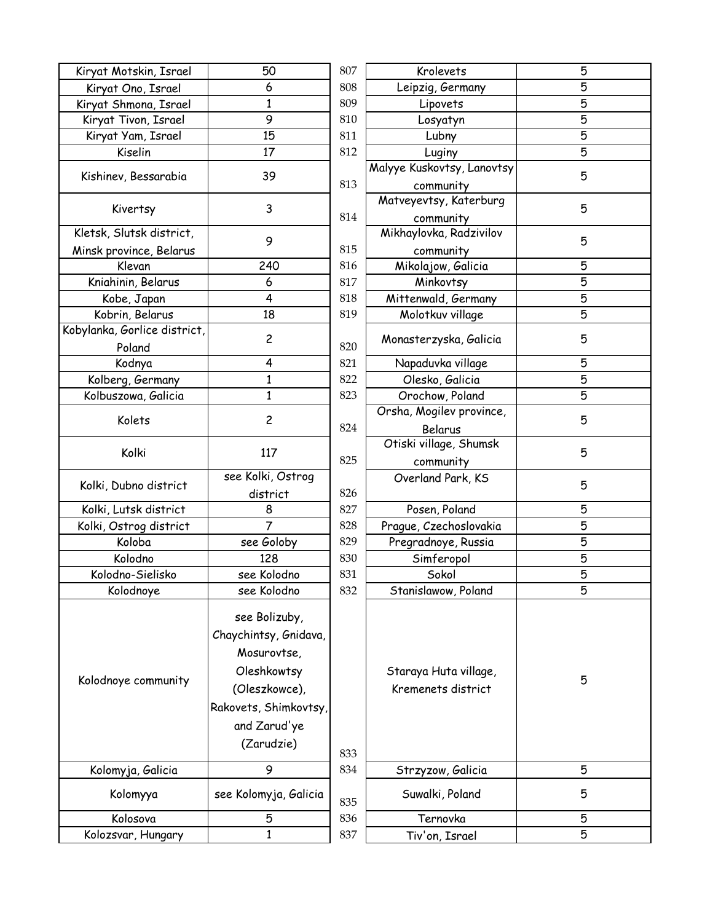| Kiryat Motskin, Israel       | 50                    | 807 | Krolevets                      | 5              |
|------------------------------|-----------------------|-----|--------------------------------|----------------|
| Kiryat Ono, Israel           | 6                     | 808 | Leipzig, Germany               | 5              |
| Kiryat Shmona, Israel        | 1                     | 809 | Lipovets                       | 5              |
| Kiryat Tivon, Israel         | 9                     | 810 | Losyatyn                       | $\overline{5}$ |
| Kiryat Yam, Israel           | 15                    | 811 | Lubny                          | $\overline{5}$ |
| Kiselin                      | 17                    | 812 | Luginy                         | $\overline{5}$ |
|                              |                       |     | Malyye Kuskovtsy, Lanovtsy     |                |
| Kishinev, Bessarabia         | 39                    | 813 | community                      | 5              |
| Kivertsy                     | 3                     |     | Matveyevtsy, Katerburg         | 5              |
|                              |                       | 814 | community                      |                |
| Kletsk, Slutsk district,     | 9                     |     | Mikhaylovka, Radzivilov        | 5              |
| Minsk province, Belarus      |                       | 815 | community                      |                |
| Klevan                       | 240                   | 816 | Mikolajow, Galicia             | 5              |
| Kniahinin, Belarus           | 6                     | 817 | Minkovtsy                      | 5              |
| Kobe, Japan                  | 4                     | 818 | Mittenwald, Germany            | 5              |
| Kobrin, Belarus              | 18                    | 819 | Molotkuv village               | $\overline{5}$ |
| Kobylanka, Gorlice district, |                       |     |                                |                |
| Poland                       | $\overline{c}$        | 820 | Monasterzyska, Galicia         | 5              |
| Kodnya                       | 4                     | 821 | Napaduvka village              | 5              |
| Kolberg, Germany             | 1                     | 822 | Olesko, Galicia                | 5              |
| Kolbuszowa, Galicia          | 1                     | 823 | Orochow, Poland                | $\overline{5}$ |
|                              |                       |     | Orsha, Mogilev province,       |                |
| Kolets                       | $\overline{c}$        | 824 | Belarus                        | 5              |
|                              |                       |     | Otiski village, Shumsk         |                |
| Kolki                        | 117                   | 825 |                                | 5              |
|                              | see Kolki, Ostrog     |     | community<br>Overland Park, KS |                |
| Kolki, Dubno district        | district              | 826 |                                | 5              |
| Kolki, Lutsk district        | 8                     | 827 | Posen, Poland                  |                |
| Kolki, Ostrog district       | $\overline{7}$        | 828 | Prague, Czechoslovakia         | 5<br>5         |
| Koloba                       | see Goloby            | 829 | Pregradnoye, Russia            | $\overline{5}$ |
|                              |                       |     |                                |                |
| Kolodno                      | 128                   | 830 | Simferopol                     | $\overline{5}$ |
| Kolodno-Sielisko             | see Kolodno           | 831 | Sokol                          | 5              |
| Kolodnoye                    | see Kolodno           | 832 | Stanislawow, Poland            | 5              |
|                              | see Bolizuby,         |     |                                |                |
|                              | Chaychintsy, Gnidava, |     |                                |                |
|                              |                       |     |                                |                |
|                              | Mosurovtse,           |     |                                |                |
| Kolodnoye community          | Oleshkowtsy           |     | Staraya Huta village,          | 5              |
|                              | (Oleszkowce),         |     | Kremenets district             |                |
|                              | Rakovets, Shimkovtsy, |     |                                |                |
|                              | and Zarud'ye          |     |                                |                |
|                              | (Zarudzie)            |     |                                |                |
|                              |                       | 833 |                                |                |
| Kolomyja, Galicia            | 9                     | 834 | Strzyzow, Galicia              | 5              |
| Kolomyya                     | see Kolomyja, Galicia |     | Suwalki, Poland                | 5              |
|                              |                       | 835 |                                |                |
| Kolosova                     | 5                     | 836 | Ternovka                       | 5              |
| Kolozsvar, Hungary           | 1                     | 837 | Tiv'on, Israel                 | 5              |

| 807 | Krolevets                            | 5              |
|-----|--------------------------------------|----------------|
| 808 | Leipzig, Germany                     | 5              |
| 809 | Lipovets                             | 5              |
| 810 | Losyatyn                             | 5              |
| 811 | Lubny                                | $\overline{5}$ |
| 812 | Luginy                               | 5              |
|     | Malyye Kuskovtsy, Lanovtsy           | 5              |
| 813 | community                            |                |
| 814 | Matveyevtsy, Katerburg               | 5              |
|     | community<br>Mikhaylovka, Radzivilov | 5              |
| 815 | community                            |                |
| 816 | Mikolajow, Galicia                   | 5              |
| 817 | Minkovtsy                            | 5              |
| 818 | Mittenwald, Germany                  | 5              |
| 819 | Molotkuv village                     | 5              |
| 820 | Monasterzyska, Galicia               | 5              |
| 821 | Napaduvka village                    | 5              |
| 822 | Olesko, Galicia                      | 5              |
| 823 | Orochow, Poland                      | 5              |
|     | Orsha, Mogilev province,             |                |
| 824 | Belarus                              | 5              |
|     | Otiski village, Shumsk               |                |
| 825 | community                            | 5              |
|     | Overland Park, KS                    |                |
| 826 |                                      | 5              |
| 827 | Posen, Poland                        | 5              |
| 828 | Prague, Czechoslovakia               | 5              |
| 829 | Pregradnoye, Russia                  | 5              |
| 830 | Simferopol                           | 5              |
| 831 | Sokol                                | 5              |
| 832 | Stanislawow, Poland                  | 5              |
|     |                                      |                |
|     | Staraya Huta village,                | 5              |
|     | Kremenets district                   |                |
| 833 |                                      |                |
| 834 | Strzyzow, Galicia                    | 5              |
| 835 | Suwalki, Poland                      | 5              |
| 836 | Ternovka                             | 5              |
| 837 | Tiv'on, Israel                       | 5              |
|     |                                      |                |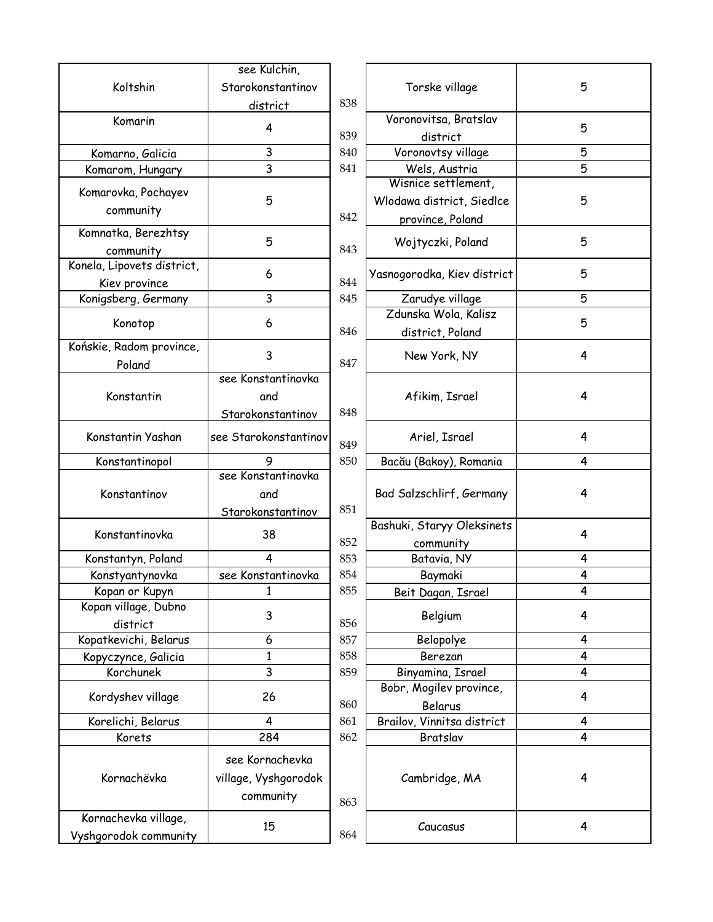|                            | see Kulchin,          |     |                             |                |
|----------------------------|-----------------------|-----|-----------------------------|----------------|
| Koltshin                   | Starokonstantinov     |     | Torske village              | 5              |
|                            | district              | 838 |                             |                |
| Komarin                    |                       |     | Voronovitsa, Bratslav       |                |
|                            | 4                     | 839 | district                    | 5              |
| Komarno, Galicia           | 3                     | 840 | Voronovtsy village          | 5              |
| Komarom, Hungary           | 3                     | 841 | Wels, Austria               | $\overline{5}$ |
|                            |                       |     | Wisnice settlement,         |                |
| Komarovka, Pochayev        | 5                     |     | Wlodawa district, Siedlce   | 5              |
| community                  |                       | 842 | province, Poland            |                |
| Komnatka, Berezhtsy        | 5                     |     |                             | 5              |
| community                  |                       | 843 | Wojtyczki, Poland           |                |
| Konela, Lipovets district, |                       |     |                             | 5              |
| Kiev province              | 6                     | 844 | Yasnogorodka, Kiev district |                |
| Konigsberg, Germany        | 3                     | 845 | Zarudye village             | 5              |
| Konotop                    | 6                     |     | Zdunska Wola, Kalisz        | 5              |
|                            |                       | 846 | district, Poland            |                |
| Końskie, Radom province,   | 3                     |     | New York, NY                | 4              |
| Poland                     |                       | 847 |                             |                |
|                            | see Konstantinovka    |     |                             |                |
| Konstantin                 | and                   |     | Afikim, Israel              | 4              |
|                            | Starokonstantinov     | 848 |                             |                |
| Konstantin Yashan          | see Starokonstantinov | 849 | Ariel, Israel               | 4              |
| Konstantinopol             | 9                     | 850 | Bacău (Bakoy), Romania      | 4              |
|                            | see Konstantinovka    |     |                             |                |
| Konstantinov               | and                   |     | Bad Salzschlirf, Germany    | 4              |
|                            | Starokonstantinov     | 851 |                             |                |
|                            |                       |     | Bashuki, Staryy Oleksinets  |                |
| Konstantinovka             | 38                    | 852 | community                   | 4              |
| Konstantyn, Poland         | 4                     | 853 | Batavia, NY                 | 4              |
| Konstyantynovka            | see Konstantinovka    | 854 | Baymaki                     | 4              |
| Kopan or Kupyn             | 1                     | 855 | Beit Dagan, Israel          | 4              |
| Kopan village, Dubno       |                       |     |                             |                |
| district                   | 3                     | 856 | Belgium                     | 4              |
| Kopatkevichi, Belarus      | 6                     | 857 | Belopolye                   | 4              |
| Kopyczynce, Galicia        | $\mathbf{1}$          | 858 | Berezan                     | 4              |
| Korchunek                  | 3                     | 859 | Binyamina, Israel           | 4              |
|                            |                       |     | Bobr, Mogilev province,     |                |
| Kordyshev village          | 26                    | 860 | Belarus                     | 4              |
| Korelichi, Belarus         | 4                     | 861 | Brailov, Vinnitsa district  | 4              |
| Korets                     | 284                   | 862 | Bratslav                    | 4              |
|                            |                       |     |                             |                |
|                            | see Kornachevka       |     |                             |                |
| Kornachëvka                | village, Vyshgorodok  |     | Cambridge, MA               | 4              |
|                            | community             | 863 |                             |                |
| Kornachevka village,       |                       |     |                             |                |
| Vyshgorodok community      | 15                    | 864 | Caucasus                    | 4              |
|                            |                       |     |                             |                |

| (ulchin,                |     |                             |   |
|-------------------------|-----|-----------------------------|---|
| nstantinov              |     | Torske village              | 5 |
| trict                   | 838 |                             |   |
| $\overline{4}$          |     | Voronovitsa, Bratslav       | 5 |
|                         | 839 | district                    |   |
| $\overline{\mathbf{3}}$ | 840 | Voronovtsy village          | 5 |
| $\overline{3}$          | 841 | Wels, Austria               | 5 |
|                         |     | Wisnice settlement,         |   |
| 5                       |     | Wlodawa district, Siedlce   | 5 |
|                         | 842 | province, Poland            |   |
| 5                       | 843 | Wojtyczki, Poland           | 5 |
| 6                       | 844 | Yasnogorodka, Kiev district | 5 |
| $\mathbf{3}$            | 845 | Zarudye village             | 5 |
| 6                       |     | Zdunska Wola, Kalisz        | 5 |
|                         | 846 | district, Poland            |   |
| $\mathsf{3}$            | 847 | New York, NY                | 4 |
| tantinovka              |     |                             |   |
| ınd                     |     | Afikim, Israel              | 4 |
| <u>nstantinov</u>       | 848 |                             |   |
| konstantinov            | 849 | Ariel, Israel               | 4 |
| 9                       | 850 | Bacău (Bakoy), Romania      | 4 |
| tantinovka              |     |                             |   |
| ınd                     |     | Bad Salzschlirf, Germany    | 4 |
| <u>nstantinov</u>       | 851 |                             |   |
| 38                      |     | Bashuki, Staryy Oleksinets  | 4 |
|                         | 852 | community                   |   |
| $\overline{4}$          | 853 | Batavia, NY                 | 4 |
| tantinovka              | 854 | Baymaki                     | 4 |
| 1                       | 855 | Beit Dagan, Israel          | 4 |
| 3                       | 856 | Belgium                     | 4 |
| 6                       | 857 | Belopolye                   | 4 |
| $\mathbf{1}$            | 858 | Berezan                     | 4 |
| $\overline{3}$          | 859 | Binyamina, Israel           | 4 |
|                         |     | Bobr, Mogilev province,     |   |
| 26                      | 860 | Belarus                     | 4 |
| $\overline{4}$          | 861 | Brailov, Vinnitsa district  | 4 |
| $\overline{.84}$        | 862 | Bratslav                    | 4 |
| nachevka                |     |                             |   |
| yshgorodok              |     | Cambridge, MA               | 4 |
| munity                  |     |                             |   |
|                         | 863 |                             |   |
| 15                      | 864 | Caucasus                    | 4 |
|                         |     |                             |   |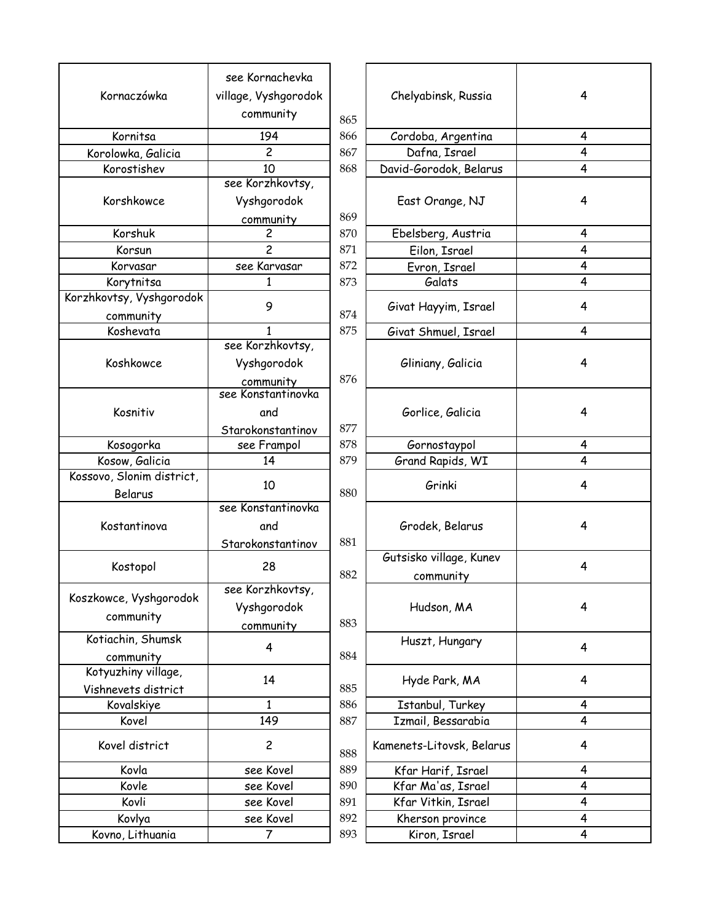|                           | see Kornachevka      |     |                           |   |
|---------------------------|----------------------|-----|---------------------------|---|
| Kornaczówka               | village, Vyshgorodok |     | Chelyabinsk, Russia       | 4 |
|                           | community            | 865 |                           |   |
| Kornitsa                  | 194                  | 866 | Cordoba, Argentina        | 4 |
| Korolowka, Galicia        | 2                    | 867 | Dafna, Israel             | 4 |
| Korostishev               | 10                   | 868 | David-Gorodok, Belarus    | 4 |
|                           | see Korzhkovtsy,     |     |                           |   |
| Korshkowce                | Vyshgorodok          |     | East Orange, NJ           | 4 |
|                           | community            | 869 |                           |   |
| Korshuk                   | $\overline{c}$       | 870 | Ebelsberg, Austria        | 4 |
| Korsun                    | $\overline{c}$       | 871 | Eilon, Israel             | 4 |
| Korvasar                  | see Karvasar         | 872 | Evron, Israel             | 4 |
| Korytnitsa                | 1                    | 873 | Galats                    | 4 |
| Korzhkovtsy, Vyshgorodok  | 9                    |     |                           | 4 |
| community                 |                      | 874 | Givat Hayyim, Israel      |   |
| Koshevata                 | 1                    | 875 | Givat Shmuel, Israel      | 4 |
|                           | see Korzhkovtsy,     |     |                           |   |
| Koshkowce                 | Vyshgorodok          |     | Gliniany, Galicia         | 4 |
|                           | community            | 876 |                           |   |
|                           | see Konstantinovka   |     |                           |   |
| Kosnitiv                  | and                  |     | Gorlice, Galicia          | 4 |
|                           | Starokonstantinov    | 877 |                           |   |
| Kosogorka                 | see Frampol          | 878 | Gornostaypol              | 4 |
| Kosow, Galicia            | 14                   | 879 | Grand Rapids, WI          | 4 |
| Kossovo, Slonim district, |                      |     |                           |   |
| Belarus                   | 10                   | 880 | Grinki                    | 4 |
|                           | see Konstantinovka   |     |                           |   |
| Kostantinova              | and                  |     | Grodek, Belarus           | 4 |
|                           | Starokonstantinov    | 881 |                           |   |
|                           | 28                   |     | Gutsisko village, Kunev   | 4 |
| Kostopol                  |                      | 882 | community                 |   |
| Koszkowce, Vyshgorodok    | see Korzhkovtsy,     |     |                           |   |
|                           | Vyshgorodok          |     | Hudson, MA                | 4 |
| community                 | community            | 883 |                           |   |
| Kotiachin, Shumsk         | 4                    |     | Huszt, Hungary            | 4 |
| community                 |                      | 884 |                           |   |
| Kotyuzhiny village,       |                      |     |                           |   |
| Vishnevets district       | 14                   | 885 | Hyde Park, MA             | 4 |
| Kovalskiye                | $\mathbf{1}$         | 886 | Istanbul, Turkey          | 4 |
| Kovel                     | 149                  | 887 | Izmail, Bessarabia        | 4 |
| Kovel district            | $\overline{c}$       | 888 | Kamenets-Litovsk, Belarus | 4 |
| Kovla                     | see Kovel            | 889 | Kfar Harif, Israel        | 4 |
| Kovle                     | see Kovel            | 890 | Kfar Ma'as, Israel        | 4 |
| Kovli                     | see Kovel            | 891 | Kfar Vitkin, Israel       | 4 |
| Kovlya                    | see Kovel            | 892 | Kherson province          | 4 |
| Kovno, Lithuania          | 7                    | 893 | Kiron, Israel             | 4 |
|                           |                      |     |                           |   |

| nachevka          |     |                           |   |
|-------------------|-----|---------------------------|---|
| yshgorodok        |     | Chelyabinsk, Russia       | 4 |
| munity            |     |                           |   |
|                   | 865 |                           |   |
| 94                | 866 | Cordoba, Argentina        | 4 |
| $\overline{2}$    | 867 | Dafna, Israel             | 4 |
| 10                | 868 | David-Gorodok, Belarus    | 4 |
| zhkovtsy,         |     |                           |   |
| gorodok           |     | East Orange, NJ           | 4 |
|                   | 869 |                           |   |
| munity<br>2       | 870 | Ebelsberg, Austria        | 4 |
| $\overline{2}$    | 871 | Eilon, Israel             | 4 |
| arvasar           | 872 | Evron, Israel             | 4 |
| $\overline{1}$    | 873 | Galats                    | 4 |
| 9                 |     |                           | 4 |
|                   | 874 | Givat Hayyim, Israel      |   |
| $\mathbf{1}$      | 875 | Givat Shmuel, Israel      | 4 |
| zhkovtsy,         |     |                           |   |
| gorodok           |     | Gliniany, Galicia         | 4 |
| <u>munity</u>     | 876 |                           |   |
| tantinovka        |     |                           |   |
| ınd               |     | Gorlice, Galicia          | 4 |
| <u>nstantinov</u> | 877 |                           |   |
| `rampol           | 878 | Gornostaypol              | 4 |
| 14                | 879 | Grand Rapids, WI          | 4 |
| 10                | 880 | Grinki                    | 4 |
| tantinovka        |     |                           |   |
| ınd               |     | Grodek, Belarus           | 4 |
| <u>nstantinov</u> | 881 |                           |   |
|                   |     | Gutsisko village, Kunev   |   |
| 28                | 882 | community                 | 4 |
| zhkovtsy,         |     |                           |   |
| gorodok           |     | Hudson, MA                | 4 |
| munity            | 883 |                           |   |
|                   |     | Huszt, Hungary            |   |
| 4                 | 884 |                           | 4 |
| 14                |     | Hyde Park, MA             | 4 |
| $\mathbf{1}$      | 885 |                           | 4 |
| 49                | 886 | Istanbul, Turkey          | 4 |
|                   | 887 | Izmail, Bessarabia        |   |
| $\overline{c}$    | 888 | Kamenets-Litovsk, Belarus | 4 |
| Kovel             | 889 | Kfar Harif, Israel        | 4 |
| Kovel             | 890 | Kfar Ma'as, Israel        | 4 |
| Kovel             | 891 | Kfar Vitkin, Israel       | 4 |
| Kovel             | 892 | Kherson province          | 4 |
| 7                 | 893 | Kiron, Israel             | 4 |
|                   |     |                           |   |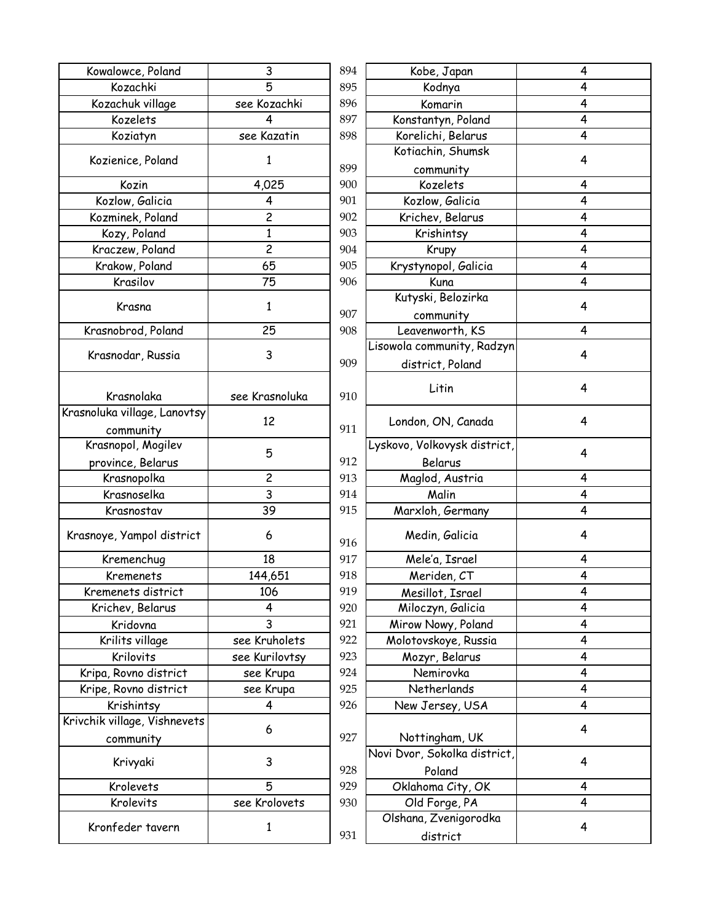| Kowalowce, Poland            | 3                       | 894 | Kobe, Japan              |
|------------------------------|-------------------------|-----|--------------------------|
| Kozachki                     | 5                       | 895 | Kodnya                   |
| Kozachuk village             | see Kozachki            | 896 | Komarin                  |
| Kozelets                     | 4                       | 897 | Konstantyn, Poland       |
| Koziatyn                     | see Kazatin             | 898 | Korelichi, Belarus       |
|                              | 1                       |     | Kotiachin, Shumsk        |
| Kozienice, Poland            |                         | 899 | community                |
| Kozin                        | 4,025                   | 900 | Kozelets                 |
| Kozlow, Galicia              | 4                       | 901 | Kozlow, Galicia          |
| Kozminek, Poland             | $\overline{\mathbf{c}}$ | 902 | Krichev, Belarus         |
| Kozy, Poland                 | $\mathbf{1}$            | 903 | Krishintsy               |
| Kraczew, Poland              | $\overline{c}$          | 904 | Krupy                    |
| Krakow, Poland               | 65                      | 905 | Krystynopol, Galicia     |
| Krasilov                     | 75                      | 906 | Kuna                     |
|                              |                         |     | Kutyski, Belozirka       |
| Krasna                       | $\mathbf{1}$            | 907 | community                |
| Krasnobrod, Poland           | 25                      | 908 | Leavenworth, KS          |
|                              |                         |     | Lisowola community, Rad  |
| Krasnodar, Russia            | 3                       | 909 | district, Poland         |
|                              |                         |     |                          |
| Krasnolaka                   | see Krasnoluka          | 910 | Litin                    |
| Krasnoluka village, Lanovtsy |                         |     |                          |
| community                    | 12                      | 911 | London, ON, Canada       |
| Krasnopol, Mogilev           |                         |     | Lyskovo, Volkovysk distr |
| province, Belarus            | 5                       | 912 | Belarus                  |
| Krasnopolka                  | 2                       | 913 | Maglod, Austria          |
| Krasnoselka                  | 3                       | 914 | Malin                    |
| Krasnostav                   | 39                      | 915 | Marxloh, Germany         |
| Krasnoye, Yampol district    | 6                       | 916 | Medin, Galicia           |
| Kremenchug                   | 18                      | 917 | Mele'a, Israel           |
| Kremenets                    | 144,651                 | 918 | Meriden, CT              |
| Kremenets district           | 106                     | 919 | Mesillot, Israel         |
| Krichev, Belarus             | 4                       | 920 | Miloczyn, Galicia        |
| Kridovna                     | 3                       | 921 | Mirow Nowy, Poland       |
| Krilits village              | see Kruholets           | 922 | Molotovskoye, Russia     |
| Krilovits                    | see Kurilovtsy          | 923 | Mozyr, Belarus           |
| Kripa, Rovno district        | see Krupa               | 924 | Nemirovka                |
| Kripe, Rovno district        | see Krupa               | 925 | Netherlands              |
| Krishintsy                   | 4                       | 926 | New Jersey, USA          |
| Krivchik village, Vishnevets |                         |     |                          |
| community                    | 6                       | 927 | Nottingham, UK           |
|                              |                         |     | Novi Dvor, Sokolka distr |
| Krivyaki                     | 3                       | 928 | Poland                   |
| Krolevets                    | 5                       | 929 | Oklahoma City, OK        |
| Krolevits                    | see Krolovets           | 930 | Old Forge, PA            |
|                              |                         |     | Olshana, Zvenigorodk     |
| Kronfeder tavern             | 1                       | 931 | district                 |
|                              |                         |     |                          |

| 3                       | 894 | Kobe, Japan                       | 4 |
|-------------------------|-----|-----------------------------------|---|
| 5                       | 895 | Kodnya                            | 4 |
| ozachki                 | 896 | Komarin                           | 4 |
| 4                       | 897 | Konstantyn, Poland                | 4 |
| <b>Cazatin</b>          | 898 | Korelichi, Belarus                | 4 |
|                         |     | Kotiachin, Shumsk                 |   |
| $\mathbf{1}$            | 899 | community                         | 4 |
| 025                     | 900 | Kozelets                          | 4 |
| $\overline{4}$          | 901 | Kozlow, Galicia                   | 4 |
| $\overline{2}$          | 902 | Krichev, Belarus                  | 4 |
| $\overline{1}$          | 903 | Krishintsy                        | 4 |
| $\overline{c}$          | 904 | Krupy                             | 4 |
| 65                      | 905 | Krystynopol, Galicia              | 4 |
| 75                      | 906 | Kuna                              | 4 |
| $\mathbf{1}$            |     | Kutyski, Belozirka                | 4 |
|                         | 907 | community                         |   |
| 25                      | 908 | Leavenworth, KS                   | 4 |
|                         |     | Lisowola community, Radzyn        |   |
| 3                       | 909 | district, Poland                  | 4 |
|                         |     |                                   |   |
| asnoluka                | 910 | Litin                             | 4 |
| 12                      | 911 | London, ON, Canada                | 4 |
|                         |     | Lyskovo, Volkovysk district,      |   |
| 5                       | 912 | Belarus                           | 4 |
| $\overline{c}$          | 913 | Maglod, Austria                   | 4 |
| $\overline{3}$          | 914 | Malin                             | 4 |
| 39                      | 915 | Marxloh, Germany                  | 4 |
| 6                       | 916 | Medin, Galicia                    | 4 |
| 18                      | 917 | Mele'a, Israel                    | 4 |
| 4,651                   | 918 | Meriden, CT                       | 4 |
| .06                     | 919 | Mesillot, Israel                  | 4 |
| $\overline{\mathbf{4}}$ | 920 | Miloczyn, Galicia                 | 4 |
| $\overline{3}$          | 921 | Mirow Nowy, Poland                | 4 |
| uholets <sup>.</sup>    | 922 | Molotovskoye, Russia              | 4 |
| ırilovtsy               | 923 | Mozyr, Belarus                    | 4 |
| Krupa                   | 924 | Nemirovka                         | 4 |
| Krupa                   | 925 | Netherlands                       | 4 |
| 4                       | 926 | New Jersey, USA                   | 4 |
| 6                       | 927 | Nottingham, UK                    | 4 |
|                         |     | Novi Dvor, Sokolka district,      |   |
| 3                       | 928 | Poland                            | 4 |
| 5                       | 929 | Oklahoma City, OK                 | 4 |
| rolovets                | 930 | Old Forge, PA                     | 4 |
| 1                       | 931 | Olshana, Zvenigorodka<br>district | 4 |
|                         |     |                                   |   |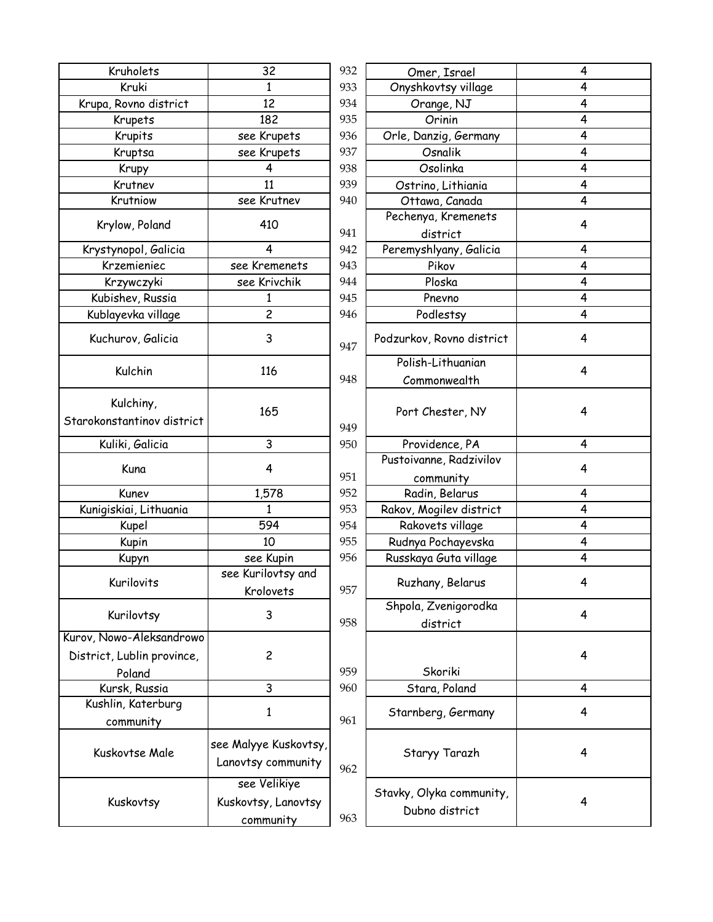| Kruholets                                                        | 32                                               | 932 | Omer, Israel                               | 4 |
|------------------------------------------------------------------|--------------------------------------------------|-----|--------------------------------------------|---|
| Kruki                                                            | $\mathbf{1}$                                     | 933 | Onyshkovtsy village                        | 4 |
| Krupa, Rovno district                                            | 12                                               | 934 | Orange, NJ                                 | 4 |
| Krupets                                                          | 182                                              | 935 | Orinin                                     | 4 |
| Krupits                                                          | see Krupets                                      | 936 | Orle, Danzig, Germany                      | 4 |
| Kruptsa                                                          | see Krupets                                      | 937 | Osnalik                                    | 4 |
| Krupy                                                            | 4                                                | 938 | Osolinka                                   | 4 |
| Krutnev                                                          | 11                                               | 939 | Ostrino, Lithiania                         | 4 |
| Krutniow                                                         | see Krutnev                                      | 940 | Ottawa, Canada                             | 4 |
| Krylow, Poland                                                   | 410                                              | 941 | Pechenya, Kremenets<br>district            | 4 |
| Krystynopol, Galicia                                             | 4                                                | 942 | Peremyshlyany, Galicia                     | 4 |
| Krzemieniec                                                      | see Kremenets                                    | 943 | Pikov                                      | 4 |
| Krzywczyki                                                       | see Krivchik                                     | 944 | Ploska                                     | 4 |
| Kubishev, Russia                                                 | 1                                                | 945 | Pnevno                                     | 4 |
| Kublayevka village                                               | $\overline{c}$                                   | 946 | Podlestsy                                  | 4 |
| Kuchurov, Galicia                                                | 3                                                | 947 | Podzurkov, Rovno district                  | 4 |
| Kulchin                                                          | 116                                              | 948 | Polish-Lithuanian<br>Commonwealth          | 4 |
| Kulchiny,<br>Starokonstantinov district                          | 165                                              | 949 | Port Chester, NY                           | 4 |
| Kuliki, Galicia                                                  | 3                                                | 950 | Providence, PA                             | 4 |
| Kuna                                                             | 4                                                | 951 | Pustoivanne, Radzivilov<br>community       | 4 |
| Kunev                                                            | 1,578                                            | 952 | Radin, Belarus                             | 4 |
| Kunigiskiai, Lithuania                                           | $\mathbf{1}$                                     | 953 | Rakov, Mogilev district                    | 4 |
| Kupel                                                            | 594                                              | 954 | Rakovets village                           | 4 |
| Kupin                                                            | 10                                               | 955 | Rudnya Pochayevska                         | 4 |
| Kupyn                                                            | see Kupin                                        | 956 | Russkaya Guta village                      | 4 |
| Kurilovits                                                       | see Kurilovtsy and<br>Krolovets                  | 957 | Ruzhany, Belarus                           | 4 |
| Kurilovtsy                                                       | 3                                                | 958 | Shpola, Zvenigorodka<br>district           | 4 |
| Kurov, Nowo-Aleksandrowo<br>District, Lublin province,<br>Poland | $\overline{c}$                                   | 959 | Skoriki                                    | 4 |
| Kursk, Russia                                                    | 3                                                | 960 | Stara, Poland                              | 4 |
| Kushlin, Katerburg                                               |                                                  |     |                                            |   |
| community                                                        | 1                                                | 961 | Starnberg, Germany                         | 4 |
| Kuskovtse Male                                                   | see Malyye Kuskovtsy,<br>Lanovtsy community      | 962 | Staryy Tarazh                              | 4 |
| Kuskovtsy                                                        | see Velikiye<br>Kuskovtsy, Lanovtsy<br>community | 963 | Stavky, Olyka community,<br>Dubno district | 4 |

| 32                                                | 932 | Omer, Israel                               | 4 |
|---------------------------------------------------|-----|--------------------------------------------|---|
| $\mathbf{1}$                                      | 933 | Onyshkovtsy village                        | 4 |
| 12                                                | 934 | Orange, NJ                                 | 4 |
| 182                                               | 935 | Orinin                                     | 4 |
| ee Krupets                                        | 936 | Orle, Danzig, Germany                      | 4 |
| ee Krupets                                        | 937 | Osnalik                                    | 4 |
| 4                                                 | 938 | Osolinka                                   | 4 |
| 11                                                | 939 | Ostrino, Lithiania                         | 4 |
| ee Krutnev                                        | 940 | Ottawa, Canada                             | 4 |
| 410                                               |     | Pechenya, Kremenets                        | 4 |
|                                                   | 941 | district                                   |   |
| 4                                                 | 942 | Peremyshlyany, Galicia                     | 4 |
| z Kremenets                                       | 943 | Pikov                                      | 4 |
| ee Krivchik                                       | 944 | Ploska                                     | 4 |
| 1                                                 | 945 | Pnevno                                     | 4 |
| $\overline{c}$                                    | 946 | Podlestsy                                  | 4 |
| 3                                                 | 947 | Podzurkov, Rovno district                  | 4 |
|                                                   |     | Polish-Lithuanian                          |   |
| 116                                               | 948 | Commonwealth                               | 4 |
| 165                                               | 949 | Port Chester, NY                           | 4 |
| 3                                                 | 950 | Providence, PA                             | 4 |
|                                                   |     | Pustoivanne, Radzivilov                    |   |
| 4                                                 | 951 | community                                  | 4 |
| 1,578                                             | 952 | Radin, Belarus                             | 4 |
| $\mathbf{1}$                                      | 953 | Rakov, Mogilev district                    | 4 |
| 594                                               | 954 | Rakovets village                           | 4 |
| 10                                                | 955 | Rudnya Pochayevska                         | 4 |
| see Kupin                                         | 956 | Russkaya Guta village                      | 4 |
| Kurilovtsy and                                    |     |                                            |   |
| Krolovets                                         | 957 | Ruzhany, Belarus                           | 4 |
| 3                                                 | 958 | Shpola, Zvenigorodka<br>district           | 4 |
| $\overline{\mathbf{c}}$                           | 959 | Skoriki                                    | 4 |
| 3                                                 | 960 | Stara, Poland                              | 4 |
| 1                                                 | 961 | Starnberg, Germany                         | 4 |
| alyye Kuskovtsy,<br>tsy community                 | 962 | Staryy Tarazh                              | 4 |
| ee Velikiye<br>vtsy, Lanovtsy<br><u>community</u> | 963 | Stavky, Olyka community,<br>Dubno district | 4 |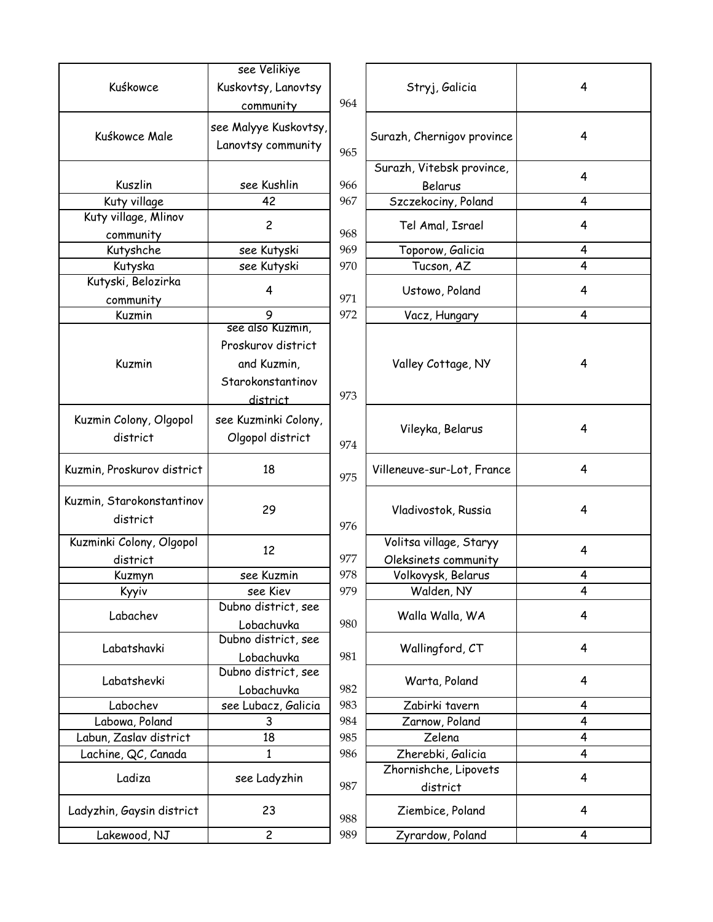|                            | see Velikiye          |     |                            |   |
|----------------------------|-----------------------|-----|----------------------------|---|
| Kuśkowce                   | Kuskovtsy, Lanovtsy   |     | Stryj, Galicia             | 4 |
|                            | community             | 964 |                            |   |
|                            | see Malyye Kuskovtsy, |     |                            |   |
| Kuśkowce Male              | Lanovtsy community    |     | Surazh, Chernigov province | 4 |
|                            |                       | 965 |                            |   |
|                            |                       |     | Surazh, Vitebsk province,  | 4 |
| Kuszlin                    | see Kushlin           | 966 | Belarus                    |   |
| Kuty village               | 42                    | 967 | Szczekociny, Poland        | 4 |
| Kuty village, Mlinov       | $\overline{c}$        |     | Tel Amal, Israel           | 4 |
| community                  |                       | 968 |                            |   |
| Kutyshche                  | see Kutyski           | 969 | Toporow, Galicia           | 4 |
| Kutyska                    | see Kutyski           | 970 | Tucson, AZ                 | 4 |
| Kutyski, Belozirka         | 4                     |     | Ustowo, Poland             | 4 |
| community                  |                       | 971 |                            |   |
| Kuzmin                     | 9<br>see also Kuzmin, | 972 | Vacz, Hungary              | 4 |
|                            |                       |     |                            |   |
|                            | Proskurov district    |     |                            |   |
| Kuzmin                     | and Kuzmin,           |     | Valley Cottage, NY         | 4 |
|                            | Starokonstantinov     |     |                            |   |
|                            | district              | 973 |                            |   |
| Kuzmin Colony, Olgopol     | see Kuzminki Colony,  |     |                            |   |
| district                   | Olgopol district      |     | Vileyka, Belarus           | 4 |
|                            |                       | 974 |                            |   |
| Kuzmin, Proskurov district | 18                    |     | Villeneuve-sur-Lot, France | 4 |
|                            |                       | 975 |                            |   |
| Kuzmin, Starokonstantinov  |                       |     |                            |   |
| district                   | 29                    |     | Vladivostok, Russia        | 4 |
|                            |                       | 976 |                            |   |
| Kuzminki Colony, Olgopol   | 12                    |     | Volitsa village, Staryy    | 4 |
| district                   |                       | 977 | Oleksinets community       |   |
| Kuzmyn                     | see Kuzmin            | 978 | Volkovysk, Belarus         | 4 |
| Kyyiv                      | see Kiev              | 979 | Walden, NY                 | 4 |
| Labachev                   | Dubno district, see   |     | Walla Walla, WA            | 4 |
|                            | Lobachuvka            | 980 |                            |   |
| Labatshavki                | Dubno district, see   |     | Wallingford, CT            | 4 |
|                            | Lobachuvka            | 981 |                            |   |
| Labatshevki                | Dubno district, see   |     | Warta, Poland              | 4 |
|                            | Lobachuvka            | 982 |                            |   |
| Labochev                   | see Lubacz, Galicia   | 983 | Zabirki tavern             | 4 |
| Labowa, Poland             | 3                     | 984 | Zarnow, Poland             | 4 |
| Labun, Zaslav district     | 18                    | 985 | Zelena                     | 4 |
| Lachine, QC, Canada        | 1                     | 986 | Zherebki, Galicia          | 4 |
| Ladiza                     | see Ladyzhin          |     | Zhornishche, Lipovets      | 4 |
|                            |                       | 987 | district                   |   |
| Ladyzhin, Gaysin district  | 23                    | 988 | Ziembice, Poland           | 4 |
| Lakewood, NJ               | $\overline{c}$        | 989 | Zyrardow, Poland           | 4 |
|                            |                       |     |                            |   |

|            | Stryj, Galicia             | 4 |
|------------|----------------------------|---|
| 964        |                            |   |
|            |                            |   |
|            | Surazh, Chernigov province | 4 |
| 965        |                            |   |
|            | Surazh, Vitebsk province,  | 4 |
| 966        | Belarus                    |   |
| 967        | Szczekociny, Poland        | 4 |
| 968        | Tel Amal, Israel           | 4 |
| 969        | Toporow, Galicia           | 4 |
| 970        | Tucson, AZ                 | 4 |
| 971        | Ustowo, Poland             | 4 |
| 972        | Vacz, Hungary              | 4 |
|            |                            |   |
|            |                            |   |
|            | Valley Cottage, NY         | 4 |
|            |                            |   |
| 973        |                            |   |
|            |                            |   |
|            | Vileyka, Belarus           | 4 |
|            |                            |   |
|            | Villeneuve-sur-Lot, France | 4 |
|            |                            |   |
|            |                            |   |
|            |                            |   |
|            | Vladivostok, Russia        | 4 |
| 976        |                            |   |
| 977        | Volitsa village, Staryy    | 4 |
|            | Oleksinets community       | 4 |
| 978<br>979 | Volkovysk, Belarus         | 4 |
|            | Walden, NY                 |   |
| 980        | Walla Walla, WA            | 4 |
|            |                            |   |
| 981        | Wallingford, CT            | 4 |
|            |                            |   |
| 982        | Warta, Poland              | 4 |
| 983        | Zabirki tavern             | 4 |
| 984        | Zarnow, Poland             | 4 |
| 985        | Zelena                     | 4 |
| 986        | Zherebki, Galicia          | 4 |
|            | Zhornishche, Lipovets      |   |
| 987        | district                   | 4 |
| 988        | Ziembice, Poland           | 4 |
|            | 974<br>975                 |   |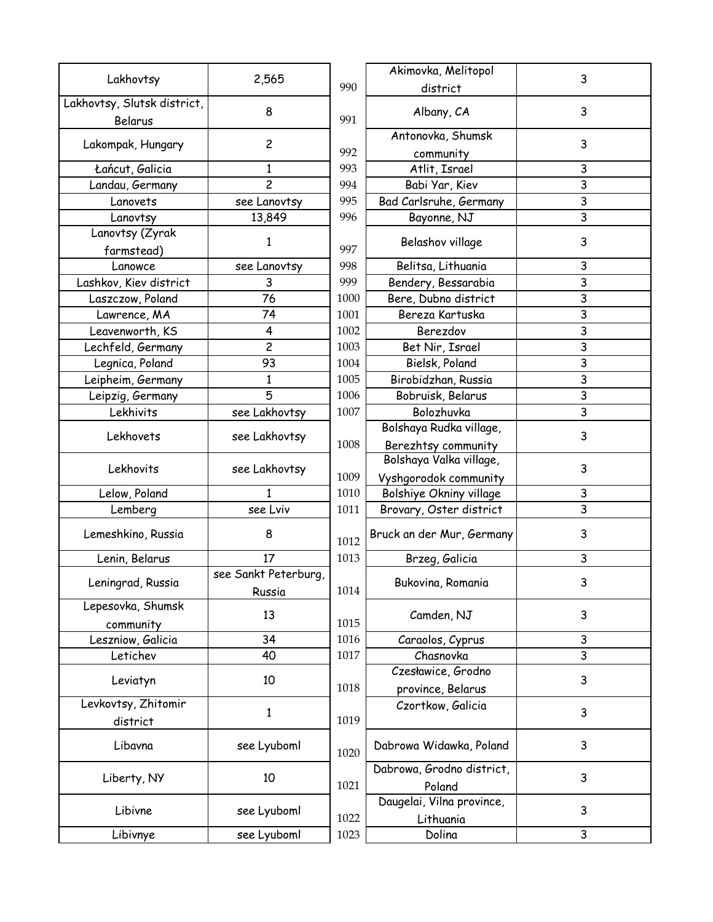|                             |                      |          | Akimovka, Melitopol       |                         |
|-----------------------------|----------------------|----------|---------------------------|-------------------------|
| Lakhovtsy                   | 2,565                | 990      | district                  | 3                       |
| Lakhovtsy, Slutsk district, |                      |          |                           |                         |
| Belarus                     | 8                    | 991      | Albany, CA                | 3                       |
|                             | $\overline{c}$       |          | Antonovka, Shumsk         | 3                       |
| Lakompak, Hungary           |                      | 992      | community                 |                         |
| Łańcut, Galicia             | $\mathbf{1}$         | 993      | Atlit, Israel             | 3                       |
| Landau, Germany             | $\overline{c}$       | 994      | Babi Yar, Kiev            | 3                       |
| Lanovets                    | see Lanovtsy         | 995      | Bad Carlsruhe, Germany    | 3                       |
| Lanovtsy                    | 13,849               | 996      | Bayonne, NJ               | 3                       |
| Lanovtsy (Zyrak             |                      |          |                           |                         |
| farmstead)                  | 1                    | 997      | Belashov village          | 3                       |
| Lanowce                     | see Lanovtsy         | 998      | Belitsa, Lithuania        | 3                       |
| Lashkov, Kiev district      | 3                    | 999      | Bendery, Bessarabia       | 3                       |
| Laszczow, Poland            | 76                   | 1000     | Bere, Dubno district      | $\mathsf{3}$            |
| Lawrence, MA                | 74                   | 1001     | Bereza Kartuska           | 3                       |
| Leavenworth, KS             | 4                    | 1002     | Berezdov                  | $\mathsf{3}$            |
| Lechfeld, Germany           | $\overline{c}$       | 1003     | Bet Nir, Israel           | $\overline{\mathbf{3}}$ |
| Legnica, Poland             | 93                   | 1004     | Bielsk, Poland            | 3                       |
| Leipheim, Germany           | 1                    | 1005     | Birobidzhan, Russia       | $\mathsf{3}$            |
| Leipzig, Germany            | 5                    | 1006     | Bobruisk, Belarus         | 3                       |
| Lekhivits                   | see Lakhovtsy        | 1007     | Bolozhuvka                | 3                       |
|                             |                      |          | Bolshaya Rudka village,   |                         |
| Lekhovets                   | see Lakhovtsy        | 1008     | Berezhtsy community       | 3                       |
|                             |                      |          | Bolshaya Valka village,   |                         |
| Lekhovits                   | see Lakhovtsy        | 1009     | Vyshgorodok community     | 3                       |
| Lelow, Poland               | 1                    | $1010\,$ | Bolshiye Okniny village   | 3                       |
| Lemberg                     | see Lviv             | 1011     | Brovary, Oster district   | 3                       |
|                             |                      |          |                           |                         |
| Lemeshkino, Russia          | 8                    | 1012     | Bruck an der Mur, Germany | 3                       |
| Lenin, Belarus              | 17                   | 1013     | Brzeg, Galicia            | 3                       |
|                             | see Sankt Peterburg, |          |                           |                         |
| Leningrad, Russia           | Russia               | 1014     | Bukovina, Romania         | 3                       |
| Lepesovka, Shumsk           |                      |          |                           |                         |
| community                   | 13                   | 1015     | Camden, NJ                | $\mathsf{3}$            |
| Leszniow, Galicia           | 34                   | 1016     | Caraolos, Cyprus          | 3                       |
| Letichev                    | 40                   | 1017     | Chasnovka                 | 3                       |
|                             |                      |          | Czesławice, Grodno        |                         |
| Leviatyn                    | 10                   | 1018     | province, Belarus         | $\mathbf{3}$            |
| Levkovtsy, Zhitomir         |                      |          | Czortkow, Galicia         |                         |
| district                    | $\mathbf{1}$         | 1019     |                           | 3                       |
|                             |                      |          |                           |                         |
| Libavna                     | see Lyuboml          | 1020     | Dabrowa Widawka, Poland   | 3                       |
|                             |                      |          | Dabrowa, Grodno district, |                         |
| Liberty, NY                 | 10                   | 1021     | Poland                    | 3                       |
|                             |                      |          | Daugelai, Vilna province, |                         |
| Libivne                     | see Lyuboml          | 1022     | Lithuania                 | 3                       |
| Libivnye                    | see Lyuboml          | 1023     | Dolina                    | $\mathsf{3}$            |
|                             |                      |          |                           |                         |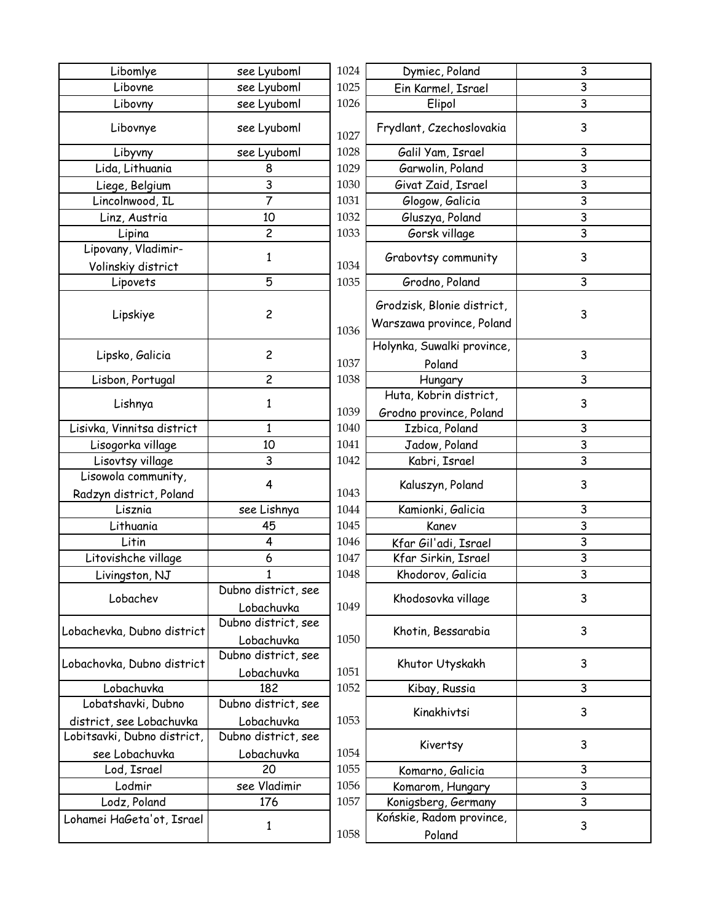| Libomlye                    | see Lyuboml         | 1024 | Dymiec, Poland             |
|-----------------------------|---------------------|------|----------------------------|
| Libovne                     | see Lyuboml         | 1025 | Ein Karmel, Israel         |
| Libovny                     | see Lyuboml         | 1026 | Elipol                     |
| Libovnye                    | see Lyuboml         | 1027 | Frydlant, Czechoslovakia   |
| Libyvny                     | see Lyuboml         | 1028 | Galil Yam, Israel          |
| Lida, Lithuania             | 8                   | 1029 | Garwolin, Poland           |
| Liege, Belgium              | 3                   | 1030 | Givat Zaid, Israel         |
| Lincolnwood, IL             | 7                   | 1031 | Glogow, Galicia            |
| Linz, Austria               | 10                  | 1032 | Gluszya, Poland            |
| Lipina                      | $\overline{c}$      | 1033 | Gorsk village              |
| Lipovany, Vladimir-         |                     |      |                            |
| Volinskiy district          | $\mathbf{1}$        | 1034 | Grabovtsy community        |
| Lipovets                    | 5                   | 1035 | Grodno, Poland             |
| Lipskiye                    | 2                   |      | Grodzisk, Blonie district, |
|                             |                     | 1036 | Warszawa province, Polan   |
|                             |                     |      | Holynka, Suwalki province  |
| Lipsko, Galicia             | $\overline{c}$      | 1037 | Poland                     |
| Lisbon, Portugal            | $\overline{c}$      | 1038 | Hungary                    |
|                             |                     |      | Huta, Kobrin district,     |
| Lishnya                     | $\mathbf{1}$        | 1039 | Grodno province, Poland    |
| Lisivka, Vinnitsa district  | $\mathbf{1}$        | 1040 | Izbica, Poland             |
| Lisogorka village           | 10                  | 1041 | Jadow, Poland              |
| Lisovtsy village            | 3                   | 1042 | Kabri, Israel              |
| Lisowola community,         |                     |      |                            |
| Radzyn district, Poland     | 4                   | 1043 | Kaluszyn, Poland           |
| Lisznia                     | see Lishnya         | 1044 | Kamionki, Galicia          |
| Lithuania                   | 45                  | 1045 | Kanev                      |
| Litin                       | 4                   | 1046 | Kfar Gil'adi, Israel       |
| Litovishche village         | 6                   | 1047 | Kfar Sirkin, Israel        |
| Livingston, NJ              | $\mathbf{1}$        | 1048 | Khodorov, Galicia          |
|                             | Dubno district, see |      |                            |
| Lobachev                    | Lobachuvka          | 1049 | Khodosovka village         |
|                             | Dubno district, see |      |                            |
| Lobachevka, Dubno district  | Lobachuvka          | 1050 | Khotin, Bessarabia         |
|                             | Dubno district, see |      |                            |
| Lobachovka, Dubno district  | Lobachuvka          | 1051 | Khutor Utyskakh            |
| Lobachuvka                  | 182                 | 1052 | Kibay, Russia              |
| Lobatshavki, Dubno          | Dubno district, see |      |                            |
| district, see Lobachuvka    | Lobachuvka          | 1053 | Kinakhivtsi                |
| Lobitsavki, Dubno district, | Dubno district, see |      |                            |
| see Lobachuvka              | Lobachuvka          | 1054 | Kivertsy                   |
| Lod, Israel                 | 20                  | 1055 | Komarno, Galicia           |
| Lodmir                      | see Vladimir        | 1056 | Komarom, Hungary           |
| Lodz, Poland                | 176                 | 1057 | Konigsberg, Germany        |
| Lohamei HaGeta'ot, Israel   |                     |      | Końskie, Radom province,   |
|                             | $\mathbf 1$         | 1058 | Poland                     |
|                             |                     |      |                            |

| yuboml                  | 1024 | Dymiec, Poland                       | 3 |
|-------------------------|------|--------------------------------------|---|
| yuboml                  | 1025 | Ein Karmel, Israel                   | 3 |
| yuboml                  | 1026 | Elipol                               | 3 |
| yuboml                  | 1027 | Frydlant, Czechoslovakia             | 3 |
| yuboml                  | 1028 | Galil Yam, Israel                    | 3 |
| 8                       | 1029 | Garwolin, Poland                     | 3 |
| $rac{3}{7}$             | 1030 | Givat Zaid, Israel                   | 3 |
|                         | 1031 | Glogow, Galicia                      | 3 |
| lO                      | 1032 | Gluszya, Poland                      | 3 |
| $\overline{c}$          | 1033 | Gorsk village                        | 3 |
| $\mathbf{1}$            | 1034 | Grabovtsy community                  | 3 |
| 5                       | 1035 | Grodno, Poland                       | 3 |
| 2                       |      | Grodzisk, Blonie district,           | 3 |
|                         | 1036 | Warszawa province, Poland            |   |
| 2                       | 1037 | Holynka, Suwalki province,<br>Poland | 3 |
| $\mathsf{S}$            | 1038 | Hungary                              | 3 |
|                         |      | Huta, Kobrin district,               |   |
| $\mathbf{1}$            | 1039 | Grodno province, Poland              | 3 |
| $\overline{\mathbf{1}}$ | 1040 | Izbica, Poland                       | 3 |
| lO                      | 1041 | Jadow, Poland                        | 3 |
| 3                       | 1042 | Kabri, Israel                        | 3 |
| 4                       | 1043 | Kaluszyn, Poland                     | 3 |
| ishnya                  | 1044 | Kamionki, Galicia                    | 3 |
| 15                      | 1045 | Kanev                                | 3 |
| 4                       | 1046 | Kfar Gil'adi, Israel                 | 3 |
| $\overline{6}$          | 1047 | Kfar Sirkin, Israel                  | 3 |
| $\overline{1}$          | 1048 | Khodorov, Galicia                    | 3 |
| strict, see<br>chuvka   | 1049 | Khodosovka village                   | 3 |
| strict, see<br>chuvka   | 1050 | Khotin, Bessarabia                   | 3 |
| strict, see<br>chuvka   | 1051 | Khutor Utyskakh                      | 3 |
| 82                      | 1052 | Kibay, Russia                        | 3 |
| strict, see             |      |                                      |   |
| chuvka                  | 1053 | Kinakhivtsi                          | 3 |
| strict, see             |      |                                      |   |
| chuvka                  | 1054 | Kivertsy                             | 3 |
| $\overline{.0}$         | 1055 | Komarno, Galicia                     | 3 |
| ladimir                 | 1056 | Komarom, Hungary                     | 3 |
| 76                      | 1057 | Konigsberg, Germany                  | 3 |
| 1                       | 1058 | Końskie, Radom province,<br>Poland   | 3 |
|                         |      |                                      |   |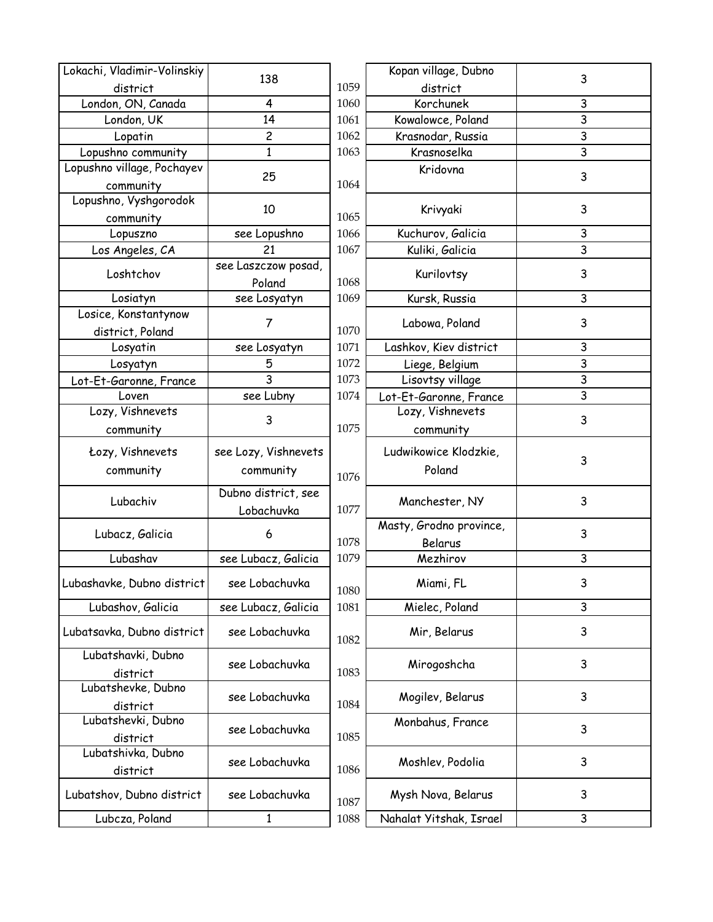| Lokachi, Vladimir-Volinskiy                 |                      |              | Kopan village, Dubno                          |                |
|---------------------------------------------|----------------------|--------------|-----------------------------------------------|----------------|
| district                                    | 138                  | 1059         | district                                      | 3              |
| London, ON, Canada                          | 4                    | 1060         | Korchunek                                     | 3              |
| London, UK                                  | 14                   | 1061         | Kowalowce, Poland                             | $\mathsf{3}$   |
| Lopatin                                     | $\overline{c}$       | 1062         | Krasnodar, Russia                             | 3              |
| Lopushno community                          | $\mathbf{1}$         | 1063         | Krasnoselka                                   | $\mathsf{3}$   |
| Lopushno village, Pochayev                  |                      |              | Kridovna                                      |                |
| community                                   | 25                   | 1064         |                                               | 3              |
| Lopushno, Vyshgorodok                       |                      |              |                                               |                |
| community                                   | 10                   | 1065         | Krivyaki                                      | 3              |
| Lopuszno                                    | see Lopushno         | 1066         | Kuchurov, Galicia                             | 3              |
| Los Angeles, CA                             | 21                   | 1067         | Kuliki, Galicia                               | $\overline{3}$ |
|                                             | see Laszczow posad,  |              |                                               |                |
| Loshtchov                                   | Poland               | 1068         | Kurilovtsy                                    | 3              |
| Losiatyn                                    | see Losyatyn         | 1069         | Kursk, Russia                                 | 3              |
| Losice, Konstantynow                        |                      |              |                                               |                |
| district, Poland                            | 7                    | 1070         | Labowa, Poland                                | 3              |
| Losyatin                                    | see Losyatyn         | 1071         | Lashkov, Kiev district                        | 3              |
| Losyatyn                                    | 5                    | 1072         | Liege, Belgium                                | $\overline{3}$ |
| Lot-Et-Garonne, France                      | 3                    | 1073         | Lisovtsy village                              | 3              |
| Loven                                       | see Lubny            | 1074         | Lot-Et-Garonne, France                        | 3              |
| Lozy, Vishnevets                            |                      |              | Lozy, Vishnevets                              |                |
| community                                   | 3                    | 1075         | community                                     | 3              |
| Łozy, Vishnevets                            | see Lozy, Vishnevets |              | Ludwikowice Klodzkie,                         |                |
|                                             |                      |              | Poland                                        | 3              |
| community                                   | community            | 1076         |                                               |                |
| Lubachiv                                    | Dubno district, see  |              | Manchester, NY                                | 3              |
|                                             | Lobachuvka           | 1077         |                                               |                |
|                                             |                      |              |                                               |                |
|                                             |                      |              | Masty, Grodno province,                       |                |
| Lubacz, Galicia                             | 6                    | 1078         | Belarus                                       | 3              |
| Lubashav                                    | see Lubacz, Galicia  | 1079         | Mezhirov                                      | 3              |
|                                             |                      |              |                                               |                |
| Lubashavke, Dubno district                  | see Lobachuvka       | 1080         | Miami, FL                                     | 3              |
| Lubashov, Galicia                           | see Lubacz, Galicia  | 1081         | Mielec, Poland                                | 3              |
|                                             |                      |              |                                               |                |
| Lubatsavka, Dubno district                  | see Lobachuvka       | 1082         | Mir, Belarus                                  | 3              |
| Lubatshavki, Dubno                          |                      |              |                                               | 3              |
| district                                    | see Lobachuvka       | 1083         | Mirogoshcha                                   |                |
| Lubatshevke, Dubno                          | see Lobachuvka       |              |                                               | 3              |
| district                                    |                      | 1084         | Mogilev, Belarus                              |                |
| Lubatshevki, Dubno                          |                      |              | Monbahus, France                              | 3              |
| district                                    | see Lobachuvka       | 1085         |                                               |                |
| Lubatshivka, Dubno                          |                      |              |                                               | 3              |
| district                                    | see Lobachuvka       | 1086         | Moshlev, Podolia                              |                |
|                                             | see Lobachuvka       |              |                                               | 3              |
| Lubatshov, Dubno district<br>Lubcza, Poland | $\mathbf{1}$         | 1087<br>1088 | Mysh Nova, Belarus<br>Nahalat Yitshak, Israel | 3              |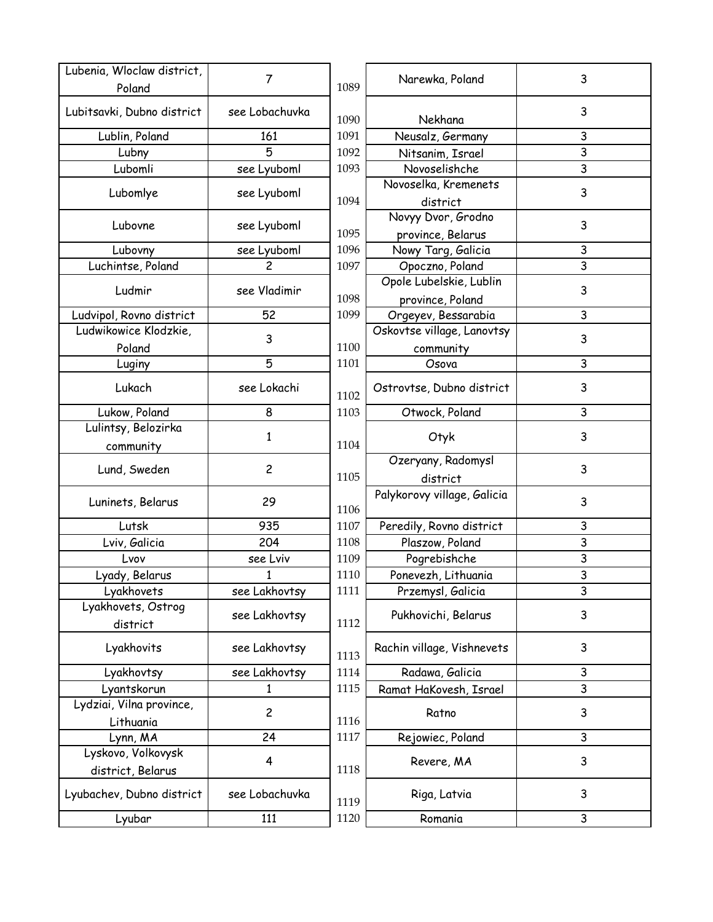| Lubenia, Wloclaw district,     | 7              |      | Narewka, Poland                             | 3              |
|--------------------------------|----------------|------|---------------------------------------------|----------------|
| Poland                         |                | 1089 |                                             |                |
| Lubitsavki, Dubno district     | see Lobachuvka | 1090 | Nekhana                                     | 3              |
| Lublin, Poland                 | 161            | 1091 | Neusalz, Germany                            | 3              |
| Lubny                          | 5              | 1092 | Nitsanim, Israel                            | 3              |
| Lubomli                        | see Lyuboml    | 1093 | Novoselishche                               | 3              |
| Lubomlye                       | see Lyuboml    | 1094 | Novoselka, Kremenets<br>district            | 3              |
| Lubovne                        | see Lyuboml    | 1095 | Novyy Dvor, Grodno<br>province, Belarus     | 3              |
| Lubovny                        | see Lyuboml    | 1096 | Nowy Targ, Galicia                          | 3              |
| Luchintse, Poland              |                | 1097 | Opoczno, Poland                             | $\overline{3}$ |
| Ludmir                         | see Vladimir   | 1098 | Opole Lubelskie, Lublin<br>province, Poland | 3              |
| Ludvipol, Rovno district       | 52             | 1099 | Orgeyev, Bessarabia                         | 3              |
| Ludwikowice Klodzkie,          |                |      | Oskovtse village, Lanovtsy                  |                |
| Poland                         | 3              | 1100 | community                                   | 3              |
| Luginy                         | 5              | 1101 | Osova                                       | 3              |
| Lukach                         | see Lokachi    | 1102 | Ostrovtse, Dubno district                   | 3              |
| Lukow, Poland                  | 8              | 1103 | Otwock, Poland                              | 3              |
| Lulintsy, Belozirka            |                |      |                                             |                |
| community                      | 1              | 1104 | Otyk                                        | 3              |
| Lund, Sweden                   | $\overline{c}$ | 1105 | Ozeryany, Radomysl<br>district              | 3              |
| Luninets, Belarus              | 29             | 1106 | Palykorovy village, Galicia                 | 3              |
| Lutsk                          | 935            | 1107 | Peredily, Rovno district                    | 3              |
| Lviv, Galicia                  | 204            | 1108 | Plaszow, Poland                             | 3              |
| Lvov                           | see Lviv       | 1109 | Pogrebishche                                | 3              |
| Lyady, Belarus                 | 1              | 1110 | Ponevezh, Lithuania                         | 3              |
| Lyakhovets                     | see Lakhovtsy  | 1111 | Przemysl, Galicia                           | 3              |
| Lyakhovets, Ostrog<br>district | see Lakhovtsy  | 1112 | Pukhovichi, Belarus                         | 3              |
| Lyakhovits                     | see Lakhovtsy  | 1113 | Rachin village, Vishnevets                  | 3              |
| Lyakhovtsy                     | see Lakhovtsy  | 1114 | Radawa, Galicia                             | 3              |
| Lyantskorun                    | 1              | 1115 | Ramat HaKovesh, Israel                      | 3              |
| Lydziai, Vilna province,       |                |      |                                             |                |
| Lithuania                      | $\overline{c}$ | 1116 | Ratno                                       | 3              |
| Lynn, MA                       | 24             | 1117 | Rejowiec, Poland                            | 3              |
| Lyskovo, Volkovysk             |                |      |                                             |                |
| district, Belarus              | 4              | 1118 | Revere, MA                                  | 3              |
| Lyubachev, Dubno district      | see Lobachuvka | 1119 | Riga, Latvia                                | 3              |
| Lyubar                         | 111            | 1120 | Romania                                     | 3              |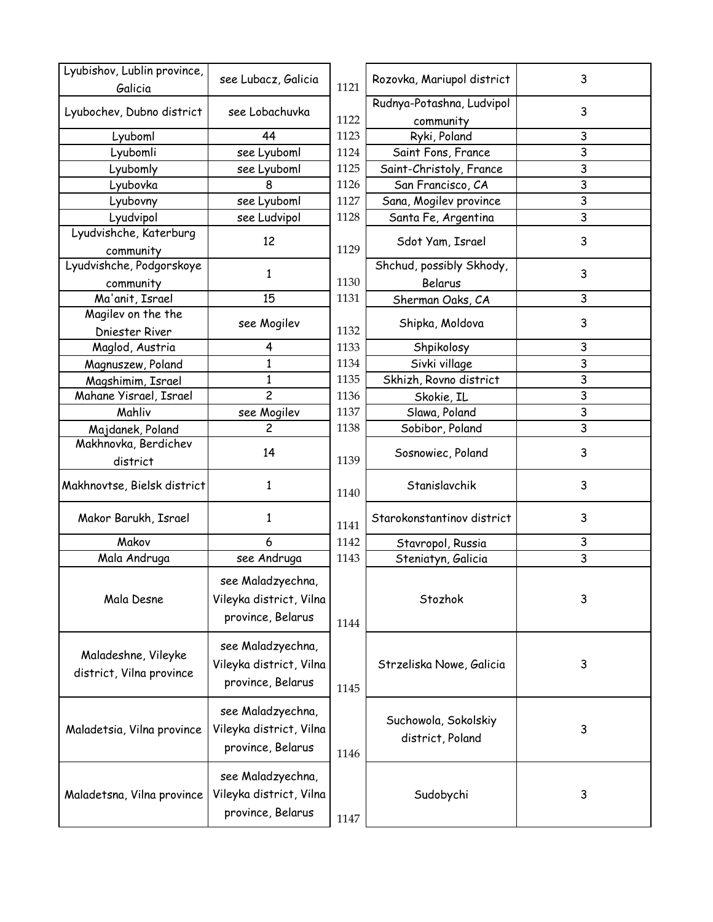| Lyubishov, Lublin province,<br>Galicia          | see Lubacz, Galicia                                               | 1121 | Rozovka, Mariupol district               | 3              |
|-------------------------------------------------|-------------------------------------------------------------------|------|------------------------------------------|----------------|
| Lyubochev, Dubno district                       | see Lobachuvka                                                    | 1122 | Rudnya-Potashna, Ludvipol<br>community   | 3              |
| Lyuboml                                         | 44                                                                | 1123 | Ryki, Poland                             | 3              |
| Lyubomli                                        | see Lyuboml                                                       | 1124 | Saint Fons, France                       | $\overline{3}$ |
| Lyubomly                                        | see Lyuboml                                                       | 1125 | Saint-Christoly, France                  | 3              |
| Lyubovka                                        | 8                                                                 | 1126 | San Francisco, CA                        | 3              |
| Lyubovny                                        | see Lyuboml                                                       | 1127 | Sana, Mogilev province                   | 3              |
| Lyudvipol                                       | see Ludvipol                                                      | 1128 | Santa Fe, Argentina                      | 3              |
| Lyudvishche, Katerburg<br>community             | 12                                                                | 1129 | Sdot Yam, Israel                         | 3              |
| Lyudvishche, Podgorskoye<br>community           | 1                                                                 | 1130 | Shchud, possibly Skhody,<br>Belarus      | 3              |
| Ma'anit, Israel                                 | 15                                                                | 1131 | Sherman Oaks, CA                         | 3              |
| Magilev on the the<br>Dniester River            | see Mogilev                                                       | 1132 | Shipka, Moldova                          | 3              |
| Maglod, Austria                                 | 4                                                                 | 1133 | Shpikolosy                               | 3              |
| Magnuszew, Poland                               | 1                                                                 | 1134 | Sivki village                            | 3              |
| Magshimim, Israel                               | 1                                                                 | 1135 | Skhizh, Rovno district                   | 3              |
| Mahane Yisrael, Israel                          | $\overline{c}$                                                    | 1136 | Skokie, IL                               | 3              |
| Mahliv                                          | see Mogilev                                                       | 1137 | Slawa, Poland                            | 3              |
| Majdanek, Poland                                | $\overline{c}$                                                    | 1138 | Sobibor, Poland                          | 3              |
| Makhnovka, Berdichev<br>district                | 14                                                                | 1139 | Sosnowiec, Poland                        | 3              |
| Makhnovtse, Bielsk district                     | 1                                                                 | 1140 | Stanislavchik                            | 3              |
| Makor Barukh, Israel                            | 1                                                                 | 1141 | Starokonstantinov district               | 3              |
| Makov                                           | 6                                                                 | 1142 | Stavropol, Russia                        | 3              |
| Mala Andruga                                    | see Andruga                                                       | 1143 | Steniatyn, Galicia                       | 3              |
| Mala Desne                                      | see Maladzyechna<br>Vileyka district, Vilna<br>province, Belarus  | 1144 | Stozhok                                  | 3              |
| Maladeshne, Vileyke<br>district, Vilna province | see Maladzyechna,<br>Vileyka district, Vilna<br>province, Belarus | 1145 | Strzeliska Nowe, Galicia                 | 3              |
| Maladetsia, Vilna province                      | see Maladzyechna,<br>Vileyka district, Vilna<br>province, Belarus | 1146 | Suchowola, Sokolskiy<br>district, Poland | 3              |
| Maladetsna, Vilna province                      | see Maladzyechna,<br>Vileyka district, Vilna<br>province, Belarus | 1147 | Sudobychi                                | 3              |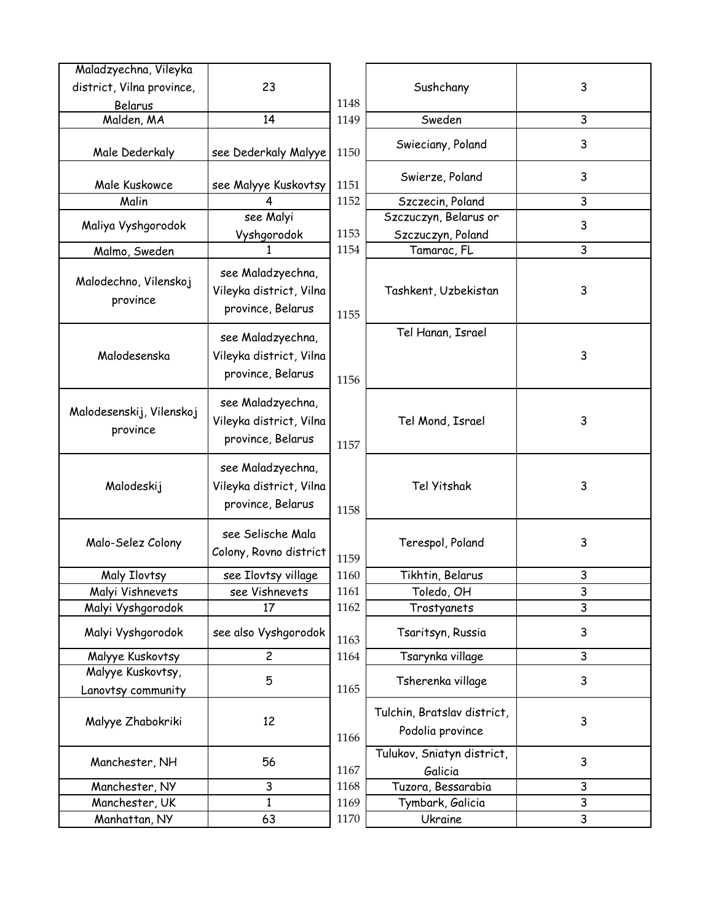| Maladzyechna, Vileyka                   |                                                                   |      |                                                 |              |
|-----------------------------------------|-------------------------------------------------------------------|------|-------------------------------------------------|--------------|
| district, Vilna province,               | 23                                                                |      | Sushchany                                       | $\mathsf 3$  |
| Belarus                                 |                                                                   | 1148 |                                                 |              |
| Malden, MA                              | 14                                                                | 1149 | Sweden                                          | 3            |
| Male Dederkaly                          | see Dederkaly Malyye                                              | 1150 | Swieciany, Poland                               | 3            |
| Male Kuskowce                           | see Malyye Kuskovtsy                                              | 1151 | Swierze, Poland                                 | 3            |
| Malin                                   | 4                                                                 | 1152 | Szczecin, Poland                                | 3            |
| Maliya Vyshgorodok                      | see Malyi<br>Vyshgorodok                                          | 1153 | Szczuczyn, Belarus or<br>Szczuczyn, Poland      | 3            |
| Malmo, Sweden                           |                                                                   | 1154 | Tamarac, FL                                     | 3            |
| Malodechno, Vilenskoj<br>province       | see Maladzyechna,<br>Vileyka district, Vilna<br>province, Belarus | 1155 | Tashkent, Uzbekistan                            | 3            |
| Malodesenska                            | see Maladzyechna,<br>Vileyka district, Vilna<br>province, Belarus | 1156 | Tel Hanan, Israel                               | 3            |
| Malodesenskij, Vilenskoj<br>province    | see Maladzyechna,<br>Vileyka district, Vilna<br>province, Belarus | 1157 | Tel Mond, Israel                                | 3            |
| Malodeskij                              | see Maladzyechna,<br>Vileyka district, Vilna<br>province, Belarus | 1158 | Tel Yitshak                                     | 3            |
| Malo-Selez Colony                       | see Selische Mala<br>Colony, Rovno district                       | 1159 | Terespol, Poland                                | 3            |
| Maly Ilovtsy                            | see Ilovtsy village                                               | 1160 | Tikhtin, Belarus                                | 3            |
| Malyi Vishnevets                        | see Vishnevets                                                    | 1161 | Toledo, OH                                      | $\mathsf 3$  |
| Malyi Vyshgorodok                       | 17                                                                | 1162 | Trostyanets                                     | 3            |
| Malyi Vyshgorodok                       | see also Vyshgorodok                                              | 1163 | Tsaritsyn, Russia                               | 3            |
| Malyye Kuskovtsy                        | $\overline{c}$                                                    | 1164 | Tsarynka village                                | 3            |
| Malyye Kuskovtsy,<br>Lanovtsy community | 5                                                                 | 1165 | Tsherenka village                               | 3            |
| Malyye Zhabokriki                       | 12                                                                | 1166 | Tulchin, Bratslav district,<br>Podolia province | 3            |
| Manchester, NH                          | 56                                                                | 1167 | Tulukov, Sniatyn district,<br>Galicia           | $\mathsf{3}$ |
| Manchester, NY                          | 3                                                                 | 1168 | Tuzora, Bessarabia                              | 3            |
| Manchester, UK                          | 1                                                                 | 1169 | Tymbark, Galicia                                | $\mathsf{3}$ |
| Manhattan, NY                           | 63                                                                | 1170 | Ukraine                                         | 3            |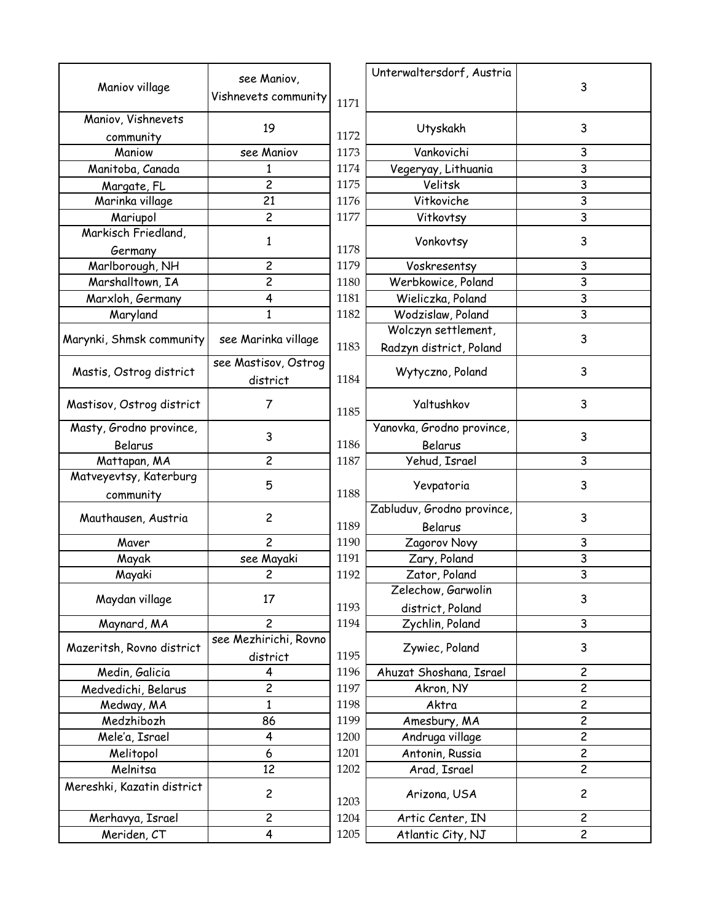|                            | see Maniov,             |      | Unterwaltersdorf, Austria  |                         |
|----------------------------|-------------------------|------|----------------------------|-------------------------|
| Maniov village             | Vishnevets community    | 1171 |                            | 3                       |
| Maniov, Vishnevets         |                         |      |                            |                         |
| community                  | 19                      | 1172 | Utyskakh                   | 3                       |
| Maniow                     | see Maniov              | 1173 | Vankovichi                 | 3                       |
| Manitoba, Canada           | 1                       | 1174 | Vegeryay, Lithuania        | $\overline{3}$          |
| Margate, FL                | $\overline{c}$          | 1175 | Velitsk                    | $\overline{3}$          |
| Marinka village            | 21                      | 1176 | Vitkoviche                 | 3                       |
| Mariupol                   | $\overline{c}$          | 1177 | Vitkovtsy                  | $\overline{3}$          |
| Markisch Friedland,        |                         |      |                            |                         |
| Germany                    | 1                       | 1178 | Vonkovtsy                  | 3                       |
| Marlborough, NH            | $\overline{\mathbf{c}}$ | 1179 | Voskresentsy               | 3                       |
| Marshalltown, IA           | $\overline{c}$          | 1180 | Werbkowice, Poland         | $\overline{3}$          |
| Marxloh, Germany           | 4                       | 1181 | Wieliczka, Poland          | $\overline{3}$          |
| Maryland                   | $\mathbf{1}$            | 1182 | Wodzislaw, Poland          | $\overline{3}$          |
|                            |                         |      | Wolczyn settlement,        |                         |
| Marynki, Shmsk community   | see Marinka village     | 1183 | Radzyn district, Poland    | 3                       |
|                            | see Mastisov, Ostrog    |      |                            |                         |
| Mastis, Ostrog district    | district                | 1184 | Wytyczno, Poland           | 3                       |
|                            |                         |      |                            |                         |
| Mastisov, Ostrog district  | 7                       | 1185 | Yaltushkov                 | 3                       |
| Masty, Grodno province,    |                         |      | Yanovka, Grodno province,  |                         |
| Belarus                    | 3                       | 1186 | Belarus                    | 3                       |
| Mattapan, MA               | $\overline{c}$          | 1187 | Yehud, Israel              | 3                       |
| Matveyevtsy, Katerburg     |                         |      |                            |                         |
| community                  | 5                       | 1188 | Yevpatoria                 | 3                       |
|                            |                         |      | Zabluduv, Grodno province, |                         |
| Mauthausen, Austria        | $\overline{c}$          | 1189 | Belarus                    | 3                       |
| Maver                      | $\overline{c}$          | 1190 | Zagorov Novy               | 3                       |
| Mayak                      | see Mayaki              | 1191 | Zary, Poland               | $\overline{3}$          |
| Mayaki                     | $\overline{c}$          | 1192 | Zator, Poland              | $\overline{3}$          |
|                            |                         |      | Zelechow, Garwolin         |                         |
| Maydan village             | 17                      | 1193 | district, Poland           | 3                       |
| Maynard, MA                | $\overline{c}$          | 1194 | Zychlin, Poland            | 3                       |
|                            | see Mezhirichi, Rovno   |      | Zywiec, Poland             |                         |
| Mazeritsh, Rovno district  | district                | 1195 |                            | 3                       |
| Medin, Galicia             | 4                       | 1196 | Ahuzat Shoshana, Israel    | $\overline{\mathbf{c}}$ |
| Medvedichi, Belarus        | $\overline{\mathbf{c}}$ | 1197 | Akron, NY                  | $\overline{\mathbf{c}}$ |
| Medway, MA                 | $\mathbf{1}$            | 1198 | Aktra                      | $\overline{\mathbf{c}}$ |
| Medzhibozh                 | 86                      | 1199 | Amesbury, MA               | $\overline{c}$          |
| Mele'a, Israel             | 4                       | 1200 | Andruga village            | $\overline{c}$          |
| Melitopol                  | 6                       | 1201 | Antonin, Russia            | $\overline{\mathbf{c}}$ |
| Melnitsa                   | 12                      | 1202 | Arad, Israel               | $\overline{c}$          |
| Mereshki, Kazatin district | $\overline{c}$          | 1203 | Arizona, USA               | $\overline{\mathbf{c}}$ |
| Merhavya, Israel           | $\overline{c}$          | 1204 | Artic Center, IN           | $\overline{\mathbf{c}}$ |
| Meriden, CT                | 4                       | 1205 | Atlantic City, NJ          | $\overline{c}$          |
|                            |                         |      |                            |                         |

|                 |      | Unterwaltersdorf, Austria  |                         |
|-----------------|------|----------------------------|-------------------------|
| e Maniov,       |      |                            | 3                       |
| ets community   | 1171 |                            |                         |
|                 |      |                            |                         |
| 19              | 1172 | Utyskakh                   | 3                       |
| ze Maniov       | 1173 | Vankovichi                 | 3                       |
| 1               | 1174 | Vegeryay, Lithuania        | 3                       |
| $\overline{c}$  | 1175 | Velitsk                    | 3                       |
| 21              | 1176 | Vitkoviche                 | 3                       |
| $\overline{c}$  | 1177 | Vitkovtsy                  | $\overline{3}$          |
| 1               | 1178 | Vonkovtsy                  | 3                       |
| $\overline{c}$  | 1179 | Voskresentsy               | 3                       |
| $\overline{c}$  | 1180 | Werbkowice, Poland         | 3                       |
| 4               | 1181 | Wieliczka, Poland          | 3                       |
| $\mathbf{1}$    | 1182 | Wodzislaw, Poland          | 3                       |
|                 |      | Wolczyn settlement,        |                         |
| arinka village  | 1183 | Radzyn district, Poland    | 3                       |
| stisov, Ostrog  |      |                            | 3                       |
| district        | 1184 | Wytyczno, Poland           |                         |
| 7               |      | Yaltushkov                 | 3                       |
|                 | 1185 |                            |                         |
| 3               |      | Yanovka, Grodno province,  | 3                       |
|                 | 1186 | Belarus                    |                         |
| $\overline{c}$  | 1187 | Yehud, Israel              | 3                       |
| 5               | 1188 | Yevpatoria                 | 3                       |
|                 |      | Zabluduv, Grodno province, | 3                       |
| $\overline{c}$  | 1189 | Belarus                    |                         |
| $\overline{c}$  | 1190 | Zagorov Novy               | 3                       |
| ee Mayaki       | 1191 | Zary, Poland               | 3                       |
| $\overline{c}$  | 1192 | Zator, Poland              | 3                       |
| 17              |      | Zelechow, Garwolin         | 3                       |
|                 | 1193 | district, Poland           |                         |
| $\overline{c}$  | 1194 | Zychlin, Poland            | 3                       |
| zhirichi, Rovno |      | Zywiec, Poland             | 3                       |
| district        | 1195 |                            |                         |
| 4               | 1196 | Ahuzat Shoshana, Israel    | 2                       |
| $\overline{c}$  | 1197 | Akron, NY                  | $\overline{c}$          |
| $\mathbf{1}$    | 1198 | Aktra                      | 2                       |
| 86              | 1199 | Amesbury, MA               | 2                       |
| 4               | 1200 | Andruga village            | $\overline{c}$          |
| 6               | 1201 | Antonin, Russia            | $\overline{\mathbf{c}}$ |
| 12              | 1202 | Arad, Israel               | $\overline{c}$          |
| $\mathbf{2}$    | 1203 | Arizona, USA               | $\overline{c}$          |
| $\mathbf{c}$    | 1204 | Artic Center, IN           | $\overline{c}$          |
| 4               | 1205 | Atlantic City, NJ          | $\overline{\mathbf{c}}$ |
|                 |      |                            |                         |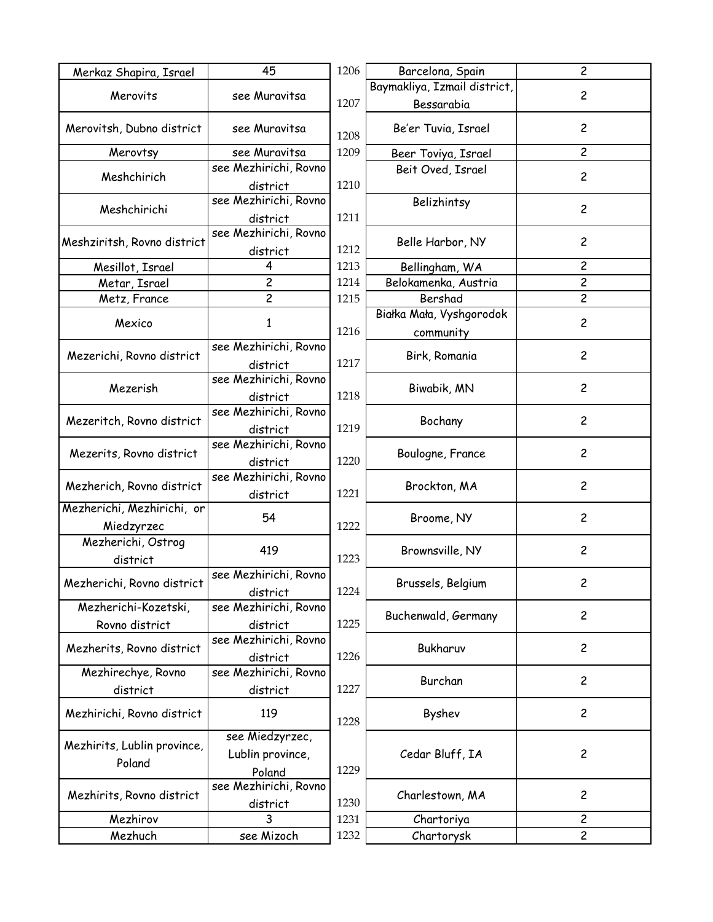| Merkaz Shapira, Israel         | 45                                | 1206 | Barcelona, Spain             | $\overline{c}$          |
|--------------------------------|-----------------------------------|------|------------------------------|-------------------------|
|                                |                                   |      | Baymakliya, Izmail district, |                         |
| Merovits                       | see Muravitsa                     | 1207 | Bessarabia                   | $\overline{c}$          |
| Merovitsh, Dubno district      | see Muravitsa                     | 1208 | Be'er Tuvia, Israel          | $\overline{c}$          |
| Merovtsy                       | see Muravitsa                     | 1209 | Beer Toviya, Israel          | $\overline{c}$          |
| Meshchirich                    | see Mezhirichi, Rovno<br>district | 1210 | Beit Oved, Israel            | $\overline{c}$          |
| Meshchirichi                   | see Mezhirichi, Rovno<br>district | 1211 | Belizhintsy                  | $\overline{c}$          |
| Meshziritsh, Rovno district    | see Mezhirichi, Rovno<br>district | 1212 | Belle Harbor, NY             | $\overline{\mathbf{c}}$ |
| Mesillot, Israel               | 4                                 | 1213 | Bellingham, WA               | $\overline{\mathbf{c}}$ |
| Metar, Israel                  | $\overline{c}$                    | 1214 | Belokamenka, Austria         | $\overline{c}$          |
| Metz, France                   | $\overline{c}$                    | 1215 | Bershad                      | $\overline{c}$          |
|                                |                                   |      | Białka Mała, Vyshgorodok     |                         |
| Mexico                         | 1                                 | 1216 |                              | $\overline{c}$          |
|                                | see Mezhirichi, Rovno             |      | community                    |                         |
| Mezerichi, Rovno district      |                                   | 1217 | Birk, Romania                | $\overline{c}$          |
|                                | district<br>see Mezhirichi, Rovno |      |                              |                         |
| Mezerish                       |                                   |      | Biwabik, MN                  | $\overline{c}$          |
|                                | district                          | 1218 |                              |                         |
| Mezeritch, Rovno district      | see Mezhirichi, Rovno             |      | Bochany                      | $\overline{c}$          |
|                                | district                          | 1219 |                              |                         |
| Mezerits, Rovno district       | see Mezhirichi, Rovno             |      | Boulogne, France             | $\overline{c}$          |
|                                | district                          | 1220 |                              |                         |
| Mezherich, Rovno district      | see Mezhirichi, Rovno             |      | Brockton, MA                 | $\overline{c}$          |
|                                | district                          | 1221 |                              |                         |
| Mezherichi, Mezhirichi, or     | 54                                |      | Broome, NY                   | $\overline{c}$          |
| Miedzyrzec                     |                                   | 1222 |                              |                         |
| Mezherichi, Ostrog<br>district | 419                               | 1223 | Brownsville, NY              | $\overline{c}$          |
| Mezherichi, Rovno district     | see Mezhirichi, Rovno<br>district | 1224 | Brussels, Belgium            | $\overline{\mathbf{c}}$ |
| Mezherichi-Kozetski,           | see Mezhirichi, Rovno             |      |                              |                         |
| Rovno district                 | district                          | 1225 | Buchenwald, Germany          | 2                       |
| Mezherits, Rovno district      | see Mezhirichi, Rovno<br>district | 1226 | Bukharuv                     | $\overline{c}$          |
| Mezhirechye, Rovno             | see Mezhirichi, Rovno             |      |                              |                         |
| district                       | district                          | 1227 | Burchan                      | $\overline{c}$          |
|                                |                                   |      |                              |                         |
| Mezhirichi, Rovno district     | 119                               | 1228 | Byshev                       | $\overline{c}$          |
| Mezhirits, Lublin province,    | see Miedzyrzec,                   |      |                              |                         |
| Poland                         | Lublin province,                  |      | Cedar Bluff, IA              | $\overline{c}$          |
|                                | Poland                            | 1229 |                              |                         |
| Mezhirits, Rovno district      | see Mezhirichi, Rovno             |      | Charlestown, MA              | $\overline{\mathbf{c}}$ |
|                                | district                          | 1230 |                              |                         |
| Mezhirov                       | 3                                 | 1231 | Chartoriya                   | $\overline{\mathbf{c}}$ |
| Mezhuch                        | see Mizoch                        | 1232 | Chartorysk                   | $\overline{c}$          |
|                                |                                   |      |                              |                         |

2

2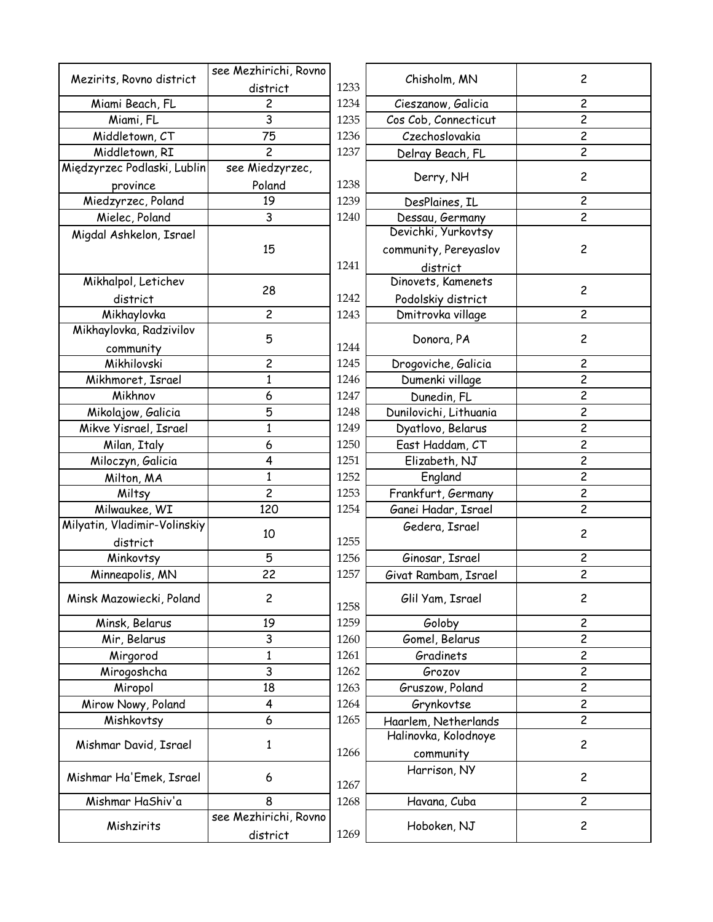|                              | see Mezhirichi, Rovno |      | Chisholm, MN           | $\overline{c}$ |
|------------------------------|-----------------------|------|------------------------|----------------|
| Mezirits, Rovno district     | district              | 1233 |                        |                |
| Miami Beach, FL              | 2                     | 1234 | Cieszanow, Galicia     | $\overline{c}$ |
| Miami, FL                    | 3                     | 1235 | Cos Cob, Connecticut   | $\overline{2}$ |
| Middletown, CT               | 75                    | 1236 | Czechoslovakia         | $\overline{c}$ |
| Middletown, RI               | $\overline{c}$        | 1237 | Delray Beach, FL       | $\overline{2}$ |
| Międzyrzec Podlaski, Lublin  | see Miedzyrzec,       |      | Derry, NH              | $\overline{c}$ |
| province                     | Poland                | 1238 |                        |                |
| Miedzyrzec, Poland           | 19                    | 1239 | DesPlaines, IL         | $\overline{2}$ |
| Mielec, Poland               | 3                     | 1240 | Dessau, Germany        | $\mathbf{2}$   |
| Migdal Ashkelon, Israel      |                       |      | Devichki, Yurkovtsy    |                |
|                              | 15                    |      | community, Pereyaslov  | $\overline{c}$ |
|                              |                       | 1241 | district               |                |
| Mikhalpol, Letichev          | 28                    |      | Dinovets, Kamenets     | $\mathbf{2}$   |
| district                     |                       | 1242 | Podolskiy district     |                |
| Mikhaylovka                  | $\overline{c}$        | 1243 | Dmitrovka village      | $\mathbf{2}$   |
| Mikhaylovka, Radzivilov      | 5                     |      | Donora, PA             | $\overline{c}$ |
| community                    |                       | 1244 |                        |                |
| Mikhilovski                  | $\overline{c}$        | 1245 | Drogoviche, Galicia    | $\overline{2}$ |
| Mikhmoret, Israel            | 1                     | 1246 | Dumenki village        | $\overline{c}$ |
| Mikhnov                      | 6                     | 1247 | Dunedin, FL            | $\overline{2}$ |
| Mikolajow, Galicia           | 5                     | 1248 | Dunilovichi, Lithuania | $\overline{c}$ |
| Mikve Yisrael, Israel        | $\mathbf{1}$          | 1249 | Dyatlovo, Belarus      | $\overline{c}$ |
| Milan, Italy                 | 6                     | 1250 | East Haddam, CT        | $\overline{2}$ |
| Miloczyn, Galicia            | 4                     | 1251 | Elizabeth, NJ          | $\overline{c}$ |
| Milton, MA                   | 1                     | 1252 | England                | $\overline{2}$ |
| Miltsy                       | $\overline{c}$        | 1253 | Frankfurt, Germany     | $\overline{c}$ |
| Milwaukee, WI                | 120                   | 1254 | Ganei Hadar, Israel    | $\overline{c}$ |
| Milyatin, Vladimir-Volinskiy |                       |      | Gedera, Israel         |                |
| district                     | 10                    | 1255 |                        | $\overline{c}$ |
| Minkovtsy                    | 5                     | 1256 | Ginosar, Israel        | $\overline{c}$ |
| Minneapolis, MN              | 22                    | 1257 | Givat Rambam, Israel   | $\overline{c}$ |
|                              |                       |      |                        |                |
| Minsk Mazowiecki, Poland     | $\overline{c}$        | 1258 | Glil Yam, Israel       | $\overline{c}$ |
| Minsk, Belarus               | 19                    | 1259 | Goloby                 | $\mathbf{2}$   |
| Mir, Belarus                 | 3                     | 1260 | Gomel, Belarus         | $\overline{c}$ |
| Mirgorod                     | $\mathbf{1}$          | 1261 | Gradinets              | $\overline{c}$ |
| Mirogoshcha                  | 3                     | 1262 | Grozov                 | $\overline{c}$ |
| Miropol                      | 18                    | 1263 | Gruszow, Poland        | $\overline{c}$ |
| Mirow Nowy, Poland           | 4                     | 1264 | Grynkovtse             | $\overline{2}$ |
| Mishkovtsy                   | 6                     | 1265 | Haarlem, Netherlands   | $\overline{2}$ |
|                              |                       |      | Halinovka, Kolodnoye   | $\overline{c}$ |
| Mishmar David, Israel        | 1                     | 1266 | community              |                |
| Mishmar Ha'Emek, Israel      | 6                     | 1267 | Harrison, NY           | $\overline{c}$ |
| Mishmar HaShiv'a             | 8                     | 1268 | Havana, Cuba           | $\overline{c}$ |
|                              | see Mezhirichi, Rovno |      |                        |                |
| Mishzirits                   | district              | 1269 | Hoboken, NJ            | $\overline{c}$ |
|                              |                       |      |                        |                |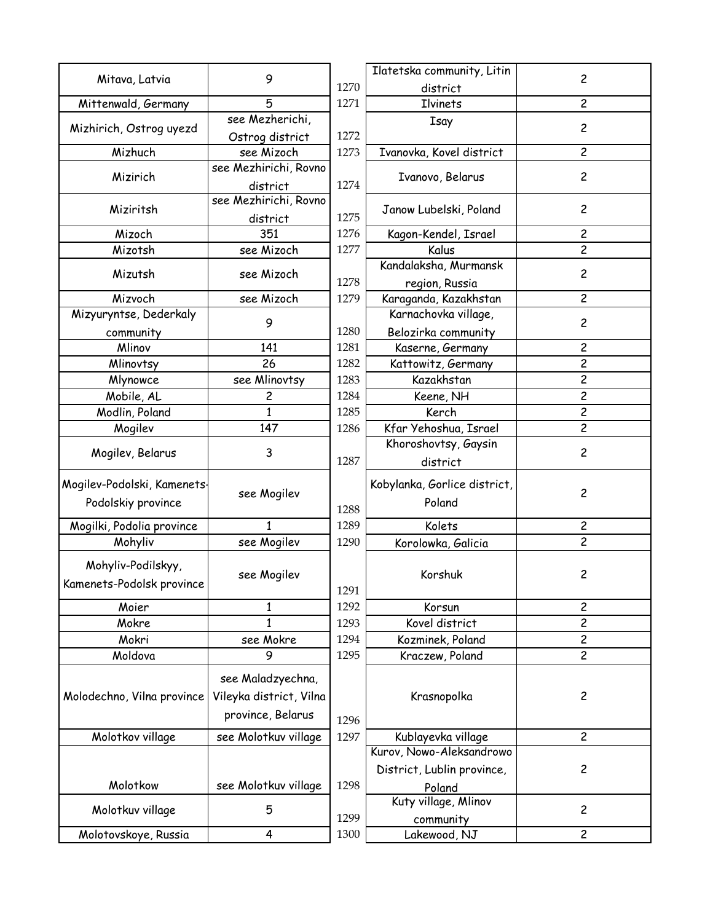|                             |                         |      | Ilatetska community, Litin   |                         |
|-----------------------------|-------------------------|------|------------------------------|-------------------------|
| Mitava, Latvia              | 9                       | 1270 | district                     | $\overline{c}$          |
| Mittenwald, Germany         | 5                       | 1271 | Ilvinets                     | $\overline{c}$          |
| Mizhirich, Ostrog uyezd     | see Mezherichi,         |      | Isay                         | $\overline{c}$          |
|                             | Ostrog district         | 1272 |                              |                         |
| Mizhuch                     | see Mizoch              | 1273 | Ivanovka, Kovel district     | $\overline{c}$          |
| Mizirich                    | see Mezhirichi, Rovno   |      | Ivanovo, Belarus             | $\overline{c}$          |
|                             | district                | 1274 |                              |                         |
| Miziritsh                   | see Mezhirichi, Rovno   |      | Janow Lubelski, Poland       | $\overline{c}$          |
|                             | district                | 1275 |                              |                         |
| Mizoch                      | 351                     | 1276 | Kagon-Kendel, Israel         | $\overline{c}$          |
| Mizotsh                     | see Mizoch              | 1277 | Kalus                        | $\overline{c}$          |
| Mizutsh                     | see Mizoch              |      | Kandalaksha, Murmansk        | $\overline{c}$          |
|                             |                         | 1278 | region, Russia               |                         |
| Mizvoch                     | see Mizoch              | 1279 | Karaganda, Kazakhstan        | $\overline{\mathsf{c}}$ |
| Mizyuryntse, Dederkaly      | 9                       |      | Karnachovka village,         | $\overline{c}$          |
| community                   |                         | 1280 | Belozirka community          |                         |
| Mlinov                      | 141                     | 1281 | Kaserne, Germany             | 2                       |
| Mlinovtsy                   | 26                      | 1282 | Kattowitz, Germany           | $\overline{c}$          |
| Mlynowce                    | see Mlinovtsy           | 1283 | Kazakhstan                   | $\overline{c}$          |
| Mobile, AL                  | 2                       | 1284 | Keene, NH                    | 2                       |
| Modlin, Poland              | $\mathbf{1}$            | 1285 | Kerch                        | $\overline{c}$          |
| Mogilev                     | 147                     | 1286 | Kfar Yehoshua, Israel        | $\overline{c}$          |
|                             |                         |      | Khoroshovtsy, Gaysin         |                         |
| Mogilev, Belarus            | 3                       | 1287 | district                     | $\overline{c}$          |
| Mogilev-Podolski, Kamenets- |                         |      |                              |                         |
|                             | see Mogilev             |      | Kobylanka, Gorlice district, | $\overline{c}$          |
| Podolskiy province          |                         | 1288 | Poland                       |                         |
| Mogilki, Podolia province   | 1                       | 1289 | Kolets                       | $\overline{c}$          |
| Mohyliv                     | see Mogilev             | 1290 | Korolowka, Galicia           | 2                       |
| Mohyliv-Podilskyy,          |                         |      |                              |                         |
|                             | see Mogilev             |      | Korshuk                      | 2                       |
| Kamenets-Podolsk province   |                         | 1291 |                              |                         |
| Moier                       | 1                       | 1292 | Korsun                       | $\overline{c}$          |
| Mokre                       | 1                       | 1293 | Kovel district               | 2                       |
| Mokri                       | see Mokre               | 1294 | Kozminek, Poland             | $\overline{c}$          |
| Moldova                     | 9                       | 1295 | Kraczew, Poland              | $\overline{c}$          |
|                             | see Maladzyechna,       |      |                              |                         |
|                             | Vileyka district, Vilna |      |                              |                         |
| Molodechno, Vilna province  |                         |      | Krasnopolka                  | $\overline{c}$          |
|                             | province, Belarus       | 1296 |                              |                         |
| Molotkov village            | see Molotkuv village    | 1297 | Kublayevka village           | $\overline{c}$          |
|                             |                         |      | Kurov, Nowo-Aleksandrowo     |                         |
|                             |                         |      | District, Lublin province,   | $\overline{c}$          |
| Molotkow                    | see Molotkuv village    | 1298 | Poland                       |                         |
|                             | 5                       |      | Kuty village, Mlinov         | $\overline{c}$          |
| Molotkuv village            |                         | 1299 | community                    |                         |
| Molotovskoye, Russia        | $\overline{\mathbf{r}}$ | 1300 | Lakewood, NJ                 | $\overline{c}$          |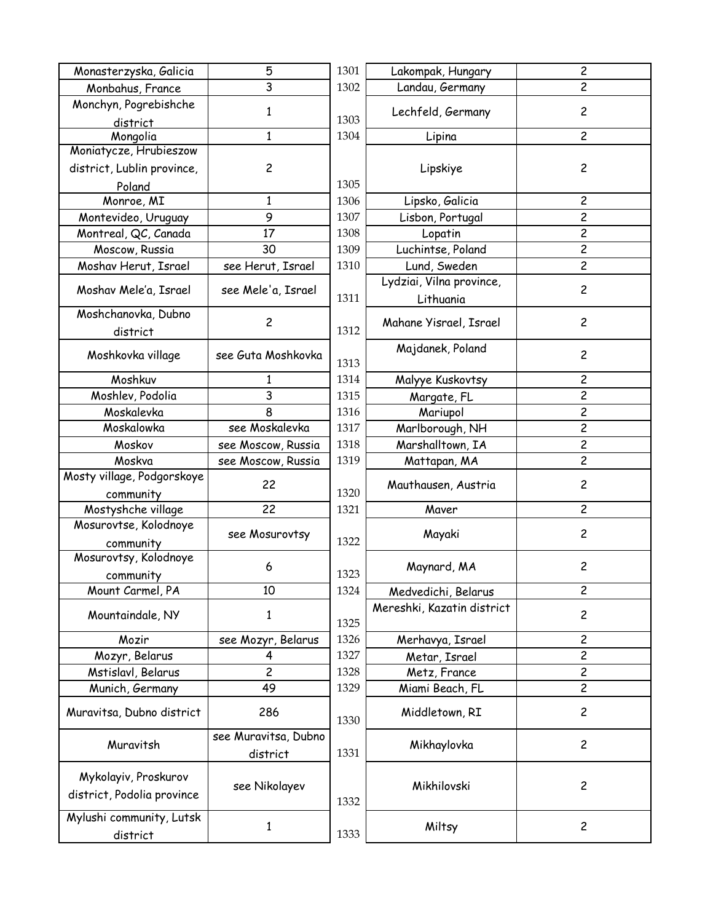| Monasterzyska, Galicia        | 5                    | 1301 | Lakompak, Hungary          | $\overline{\mathbf{c}}$ |
|-------------------------------|----------------------|------|----------------------------|-------------------------|
| Monbahus, France              | 3                    | 1302 | Landau, Germany            | $\overline{c}$          |
| Monchyn, Pogrebishche         | 1                    |      | Lechfeld, Germany          | $\overline{c}$          |
| district                      |                      | 1303 |                            |                         |
| Mongolia                      | $\mathbf{1}$         | 1304 | Lipina                     | $\overline{c}$          |
| Moniatycze, Hrubieszow        |                      |      |                            |                         |
| district, Lublin province,    | $\overline{c}$       |      | Lipskiye                   | $\overline{c}$          |
| Poland                        |                      | 1305 |                            |                         |
| Monroe, MI                    | 1                    | 1306 | Lipsko, Galicia            | $\overline{c}$          |
| Montevideo, Uruguay           | $\overline{9}$       | 1307 | Lisbon, Portugal           | $\overline{c}$          |
| Montreal, QC, Canada          | 17                   | 1308 | Lopatin                    | $\overline{c}$          |
| Moscow, Russia                | 30                   | 1309 | Luchintse, Poland          | $\overline{c}$          |
| Moshav Herut, Israel          | see Herut, Israel    | 1310 | Lund, Sweden               | $\overline{\mathbf{c}}$ |
|                               |                      |      | Lydziai, Vilna province,   |                         |
| Moshav Mele'a, Israel         | see Mele'a, Israel   | 1311 | Lithuania                  | $\overline{c}$          |
| Moshchanovka, Dubno           |                      |      |                            |                         |
| district                      | $\overline{c}$       | 1312 | Mahane Yisrael, Israel     | $\overline{c}$          |
|                               |                      |      | Majdanek, Poland           |                         |
| Moshkovka village             | see Guta Moshkovka   | 1313 |                            | $\overline{c}$          |
| Moshkuv                       | ı                    | 1314 | Malyye Kuskovtsy           | $\overline{\mathbf{c}}$ |
| Moshlev, Podolia              | 3                    | 1315 | Margate, FL                | $\overline{c}$          |
| Moskalevka                    | 8                    | 1316 | Mariupol                   | $\overline{\mathbf{c}}$ |
| Moskalowka                    | see Moskalevka       | 1317 | Marlborough, NH            | $\overline{2}$          |
| Moskov                        | see Moscow, Russia   | 1318 | Marshalltown, IA           | $\overline{c}$          |
| Moskva                        | see Moscow, Russia   | 1319 | Mattapan, MA               | $\overline{c}$          |
| Mosty village, Podgorskoye    |                      |      |                            |                         |
| community                     | 22                   | 1320 | Mauthausen, Austria        | $\overline{\mathbf{c}}$ |
| Mostyshche village            | 22                   | 1321 | Maver                      | $\overline{\mathbf{c}}$ |
| Mosurovtse, Kolodnoye         |                      |      |                            |                         |
| community                     | see Mosurovtsy       | 1322 | Mayaki                     | $\overline{c}$          |
| Mosurovtsy, Kolodnoye         |                      |      |                            |                         |
|                               | 6                    | 1323 | Maynard, MA                | $\overline{\mathbf{c}}$ |
| community<br>Mount Carmel, PA | 10                   | 1324 | Medvedichi, Belarus        | $\overline{c}$          |
|                               |                      |      | Mereshki, Kazatin district |                         |
| Mountaindale, NY              | 1                    | 1325 |                            | 2                       |
| Mozir                         | see Mozyr, Belarus   | 1326 | Merhavya, Israel           | $\overline{\mathbf{c}}$ |
| Mozyr, Belarus                | 4                    | 1327 | Metar, Israel              | $\overline{\mathbf{c}}$ |
| Mstislavl, Belarus            | $\overline{c}$       | 1328 | Metz, France               | $\overline{\mathbf{c}}$ |
| Munich, Germany               | 49                   | 1329 | Miami Beach, FL            | $\overline{c}$          |
|                               |                      |      |                            |                         |
| Muravitsa, Dubno district     | 286                  | 1330 | Middletown, RI             | $\overline{c}$          |
|                               | see Muravitsa, Dubno |      |                            |                         |
| Muravitsh                     | district             | 1331 | Mikhaylovka                | $\overline{c}$          |
|                               |                      |      |                            |                         |
| Mykolayiv, Proskurov          | see Nikolayev        |      | Mikhilovski                | $\overline{c}$          |
| district, Podolia province    |                      | 1332 |                            |                         |
| Mylushi community, Lutsk      |                      |      |                            |                         |
| district                      | $\mathbf{1}$         | 1333 | Miltsy                     | $\overline{\mathbf{c}}$ |
|                               |                      |      |                            |                         |

| 5               | 1301 | Lakompak, Hungary                     | $\overline{\mathbf{c}}$ |
|-----------------|------|---------------------------------------|-------------------------|
| 3               | 1302 | Landau, Germany                       | $\overline{c}$          |
| $\mathbf{1}$    | 1303 | Lechfeld, Germany                     | $\overline{c}$          |
| $\mathbf{1}$    | 1304 | Lipina                                | $\overline{\mathsf{c}}$ |
| $\overline{c}$  | 1305 | Lipskiye                              | $\overline{c}$          |
| $\mathbf{1}$    | 1306 | Lipsko, Galicia                       | $\overline{\mathbf{c}}$ |
| 9               | 1307 | Lisbon, Portugal                      | $\overline{\mathbf{c}}$ |
| 17              | 1308 | Lopatin                               | 2                       |
| 30              | 1309 | Luchintse, Poland                     | $\overline{\mathbf{c}}$ |
| lerut, Israel   | 1310 | Lund, Sweden                          | $\overline{\mathbf{c}}$ |
| Nele'a, Israel  | 1311 | Lydziai, Vilna province,<br>Lithuania | $\overline{c}$          |
| $\overline{c}$  | 1312 | Mahane Yisrael, Israel                | $\overline{c}$          |
| ita Moshkovka   | 1313 | Majdanek, Poland                      | $\overline{c}$          |
| 1               | 1314 | Malyye Kuskovtsy                      | 2                       |
| 3               | 1315 | Margate, FL                           | $\overline{c}$          |
| 8               | 1316 | Mariupol                              | $\overline{\mathbf{c}}$ |
| Moskalevka      | 1317 | Marlborough, NH                       | 2                       |
| oscow, Russia   | 1318 | Marshalltown, IA                      | $\overline{\mathbf{c}}$ |
| oscow, Russia   | 1319 | Mattapan, MA                          | $\overline{c}$          |
| 22              | 1320 | Mauthausen, Austria                   | $\overline{\mathbf{c}}$ |
| 22              | 1321 | Maver                                 | $\overline{c}$          |
| Mosurovtsy      | 1322 | Mayaki                                | 2                       |
| 6               | 1323 | Maynard, MA                           | $\overline{c}$          |
| 10              | 1324 | Medvedichi, Belarus                   | 2                       |
| 1               | 1325 | Mereshki, Kazatin district            | $\overline{c}$          |
| ozyr, Belarus   | 1326 | Merhavya, Israel                      | $\overline{\mathbf{c}}$ |
| 4               | 1327 | Metar, Israel                         | 2                       |
| $\overline{c}$  | 1328 | Metz, France                          | 2                       |
| 49              | 1329 | Miami Beach, FL                       | $\overline{c}$          |
| 286             | 1330 | Middletown, RI                        | 2                       |
| ıravitsa, Dubno |      | Mikhaylovka                           | $\overline{c}$          |
| district        | 1331 |                                       |                         |
| : Nikolayev     | 1332 | Mikhilovski                           | $\overline{c}$          |
| $\mathbf 1$     | 1333 | Miltsy                                | $\overline{c}$          |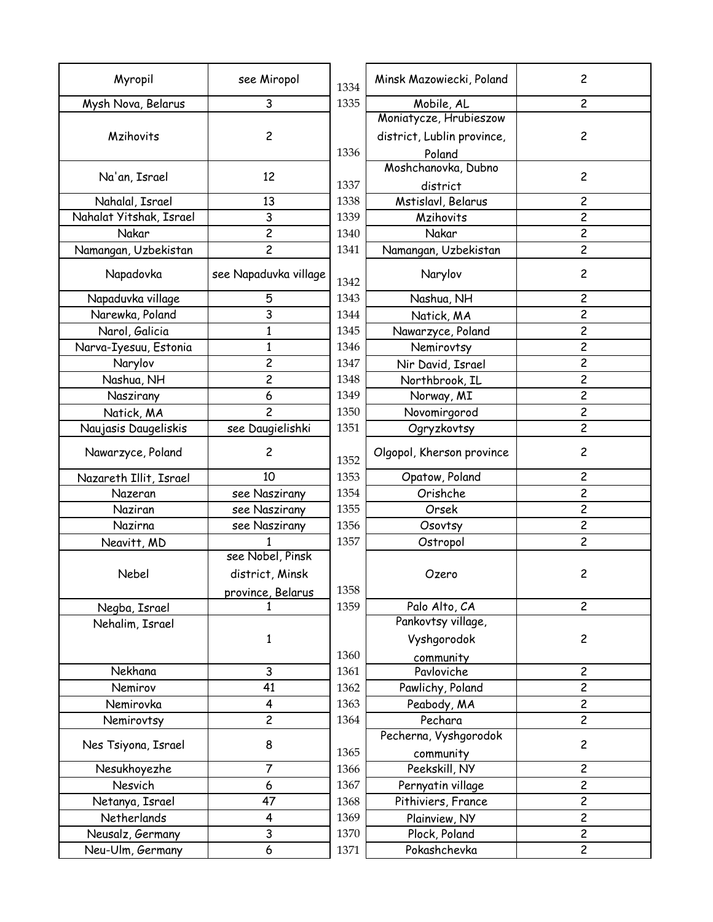| Mysh Nova, Belarus<br>1335<br>2<br>3<br>Mobile, AL<br>Moniatycze, Hrubieszow<br>Mzihovits<br>$\overline{c}$<br>district, Lublin province,<br>$\overline{c}$<br>1336<br>Poland<br>Moshchanovka, Dubno<br>$\overline{c}$<br>Na'an, Israel<br>12<br>1337<br>district<br>Mstislavl, Belarus<br>Nahalal, Israel<br>13<br>1338<br>2<br>3<br>$\overline{c}$<br>Nahalat Yitshak, Israel<br>1339<br>Mzihovits<br>$\overline{c}$<br>$\overline{c}$<br>Nakar<br>1340<br>Nakar<br>$\overline{c}$<br>$\overline{c}$<br>Namangan, Uzbekistan<br>1341<br>Namangan, Uzbekistan<br>see Napaduvka village<br>$\overline{c}$<br>Napadovka<br>Narylov<br>1342<br>5<br>1343<br>2<br>Napaduvka village<br>Nashua, NH<br>3<br>$\overline{c}$<br>Narewka, Poland<br>1344<br>Natick, MA<br>2<br>Narol, Galicia<br>$\mathbf{1}$<br>1345<br>Nawarzyce, Poland<br>$\mathbf{1}$<br>$\overline{\mathbf{c}}$<br>Narva-Iyesuu, Estonia<br>1346<br>Nemirovtsy<br>$\overline{c}$<br>2<br>1347<br>Narylov<br>Nir David, Israel<br>$\overline{c}$<br>2<br>Nashua, NH<br>1348<br>Northbrook, IL<br>$\overline{c}$<br>Naszirany<br>6<br>Norway, MI<br>1349<br>$\overline{c}$<br>1350<br>$\overline{c}$<br>Novomirgorod<br>Natick, MA<br>$\overline{c}$<br>Naujasis Daugeliskis<br>see Daugielishki<br>1351<br>Ogryzkovtsy<br>$\overline{c}$<br>Nawarzyce, Poland<br>$\overline{c}$<br>Olgopol, Kherson province<br>1352<br>1353<br>$\overline{c}$<br>10<br>Opatow, Poland<br>Nazareth Illit, Israel<br>Orishche<br>2<br>Nazeran<br>see Naszirany<br>1354<br>$\overline{\mathbf{c}}$<br>1355<br>see Naszirany<br>Orsek<br>Naziran<br>2<br>1356<br>Nazirna<br>see Naszirany<br>Osovtsy<br>$\overline{c}$<br>1357<br>Ostropol<br>Neavitt, MD<br>see Nobel, Pinsk<br>$\overline{c}$<br>Nebel<br>district, Minsk<br>Ozero<br>1358<br>province, Belarus<br>1359<br>Palo Alto, CA<br>$\overline{c}$<br>Negba, Israel<br>Pankovtsy village,<br>Nehalim, Israel<br>Vyshgorodok<br>$\overline{c}$<br>1<br>1360<br>community<br>Nekhana<br>$\overline{c}$<br>3<br>Pavloviche<br>1361<br>$\overline{c}$<br>41<br>Nemirov<br>1362<br>Pawlichy, Poland<br>$\overline{2}$<br>Nemirovka<br>$\overline{4}$<br>Peabody, MA<br>1363<br>$\overline{c}$<br>$\overline{c}$<br>Pechara<br>1364<br>Nemirovtsy<br>Pecherna, Vyshgorodok<br>$\overline{c}$<br>Nes Tsiyona, Israel<br>8<br>1365<br>community<br>Nesukhoyezhe<br>$\overline{7}$<br>1366<br>Peekskill, NY<br>$\overline{c}$<br>$\overline{2}$<br>Nesvich<br>6<br>1367<br>Pernyatin village<br>$\overline{c}$<br>47<br>Netanya, Israel<br>1368<br>Pithiviers, France<br>$\overline{c}$<br>4<br>Netherlands<br>1369<br>Plainview, NY<br>$\overline{c}$<br>$\mathsf{3}$<br>1370<br>Neusalz, Germany<br>Plock, Poland<br>Pokashchevka<br>$\overline{c}$<br>Neu-Ulm, Germany<br>6<br>1371 | Myropil | see Miropol | 1334 | Minsk Mazowiecki, Poland | $\overline{c}$ |
|-----------------------------------------------------------------------------------------------------------------------------------------------------------------------------------------------------------------------------------------------------------------------------------------------------------------------------------------------------------------------------------------------------------------------------------------------------------------------------------------------------------------------------------------------------------------------------------------------------------------------------------------------------------------------------------------------------------------------------------------------------------------------------------------------------------------------------------------------------------------------------------------------------------------------------------------------------------------------------------------------------------------------------------------------------------------------------------------------------------------------------------------------------------------------------------------------------------------------------------------------------------------------------------------------------------------------------------------------------------------------------------------------------------------------------------------------------------------------------------------------------------------------------------------------------------------------------------------------------------------------------------------------------------------------------------------------------------------------------------------------------------------------------------------------------------------------------------------------------------------------------------------------------------------------------------------------------------------------------------------------------------------------------------------------------------------------------------------------------------------------------------------------------------------------------------------------------------------------------------------------------------------------------------------------------------------------------------------------------------------------------------------------------------------------------------------------------------------------------------------------------------------------------------------------------------------------------------------------------------------------------------------------------------------------------------------------------------------------------------------------------------------------------------|---------|-------------|------|--------------------------|----------------|
|                                                                                                                                                                                                                                                                                                                                                                                                                                                                                                                                                                                                                                                                                                                                                                                                                                                                                                                                                                                                                                                                                                                                                                                                                                                                                                                                                                                                                                                                                                                                                                                                                                                                                                                                                                                                                                                                                                                                                                                                                                                                                                                                                                                                                                                                                                                                                                                                                                                                                                                                                                                                                                                                                                                                                                                   |         |             |      |                          |                |
|                                                                                                                                                                                                                                                                                                                                                                                                                                                                                                                                                                                                                                                                                                                                                                                                                                                                                                                                                                                                                                                                                                                                                                                                                                                                                                                                                                                                                                                                                                                                                                                                                                                                                                                                                                                                                                                                                                                                                                                                                                                                                                                                                                                                                                                                                                                                                                                                                                                                                                                                                                                                                                                                                                                                                                                   |         |             |      |                          |                |
|                                                                                                                                                                                                                                                                                                                                                                                                                                                                                                                                                                                                                                                                                                                                                                                                                                                                                                                                                                                                                                                                                                                                                                                                                                                                                                                                                                                                                                                                                                                                                                                                                                                                                                                                                                                                                                                                                                                                                                                                                                                                                                                                                                                                                                                                                                                                                                                                                                                                                                                                                                                                                                                                                                                                                                                   |         |             |      |                          |                |
|                                                                                                                                                                                                                                                                                                                                                                                                                                                                                                                                                                                                                                                                                                                                                                                                                                                                                                                                                                                                                                                                                                                                                                                                                                                                                                                                                                                                                                                                                                                                                                                                                                                                                                                                                                                                                                                                                                                                                                                                                                                                                                                                                                                                                                                                                                                                                                                                                                                                                                                                                                                                                                                                                                                                                                                   |         |             |      |                          |                |
|                                                                                                                                                                                                                                                                                                                                                                                                                                                                                                                                                                                                                                                                                                                                                                                                                                                                                                                                                                                                                                                                                                                                                                                                                                                                                                                                                                                                                                                                                                                                                                                                                                                                                                                                                                                                                                                                                                                                                                                                                                                                                                                                                                                                                                                                                                                                                                                                                                                                                                                                                                                                                                                                                                                                                                                   |         |             |      |                          |                |
|                                                                                                                                                                                                                                                                                                                                                                                                                                                                                                                                                                                                                                                                                                                                                                                                                                                                                                                                                                                                                                                                                                                                                                                                                                                                                                                                                                                                                                                                                                                                                                                                                                                                                                                                                                                                                                                                                                                                                                                                                                                                                                                                                                                                                                                                                                                                                                                                                                                                                                                                                                                                                                                                                                                                                                                   |         |             |      |                          |                |
|                                                                                                                                                                                                                                                                                                                                                                                                                                                                                                                                                                                                                                                                                                                                                                                                                                                                                                                                                                                                                                                                                                                                                                                                                                                                                                                                                                                                                                                                                                                                                                                                                                                                                                                                                                                                                                                                                                                                                                                                                                                                                                                                                                                                                                                                                                                                                                                                                                                                                                                                                                                                                                                                                                                                                                                   |         |             |      |                          |                |
|                                                                                                                                                                                                                                                                                                                                                                                                                                                                                                                                                                                                                                                                                                                                                                                                                                                                                                                                                                                                                                                                                                                                                                                                                                                                                                                                                                                                                                                                                                                                                                                                                                                                                                                                                                                                                                                                                                                                                                                                                                                                                                                                                                                                                                                                                                                                                                                                                                                                                                                                                                                                                                                                                                                                                                                   |         |             |      |                          |                |
|                                                                                                                                                                                                                                                                                                                                                                                                                                                                                                                                                                                                                                                                                                                                                                                                                                                                                                                                                                                                                                                                                                                                                                                                                                                                                                                                                                                                                                                                                                                                                                                                                                                                                                                                                                                                                                                                                                                                                                                                                                                                                                                                                                                                                                                                                                                                                                                                                                                                                                                                                                                                                                                                                                                                                                                   |         |             |      |                          |                |
|                                                                                                                                                                                                                                                                                                                                                                                                                                                                                                                                                                                                                                                                                                                                                                                                                                                                                                                                                                                                                                                                                                                                                                                                                                                                                                                                                                                                                                                                                                                                                                                                                                                                                                                                                                                                                                                                                                                                                                                                                                                                                                                                                                                                                                                                                                                                                                                                                                                                                                                                                                                                                                                                                                                                                                                   |         |             |      |                          |                |
|                                                                                                                                                                                                                                                                                                                                                                                                                                                                                                                                                                                                                                                                                                                                                                                                                                                                                                                                                                                                                                                                                                                                                                                                                                                                                                                                                                                                                                                                                                                                                                                                                                                                                                                                                                                                                                                                                                                                                                                                                                                                                                                                                                                                                                                                                                                                                                                                                                                                                                                                                                                                                                                                                                                                                                                   |         |             |      |                          |                |
|                                                                                                                                                                                                                                                                                                                                                                                                                                                                                                                                                                                                                                                                                                                                                                                                                                                                                                                                                                                                                                                                                                                                                                                                                                                                                                                                                                                                                                                                                                                                                                                                                                                                                                                                                                                                                                                                                                                                                                                                                                                                                                                                                                                                                                                                                                                                                                                                                                                                                                                                                                                                                                                                                                                                                                                   |         |             |      |                          |                |
|                                                                                                                                                                                                                                                                                                                                                                                                                                                                                                                                                                                                                                                                                                                                                                                                                                                                                                                                                                                                                                                                                                                                                                                                                                                                                                                                                                                                                                                                                                                                                                                                                                                                                                                                                                                                                                                                                                                                                                                                                                                                                                                                                                                                                                                                                                                                                                                                                                                                                                                                                                                                                                                                                                                                                                                   |         |             |      |                          |                |
|                                                                                                                                                                                                                                                                                                                                                                                                                                                                                                                                                                                                                                                                                                                                                                                                                                                                                                                                                                                                                                                                                                                                                                                                                                                                                                                                                                                                                                                                                                                                                                                                                                                                                                                                                                                                                                                                                                                                                                                                                                                                                                                                                                                                                                                                                                                                                                                                                                                                                                                                                                                                                                                                                                                                                                                   |         |             |      |                          |                |
|                                                                                                                                                                                                                                                                                                                                                                                                                                                                                                                                                                                                                                                                                                                                                                                                                                                                                                                                                                                                                                                                                                                                                                                                                                                                                                                                                                                                                                                                                                                                                                                                                                                                                                                                                                                                                                                                                                                                                                                                                                                                                                                                                                                                                                                                                                                                                                                                                                                                                                                                                                                                                                                                                                                                                                                   |         |             |      |                          |                |
|                                                                                                                                                                                                                                                                                                                                                                                                                                                                                                                                                                                                                                                                                                                                                                                                                                                                                                                                                                                                                                                                                                                                                                                                                                                                                                                                                                                                                                                                                                                                                                                                                                                                                                                                                                                                                                                                                                                                                                                                                                                                                                                                                                                                                                                                                                                                                                                                                                                                                                                                                                                                                                                                                                                                                                                   |         |             |      |                          |                |
|                                                                                                                                                                                                                                                                                                                                                                                                                                                                                                                                                                                                                                                                                                                                                                                                                                                                                                                                                                                                                                                                                                                                                                                                                                                                                                                                                                                                                                                                                                                                                                                                                                                                                                                                                                                                                                                                                                                                                                                                                                                                                                                                                                                                                                                                                                                                                                                                                                                                                                                                                                                                                                                                                                                                                                                   |         |             |      |                          |                |
|                                                                                                                                                                                                                                                                                                                                                                                                                                                                                                                                                                                                                                                                                                                                                                                                                                                                                                                                                                                                                                                                                                                                                                                                                                                                                                                                                                                                                                                                                                                                                                                                                                                                                                                                                                                                                                                                                                                                                                                                                                                                                                                                                                                                                                                                                                                                                                                                                                                                                                                                                                                                                                                                                                                                                                                   |         |             |      |                          |                |
|                                                                                                                                                                                                                                                                                                                                                                                                                                                                                                                                                                                                                                                                                                                                                                                                                                                                                                                                                                                                                                                                                                                                                                                                                                                                                                                                                                                                                                                                                                                                                                                                                                                                                                                                                                                                                                                                                                                                                                                                                                                                                                                                                                                                                                                                                                                                                                                                                                                                                                                                                                                                                                                                                                                                                                                   |         |             |      |                          |                |
|                                                                                                                                                                                                                                                                                                                                                                                                                                                                                                                                                                                                                                                                                                                                                                                                                                                                                                                                                                                                                                                                                                                                                                                                                                                                                                                                                                                                                                                                                                                                                                                                                                                                                                                                                                                                                                                                                                                                                                                                                                                                                                                                                                                                                                                                                                                                                                                                                                                                                                                                                                                                                                                                                                                                                                                   |         |             |      |                          |                |
|                                                                                                                                                                                                                                                                                                                                                                                                                                                                                                                                                                                                                                                                                                                                                                                                                                                                                                                                                                                                                                                                                                                                                                                                                                                                                                                                                                                                                                                                                                                                                                                                                                                                                                                                                                                                                                                                                                                                                                                                                                                                                                                                                                                                                                                                                                                                                                                                                                                                                                                                                                                                                                                                                                                                                                                   |         |             |      |                          |                |
|                                                                                                                                                                                                                                                                                                                                                                                                                                                                                                                                                                                                                                                                                                                                                                                                                                                                                                                                                                                                                                                                                                                                                                                                                                                                                                                                                                                                                                                                                                                                                                                                                                                                                                                                                                                                                                                                                                                                                                                                                                                                                                                                                                                                                                                                                                                                                                                                                                                                                                                                                                                                                                                                                                                                                                                   |         |             |      |                          |                |
|                                                                                                                                                                                                                                                                                                                                                                                                                                                                                                                                                                                                                                                                                                                                                                                                                                                                                                                                                                                                                                                                                                                                                                                                                                                                                                                                                                                                                                                                                                                                                                                                                                                                                                                                                                                                                                                                                                                                                                                                                                                                                                                                                                                                                                                                                                                                                                                                                                                                                                                                                                                                                                                                                                                                                                                   |         |             |      |                          |                |
|                                                                                                                                                                                                                                                                                                                                                                                                                                                                                                                                                                                                                                                                                                                                                                                                                                                                                                                                                                                                                                                                                                                                                                                                                                                                                                                                                                                                                                                                                                                                                                                                                                                                                                                                                                                                                                                                                                                                                                                                                                                                                                                                                                                                                                                                                                                                                                                                                                                                                                                                                                                                                                                                                                                                                                                   |         |             |      |                          |                |
|                                                                                                                                                                                                                                                                                                                                                                                                                                                                                                                                                                                                                                                                                                                                                                                                                                                                                                                                                                                                                                                                                                                                                                                                                                                                                                                                                                                                                                                                                                                                                                                                                                                                                                                                                                                                                                                                                                                                                                                                                                                                                                                                                                                                                                                                                                                                                                                                                                                                                                                                                                                                                                                                                                                                                                                   |         |             |      |                          |                |
|                                                                                                                                                                                                                                                                                                                                                                                                                                                                                                                                                                                                                                                                                                                                                                                                                                                                                                                                                                                                                                                                                                                                                                                                                                                                                                                                                                                                                                                                                                                                                                                                                                                                                                                                                                                                                                                                                                                                                                                                                                                                                                                                                                                                                                                                                                                                                                                                                                                                                                                                                                                                                                                                                                                                                                                   |         |             |      |                          |                |
|                                                                                                                                                                                                                                                                                                                                                                                                                                                                                                                                                                                                                                                                                                                                                                                                                                                                                                                                                                                                                                                                                                                                                                                                                                                                                                                                                                                                                                                                                                                                                                                                                                                                                                                                                                                                                                                                                                                                                                                                                                                                                                                                                                                                                                                                                                                                                                                                                                                                                                                                                                                                                                                                                                                                                                                   |         |             |      |                          |                |
|                                                                                                                                                                                                                                                                                                                                                                                                                                                                                                                                                                                                                                                                                                                                                                                                                                                                                                                                                                                                                                                                                                                                                                                                                                                                                                                                                                                                                                                                                                                                                                                                                                                                                                                                                                                                                                                                                                                                                                                                                                                                                                                                                                                                                                                                                                                                                                                                                                                                                                                                                                                                                                                                                                                                                                                   |         |             |      |                          |                |
|                                                                                                                                                                                                                                                                                                                                                                                                                                                                                                                                                                                                                                                                                                                                                                                                                                                                                                                                                                                                                                                                                                                                                                                                                                                                                                                                                                                                                                                                                                                                                                                                                                                                                                                                                                                                                                                                                                                                                                                                                                                                                                                                                                                                                                                                                                                                                                                                                                                                                                                                                                                                                                                                                                                                                                                   |         |             |      |                          |                |
|                                                                                                                                                                                                                                                                                                                                                                                                                                                                                                                                                                                                                                                                                                                                                                                                                                                                                                                                                                                                                                                                                                                                                                                                                                                                                                                                                                                                                                                                                                                                                                                                                                                                                                                                                                                                                                                                                                                                                                                                                                                                                                                                                                                                                                                                                                                                                                                                                                                                                                                                                                                                                                                                                                                                                                                   |         |             |      |                          |                |
|                                                                                                                                                                                                                                                                                                                                                                                                                                                                                                                                                                                                                                                                                                                                                                                                                                                                                                                                                                                                                                                                                                                                                                                                                                                                                                                                                                                                                                                                                                                                                                                                                                                                                                                                                                                                                                                                                                                                                                                                                                                                                                                                                                                                                                                                                                                                                                                                                                                                                                                                                                                                                                                                                                                                                                                   |         |             |      |                          |                |
|                                                                                                                                                                                                                                                                                                                                                                                                                                                                                                                                                                                                                                                                                                                                                                                                                                                                                                                                                                                                                                                                                                                                                                                                                                                                                                                                                                                                                                                                                                                                                                                                                                                                                                                                                                                                                                                                                                                                                                                                                                                                                                                                                                                                                                                                                                                                                                                                                                                                                                                                                                                                                                                                                                                                                                                   |         |             |      |                          |                |
|                                                                                                                                                                                                                                                                                                                                                                                                                                                                                                                                                                                                                                                                                                                                                                                                                                                                                                                                                                                                                                                                                                                                                                                                                                                                                                                                                                                                                                                                                                                                                                                                                                                                                                                                                                                                                                                                                                                                                                                                                                                                                                                                                                                                                                                                                                                                                                                                                                                                                                                                                                                                                                                                                                                                                                                   |         |             |      |                          |                |
|                                                                                                                                                                                                                                                                                                                                                                                                                                                                                                                                                                                                                                                                                                                                                                                                                                                                                                                                                                                                                                                                                                                                                                                                                                                                                                                                                                                                                                                                                                                                                                                                                                                                                                                                                                                                                                                                                                                                                                                                                                                                                                                                                                                                                                                                                                                                                                                                                                                                                                                                                                                                                                                                                                                                                                                   |         |             |      |                          |                |
|                                                                                                                                                                                                                                                                                                                                                                                                                                                                                                                                                                                                                                                                                                                                                                                                                                                                                                                                                                                                                                                                                                                                                                                                                                                                                                                                                                                                                                                                                                                                                                                                                                                                                                                                                                                                                                                                                                                                                                                                                                                                                                                                                                                                                                                                                                                                                                                                                                                                                                                                                                                                                                                                                                                                                                                   |         |             |      |                          |                |
|                                                                                                                                                                                                                                                                                                                                                                                                                                                                                                                                                                                                                                                                                                                                                                                                                                                                                                                                                                                                                                                                                                                                                                                                                                                                                                                                                                                                                                                                                                                                                                                                                                                                                                                                                                                                                                                                                                                                                                                                                                                                                                                                                                                                                                                                                                                                                                                                                                                                                                                                                                                                                                                                                                                                                                                   |         |             |      |                          |                |
|                                                                                                                                                                                                                                                                                                                                                                                                                                                                                                                                                                                                                                                                                                                                                                                                                                                                                                                                                                                                                                                                                                                                                                                                                                                                                                                                                                                                                                                                                                                                                                                                                                                                                                                                                                                                                                                                                                                                                                                                                                                                                                                                                                                                                                                                                                                                                                                                                                                                                                                                                                                                                                                                                                                                                                                   |         |             |      |                          |                |
|                                                                                                                                                                                                                                                                                                                                                                                                                                                                                                                                                                                                                                                                                                                                                                                                                                                                                                                                                                                                                                                                                                                                                                                                                                                                                                                                                                                                                                                                                                                                                                                                                                                                                                                                                                                                                                                                                                                                                                                                                                                                                                                                                                                                                                                                                                                                                                                                                                                                                                                                                                                                                                                                                                                                                                                   |         |             |      |                          |                |
|                                                                                                                                                                                                                                                                                                                                                                                                                                                                                                                                                                                                                                                                                                                                                                                                                                                                                                                                                                                                                                                                                                                                                                                                                                                                                                                                                                                                                                                                                                                                                                                                                                                                                                                                                                                                                                                                                                                                                                                                                                                                                                                                                                                                                                                                                                                                                                                                                                                                                                                                                                                                                                                                                                                                                                                   |         |             |      |                          |                |
|                                                                                                                                                                                                                                                                                                                                                                                                                                                                                                                                                                                                                                                                                                                                                                                                                                                                                                                                                                                                                                                                                                                                                                                                                                                                                                                                                                                                                                                                                                                                                                                                                                                                                                                                                                                                                                                                                                                                                                                                                                                                                                                                                                                                                                                                                                                                                                                                                                                                                                                                                                                                                                                                                                                                                                                   |         |             |      |                          |                |
|                                                                                                                                                                                                                                                                                                                                                                                                                                                                                                                                                                                                                                                                                                                                                                                                                                                                                                                                                                                                                                                                                                                                                                                                                                                                                                                                                                                                                                                                                                                                                                                                                                                                                                                                                                                                                                                                                                                                                                                                                                                                                                                                                                                                                                                                                                                                                                                                                                                                                                                                                                                                                                                                                                                                                                                   |         |             |      |                          |                |
|                                                                                                                                                                                                                                                                                                                                                                                                                                                                                                                                                                                                                                                                                                                                                                                                                                                                                                                                                                                                                                                                                                                                                                                                                                                                                                                                                                                                                                                                                                                                                                                                                                                                                                                                                                                                                                                                                                                                                                                                                                                                                                                                                                                                                                                                                                                                                                                                                                                                                                                                                                                                                                                                                                                                                                                   |         |             |      |                          |                |
|                                                                                                                                                                                                                                                                                                                                                                                                                                                                                                                                                                                                                                                                                                                                                                                                                                                                                                                                                                                                                                                                                                                                                                                                                                                                                                                                                                                                                                                                                                                                                                                                                                                                                                                                                                                                                                                                                                                                                                                                                                                                                                                                                                                                                                                                                                                                                                                                                                                                                                                                                                                                                                                                                                                                                                                   |         |             |      |                          |                |
|                                                                                                                                                                                                                                                                                                                                                                                                                                                                                                                                                                                                                                                                                                                                                                                                                                                                                                                                                                                                                                                                                                                                                                                                                                                                                                                                                                                                                                                                                                                                                                                                                                                                                                                                                                                                                                                                                                                                                                                                                                                                                                                                                                                                                                                                                                                                                                                                                                                                                                                                                                                                                                                                                                                                                                                   |         |             |      |                          |                |
|                                                                                                                                                                                                                                                                                                                                                                                                                                                                                                                                                                                                                                                                                                                                                                                                                                                                                                                                                                                                                                                                                                                                                                                                                                                                                                                                                                                                                                                                                                                                                                                                                                                                                                                                                                                                                                                                                                                                                                                                                                                                                                                                                                                                                                                                                                                                                                                                                                                                                                                                                                                                                                                                                                                                                                                   |         |             |      |                          |                |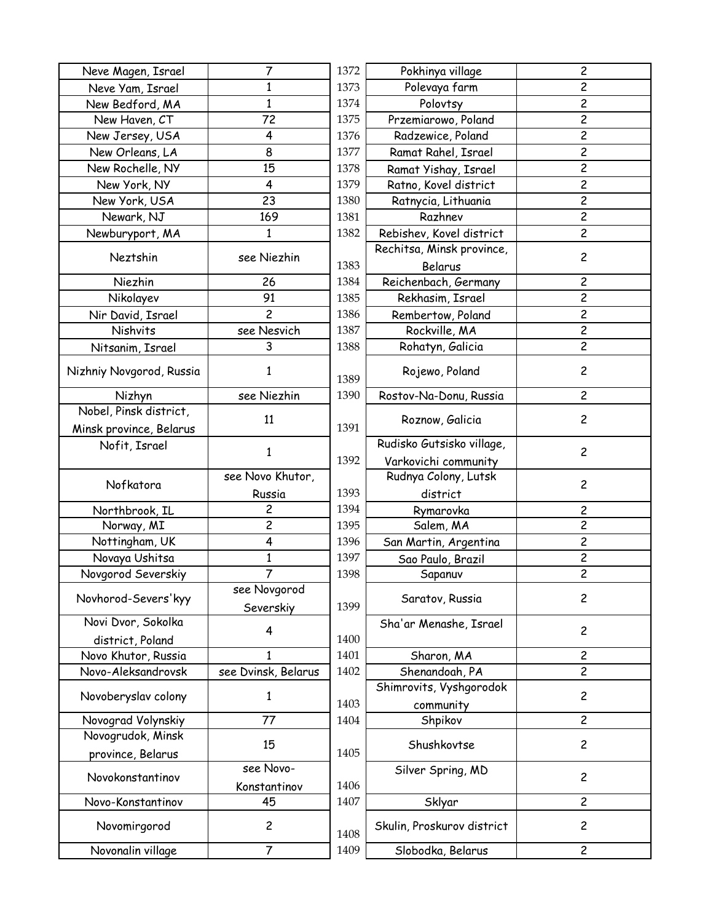| Neve Magen, Israel       | 7                   | 1372 | Pokhinya village          |
|--------------------------|---------------------|------|---------------------------|
| Neve Yam, Israel         | 1                   | 1373 | Polevaya farm             |
| New Bedford, MA          | $\mathbf{1}$        | 1374 | Polovtsy                  |
| New Haven, CT            | 72                  | 1375 | Przemiarowo, Poland       |
| New Jersey, USA          | 4                   | 1376 | Radzewice, Poland         |
| New Orleans, LA          | 8                   | 1377 | Ramat Rahel, Israel       |
| New Rochelle, NY         | 15                  | 1378 | Ramat Yishay, Israel      |
| New York, NY             | 4                   | 1379 | Ratno, Kovel district     |
| New York, USA            | 23                  | 1380 | Ratnycia, Lithuania       |
| Newark, NJ               | 169                 | 1381 | Razhnev                   |
| Newburyport, MA          | 1                   | 1382 | Rebishev, Kovel district  |
| Neztshin                 |                     |      | Rechitsa, Minsk province  |
|                          | see Niezhin         | 1383 | Belarus                   |
| Niezhin                  | 26                  | 1384 | Reichenbach, Germany      |
| Nikolayev                | 91                  | 1385 | Rekhasim, Israel          |
| Nir David, Israel        | $\overline{c}$      | 1386 | Rembertow, Poland         |
| Nishvits                 | see Nesvich         | 1387 | Rockville, MA             |
| Nitsanim, Israel         | 3                   | 1388 | Rohatyn, Galicia          |
|                          |                     |      |                           |
| Nizhniy Novgorod, Russia | 1                   | 1389 | Rojewo, Poland            |
| Nizhyn                   | see Niezhin         | 1390 | Rostov-Na-Donu, Russia    |
| Nobel, Pinsk district,   | 11                  |      | Roznow, Galicia           |
| Minsk province, Belarus  |                     | 1391 |                           |
| Nofit, Israel            | $\mathbf{1}$        |      | Rudisko Gutsisko village  |
|                          |                     | 1392 | Varkovichi community      |
| Nofkatora                | see Novo Khutor,    |      | Rudnya Colony, Lutsk      |
|                          | Russia              | 1393 | district                  |
| Northbrook, IL           | 2                   | 1394 | Rymarovka                 |
| Norway, MI               | $\overline{c}$      | 1395 | Salem, MA                 |
| Nottingham, UK           | 4                   | 1396 | San Martin, Argentina     |
| Novaya Ushitsa           | $\mathbf{1}$        | 1397 | Sao Paulo, Brazil         |
| Novgorod Severskiy       | 7                   | 1398 | Sapanuv                   |
| Novhorod-Severs'kyy      | see Novgorod        |      |                           |
|                          | Severskiy           | 1399 | Saratov, Russia           |
| Novi Dvor, Sokolka       |                     |      | Sha'ar Menashe, Israel    |
| district, Poland         | 4                   | 1400 |                           |
| Novo Khutor, Russia      | 1                   | 1401 | Sharon, MA                |
| Novo-Aleksandrovsk       | see Dvinsk, Belarus | 1402 | Shenandoah, PA            |
|                          |                     |      | Shimrovits, Vyshgorodol   |
| Novoberyslav colony      | 1                   | 1403 | community                 |
| Novograd Volynskiy       | 77                  | 1404 | Shpikov                   |
| Novogrudok, Minsk        |                     |      |                           |
| province, Belarus        | 15                  | 1405 | Shushkovtse               |
|                          | see Novo-           |      | Silver Spring, MD         |
| Novokonstantinov         | Konstantinov        | 1406 |                           |
| Novo-Konstantinov        | 45                  | 1407 | Sklyar                    |
| Novomirgorod             | $\overline{c}$      | 1408 | Skulin, Proskurov distric |
| Novonalin village        | 7                   | 1409 | Slobodka, Belarus         |
|                          |                     |      |                           |

| 7               | 1372 | Pokhinya village           | $\overline{\mathbf{c}}$ |
|-----------------|------|----------------------------|-------------------------|
| $\mathbf{1}$    | 1373 | Polevaya farm              | 2                       |
| 1               | 1374 | Polovtsy                   | $\overline{c}$          |
| 72              | 1375 | Przemiarowo, Poland        | $\overline{\mathbf{c}}$ |
| 4               | 1376 | Radzewice, Poland          | $\overline{c}$          |
| 8               | 1377 | Ramat Rahel, Israel        | $\overline{\mathbf{c}}$ |
| 15              | 1378 | Ramat Yishay, Israel       | $\overline{\mathbf{c}}$ |
| 4               | 1379 | Ratno, Kovel district      | 2                       |
| 23              | 1380 | Ratnycia, Lithuania        | $\overline{c}$          |
| 169             | 1381 | Razhnev                    | $\overline{\mathbf{c}}$ |
| 1               | 1382 | Rebishev, Kovel district   | $\overline{\mathbf{c}}$ |
| 'ee Niezhin     |      | Rechitsa, Minsk province,  | $\overline{c}$          |
|                 | 1383 | Belarus                    |                         |
| 26              | 1384 | Reichenbach, Germany       | $\overline{c}$          |
| 91              | 1385 | Rekhasim, Israel           | $\overline{c}$          |
| 2               | 1386 | Rembertow, Poland          | $\overline{\mathbf{c}}$ |
| ee Nesvich      | 1387 | Rockville, MA              | $\overline{c}$          |
| 3               | 1388 | Rohatyn, Galicia           | $\overline{c}$          |
|                 |      |                            |                         |
| $\mathbf{1}$    | 1389 | Rojewo, Poland             | $\overline{c}$          |
| ee Niezhin      | 1390 | Rostov-Na-Donu, Russia     | $\overline{c}$          |
|                 |      |                            |                         |
| 11              | 1391 | Roznow, Galicia            | $\overline{c}$          |
|                 |      | Rudisko Gutsisko village,  |                         |
| $\mathbf{1}$    | 1392 | Varkovichi community       | $\overline{c}$          |
| Novo Khutor,    |      | Rudnya Colony, Lutsk       |                         |
| Russia          | 1393 | district                   | $\overline{c}$          |
| 2               | 1394 | Rymarovka                  | 2                       |
| $\overline{c}$  | 1395 | Salem, MA                  | $\overline{2}$          |
| 4               | 1396 | San Martin, Argentina      | $\overline{c}$          |
| $\mathbf{1}$    | 1397 | Sao Paulo, Brazil          | $\overline{\mathbf{c}}$ |
| $\overline{7}$  | 1398 | Sapanuv                    | $\overline{c}$          |
| e Novgorod      |      |                            |                         |
| Severskiy       | 1399 | Saratov, Russia            | $\overline{c}$          |
|                 |      | Sha'ar Menashe, Israel     |                         |
| 4               | 1400 |                            | $\overline{c}$          |
| 1               | 1401 | Sharon, MA                 | $\overline{c}$          |
| )vinsk, Belarus | 1402 | Shenandoah, PA             | $\overline{c}$          |
|                 |      | Shimrovits, Vyshgorodok    |                         |
| 1               | 1403 | community                  | $\overline{c}$          |
| 77              | 1404 | Shpikov                    | $\overline{c}$          |
|                 |      |                            |                         |
| 15              | 1405 | Shushkovtse                | $\overline{c}$          |
| see Novo-       |      | Silver Spring, MD          |                         |
| onstantinov     | 1406 |                            | $\overline{c}$          |
| 45              | 1407 | Sklyar                     | $\overline{c}$          |
|                 |      |                            |                         |
| 2               | 1408 | Skulin, Proskurov district | 2                       |
| 7               | 1409 | Slobodka, Belarus          | $\overline{c}$          |
|                 |      |                            |                         |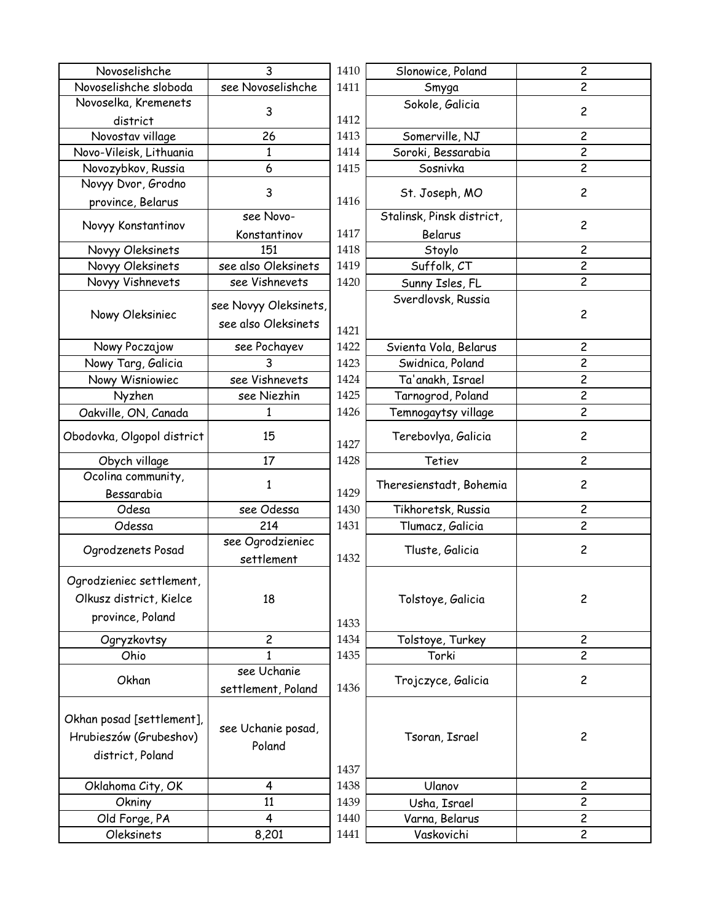| Novoselishche              | 3                     | 1410 | Slonowice, Poland         | $\overline{c}$ |
|----------------------------|-----------------------|------|---------------------------|----------------|
| Novoselishche sloboda      | see Novoselishche     | 1411 | Smyga                     | 2              |
| Novoselka, Kremenets       | 3                     |      | Sokole, Galicia           | $\overline{c}$ |
| district                   |                       | 1412 |                           |                |
| Novostav village           | 26                    | 1413 | Somerville, NJ            | 2              |
| Novo-Vileisk, Lithuania    | $\mathbf 1$           | 1414 | Soroki, Bessarabia        | $\overline{2}$ |
| Novozybkov, Russia         | 6                     | 1415 | Sosnivka                  | $\overline{c}$ |
| Novyy Dvor, Grodno         | 3                     |      | St. Joseph, MO            | $\overline{c}$ |
| province, Belarus          |                       | 1416 |                           |                |
| Novyy Konstantinov         | see Novo-             |      | Stalinsk, Pinsk district, | $\overline{c}$ |
|                            | Konstantinov          | 1417 | Belarus                   |                |
| Novyy Oleksinets           | 151                   | 1418 | Stoylo                    | $\overline{c}$ |
| Novyy Oleksinets           | see also Oleksinets   | 1419 | Suffolk, CT               | $\overline{c}$ |
| Novyy Vishnevets           | see Vishnevets        | 1420 | Sunny Isles, FL           | $\overline{c}$ |
|                            | see Novyy Oleksinets, |      | Sverdlovsk, Russia        |                |
| Nowy Oleksiniec            | see also Oleksinets   |      |                           | $\overline{c}$ |
|                            |                       | 1421 |                           |                |
| Nowy Poczajow              | see Pochayev          | 1422 | Svienta Vola, Belarus     | $\overline{c}$ |
| Nowy Targ, Galicia         | 3                     | 1423 | Swidnica, Poland          | 2              |
| Nowy Wisniowiec            | see Vishnevets        | 1424 | Ta'anakh, Israel          | $\overline{c}$ |
| Nyzhen                     | see Niezhin           | 1425 | Tarnogrod, Poland         | $\overline{c}$ |
| Oakville, ON, Canada       | 1                     | 1426 | Temnogaytsy village       | $\overline{c}$ |
| Obodovka, Olgopol district | 15                    | 1427 | Terebovlya, Galicia       | $\overline{c}$ |
|                            |                       |      |                           |                |
| Obych village              | 17                    | 1428 | Tetiev                    | $\overline{c}$ |
| Ocolina community,         |                       |      |                           |                |
| Bessarabia                 | 1                     | 1429 | Theresienstadt, Bohemia   | $\overline{c}$ |
| Odesa                      | see Odessa            | 1430 | Tikhoretsk, Russia        | $\overline{c}$ |
| Odessa                     | 214                   | 1431 | Tlumacz, Galicia          | $\overline{c}$ |
|                            | see Ogrodzieniec      |      |                           |                |
| Ogrodzenets Posad          | settlement            | 1432 | Tluste, Galicia           | $\overline{c}$ |
|                            |                       |      |                           |                |
| Ogrodzieniec settlement,   |                       |      |                           |                |
| Olkusz district, Kielce    | 18                    |      | Tolstoye, Galicia         | $\overline{c}$ |
| province, Poland           |                       | 1433 |                           |                |
| Ogryzkovtsy                | $\overline{c}$        | 1434 | Tolstoye, Turkey          | $\overline{c}$ |
| Ohio                       | 1                     | 1435 | Torki                     | $\overline{c}$ |
|                            | see Uchanie           |      |                           |                |
| Okhan                      | settlement, Poland    | 1436 | Trojczyce, Galicia        | $\overline{c}$ |
|                            |                       |      |                           |                |
| Okhan posad [settlement],  |                       |      |                           |                |
| Hrubieszów (Grubeshov)     | see Uchanie posad,    |      | Tsoran, Israel            | $\overline{c}$ |
| district, Poland           | Poland                |      |                           |                |
|                            |                       | 1437 |                           |                |
| Oklahoma City, OK          | $\overline{4}$        | 1438 | Ulanov                    | $\overline{c}$ |
| Okniny                     | 11                    | 1439 | Usha, Israel              | $\mathbf{2}$   |
| Old Forge, PA              | $\overline{4}$        | 1440 | Varna, Belarus            | $\overline{c}$ |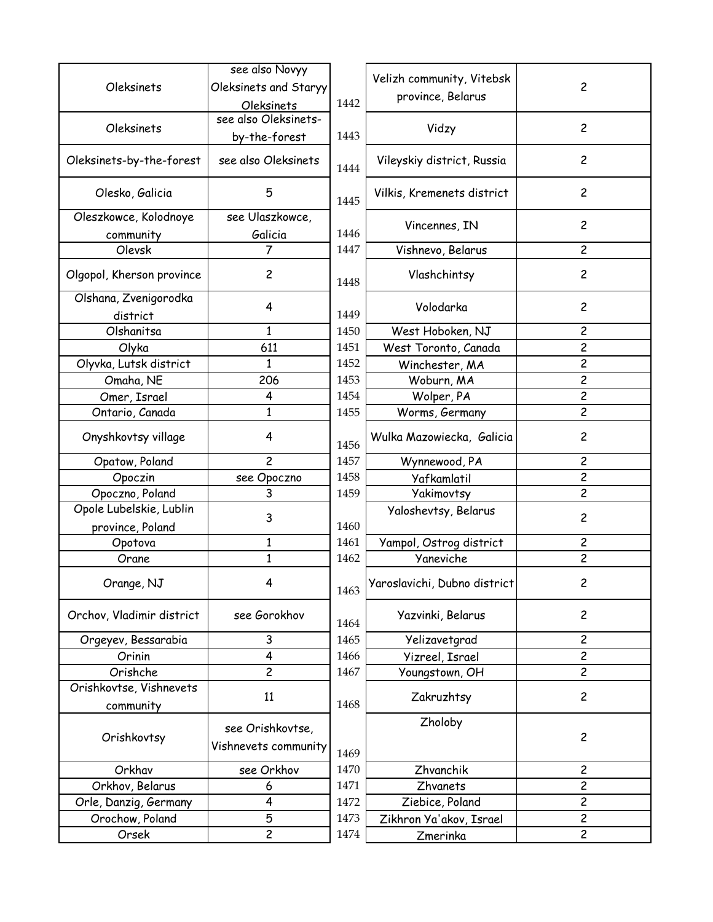| Oleksinets                | see also Novyy<br>Oleksinets and Staryy |      | Velizh community, Vitebsk    | 2                       |
|---------------------------|-----------------------------------------|------|------------------------------|-------------------------|
|                           | Oleksinets                              | 1442 | province, Belarus            |                         |
|                           | see also Oleksinets-                    |      |                              |                         |
| Oleksinets                | by-the-forest                           | 1443 | Vidzy                        | $\overline{c}$          |
| Oleksinets-by-the-forest  | see also Oleksinets                     | 1444 | Vileyskiy district, Russia   | $\overline{c}$          |
| Olesko, Galicia           | 5                                       | 1445 | Vilkis, Kremenets district   | $\overline{c}$          |
| Oleszkowce, Kolodnoye     | see Ulaszkowce,                         |      | Vincennes, IN                | $\overline{c}$          |
| community                 | Galicia                                 | 1446 |                              |                         |
| Olevsk                    | 7                                       | 1447 | Vishnevo, Belarus            | $\overline{c}$          |
| Olgopol, Kherson province | $\overline{c}$                          | 1448 | Vlashchintsy                 | $\overline{c}$          |
| Olshana, Zvenigorodka     | 4                                       |      | Volodarka                    | $\overline{c}$          |
| district                  |                                         | 1449 |                              |                         |
| Olshanitsa                | $\mathbf{1}$                            | 1450 | West Hoboken, NJ             | 2                       |
| Olyka                     | 611                                     | 1451 | West Toronto, Canada         | $\overline{c}$          |
| Olyvka, Lutsk district    | 1                                       | 1452 | Winchester, MA               | $\overline{\mathsf{c}}$ |
| Omaha, NE                 | 206                                     | 1453 | Woburn, MA                   | $\overline{\mathsf{c}}$ |
| Omer, Israel              | 4                                       | 1454 | Wolper, PA                   | $\overline{c}$          |
| Ontario, Canada           | $\mathbf{1}$                            | 1455 | Worms, Germany               | 2                       |
| Onyshkovtsy village       | 4                                       | 1456 | Wulka Mazowiecka, Galicia    | $\overline{c}$          |
| Opatow, Poland            | $\overline{c}$                          | 1457 | Wynnewood, PA                | 2                       |
| Opoczin                   | see Opoczno                             | 1458 | Yafkamlatil                  | $\overline{c}$          |
| Opoczno, Poland           | 3                                       | 1459 | Yakimovtsy                   | $\overline{c}$          |
| Opole Lubelskie, Lublin   | 3                                       |      | Yaloshevtsy, Belarus         | $\overline{c}$          |
| province, Poland          |                                         | 1460 |                              |                         |
| Opotova                   | $\mathbf{1}$                            | 1461 | Yampol, Ostrog district      | $\overline{c}$          |
| Orane                     | $\mathbf{1}$                            | 1462 | Yaneviche                    | $\overline{c}$          |
| Orange, NJ                | 4                                       | 1463 | Yaroslavichi, Dubno district | $\overline{c}$          |
| Orchov, Vladimir district | see Gorokhov                            | 1464 | Yazvinki, Belarus            | $\overline{c}$          |
| Orgeyev, Bessarabia       | 3                                       | 1465 | Yelizavetgrad                | $\overline{\mathsf{c}}$ |
| Orinin                    | $\overline{\mathbf{4}}$                 | 1466 | <b>Yizreel, Israel</b>       | $\overline{c}$          |
| Orishche                  | $\overline{c}$                          | 1467 | Youngstown, OH               | $\overline{c}$          |
| Orishkovtse, Vishnevets   | 11                                      |      | Zakruzhtsy                   | $\overline{c}$          |
| community                 |                                         | 1468 |                              |                         |
|                           | see Orishkovtse,                        |      | Zholoby                      |                         |
| Orishkovtsy               |                                         |      |                              | $\overline{c}$          |
|                           | Vishnevets community                    | 1469 |                              |                         |
| Orkhav                    | see Orkhov                              | 1470 | Zhvanchik                    | $\overline{c}$          |
| Orkhov, Belarus           | 6                                       | 1471 | Zhvanets                     | 2                       |
| Orle, Danzig, Germany     | 4                                       | 1472 | Ziebice, Poland              | $\overline{2}$          |
| Orochow, Poland           | 5                                       | 1473 | Zikhron Ya'akov, Israel      | $\overline{c}$          |
| Orsek                     | $\overline{c}$                          | 1474 | Zmerinka                     | $\overline{c}$          |
|                           |                                         |      |                              |                         |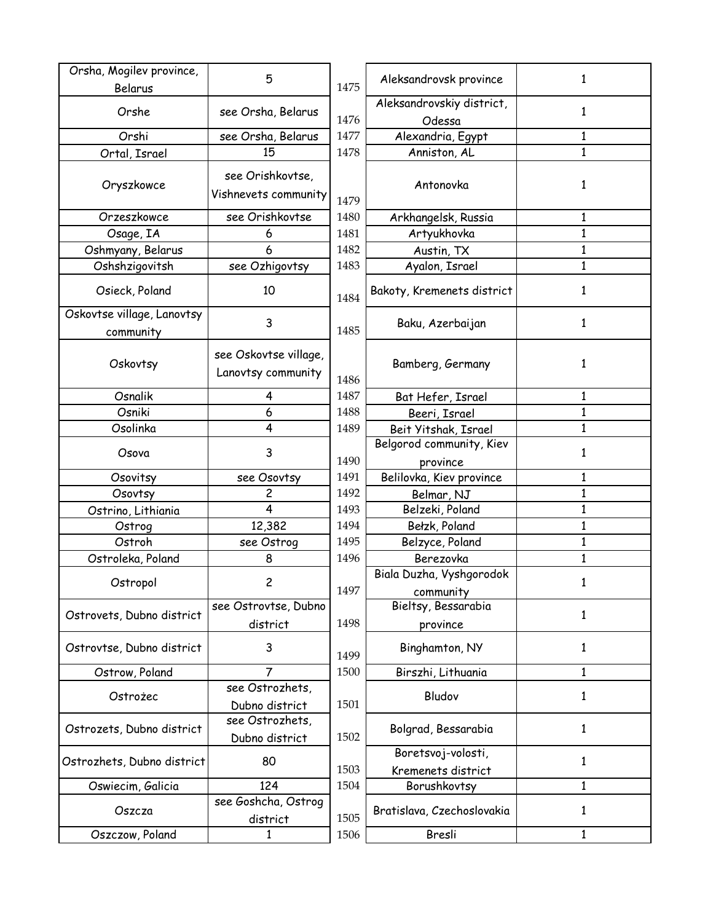| Orsha, Mogilev province,   | 5                               |      | Aleksandrovsk province     | 1            |
|----------------------------|---------------------------------|------|----------------------------|--------------|
| Belarus                    |                                 | 1475 |                            |              |
| Orshe                      | see Orsha, Belarus              |      | Aleksandrovskiy district,  | $\mathbf{1}$ |
| Orshi                      |                                 | 1476 | Odessa                     |              |
|                            | see Orsha, Belarus              | 1477 | Alexandria, Egypt          | 1            |
| Ortal, Israel              | 15                              | 1478 | Anniston, AL               | $\mathbf{1}$ |
|                            | see Orishkovtse,                |      |                            |              |
| Oryszkowce                 | Vishnevets community            | 1479 | Antonovka                  | 1            |
| Orzeszkowce                | see Orishkovtse                 | 1480 | Arkhangelsk, Russia        | 1            |
| Osage, IA                  | 6                               | 1481 | Artyukhovka                | $\mathbf{1}$ |
| Oshmyany, Belarus          | 6                               | 1482 | Austin, TX                 | $\mathbf{1}$ |
| Oshshzigovitsh             | see Ozhigovtsy                  | 1483 | Ayalon, Israel             | 1            |
|                            |                                 |      |                            |              |
| Osieck, Poland             | 10                              | 1484 | Bakoty, Kremenets district | $\mathbf{1}$ |
| Oskovtse village, Lanovtsy |                                 |      |                            |              |
| community                  | 3                               | 1485 | Baku, Azerbaijan           | 1            |
|                            | see Oskovtse village,           |      |                            |              |
| Oskovtsy                   |                                 |      | Bamberg, Germany           | 1            |
|                            | Lanovtsy community              | 1486 |                            |              |
| Osnalik                    | 4                               | 1487 | Bat Hefer, Israel          | 1            |
| Osniki                     | 6                               | 1488 | Beeri, Israel              | $\mathbf{1}$ |
| Osolinka                   | $\overline{4}$                  | 1489 | Beit Yitshak, Israel       | $\mathbf{1}$ |
| Osova                      | 3                               |      | Belgorod community, Kiev   | 1            |
|                            |                                 | 1490 | province                   |              |
| Osovitsy                   | see Osovtsy                     | 1491 | Belilovka, Kiev province   | 1            |
| Osovtsy                    | 2                               | 1492 | Belmar, NJ                 | $\mathbf{1}$ |
| Ostrino, Lithiania         | 4                               | 1493 | Belzeki, Poland            | $\mathbf 1$  |
| Ostrog                     | 12,382                          | 1494 | Bełzk, Poland              | $\mathbf{1}$ |
| Ostroh                     | see Ostrog                      | 1495 | Belzyce, Poland            | $\mathbf{1}$ |
| Ostroleka, Poland          | 8                               | 1496 | Berezovka                  | $\mathbf{1}$ |
| Ostropol                   | 2                               |      | Biala Duzha, Vyshgorodok   | 1            |
|                            |                                 | 1497 | community                  |              |
| Ostrovets, Dubno district  | see Ostrovtse, Dubno            |      | Bieltsy, Bessarabia        | 1            |
|                            | district                        | 1498 | province                   |              |
| Ostrovtse, Dubno district  | 3                               | 1499 | Binghamton, NY             | 1            |
| Ostrow, Poland             | 7                               | 1500 | Birszhi, Lithuania         | 1            |
|                            | see Ostrozhets,                 |      | Bludov                     |              |
| Ostrożec                   | Dubno district                  | 1501 |                            | 1            |
|                            | see Ostrozhets,                 |      |                            |              |
| Ostrozets, Dubno district  | Dubno district                  | 1502 | Bolgrad, Bessarabia        | 1            |
|                            |                                 |      | Boretsvoj-volosti,         |              |
| Ostrozhets, Dubno district | 80                              | 1503 | Kremenets district         | 1            |
| Oswiecim, Galicia          | 124                             | 1504 | Borushkovtsy               | $\mathbf{1}$ |
| Oszcza                     | see Goshcha, Ostrog<br>district | 1505 | Bratislava, Czechoslovakia | 1            |
| Oszczow, Poland            | 1                               | 1506 | Bresli                     | $\mathbf{1}$ |
|                            |                                 |      |                            |              |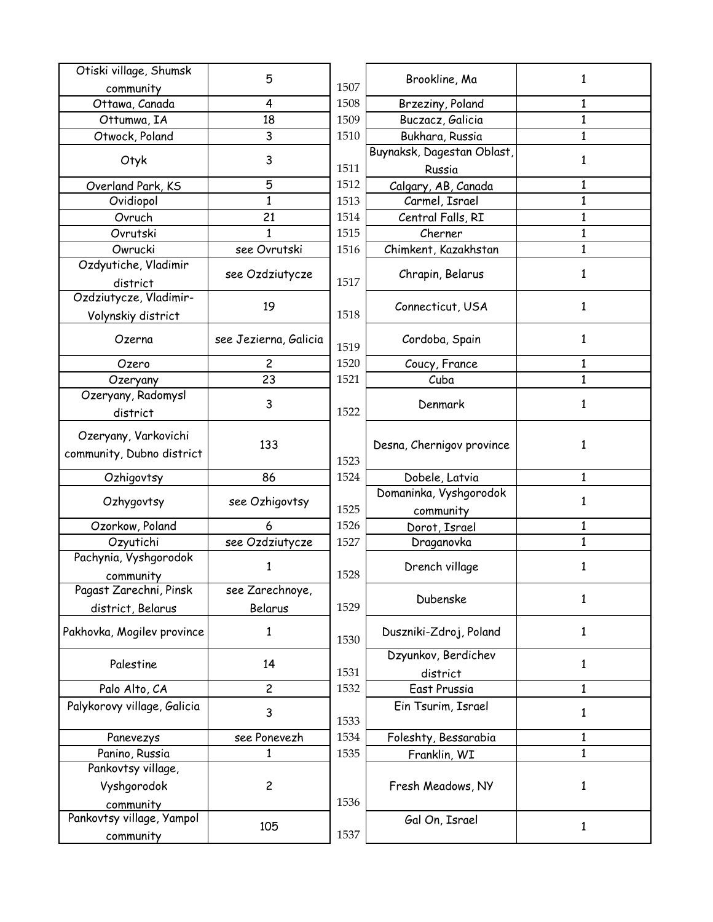| Otiski village, Shumsk      |                       |      |                            |              |
|-----------------------------|-----------------------|------|----------------------------|--------------|
| community                   | 5                     | 1507 | Brookline, Ma              | 1            |
| Ottawa, Canada              | 4                     | 1508 | Brzeziny, Poland           | 1            |
| Ottumwa, IA                 | 18                    | 1509 | Buczacz, Galicia           | $\mathbf{1}$ |
| Otwock, Poland              | 3                     | 1510 | Bukhara, Russia            | $\mathbf{1}$ |
|                             |                       |      | Buynaksk, Dagestan Oblast, |              |
| Otyk                        | 3                     | 1511 | Russia                     | 1            |
| Overland Park, KS           | 5                     | 1512 | Calgary, AB, Canada        | 1            |
| Ovidiopol                   | $\mathbf{1}$          | 1513 | Carmel, Israel             | $\mathbf{1}$ |
| Ovruch                      | 21                    | 1514 | Central Falls, RI          | $\mathbf{1}$ |
| Ovrutski                    | $\mathbf{1}$          | 1515 | Cherner                    | $\mathbf{1}$ |
| Owrucki                     | see Ovrutski          | 1516 | Chimkent, Kazakhstan       | $\mathbf{1}$ |
| Ozdyutiche, Vladimir        |                       |      |                            |              |
| district                    | see Ozdziutycze       | 1517 | Chrapin, Belarus           | 1            |
| Ozdziutycze, Vladimir-      |                       |      |                            |              |
| Volynskiy district          | 19                    | 1518 | Connecticut, USA           | 1            |
|                             |                       |      |                            |              |
| Ozerna                      | see Jezierna, Galicia | 1519 | Cordoba, Spain             | 1            |
| Ozero                       | $\overline{c}$        | 1520 | Coucy, France              | 1            |
| Ozeryany                    | 23                    | 1521 | Cuba                       | $\mathbf{1}$ |
| Ozeryany, Radomysl          |                       |      |                            |              |
| district                    | 3                     | 1522 | Denmark                    | 1            |
|                             |                       |      |                            |              |
| Ozeryany, Varkovichi        | 133                   |      | Desna, Chernigov province  | 1            |
| community, Dubno district   |                       | 1523 |                            |              |
| Ozhigovtsy                  | 86                    | 1524 | Dobele, Latvia             | 1            |
|                             |                       |      | Domaninka, Vyshgorodok     |              |
| Ozhygovtsy                  | see Ozhigovtsy        | 1525 | community                  | 1            |
| Ozorkow, Poland             | 6                     | 1526 | Dorot, Israel              | 1            |
| Ozyutichi                   | see Ozdziutycze       | 1527 | Draganovka                 | $\mathbf{1}$ |
| Pachynia, Vyshgorodok       |                       |      |                            |              |
| community                   | 1                     | 1528 | Drench village             | 1            |
| Pagast Zarechni, Pinsk      | see Zarechnoye,       |      |                            |              |
| district, Belarus           | Belarus               | 1529 | Dubenske                   | 1            |
|                             |                       |      |                            |              |
| Pakhovka, Mogilev province  | 1                     | 1530 | Duszniki-Zdroj, Poland     | 1            |
|                             |                       |      | Dzyunkov, Berdichev        |              |
| Palestine                   | 14                    | 1531 | district                   | 1            |
| Palo Alto, CA               | $\overline{c}$        | 1532 | East Prussia               | $\mathbf{1}$ |
| Palykorovy village, Galicia |                       |      | Ein Tsurim, Israel         |              |
|                             | 3                     | 1533 |                            | 1            |
| Panevezys                   | see Ponevezh          | 1534 | Foleshty, Bessarabia       | 1            |
| Panino, Russia              | 1                     | 1535 | Franklin, WI               | $\mathbf{1}$ |
| Pankovtsy village,          |                       |      |                            |              |
| Vyshgorodok                 | $\overline{c}$        |      | Fresh Meadows, NY          | 1            |
| community                   |                       | 1536 |                            |              |
| Pankovtsy village, Yampol   |                       |      | Gal On, Israel             |              |
| community                   | 105                   | 1537 |                            | 1            |
|                             |                       |      |                            |              |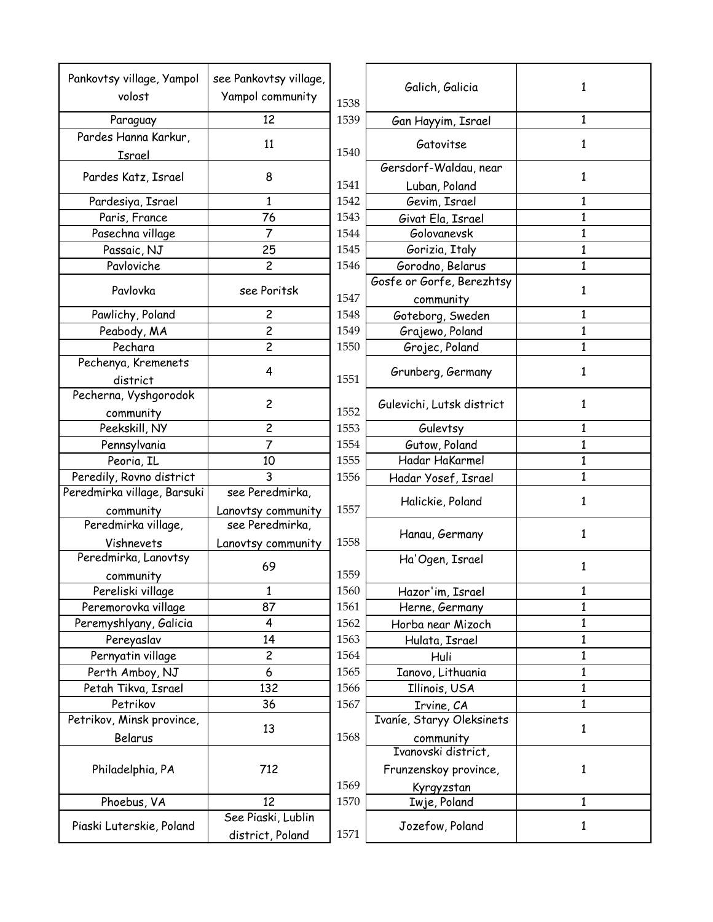| Pankovtsy village, Yampol   | see Pankovtsy village,  |      | Galich, Galicia           |              |
|-----------------------------|-------------------------|------|---------------------------|--------------|
| volost                      | Yampol community        | 1538 |                           | $\mathbf{1}$ |
| Paraguay                    | 12                      | 1539 | Gan Hayyim, Israel        | 1            |
| Pardes Hanna Karkur,        |                         |      |                           |              |
| Israel                      | 11                      | 1540 | Gatovitse                 | 1            |
|                             |                         |      | Gersdorf-Waldau, near     |              |
| Pardes Katz, Israel         | 8                       | 1541 | Luban, Poland             | 1            |
| Pardesiya, Israel           | 1                       | 1542 | Gevim, Israel             | 1            |
| Paris, France               | 76                      | 1543 | Givat Ela, Israel         | 1            |
| Pasechna village            | $\overline{7}$          | 1544 | Golovanevsk               | $\mathbf{1}$ |
| Passaic, NJ                 | 25                      | 1545 | Gorizia, Italy            | $\mathbf{1}$ |
| Pavloviche                  | $\overline{c}$          | 1546 | Gorodno, Belarus          | 1            |
|                             |                         |      | Gosfe or Gorfe, Berezhtsy |              |
| Pavlovka                    | see Poritsk             | 1547 | community                 | 1            |
| Pawlichy, Poland            | $\overline{c}$          | 1548 | Goteborg, Sweden          | 1            |
| Peabody, MA                 | $\overline{\mathbf{c}}$ | 1549 | Grajewo, Poland           | 1            |
| Pechara                     | $\overline{c}$          | 1550 | Grojec, Poland            | 1            |
| Pechenya, Kremenets         |                         |      |                           |              |
| district                    | 4                       | 1551 | Grunberg, Germany         | 1            |
| Pecherna, Vyshgorodok       |                         |      |                           |              |
| community                   | $\overline{c}$          | 1552 | Gulevichi, Lutsk district |              |
| Peekskill, NY               | $\overline{c}$          | 1553 | Gulevtsy                  |              |
| Pennsylvania                | $\overline{7}$          | 1554 | Gutow, Poland             | 1            |
| Peoria, IL                  | 10                      | 1555 | Hadar HaKarmel            |              |
| Peredily, Rovno district    | 3                       | 1556 | Hadar Yosef, Israel       | 1            |
| Peredmirka village, Barsuki | see Peredmirka,         |      |                           |              |
| community                   | Lanovtsy community      | 1557 | Halickie, Poland          |              |
| Peredmirka village,         | see Peredmirka,         |      |                           |              |
| Vishnevets                  | Lanovtsy community      | 1558 | Hanau, Germany            | 1            |
| Peredmirka, Lanovtsy        |                         |      | Ha'Ogen, Israel           |              |
| community                   | 69                      | 1559 |                           |              |
| Pereliski village           | 1                       | 1560 | Hazor'im, Israel          | 1            |
| Peremorovka village         | 87                      | 1561 | Herne, Germany            | 1            |
| Peremyshlyany, Galicia      | 4                       | 1562 | Horba near Mizoch         | 1            |
| Pereyaslav                  | 14                      | 1563 | Hulata, Israel            | 1            |
| Pernyatin village           | $\overline{c}$          | 1564 | Huli                      | 1            |
| Perth Amboy, NJ             | 6                       | 1565 | Ianovo, Lithuania         | 1            |
| Petah Tikva, Israel         | 132                     | 1566 | Illinois, USA             | $\mathbf{1}$ |
| Petrikov                    | 36                      | 1567 | Irvine, CA                | 1            |
| Petrikov, Minsk province,   |                         |      | Ivaníe, Staryy Oleksinets |              |
| Belarus                     | 13                      | 1568 | community                 | 1            |
|                             |                         |      | Ivanovski district,       |              |
| Philadelphia, PA            | 712                     |      | Frunzenskoy province,     | 1            |
|                             |                         | 1569 | Kyrqyzstan                |              |
| Phoebus, VA                 | 12                      | 1570 | Iwje, Poland              | 1            |
|                             | See Piaski, Lublin      |      |                           |              |
| Piaski Luterskie, Poland    | district, Poland        | 1571 | Jozefow, Poland           | 1            |
|                             |                         |      |                           |              |

| ee Pankovtsy village,<br>Yampol community | 1538 | Galich, Galicia                        | $\mathbf{1}$ |
|-------------------------------------------|------|----------------------------------------|--------------|
| 12                                        | 1539 | Gan Hayyim, Israel                     | 1            |
| 11                                        | 1540 | Gatovitse                              | $\mathbf{1}$ |
| 8                                         | 1541 | Gersdorf-Waldau, near<br>Luban, Poland | 1            |
| 1                                         | 1542 | Gevim, Israel                          | 1            |
| 76                                        | 1543 | Givat Ela, Israel                      | 1            |
| $\overline{7}$                            | 1544 | Golovanevsk                            | 1            |
| 25                                        | 1545 | Gorizia, Italy                         | $\mathbf{1}$ |
| $\overline{c}$                            | 1546 | Gorodno, Belarus                       | $\mathbf{1}$ |
| see Poritsk                               | 1547 | Gosfe or Gorfe, Berezhtsy<br>community | 1            |
| 2                                         | 1548 | Goteborg, Sweden                       | 1            |
| $\overline{c}$                            | 1549 | Grajewo, Poland                        | 1            |
| $\overline{c}$                            | 1550 | Grojec, Poland                         | $\mathbf{1}$ |
| 4                                         | 1551 | Grunberg, Germany                      | 1            |
| $\overline{c}$                            | 1552 | Gulevichi, Lutsk district              | 1            |
| $\overline{c}$                            | 1553 | Gulevtsy                               | $\mathbf{1}$ |
| 7                                         | 1554 | Gutow, Poland                          | $\mathbf{1}$ |
| 10                                        | 1555 | Hadar HaKarmel                         | 1            |
| 3                                         | 1556 | Hadar Yosef, Israel                    | $\mathbf{1}$ |
| see Peredmirka,<br>Lanovtsy community     | 1557 | Halickie, Poland                       | 1            |
| see Peredmirka,                           |      | Hanau, Germany                         | $\mathbf{1}$ |
| Lanovtsy community                        | 1558 |                                        |              |
| 69                                        | 1559 | Ha'Ogen, Israel                        | 1            |
| 1                                         | 1560 | Hazor'im, Israel                       | 1            |
| 87                                        | 1561 | Herne, Germany                         | 1            |
| 4                                         | 1562 | Horba near Mizoch                      | $\mathbf{1}$ |
| 14                                        | 1563 | Hulata, Israel                         | $\mathbf{1}$ |
| 2                                         | 1564 | Huli                                   | 1            |
| 6                                         | 1565 | Ianovo, Lithuania                      | 1            |
| 132                                       | 1566 | Illinois, USA                          | 1            |
| 36                                        | 1567 | Irvine, CA                             | 1            |
| 13                                        | 1568 | Ivaníe, Staryy Oleksinets<br>community | 1            |
|                                           |      | Ivanovski district,                    |              |
| 712                                       |      | Frunzenskoy province,                  | 1            |
|                                           | 1569 | <u>Kyrgyzstan</u>                      |              |
| 12                                        | 1570 | Iwje, Poland                           | $\mathbf{1}$ |
| See Piaski, Lublin                        |      |                                        |              |
| district, Poland                          | 1571 | Jozefow, Poland                        | 1            |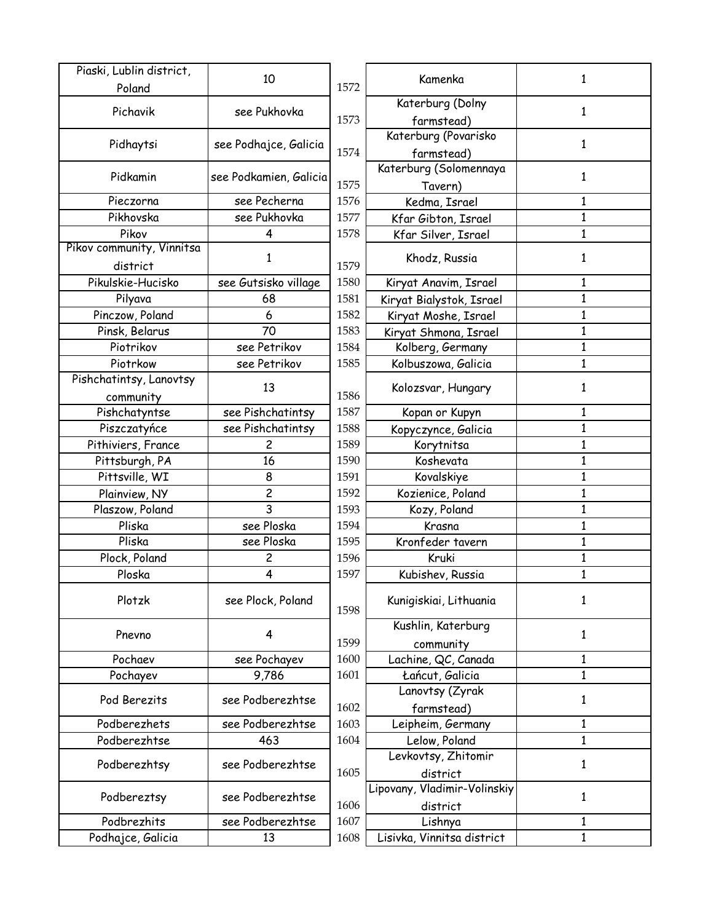| Piaski, Lublin district,  | 10                     |      | Kamenka                           | 1            |
|---------------------------|------------------------|------|-----------------------------------|--------------|
| Poland                    |                        | 1572 |                                   |              |
| Pichavik                  | see Pukhovka           |      | Katerburg (Dolny                  | 1            |
|                           |                        | 1573 | farmstead)                        |              |
| Pidhaytsi                 | see Podhajce, Galicia  |      | Katerburg (Povarisko              | 1            |
|                           |                        | 1574 | farmstead)                        |              |
| Pidkamin                  | see Podkamien, Galicia |      | Katerburg (Solomennaya            | 1            |
|                           |                        | 1575 | Tavern)                           |              |
| Pieczorna                 | see Pecherna           | 1576 | Kedma, Israel                     | 1            |
| Pikhovska                 | see Pukhovka           | 1577 | Kfar Gibton, Israel               | 1            |
| Pikov                     | 4                      | 1578 | Kfar Silver, Israel               | 1            |
| Pikov community, Vinnitsa |                        |      |                                   |              |
| district                  | 1                      | 1579 | Khodz, Russia                     | 1            |
| Pikulskie-Hucisko         | see Gutsisko village   | 1580 | Kiryat Anavim, Israel             | 1            |
| Pilyava                   | 68                     | 1581 | Kiryat Bialystok, Israel          | 1            |
| Pinczow, Poland           | 6                      | 1582 | Kiryat Moshe, Israel              | 1            |
| Pinsk, Belarus            | 70                     | 1583 | Kiryat Shmona, Israel             | $\mathbf{1}$ |
| Piotrikov                 | see Petrikov           | 1584 | Kolberg, Germany                  | $\mathbf{1}$ |
| Piotrkow                  | see Petrikov           | 1585 | Kolbuszowa, Galicia               | 1            |
| Pishchatintsy, Lanovtsy   |                        |      |                                   |              |
| community                 | 13                     | 1586 | Kolozsvar, Hungary                | 1            |
| Pishchatyntse             | see Pishchatintsy      | 1587 | Kopan or Kupyn                    | 1            |
| Piszczatyńce              | see Pishchatintsy      | 1588 |                                   | 1            |
| Pithiviers, France        | 2                      | 1589 | Kopyczynce, Galicia<br>Korytnitsa | $\mathbf{1}$ |
|                           | 16                     |      |                                   |              |
| Pittsburgh, PA            |                        | 1590 | Koshevata                         | $\mathbf{1}$ |
| Pittsville, WI            | 8                      | 1591 | Kovalskiye                        | 1            |
| Plainview, NY             | $\overline{c}$         | 1592 | Kozienice, Poland                 | $\mathbf{1}$ |
| Plaszow, Poland           | 3                      | 1593 | Kozy, Poland                      | 1            |
| Pliska                    | see Ploska             | 1594 | Krasna                            | $\mathbf{1}$ |
| Pliska                    | see Ploska             | 1595 | Kronfeder tavern                  | $\mathbf{1}$ |
| Plock, Poland             | 2                      | 1596 | Kruki                             | 1            |
| Ploska                    | 4                      | 1597 | Kubishev, Russia                  | 1            |
| Plotzk                    | see Plock, Poland      |      | Kunigiskiai, Lithuania            | 1            |
|                           |                        | 1598 |                                   |              |
|                           |                        |      | Kushlin, Katerburg                |              |
| Pnevno                    | 4                      | 1599 | community                         | 1            |
| Pochaev                   | see Pochayev           | 1600 | Lachine, QC, Canada               | 1            |
| Pochayev                  | 9,786                  | 1601 | Łańcut, Galicia                   | $\mathbf{1}$ |
|                           |                        |      | Lanovtsy (Zyrak                   |              |
| Pod Berezits              | see Podberezhtse       | 1602 | farmstead)                        | 1            |
| Podberezhets              | see Podberezhtse       | 1603 | Leipheim, Germany                 | 1            |
| Podberezhtse              | 463                    | 1604 | Lelow, Poland                     | $\mathbf{1}$ |
|                           |                        |      | Levkovtsy, Zhitomir               |              |
| Podberezhtsy              | see Podberezhtse       | 1605 | district                          | 1            |
|                           |                        |      | Lipovany, Vladimir-Volinskiy      |              |
| Podbereztsy               | see Podberezhtse       | 1606 | district                          | 1            |
| Podbrezhits               | see Podberezhtse       | 1607 | Lishnya                           | 1            |
| Podhajce, Galicia         | 13                     | 1608 | Lisivka, Vinnitsa district        | 1            |
|                           |                        |      |                                   |              |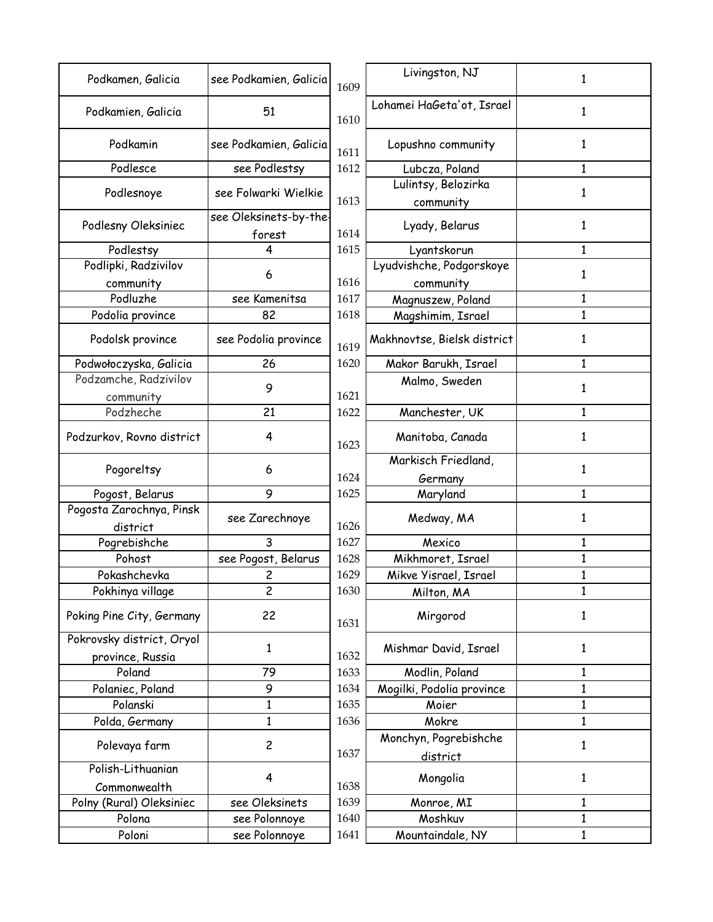| Podkamen, Galicia                             | see Podkamien, Galicia | 1609 | Livingston, NJ              | 1            |
|-----------------------------------------------|------------------------|------|-----------------------------|--------------|
| Podkamien, Galicia                            | 51                     | 1610 | Lohamei HaGeta'ot, Israel   | 1            |
| Podkamin                                      | see Podkamien, Galicia | 1611 | Lopushno community          |              |
| Podlesce                                      | see Podlestsy          | 1612 | Lubcza, Poland              |              |
|                                               | see Folwarki Wielkie   |      | Lulintsy, Belozirka         | 1            |
| Podlesnoye                                    |                        | 1613 | community                   |              |
|                                               | see Oleksinets-by-the· |      |                             |              |
| Podlesny Oleksiniec                           | forest                 | 1614 | Lyady, Belarus              |              |
| Podlestsy                                     | 4                      | 1615 | Lyantskorun                 | 1            |
| Podlipki, Radzivilov                          |                        |      | Lyudvishche, Podgorskoye    |              |
| community                                     | 6                      | 1616 | community                   | 1            |
| Podluzhe                                      | see Kamenitsa          | 1617 | Magnuszew, Poland           | 1            |
| Podolia province                              | 82                     | 1618 | Magshimim, Israel           | $\mathbf{1}$ |
| Podolsk province                              | see Podolia province   | 1619 | Makhnovtse, Bielsk district |              |
| Podwołoczyska, Galicia                        | 26                     | 1620 | Makor Barukh, Israel        | 1            |
| Podzamche, Radzivilov                         |                        |      | Malmo, Sweden               |              |
| community                                     | 9                      | 1621 |                             |              |
| Podzheche                                     | 21                     | 1622 | Manchester, UK              | 1            |
| Podzurkov, Rovno district                     | 4                      | 1623 | Manitoba, Canada            | 1            |
| Pogoreltsy                                    | 6                      | 1624 | Markisch Friedland,         | 1            |
| Pogost, Belarus                               | 9                      | 1625 | Germany<br>Maryland         | 1            |
| Pogosta Zarochnya, Pinsk                      |                        |      |                             |              |
| district                                      | see Zarechnoye         | 1626 | Medway, MA                  |              |
| Pogrebishche                                  | 3                      | 1627 | Mexico                      |              |
| Pohost                                        | see Pogost, Belarus    | 1628 | Mikhmoret, Israel           |              |
| Pokashchevka                                  | 2                      | 1629 | Mikve Yisrael, Israel       |              |
| Pokhinya village                              | 2                      | 1630 | Milton, MA                  |              |
| Poking Pine City, Germany                     | 22                     | 1631 | Mirgorod                    | 1            |
| Pokrovsky district, Oryol<br>province, Russia | 1                      | 1632 | Mishmar David, Israel       | 1            |
| Poland                                        | 79                     | 1633 | Modlin, Poland              | 1            |
| Polaniec, Poland                              | 9                      | 1634 | Mogilki, Podolia province   | 1            |
| Polanski                                      | 1                      | 1635 | Moier                       | 1            |
| Polda, Germany                                | 1                      | 1636 | Mokre                       | $\mathbf{1}$ |
|                                               |                        |      | Monchyn, Pogrebishche       |              |
| Polevaya farm                                 | $\overline{c}$         | 1637 | district                    | 1            |
| Polish-Lithuanian                             | 4                      |      | Mongolia                    | 1            |
| Commonwealth                                  |                        | 1638 |                             |              |
| Polny (Rural) Oleksiniec                      | see Oleksinets         | 1639 | Monroe, MI                  | 1            |
| Polona                                        | see Polonnoye          | 1640 | Moshkuv                     |              |
| Poloni                                        | see Polonnoye          | 1641 | Mountaindale, NY            | 1            |
|                                               |                        |      |                             |              |

| : Podkamien, Galicia | 1609 | Livingston, NJ              | 1            |
|----------------------|------|-----------------------------|--------------|
| 51                   | 1610 | Lohamei HaGeta'ot, Israel   | $\mathbf{1}$ |
| : Podkamien, Galicia | 1611 | Lopushno community          | 1            |
| see Podlestsy        | 1612 | Lubcza, Poland              | 1            |
|                      |      | Lulintsy, Belozirka         |              |
| e Folwarki Wielkie   | 1613 | community                   | 1            |
| Oleksinets-by-the-   |      |                             |              |
| forest               | 1614 | Lyady, Belarus              | 1            |
| 4                    | 1615 | Lyantskorun                 | $\mathbf{1}$ |
|                      |      | Lyudvishche, Podgorskoye    |              |
| 6                    | 1616 | community                   | 1            |
| see Kamenitsa        | 1617 | Magnuszew, Poland           | $\mathbf{1}$ |
| 82                   | 1618 | Magshimim, Israel           | 1            |
| e Podolia province   | 1619 | Makhnovtse, Bielsk district | 1            |
| 26                   | 1620 | Makor Barukh, Israel        | 1            |
|                      |      | Malmo, Sweden               |              |
| 9                    | 1621 |                             | 1            |
| 21                   | 1622 | Manchester, UK              | 1            |
| 4                    | 1623 | Manitoba, Canada            | 1            |
|                      |      | Markisch Friedland,         |              |
| 6                    | 1624 | Germany                     | 1            |
| 9                    | 1625 | Maryland                    | 1            |
| see Zarechnoye       | 1626 | Medway, MA                  | 1            |
| 3                    | 1627 | Mexico                      | 1            |
| e Pogost, Belarus    | 1628 | Mikhmoret, Israel           | 1            |
| 2                    | 1629 | Mikve Yisrael, Israel       | 1            |
| 2                    | 1630 | Milton, MA                  | 1            |
| 22                   | 1631 | Mirgorod                    | 1            |
| $\mathbf{1}$         | 1632 | Mishmar David, Israel       | $\mathbf{1}$ |
| 79                   | 1633 | Modlin, Poland              | 1            |
| 9                    | 1634 | Mogilki, Podolia province   | $\mathbf{1}$ |
| $\mathbf{1}$         | 1635 | Moier                       | $\mathbf{1}$ |
| 1                    | 1636 | Mokre                       | 1            |
| $\overline{c}$       |      | Monchyn, Pogrebishche       | $\mathbf{1}$ |
|                      | 1637 | district                    |              |
| 4                    | 1638 | Mongolia                    | 1            |
| see Oleksinets       | 1639 | Monroe, MI                  | $\mathbf{1}$ |
| see Polonnoye        | 1640 | Moshkuv                     | 1            |
| see Polonnoye        | 1641 | Mountaindale, NY            | $\mathbf{1}$ |
|                      |      |                             |              |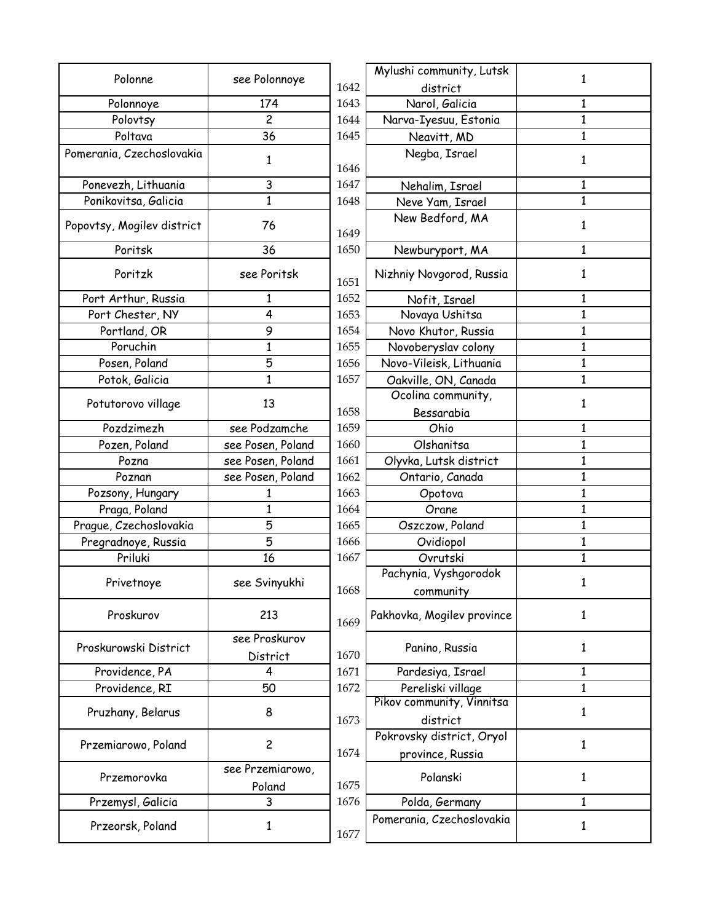| Polonne                    | see Polonnoye             |      | Mylushi community, Lutsk   |
|----------------------------|---------------------------|------|----------------------------|
|                            |                           | 1642 | district                   |
| Polonnoye                  | 174                       | 1643 | Narol, Galicia             |
| Polovtsy                   | $\overline{c}$            | 1644 | Narva-Iyesuu, Estonia      |
| Poltava                    | 36                        | 1645 | Neavitt, MD                |
| Pomerania, Czechoslovakia  | 1                         | 1646 | Negba, Israel              |
| Ponevezh, Lithuania        | 3                         | 1647 | Nehalim, Israel            |
| Ponikovitsa, Galicia       | 1                         | 1648 | Neve Yam, Israel           |
| Popovtsy, Mogilev district | 76                        | 1649 | New Bedford, MA            |
| Poritsk                    | 36                        | 1650 | Newburyport, MA            |
| Poritzk                    | see Poritsk               | 1651 | Nizhniy Novgorod, Russia   |
| Port Arthur, Russia        | 1                         | 1652 | Nofit, Israel              |
| Port Chester, NY           | 4                         | 1653 | Novaya Ushitsa             |
| Portland, OR               | 9                         | 1654 | Novo Khutor, Russia        |
| Poruchin                   | $\mathbf{1}$              | 1655 | Novoberyslav colony        |
| Posen, Poland              | 5                         | 1656 | Novo-Vileisk, Lithuania    |
| Potok, Galicia             | 1                         | 1657 | Oakville, ON, Canada       |
|                            |                           |      | Ocolina community,         |
| Potutorovo village         | 13                        | 1658 | Bessarabia                 |
| Pozdzimezh                 | see Podzamche             | 1659 | Ohio                       |
| Pozen, Poland              | see Posen, Poland         | 1660 | Olshanitsa                 |
| Pozna                      | see Posen, Poland         | 1661 | Olyvka, Lutsk district     |
| Poznan                     | see Posen, Poland         | 1662 | Ontario, Canada            |
| Pozsony, Hungary           | 1                         | 1663 | Opotova                    |
| Praga, Poland              | 1                         | 1664 | Orane                      |
| Prague, Czechoslovakia     | 5                         | 1665 | Oszczow, Poland            |
| Pregradnoye, Russia        | 5                         | 1666 | Ovidiopol                  |
| Priluki                    | 16                        | 1667 | Ovrutski                   |
|                            |                           |      | Pachynia, Vyshgorodok      |
| Privetnoye                 | see Svinyukhi             | 1668 | community                  |
| Proskurov                  | 213                       | 1669 | Pakhovka, Mogilev province |
| Proskurowski District      | see Proskurov<br>District | 1670 | Panino, Russia             |
| Providence, PA             | 4                         | 1671 | Pardesiya, Israel          |
| Providence, RI             | 50                        | 1672 | Pereliski village          |
|                            |                           |      | Pikov community, Vinnitsa  |
| Pruzhany, Belarus          | 8                         | 1673 | district                   |
|                            |                           |      | Pokrovsky district, Oryol  |
| Przemiarowo, Poland        | $\overline{c}$            | 1674 | province, Russia           |
|                            | see Przemiarowo,          |      |                            |
| Przemorovka                | Poland                    | 1675 | Polanski                   |
| Przemysl, Galicia          | 3                         | 1676 | Polda, Germany             |
| Przeorsk, Poland           | 1                         |      | Pomerania, Czechoslovakia  |
|                            |                           | 1677 |                            |

1

1

1

1

1

1

1

1

1

1

1

1

1

1

1

1

1

1

1

1

1

1

1

1

1

1

1

1

1

1

1

1

1

1

1

1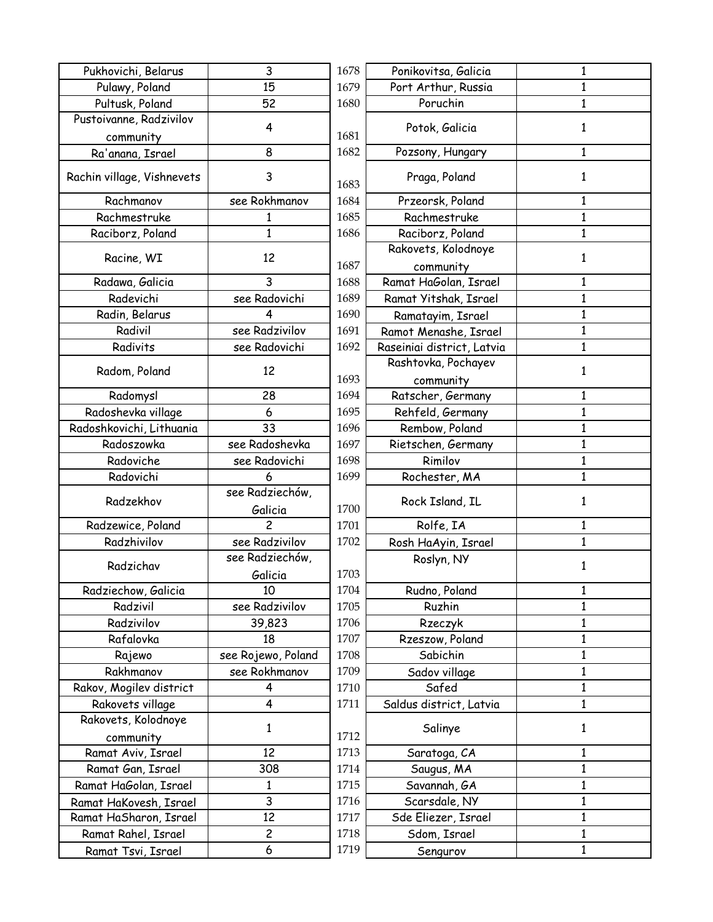| Pukhovichi, Belarus        | 3                  | 1678 | Ponikovitsa, Galicia       |
|----------------------------|--------------------|------|----------------------------|
| Pulawy, Poland             | 15                 | 1679 | Port Arthur, Russia        |
| Pultusk, Poland            | 52                 | 1680 | Poruchin                   |
| Pustoivanne, Radzivilov    | 4                  | 1681 | Potok, Galicia             |
| community                  | 8                  | 1682 | Pozsony, Hungary           |
| Ra'anana, Israel           |                    |      |                            |
| Rachin village, Vishnevets | 3                  | 1683 | Praga, Poland              |
| Rachmanov                  | see Rokhmanov      | 1684 | Przeorsk, Poland           |
| Rachmestruke               | 1                  | 1685 | Rachmestruke               |
| Raciborz, Poland           | $\mathbf{1}$       | 1686 | Raciborz, Poland           |
| Racine, WI                 | 12                 |      | Rakovets, Kolodnoye        |
|                            |                    | 1687 | community                  |
| Radawa, Galicia            | 3                  | 1688 | Ramat HaGolan, Israel      |
| Radevichi                  | see Radovichi      | 1689 | Ramat Yitshak, Israel      |
| Radin, Belarus             | 4                  | 1690 | Ramatayim, Israel          |
| Radivil                    | see Radzivilov     | 1691 | Ramot Menashe, Israel      |
| Radivits                   | see Radovichi      | 1692 | Raseiniai district, Latvia |
|                            |                    |      | Rashtovka, Pochayev        |
| Radom, Poland              | 12                 | 1693 | community                  |
| Radomysl                   | 28                 | 1694 | Ratscher, Germany          |
| Radoshevka village         | 6                  | 1695 | Rehfeld, Germany           |
| Radoshkovichi, Lithuania   | 33                 | 1696 | Rembow, Poland             |
| Radoszowka                 | see Radoshevka     | 1697 | Rietschen, Germany         |
| Radoviche                  | see Radovichi      | 1698 | Rimilov                    |
| Radovichi                  | 6                  | 1699 | Rochester, MA              |
| Radzekhov                  | see Radziechów,    |      | Rock Island, IL            |
|                            | Galicia            | 1700 |                            |
| Radzewice, Poland          | $\overline{c}$     | 1701 | Rolfe, IA                  |
| Radzhivilov                | see Radzivilov     | 1702 | Rosh HaAyin, Israel        |
| Radzichav                  | see Radziechów,    |      | Roslyn, NY                 |
|                            | Galicia            | 1703 |                            |
| Radziechow, Galicia        | 10                 | 1704 | Rudno, Poland              |
| Radzivil                   | see Radzivilov     | 1705 | Ruzhin                     |
| Radzivilov                 | 39,823             | 1706 | Rzeczyk                    |
| Rafalovka                  | 18                 | 1707 | Rzeszow, Poland            |
| Rajewo                     | see Rojewo, Poland | 1708 | Sabichin                   |
| Rakhmanov                  | see Rokhmanov      | 1709 | Sadov village              |
| Rakov, Mogilev district    | 4                  | 1710 | Safed                      |
| Rakovets village           | 4                  | 1711 | Saldus district, Latvia    |
| Rakovets, Kolodnoye        | $\mathbf{1}$       |      | Salinye                    |
| community                  |                    | 1712 |                            |
| Ramat Aviv, Israel         | 12                 | 1713 | Saratoga, CA               |
| Ramat Gan, Israel          | 308                | 1714 | Saugus, MA                 |
| Ramat HaGolan, Israel      | 1                  | 1715 | Savannah, GA               |
| Ramat HaKovesh, Israel     | 3                  | 1716 | Scarsdale, NY              |
| Ramat HaSharon, Israel     | 12                 | 1717 | Sde Eliezer, Israel        |
| Ramat Rahel, Israel        | 2                  | 1718 | Sdom, Israel               |
| Ramat Tsvi, Israel         | 6                  | 1719 | Sengurov                   |
|                            |                    |      |                            |

| 3                       | 1678 | Ponikovitsa, Galicia       | 1            |
|-------------------------|------|----------------------------|--------------|
| l5                      | 1679 | Port Arthur, Russia        | $\mathbf{1}$ |
| 52                      | 1680 | Poruchin                   | $\mathbf{1}$ |
| 4                       | 1681 | Potok, Galicia             | 1            |
| 8                       | 1682 | Pozsony, Hungary           | $\mathbf{1}$ |
| 3                       | 1683 | Praga, Poland              | $\mathbf{1}$ |
| khmanov                 | 1684 | Przeorsk, Poland           | $\mathbf{1}$ |
|                         | 1685 | Rachmestruke               | $\mathbf{1}$ |
| $\frac{1}{1}$           | 1686 | Raciborz, Poland           | $\mathbf{1}$ |
| $\overline{2}$          |      | Rakovets, Kolodnoye        | 1            |
|                         | 1687 | community                  |              |
| $\overline{\mathbf{3}}$ | 1688 | Ramat HaGolan, Israel      | $\mathbf{1}$ |
| idovichi                | 1689 | Ramat Yitshak, Israel      | $\mathbf{1}$ |
| 4                       | 1690 | Ramatayim, Israel          | $\mathbf{1}$ |
| dzivilov                | 1691 | Ramot Menashe, Israel      | $\mathbf{1}$ |
| idovichi                | 1692 | Raseiniai district, Latvia | $\mathbf{1}$ |
| $\overline{2}$          |      | Rashtovka, Pochayev        | 1            |
|                         | 1693 | community                  |              |
| $\overline{.8}$         | 1694 | Ratscher, Germany          | $\mathbf{1}$ |
| 6                       | 1695 | Rehfeld, Germany           | $\mathbf{1}$ |
| 33                      | 1696 | Rembow, Poland             | 1            |
| loshevka                | 1697 | Rietschen, Germany         | $\mathbf{1}$ |
| ıdovichi                | 1698 | Rimilov                    | 1            |
| 6                       | 1699 | Rochester, MA              | $\mathbf{1}$ |
| Iziechów,<br>licia      | 1700 | Rock Island, IL            | $\mathbf{1}$ |
| 2                       | 1701 | Rolfe, IA                  | $\mathbf{1}$ |
| dzivilov                | 1702 | Rosh HaAyin, Israel        | 1            |
| lziechów,               |      | Roslyn, NY                 |              |
| licia                   | 1703 |                            | 1            |
| lΟ                      | 1704 | Rudno, Poland              | 1            |
| dzivilov                | 1705 | Ruzhin                     | 1            |
| ,823                    | 1706 | Rzeczyk                    | 1            |
| 18                      | 1707 | Rzeszow, Poland            | 1            |
| wo, Poland              | 1708 | Sabichin                   | $\mathbf{1}$ |
| khmanov                 | 1709 | Sadov village              | 1            |
| 4                       | 1710 | Safed                      | $\mathbf{1}$ |
| 4                       | 1711 | Saldus district, Latvia    | $\mathbf{1}$ |
| 1                       | 1712 | Salinye                    | 1            |
| l2                      | 1713 | Saratoga, CA               | $\mathbf{1}$ |
| 08                      | 1714 | Saugus, MA                 | $\mathbf{1}$ |
| $\overline{1}$          | 1715 | Savannah, GA               | $\mathbf{1}$ |
| $\overline{3}$          | 1716 | Scarsdale, NY              | $\mathbf{1}$ |
| $\overline{2}$          | 1717 | Sde Eliezer, Israel        | 1            |
| $\overline{2}$          | 1718 | Sdom, Israel               | $\mathbf{1}$ |
| $\overline{6}$          | 1719 |                            | 1            |
|                         |      | Sengurov                   |              |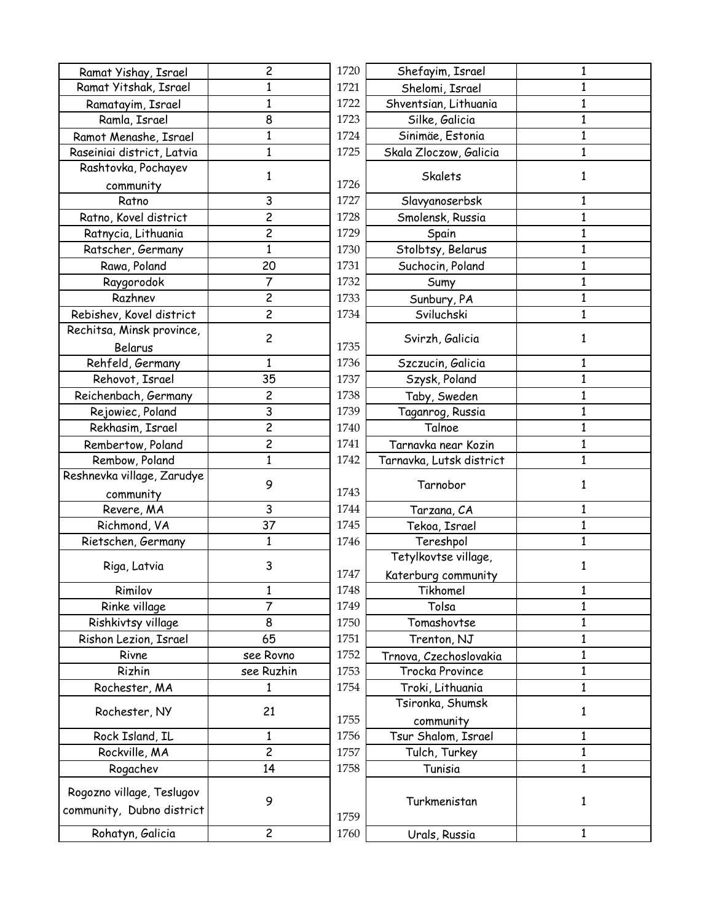| Ramat Yishay, Israel       | $\overline{c}$ | 1720 | Shefayim, Israel                     |
|----------------------------|----------------|------|--------------------------------------|
| Ramat Yitshak, Israel      | 1              | 1721 | Shelomi, Israel                      |
| Ramatayim, Israel          | $\mathbf{1}$   | 1722 | Shventsian, Lithuania                |
| Ramla, Israel              | 8              | 1723 | Silke, Galicia                       |
| Ramot Menashe, Israel      | 1              | 1724 | Sinimäe, Estonia                     |
| Raseiniai district, Latvia | $\mathbf{1}$   | 1725 | Skala Zloczow, Galicia               |
| Rashtovka, Pochayev        | 1              |      | Skalets                              |
| community                  |                | 1726 |                                      |
| Ratno                      | 3              | 1727 | Slavyanoserbsk                       |
| Ratno, Kovel district      | $\overline{c}$ | 1728 | Smolensk, Russia                     |
| Ratnycia, Lithuania        | $\overline{c}$ | 1729 | Spain                                |
| Ratscher, Germany          | $\mathbf{1}$   | 1730 | Stolbtsy, Belarus                    |
| Rawa, Poland               | 20             | 1731 | Suchocin, Poland                     |
| Raygorodok                 | 7              | 1732 | Sumy                                 |
| Razhnev                    | $\overline{c}$ | 1733 | Sunbury, PA                          |
| Rebishev, Kovel district   | $\overline{c}$ | 1734 | Sviluchski                           |
| Rechitsa, Minsk province,  |                |      |                                      |
| Belarus                    | $\overline{c}$ | 1735 | Svirzh, Galicia                      |
| Rehfeld, Germany           | $\mathbf{1}$   | 1736 | Szczucin, Galicia                    |
| Rehovot, Israel            | 35             | 1737 | Szysk, Poland                        |
| Reichenbach, Germany       | $\overline{c}$ | 1738 | Taby, Sweden                         |
| Rejowiec, Poland           | 3              | 1739 | Taganrog, Russia                     |
| Rekhasim, Israel           | $\overline{2}$ | 1740 | Talnoe                               |
| Rembertow, Poland          | $\overline{c}$ | 1741 | Tarnavka near Kozin                  |
| Rembow, Poland             | $\mathbf{1}$   | 1742 | Tarnavka, Lutsk distric <sup>.</sup> |
| Reshnevka village, Zarudye |                |      |                                      |
| community                  | 9              | 1743 | Tarnobor                             |
| Revere, MA                 | 3              | 1744 | Tarzana, CA                          |
| Richmond, VA               | 37             | 1745 | Tekoa, Israel                        |
| Rietschen, Germany         | $\mathbf{1}$   | 1746 | Tereshpol                            |
|                            |                |      | Tetylkovtse village,                 |
| Riga, Latvia               | 3              | 1747 | Katerburg community                  |
| Rimilov                    | 1              | 1748 | Tikhomel                             |
| Rinke village              | $\overline{7}$ | 1749 | Tolsa                                |
| Rishkivtsy village         | 8              | 1750 | Tomashovtse                          |
| Rishon Lezion, Israel      | 65             | 1751 | Trenton, NJ                          |
| Rivne                      | see Rovno      | 1752 | Trnova, Czechoslovakia               |
| Rizhin                     | see Ruzhin     | 1753 | Trocka Province                      |
| Rochester, MA              | 1              | 1754 | Troki, Lithuania                     |
|                            |                |      | Tsironka, Shumsk                     |
| Rochester, NY              | 21             | 1755 | community                            |
| Rock Island, IL            | 1              | 1756 | Tsur Shalom, Israel                  |
| Rockville, MA              | $\overline{c}$ | 1757 | Tulch, Turkey                        |
| Rogachev                   | 14             | 1758 | Tunisia                              |
|                            |                |      |                                      |
| Rogozno village, Teslugov  | 9              |      | Turkmenistan                         |
| community, Dubno district  |                | 1759 |                                      |
| Rohatyn, Galicia           | $\overline{c}$ | 1760 |                                      |
|                            |                |      | Urals, Russia                        |

| $\overline{2}$             | 1720 | Shefayim, Israel                            | 1            |
|----------------------------|------|---------------------------------------------|--------------|
| $\overline{1}$             | 1721 | Shelomi, Israel                             | 1            |
| $\overline{1}$             | 1722 | Shventsian, Lithuania                       | $\mathbf{1}$ |
| $\frac{8}{1}$              | 1723 | Silke, Galicia                              | $\mathbf{1}$ |
|                            | 1724 | Sinimäe, Estonia                            | $\mathbf{1}$ |
| $\overline{1}$             | 1725 | Skala Zloczow, Galicia                      | $\mathbf{1}$ |
| $\mathbf{1}$               | 1726 | Skalets                                     | 1            |
| $\overline{3}$             | 1727 | Slavyanoserbsk                              | 1            |
|                            | 1728 | Smolensk, Russia                            | $\mathbf{1}$ |
| $\frac{2}{2}$              | 1729 | Spain                                       | 1            |
|                            | 1730 | Stolbtsy, Belarus                           | $\mathbf{1}$ |
| $\overline{20}$            | 1731 | Suchocin, Poland                            | $\mathbf{1}$ |
| $\frac{1}{2}$              | 1732 | Sumy                                        | 1            |
|                            | 1733 | Sunbury, PA                                 | 1            |
| $\overline{2}$             | 1734 | Sviluchski                                  | $\mathbf{1}$ |
| 2                          | 1735 | Svirzh, Galicia                             | $\mathbf{1}$ |
| $\overline{\mathbf{1}}$    | 1736 | Szczucin, Galicia                           | 1            |
| $\overline{35}$            | 1737 | Szysk, Poland                               | 1            |
| $\overline{\mathsf{c}}$    | 1738 | Taby, Sweden                                | 1            |
|                            | 1739 | Taganrog, Russia                            | $\mathbf{1}$ |
| $\frac{3}{2}$              | 1740 | Talnoe                                      | $\mathbf{1}$ |
|                            | 1741 | Tarnavka near Kozin                         | $\mathbf{1}$ |
| $\overline{1}$             | 1742 | Tarnavka, Lutsk district                    | $\mathbf{1}$ |
| 9                          | 1743 | Tarnobor                                    | $\mathbf{1}$ |
| 3                          | 1744 | Tarzana, CA                                 | $\mathbf{1}$ |
| $\overline{\overline{37}}$ | 1745 | Tekoa, Israel                               | $\mathbf{1}$ |
| $\overline{1}$             | 1746 | Tereshpol                                   | $\mathbf{1}$ |
| 3                          | 1747 | Tetylkovtse village,<br>Katerburg community | $\mathbf{1}$ |
| 1                          | 1748 | Tikhomel                                    | 1            |
| 7                          | 1749 | Tolsa                                       | $\mathbf{1}$ |
| 8                          | 1750 | Tomashovtse                                 | $\mathbf{1}$ |
| 55                         | 1751 | Trenton, NJ                                 | 1            |
| Rovno                      | 1752 | Trnova, Czechoslovakia                      | 1            |
| auzhin                     | 1753 | Trocka Province                             | $\mathbf{1}$ |
| $\mathbf{1}$               | 1754 | Troki, Lithuania                            | 1            |
|                            |      | Tsironka, Shumsk                            |              |
| $\overline{21}$            | 1755 | community                                   | 1            |
| $\overline{\mathbf{1}}$    | 1756 | Tsur Shalom, Israel                         | 1            |
| $\overline{c}$             | 1757 | Tulch, Turkey                               | 1            |
| l4                         | 1758 | Tunisia                                     | $\mathbf{1}$ |
|                            |      |                                             |              |
| 9                          | 1759 | Turkmenistan                                | 1            |
| 2                          | 1760 | Urals, Russia                               | $\mathbf{1}$ |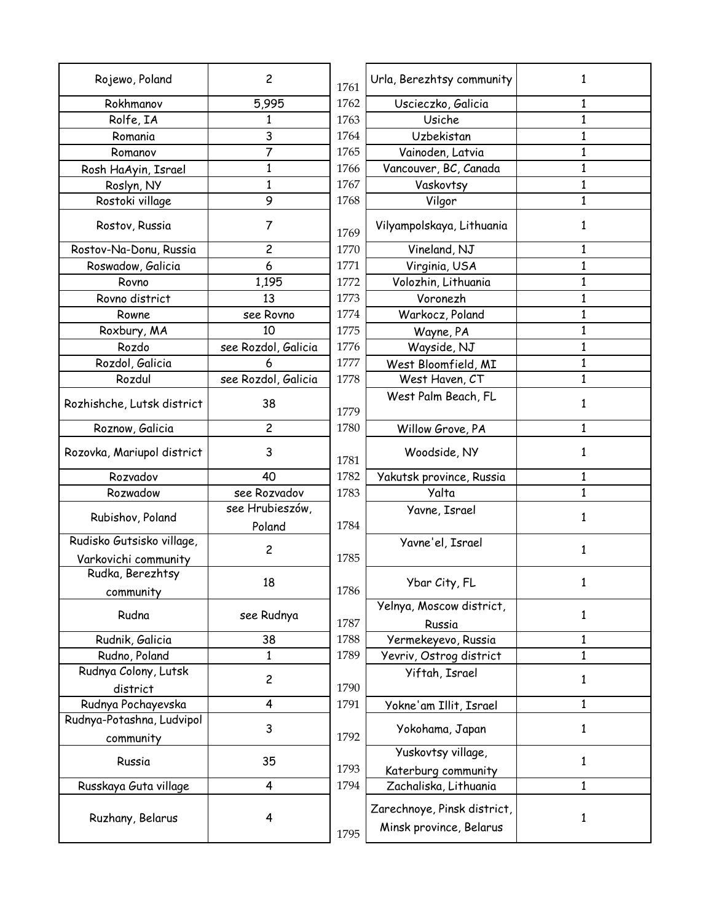| 5,995<br>Rokhmanov<br>1762<br>Uscieczko, Galicia<br>1<br>Rolfe, IA<br>Usiche<br>$\mathbf{1}$<br>1763<br>1<br>3<br>Romania<br>1764<br>Uzbekistan<br>$\mathbf{1}$<br>$\overline{7}$<br>1765<br>Vainoden, Latvia<br>$\mathbf{1}$<br>Romanov<br>$\mathbf{1}$<br>Vancouver, BC, Canada<br>$\mathbf{1}$<br>1766<br>Rosh HaAyin, Israel<br>1<br>1767<br>Vaskovtsy<br>$\mathbf{1}$<br>Roslyn, NY<br>Rostoki village<br>9<br>Vilgor<br>$\mathbf 1$<br>1768<br>7<br>Rostov, Russia<br>Vilyampolskaya, Lithuania<br>1<br>1769<br>$\overline{c}$<br>Rostov-Na-Donu, Russia<br>1770<br>Vineland, NJ<br>1<br>Roswadow, Galicia<br>6<br>Virginia, USA<br>$\mathbf{1}$<br>1771<br>Volozhin, Lithuania<br>1772<br>1,195<br>1<br>Rovno<br>Rovno district<br>13<br>Voronezh<br>1<br>1773<br>Warkocz, Poland<br>see Rovno<br>1774<br>1<br>Rowne<br>10<br>1775<br>$\mathbf{1}$<br>Roxbury, MA<br>Wayne, PA<br>Rozdo<br>see Rozdol, Galicia<br>1776<br>Wayside, NJ<br>$\mathbf{1}$<br>Rozdol, Galicia<br>1777<br>$\mathbf{1}$<br>West Bloomfield, MI<br>see Rozdol, Galicia<br>Rozdul<br>1778<br>West Haven, CT<br>1<br>West Palm Beach, FL<br>Rozhishche, Lutsk district<br>38<br>1<br>1779<br>$\overline{\mathbf{c}}$<br>1780<br>1<br>Roznow, Galicia<br>Willow Grove, PA<br>Woodside, NY<br>Rozovka, Mariupol district<br>3<br>1<br>1781<br>Rozvadov<br>1782<br>40<br>Yakutsk province, Russia<br>1<br>see Rozvadov<br>Yalta<br>$\mathbf{1}$<br>Rozwadow<br>1783<br>see Hrubieszów,<br>Yavne, Israel<br>Rubishov, Poland<br>1<br>1784<br>Poland<br>Rudisko Gutsisko village,<br>Yavne'el, Israel<br>$\overline{c}$<br>1<br>1785<br>Varkovichi community<br>Rudka, Berezhtsy<br>18<br>Ybar City, FL<br>1<br>1786<br>community<br>Yelnya, Moscow district,<br>Rudna<br>see Rudnya<br>1<br>1787<br>Russia<br>1788<br>Yermekeyevo, Russia<br>Rudnik, Galicia<br>38<br>1<br>Rudno, Poland<br>1<br>1789<br>Yevriv, Ostrog district<br>$\mathbf{1}$<br>Rudnya Colony, Lutsk<br>Yiftah, Israel<br>2<br>$\mathbf{1}$<br>1790<br>district<br>Rudnya Pochayevska<br>4<br>1791<br>$\mathbf{1}$<br>Yokne'am Illit, Israel<br>Rudnya-Potashna, Ludvipol<br>3<br>Yokohama, Japan<br>1<br>1792<br>community<br>Yuskovtsy village,<br>35<br>Russia<br>1<br>1793<br>Katerburg community<br>1794<br>Russkaya Guta village<br>4<br>Zachaliska, Lithuania<br>$\mathbf{1}$<br>Zarechnoye, Pinsk district,<br>4<br>Ruzhany, Belarus<br>1 | Rojewo, Poland | $\overline{c}$ | 1761 | Urla, Berezhtsy community | 1 |
|------------------------------------------------------------------------------------------------------------------------------------------------------------------------------------------------------------------------------------------------------------------------------------------------------------------------------------------------------------------------------------------------------------------------------------------------------------------------------------------------------------------------------------------------------------------------------------------------------------------------------------------------------------------------------------------------------------------------------------------------------------------------------------------------------------------------------------------------------------------------------------------------------------------------------------------------------------------------------------------------------------------------------------------------------------------------------------------------------------------------------------------------------------------------------------------------------------------------------------------------------------------------------------------------------------------------------------------------------------------------------------------------------------------------------------------------------------------------------------------------------------------------------------------------------------------------------------------------------------------------------------------------------------------------------------------------------------------------------------------------------------------------------------------------------------------------------------------------------------------------------------------------------------------------------------------------------------------------------------------------------------------------------------------------------------------------------------------------------------------------------------------------------------------------------------------------------------------------------------------------------------------------------------------------------------------------------------------------------------------------------------------------|----------------|----------------|------|---------------------------|---|
|                                                                                                                                                                                                                                                                                                                                                                                                                                                                                                                                                                                                                                                                                                                                                                                                                                                                                                                                                                                                                                                                                                                                                                                                                                                                                                                                                                                                                                                                                                                                                                                                                                                                                                                                                                                                                                                                                                                                                                                                                                                                                                                                                                                                                                                                                                                                                                                                |                |                |      |                           |   |
|                                                                                                                                                                                                                                                                                                                                                                                                                                                                                                                                                                                                                                                                                                                                                                                                                                                                                                                                                                                                                                                                                                                                                                                                                                                                                                                                                                                                                                                                                                                                                                                                                                                                                                                                                                                                                                                                                                                                                                                                                                                                                                                                                                                                                                                                                                                                                                                                |                |                |      |                           |   |
|                                                                                                                                                                                                                                                                                                                                                                                                                                                                                                                                                                                                                                                                                                                                                                                                                                                                                                                                                                                                                                                                                                                                                                                                                                                                                                                                                                                                                                                                                                                                                                                                                                                                                                                                                                                                                                                                                                                                                                                                                                                                                                                                                                                                                                                                                                                                                                                                |                |                |      |                           |   |
|                                                                                                                                                                                                                                                                                                                                                                                                                                                                                                                                                                                                                                                                                                                                                                                                                                                                                                                                                                                                                                                                                                                                                                                                                                                                                                                                                                                                                                                                                                                                                                                                                                                                                                                                                                                                                                                                                                                                                                                                                                                                                                                                                                                                                                                                                                                                                                                                |                |                |      |                           |   |
|                                                                                                                                                                                                                                                                                                                                                                                                                                                                                                                                                                                                                                                                                                                                                                                                                                                                                                                                                                                                                                                                                                                                                                                                                                                                                                                                                                                                                                                                                                                                                                                                                                                                                                                                                                                                                                                                                                                                                                                                                                                                                                                                                                                                                                                                                                                                                                                                |                |                |      |                           |   |
|                                                                                                                                                                                                                                                                                                                                                                                                                                                                                                                                                                                                                                                                                                                                                                                                                                                                                                                                                                                                                                                                                                                                                                                                                                                                                                                                                                                                                                                                                                                                                                                                                                                                                                                                                                                                                                                                                                                                                                                                                                                                                                                                                                                                                                                                                                                                                                                                |                |                |      |                           |   |
|                                                                                                                                                                                                                                                                                                                                                                                                                                                                                                                                                                                                                                                                                                                                                                                                                                                                                                                                                                                                                                                                                                                                                                                                                                                                                                                                                                                                                                                                                                                                                                                                                                                                                                                                                                                                                                                                                                                                                                                                                                                                                                                                                                                                                                                                                                                                                                                                |                |                |      |                           |   |
|                                                                                                                                                                                                                                                                                                                                                                                                                                                                                                                                                                                                                                                                                                                                                                                                                                                                                                                                                                                                                                                                                                                                                                                                                                                                                                                                                                                                                                                                                                                                                                                                                                                                                                                                                                                                                                                                                                                                                                                                                                                                                                                                                                                                                                                                                                                                                                                                |                |                |      |                           |   |
|                                                                                                                                                                                                                                                                                                                                                                                                                                                                                                                                                                                                                                                                                                                                                                                                                                                                                                                                                                                                                                                                                                                                                                                                                                                                                                                                                                                                                                                                                                                                                                                                                                                                                                                                                                                                                                                                                                                                                                                                                                                                                                                                                                                                                                                                                                                                                                                                |                |                |      |                           |   |
|                                                                                                                                                                                                                                                                                                                                                                                                                                                                                                                                                                                                                                                                                                                                                                                                                                                                                                                                                                                                                                                                                                                                                                                                                                                                                                                                                                                                                                                                                                                                                                                                                                                                                                                                                                                                                                                                                                                                                                                                                                                                                                                                                                                                                                                                                                                                                                                                |                |                |      |                           |   |
|                                                                                                                                                                                                                                                                                                                                                                                                                                                                                                                                                                                                                                                                                                                                                                                                                                                                                                                                                                                                                                                                                                                                                                                                                                                                                                                                                                                                                                                                                                                                                                                                                                                                                                                                                                                                                                                                                                                                                                                                                                                                                                                                                                                                                                                                                                                                                                                                |                |                |      |                           |   |
|                                                                                                                                                                                                                                                                                                                                                                                                                                                                                                                                                                                                                                                                                                                                                                                                                                                                                                                                                                                                                                                                                                                                                                                                                                                                                                                                                                                                                                                                                                                                                                                                                                                                                                                                                                                                                                                                                                                                                                                                                                                                                                                                                                                                                                                                                                                                                                                                |                |                |      |                           |   |
|                                                                                                                                                                                                                                                                                                                                                                                                                                                                                                                                                                                                                                                                                                                                                                                                                                                                                                                                                                                                                                                                                                                                                                                                                                                                                                                                                                                                                                                                                                                                                                                                                                                                                                                                                                                                                                                                                                                                                                                                                                                                                                                                                                                                                                                                                                                                                                                                |                |                |      |                           |   |
|                                                                                                                                                                                                                                                                                                                                                                                                                                                                                                                                                                                                                                                                                                                                                                                                                                                                                                                                                                                                                                                                                                                                                                                                                                                                                                                                                                                                                                                                                                                                                                                                                                                                                                                                                                                                                                                                                                                                                                                                                                                                                                                                                                                                                                                                                                                                                                                                |                |                |      |                           |   |
|                                                                                                                                                                                                                                                                                                                                                                                                                                                                                                                                                                                                                                                                                                                                                                                                                                                                                                                                                                                                                                                                                                                                                                                                                                                                                                                                                                                                                                                                                                                                                                                                                                                                                                                                                                                                                                                                                                                                                                                                                                                                                                                                                                                                                                                                                                                                                                                                |                |                |      |                           |   |
|                                                                                                                                                                                                                                                                                                                                                                                                                                                                                                                                                                                                                                                                                                                                                                                                                                                                                                                                                                                                                                                                                                                                                                                                                                                                                                                                                                                                                                                                                                                                                                                                                                                                                                                                                                                                                                                                                                                                                                                                                                                                                                                                                                                                                                                                                                                                                                                                |                |                |      |                           |   |
|                                                                                                                                                                                                                                                                                                                                                                                                                                                                                                                                                                                                                                                                                                                                                                                                                                                                                                                                                                                                                                                                                                                                                                                                                                                                                                                                                                                                                                                                                                                                                                                                                                                                                                                                                                                                                                                                                                                                                                                                                                                                                                                                                                                                                                                                                                                                                                                                |                |                |      |                           |   |
|                                                                                                                                                                                                                                                                                                                                                                                                                                                                                                                                                                                                                                                                                                                                                                                                                                                                                                                                                                                                                                                                                                                                                                                                                                                                                                                                                                                                                                                                                                                                                                                                                                                                                                                                                                                                                                                                                                                                                                                                                                                                                                                                                                                                                                                                                                                                                                                                |                |                |      |                           |   |
|                                                                                                                                                                                                                                                                                                                                                                                                                                                                                                                                                                                                                                                                                                                                                                                                                                                                                                                                                                                                                                                                                                                                                                                                                                                                                                                                                                                                                                                                                                                                                                                                                                                                                                                                                                                                                                                                                                                                                                                                                                                                                                                                                                                                                                                                                                                                                                                                |                |                |      |                           |   |
|                                                                                                                                                                                                                                                                                                                                                                                                                                                                                                                                                                                                                                                                                                                                                                                                                                                                                                                                                                                                                                                                                                                                                                                                                                                                                                                                                                                                                                                                                                                                                                                                                                                                                                                                                                                                                                                                                                                                                                                                                                                                                                                                                                                                                                                                                                                                                                                                |                |                |      |                           |   |
|                                                                                                                                                                                                                                                                                                                                                                                                                                                                                                                                                                                                                                                                                                                                                                                                                                                                                                                                                                                                                                                                                                                                                                                                                                                                                                                                                                                                                                                                                                                                                                                                                                                                                                                                                                                                                                                                                                                                                                                                                                                                                                                                                                                                                                                                                                                                                                                                |                |                |      |                           |   |
|                                                                                                                                                                                                                                                                                                                                                                                                                                                                                                                                                                                                                                                                                                                                                                                                                                                                                                                                                                                                                                                                                                                                                                                                                                                                                                                                                                                                                                                                                                                                                                                                                                                                                                                                                                                                                                                                                                                                                                                                                                                                                                                                                                                                                                                                                                                                                                                                |                |                |      |                           |   |
|                                                                                                                                                                                                                                                                                                                                                                                                                                                                                                                                                                                                                                                                                                                                                                                                                                                                                                                                                                                                                                                                                                                                                                                                                                                                                                                                                                                                                                                                                                                                                                                                                                                                                                                                                                                                                                                                                                                                                                                                                                                                                                                                                                                                                                                                                                                                                                                                |                |                |      |                           |   |
|                                                                                                                                                                                                                                                                                                                                                                                                                                                                                                                                                                                                                                                                                                                                                                                                                                                                                                                                                                                                                                                                                                                                                                                                                                                                                                                                                                                                                                                                                                                                                                                                                                                                                                                                                                                                                                                                                                                                                                                                                                                                                                                                                                                                                                                                                                                                                                                                |                |                |      |                           |   |
|                                                                                                                                                                                                                                                                                                                                                                                                                                                                                                                                                                                                                                                                                                                                                                                                                                                                                                                                                                                                                                                                                                                                                                                                                                                                                                                                                                                                                                                                                                                                                                                                                                                                                                                                                                                                                                                                                                                                                                                                                                                                                                                                                                                                                                                                                                                                                                                                |                |                |      |                           |   |
|                                                                                                                                                                                                                                                                                                                                                                                                                                                                                                                                                                                                                                                                                                                                                                                                                                                                                                                                                                                                                                                                                                                                                                                                                                                                                                                                                                                                                                                                                                                                                                                                                                                                                                                                                                                                                                                                                                                                                                                                                                                                                                                                                                                                                                                                                                                                                                                                |                |                |      |                           |   |
|                                                                                                                                                                                                                                                                                                                                                                                                                                                                                                                                                                                                                                                                                                                                                                                                                                                                                                                                                                                                                                                                                                                                                                                                                                                                                                                                                                                                                                                                                                                                                                                                                                                                                                                                                                                                                                                                                                                                                                                                                                                                                                                                                                                                                                                                                                                                                                                                |                |                |      |                           |   |
|                                                                                                                                                                                                                                                                                                                                                                                                                                                                                                                                                                                                                                                                                                                                                                                                                                                                                                                                                                                                                                                                                                                                                                                                                                                                                                                                                                                                                                                                                                                                                                                                                                                                                                                                                                                                                                                                                                                                                                                                                                                                                                                                                                                                                                                                                                                                                                                                |                |                |      |                           |   |
|                                                                                                                                                                                                                                                                                                                                                                                                                                                                                                                                                                                                                                                                                                                                                                                                                                                                                                                                                                                                                                                                                                                                                                                                                                                                                                                                                                                                                                                                                                                                                                                                                                                                                                                                                                                                                                                                                                                                                                                                                                                                                                                                                                                                                                                                                                                                                                                                |                |                |      |                           |   |
|                                                                                                                                                                                                                                                                                                                                                                                                                                                                                                                                                                                                                                                                                                                                                                                                                                                                                                                                                                                                                                                                                                                                                                                                                                                                                                                                                                                                                                                                                                                                                                                                                                                                                                                                                                                                                                                                                                                                                                                                                                                                                                                                                                                                                                                                                                                                                                                                |                |                |      |                           |   |
|                                                                                                                                                                                                                                                                                                                                                                                                                                                                                                                                                                                                                                                                                                                                                                                                                                                                                                                                                                                                                                                                                                                                                                                                                                                                                                                                                                                                                                                                                                                                                                                                                                                                                                                                                                                                                                                                                                                                                                                                                                                                                                                                                                                                                                                                                                                                                                                                |                |                |      |                           |   |
|                                                                                                                                                                                                                                                                                                                                                                                                                                                                                                                                                                                                                                                                                                                                                                                                                                                                                                                                                                                                                                                                                                                                                                                                                                                                                                                                                                                                                                                                                                                                                                                                                                                                                                                                                                                                                                                                                                                                                                                                                                                                                                                                                                                                                                                                                                                                                                                                |                |                |      |                           |   |
|                                                                                                                                                                                                                                                                                                                                                                                                                                                                                                                                                                                                                                                                                                                                                                                                                                                                                                                                                                                                                                                                                                                                                                                                                                                                                                                                                                                                                                                                                                                                                                                                                                                                                                                                                                                                                                                                                                                                                                                                                                                                                                                                                                                                                                                                                                                                                                                                |                |                |      |                           |   |
|                                                                                                                                                                                                                                                                                                                                                                                                                                                                                                                                                                                                                                                                                                                                                                                                                                                                                                                                                                                                                                                                                                                                                                                                                                                                                                                                                                                                                                                                                                                                                                                                                                                                                                                                                                                                                                                                                                                                                                                                                                                                                                                                                                                                                                                                                                                                                                                                |                |                |      |                           |   |
|                                                                                                                                                                                                                                                                                                                                                                                                                                                                                                                                                                                                                                                                                                                                                                                                                                                                                                                                                                                                                                                                                                                                                                                                                                                                                                                                                                                                                                                                                                                                                                                                                                                                                                                                                                                                                                                                                                                                                                                                                                                                                                                                                                                                                                                                                                                                                                                                |                |                |      |                           |   |
|                                                                                                                                                                                                                                                                                                                                                                                                                                                                                                                                                                                                                                                                                                                                                                                                                                                                                                                                                                                                                                                                                                                                                                                                                                                                                                                                                                                                                                                                                                                                                                                                                                                                                                                                                                                                                                                                                                                                                                                                                                                                                                                                                                                                                                                                                                                                                                                                |                |                |      |                           |   |
|                                                                                                                                                                                                                                                                                                                                                                                                                                                                                                                                                                                                                                                                                                                                                                                                                                                                                                                                                                                                                                                                                                                                                                                                                                                                                                                                                                                                                                                                                                                                                                                                                                                                                                                                                                                                                                                                                                                                                                                                                                                                                                                                                                                                                                                                                                                                                                                                |                |                |      |                           |   |
|                                                                                                                                                                                                                                                                                                                                                                                                                                                                                                                                                                                                                                                                                                                                                                                                                                                                                                                                                                                                                                                                                                                                                                                                                                                                                                                                                                                                                                                                                                                                                                                                                                                                                                                                                                                                                                                                                                                                                                                                                                                                                                                                                                                                                                                                                                                                                                                                |                |                |      |                           |   |
|                                                                                                                                                                                                                                                                                                                                                                                                                                                                                                                                                                                                                                                                                                                                                                                                                                                                                                                                                                                                                                                                                                                                                                                                                                                                                                                                                                                                                                                                                                                                                                                                                                                                                                                                                                                                                                                                                                                                                                                                                                                                                                                                                                                                                                                                                                                                                                                                |                |                |      |                           |   |
|                                                                                                                                                                                                                                                                                                                                                                                                                                                                                                                                                                                                                                                                                                                                                                                                                                                                                                                                                                                                                                                                                                                                                                                                                                                                                                                                                                                                                                                                                                                                                                                                                                                                                                                                                                                                                                                                                                                                                                                                                                                                                                                                                                                                                                                                                                                                                                                                |                |                |      |                           |   |
|                                                                                                                                                                                                                                                                                                                                                                                                                                                                                                                                                                                                                                                                                                                                                                                                                                                                                                                                                                                                                                                                                                                                                                                                                                                                                                                                                                                                                                                                                                                                                                                                                                                                                                                                                                                                                                                                                                                                                                                                                                                                                                                                                                                                                                                                                                                                                                                                |                |                | 1795 | Minsk province, Belarus   |   |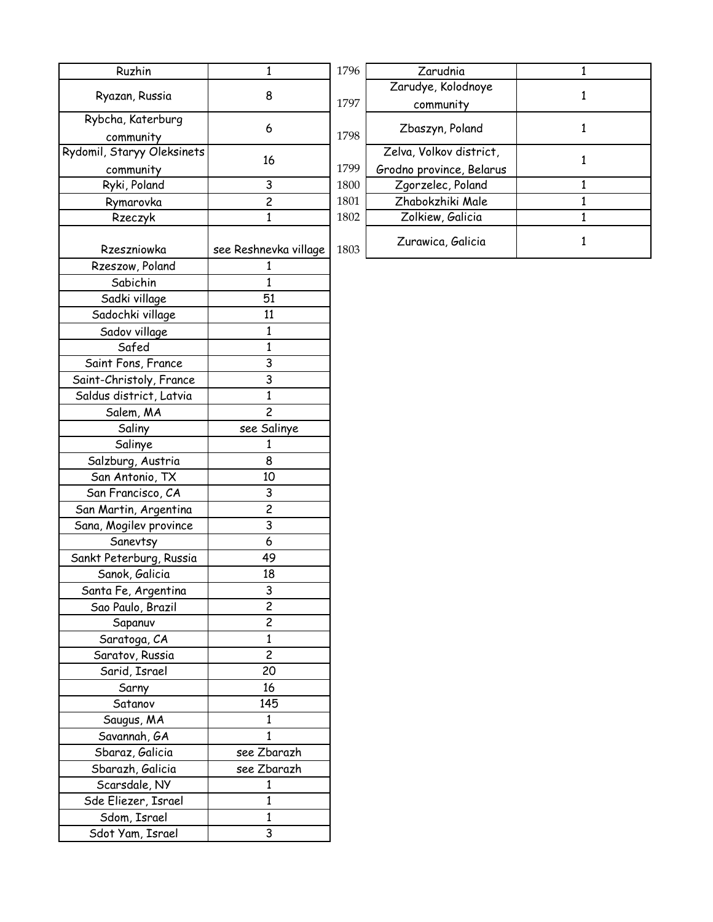| Ruzhin                         | $\mathbf{1}$            | 1796 | Zarudnia                 | 1            |
|--------------------------------|-------------------------|------|--------------------------|--------------|
|                                |                         |      | Zarudye, Kolodnoye       |              |
| Ryazan, Russia                 | 8                       | 1797 | community                | 1            |
| Rybcha, Katerburg<br>community | 6                       | 1798 | Zbaszyn, Poland          | 1            |
| Rydomil, Staryy Oleksinets     |                         |      | Zelva, Volkov district,  |              |
| community                      | 16                      | 1799 | Grodno province, Belarus | 1            |
| Ryki, Poland                   | 3                       | 1800 | Zgorzelec, Poland        | 1            |
| Rymarovka                      | $\overline{\mathsf{c}}$ | 1801 | Zhabokzhiki Male         | 1            |
| Rzeczyk                        | 1                       | 1802 | Zolkiew, Galicia         | $\mathbf{1}$ |
|                                |                         |      |                          |              |
| Rzeszniowka                    | see Reshnevka village   | 1803 | Zurawica, Galicia        | 1            |
| Rzeszow, Poland                | 1                       |      |                          |              |
| Sabichin                       | 1                       |      |                          |              |
| Sadki village                  | 51                      |      |                          |              |
| Sadochki village               | 11                      |      |                          |              |
| Sadov village                  | 1                       |      |                          |              |
| Safed                          | 1                       |      |                          |              |
| Saint Fons, France             | 3                       |      |                          |              |
| Saint-Christoly, France        | $\overline{3}$          |      |                          |              |
| Saldus district, Latvia        | 1                       |      |                          |              |
| Salem, MA                      | $\overline{c}$          |      |                          |              |
| Saliny                         | see Salinye             |      |                          |              |
| Salinye                        | 1                       |      |                          |              |
| Salzburg, Austria              | 8                       |      |                          |              |
| San Antonio, TX                | 10                      |      |                          |              |
| San Francisco, CA              | 3                       |      |                          |              |
| San Martin, Argentina          | $\overline{c}$          |      |                          |              |
| Sana, Mogilev province         | 3                       |      |                          |              |
| Sanevtsy                       | 6                       |      |                          |              |
| Sankt Peterburg, Russia        | 49                      |      |                          |              |
| Sanok, Galicia                 | 18                      |      |                          |              |
| Santa Fe, Argentina            | 3                       |      |                          |              |
| Sao Paulo, Brazil              | $\overline{2}$          |      |                          |              |
| Sapanuv                        | $\overline{c}$          |      |                          |              |
| Saratoga, CA                   | 1                       |      |                          |              |
| Saratov, Russia                | $\overline{c}$          |      |                          |              |
| Sarid, Israel                  | 20                      |      |                          |              |
| Sarny                          | 16                      |      |                          |              |
| Satanov                        | 145                     |      |                          |              |
| Saugus, MA                     | 1                       |      |                          |              |
| Savannah, GA                   | 1                       |      |                          |              |
| Sbaraz, Galicia                | see Zbarazh             |      |                          |              |
| Sbarazh, Galicia               | see Zbarazh             |      |                          |              |
|                                |                         |      |                          |              |
| Scarsdale, NY                  | 1                       |      |                          |              |
| Sde Eliezer, Israel            | 1                       |      |                          |              |
| Sdom, Israel                   | $\mathbf{1}$            |      |                          |              |
| Sdot Yam, Israel               | 3                       |      |                          |              |

| 1796 | Zarudnia                 |   |
|------|--------------------------|---|
|      | Zarudye, Kolodnoye       |   |
| 1797 | community                |   |
| 1798 | Zbaszyn, Poland          |   |
|      | Zelva, Volkov district,  |   |
| 1799 | Grodno province, Belarus |   |
| 1800 | Zgorzelec, Poland        | 1 |
| 1801 | Zhabokzhiki Male         |   |
| 1802 | Zolkiew, Galicia         |   |
| 1803 | Zurawica, Galicia        |   |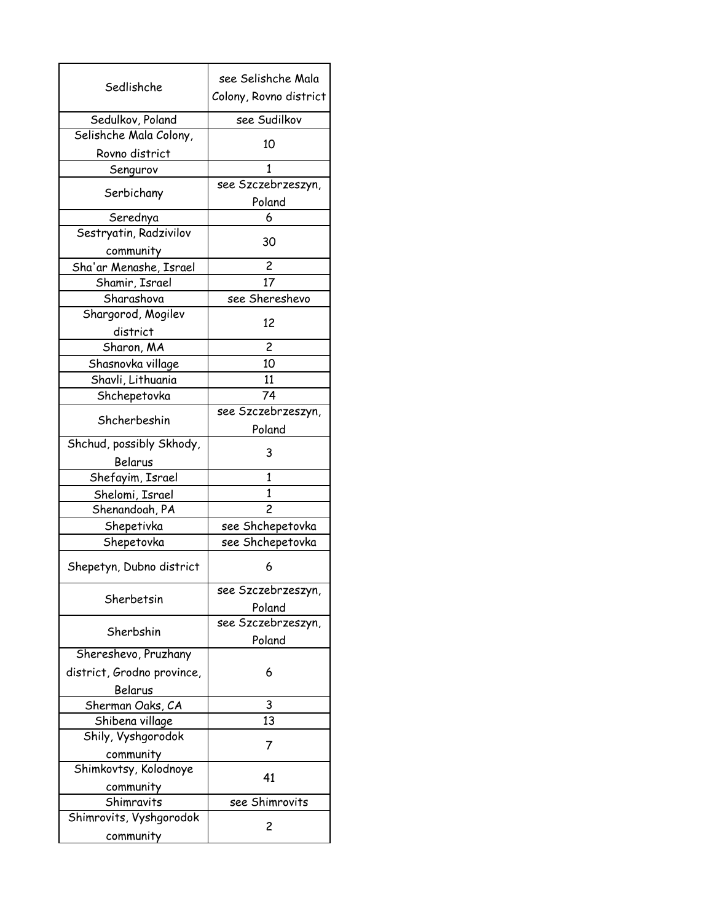|                                            | see Selishche Mala     |
|--------------------------------------------|------------------------|
| Sedlishche                                 | Colony, Rovno district |
|                                            |                        |
| Sedulkov, Poland<br>Selishche Mala Colony, | see Sudilkov           |
| Rovno district                             | 10                     |
| Sengurov                                   | 1                      |
|                                            | see Szczebrzeszyn,     |
| Serbichany                                 | Poland                 |
| Serednya                                   | 6                      |
| Sestryatin, Radzivilov                     |                        |
| community                                  | 30                     |
| Sha'ar Menashe, Israel                     | 2                      |
| Shamir, Israel                             | 17                     |
| Sharashova                                 | see Shereshevo         |
| Shargorod, Mogilev                         | 12                     |
| district                                   |                        |
| Sharon, MA                                 | $\overline{c}$         |
| Shasnovka village                          | 10                     |
| Shavli, Lithuania                          | 11                     |
| Shchepetovka                               | 74                     |
| Shcherbeshin                               | see Szczebrzeszyn,     |
|                                            | Poland                 |
| Shchud, possibly Skhody,                   | 3                      |
| Belarus                                    |                        |
| Shefayim, Israel                           | 1                      |
| Shelomi, Israel                            | 1                      |
| Shenandoah, PA                             | $\overline{c}$         |
| Shepetivka                                 | see Shchepetovka       |
| Shepetovka                                 | see Shchepetovka       |
| Shepetyn, Dubno district                   | 6                      |
| Sherbetsin                                 | see Szczebrzeszyn,     |
|                                            | Poland                 |
| Sherbshin                                  | see Szczebrzeszyn,     |
|                                            | Poland                 |
| Shereshevo, Pruzhany                       |                        |
| district, Grodno province,                 | 6                      |
| Belarus                                    |                        |
| Sherman Oaks, CA                           | 3                      |
| Shibena village                            | 13                     |
| Shily, Vyshgorodok                         | 7                      |
| community                                  |                        |
| Shimkovtsy, Kolodnoye                      | 41                     |
| community                                  |                        |
| Shimravits                                 | see Shimrovits         |
| Shimrovits, Vyshgorodok                    | 2                      |
| community                                  |                        |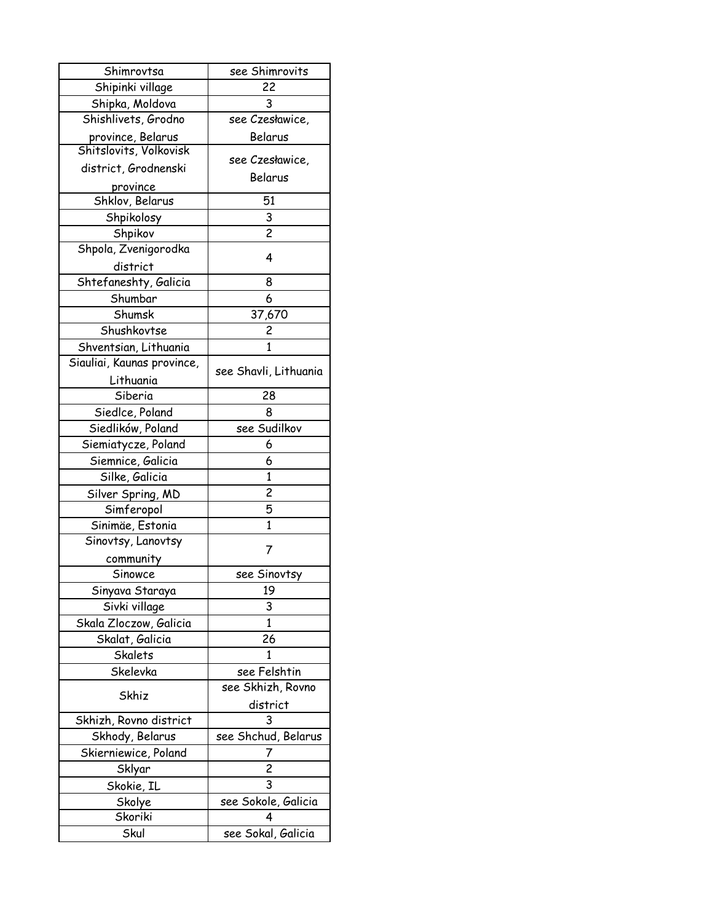| Shimrovtsa                                  | see Shimrovits           |
|---------------------------------------------|--------------------------|
| Shipinki village                            | 22                       |
| Shipka, Moldova                             | 3                        |
| Shishlivets, Grodno                         | see Czesławice,          |
| province, Belarus<br>Shitslovits, Volkovisk | Belarus                  |
|                                             | see Czesławice,          |
| district, Grodnenski<br>province            | Belarus                  |
| Shklov, Belarus                             | 51                       |
| Shpikolosy                                  | 3                        |
| Shpikov                                     | $\overline{c}$           |
| Shpola, Zvenigorodka                        |                          |
|                                             | 4                        |
| district                                    |                          |
| Shtefaneshty, Galicia                       | 8                        |
| Shumbar                                     | 6                        |
| Shumsk                                      | 37,670                   |
| Shushkovtse                                 | $\overline{\mathbf{c}}$  |
| Shventsian, Lithuania                       | 1                        |
| Siauliai, Kaunas province,                  | see Shavli, Lithuania    |
| Lithuania<br>Siberia                        | 28                       |
|                                             |                          |
| Siedlce, Poland                             | 8                        |
| Siedlików, Poland                           | see Sudilkov             |
| Siemiatycze, Poland                         | 6                        |
| Siemnice, Galicia                           | 6                        |
| Silke, Galicia                              | 1                        |
| Silver Spring, MD                           | $\overline{\mathbf{c}}$  |
| Simferopol                                  | 5                        |
| Sinimäe, Estonia                            | $\mathbf{1}$             |
| Sinovtsy, Lanovtsy                          | 7                        |
| community                                   |                          |
| Sinowce                                     | see Sinovtsy             |
| Sinyava Staraya                             | 19                       |
| Sivki village                               | 3                        |
| Skala Zloczow, Galicia                      | 1                        |
| Skalat, Galicia                             | 26                       |
| Skalets                                     | 1                        |
| Skelevka                                    | see Felshtin             |
|                                             | see Skhizh, Rovno        |
| Skhiz                                       | district                 |
| Skhizh, Rovno district                      |                          |
|                                             | 3                        |
| Skhody, Belarus                             | see Shchud, Belarus      |
| Skierniewice, Poland                        | 7                        |
| Sklyar                                      | 2                        |
|                                             | 3                        |
| Skokie, IL                                  |                          |
| Skolye<br>Skoriki                           | see Sokole, Galicia<br>4 |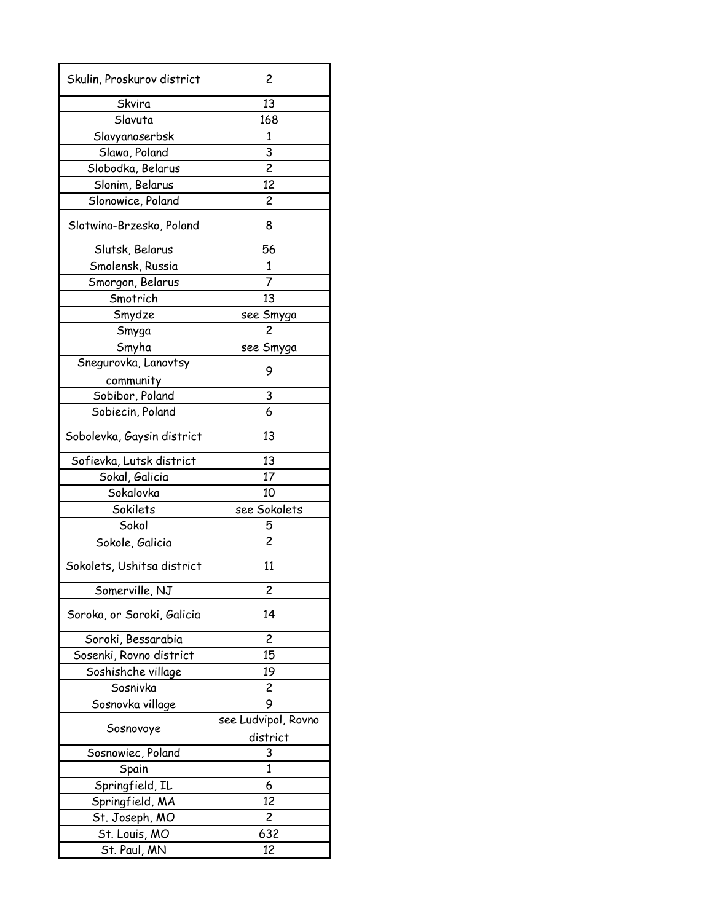| Skulin, Proskurov district | 2                   |
|----------------------------|---------------------|
| Skvira                     | 13                  |
| Slavuta                    | 168                 |
| Slavyanoserbsk             | 1                   |
| Slawa, Poland              | 3                   |
| Slobodka, Belarus          | $\overline{c}$      |
| Slonim, Belarus            | 12                  |
| Slonowice, Poland          | 2                   |
| Slotwina-Brzesko, Poland   | 8                   |
| Slutsk, Belarus            | 56                  |
| Smolensk, Russia           | 1                   |
| Smorgon, Belarus           | 7                   |
| Smotrich                   | 13                  |
| Smydze                     | see Smyga           |
| Smyga                      | 2                   |
| Smyha                      | see Smyga           |
| Snegurovka, Lanovtsy       |                     |
| community                  | 9                   |
| Sobibor, Poland            | 3                   |
| Sobiecin, Poland           | 6                   |
|                            |                     |
| Sobolevka, Gaysin district | 13                  |
| Sofievka, Lutsk district   | 13                  |
| Sokal, Galicia             | 17                  |
| Sokalovka                  | 10                  |
| Sokilets                   | see Sokolets        |
| Sokol                      | 5                   |
| Sokole, Galicia            | $\overline{c}$      |
| Sokolets, Ushitsa district | 11                  |
| Somerville, NJ             | 2                   |
| Soroka, or Soroki, Galicia | 14                  |
| Soroki, Bessarabia         | $\overline{c}$      |
| Sosenki, Rovno district    | 15                  |
| Soshishche village         | 19                  |
| Sosnivka                   | $\overline{c}$      |
| Sosnovka village           | 9                   |
|                            | see Ludvipol, Rovno |
| Sosnovoye                  | district            |
| Sosnowiec, Poland          | 3                   |
| Spain                      | $\mathbf{1}$        |
| Springfield, IL            | 6                   |
| Springfield, MA            | 12                  |
| St. Joseph, MO             | 2                   |
| St. Louis, MO              | 632                 |
| St. Paul, MN               | 12                  |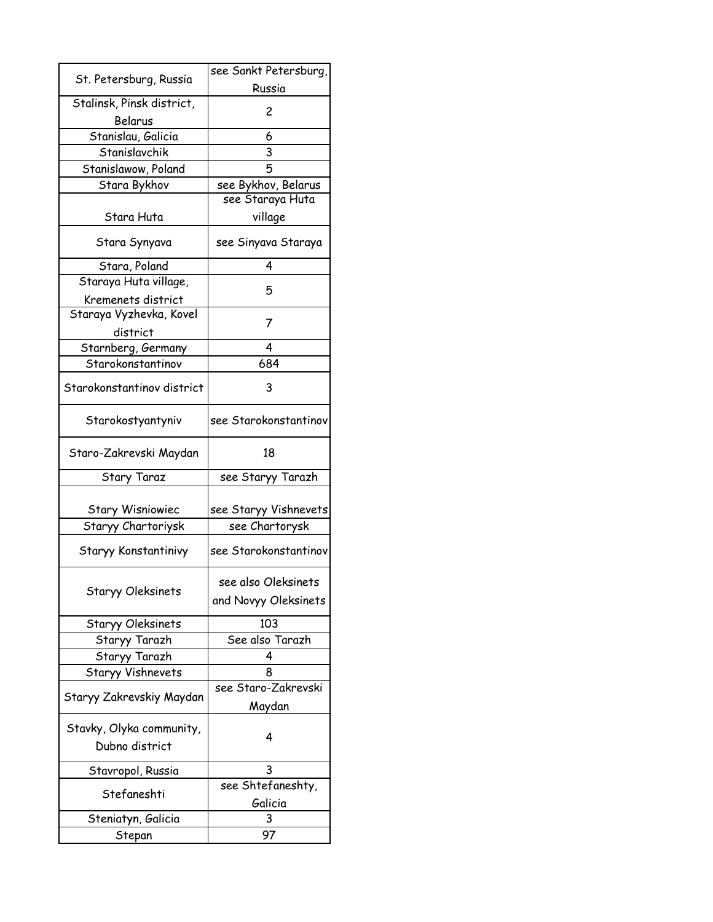|                            | see Sankt Petersburg, |
|----------------------------|-----------------------|
| St. Petersburg, Russia     | Russia                |
| Stalinsk, Pinsk district,  | 2                     |
| Belarus                    |                       |
| Stanislau, Galicia         | 6                     |
| Stanislavchik              | 3                     |
| Stanislawow, Poland        | 5                     |
| Stara Bykhov               | see Bykhov, Belarus   |
|                            | see Staraya Huta      |
| Stara Huta                 | village               |
| Stara Synyava              | see Sinyava Staraya   |
| Stara, Poland              | 4                     |
| Staraya Huta village,      | 5                     |
| Kremenets district         |                       |
| Staraya Vyzhevka, Kovel    | 7                     |
| district                   |                       |
| Starnberg, Germany         | 4                     |
| Starokonstantinov          | 684                   |
| Starokonstantinov district | 3                     |
| Starokostyantyniv          | see Starokonstantinov |
| Staro-Zakrevski Maydan     | 18                    |
| <b>Stary Taraz</b>         | see Staryy Tarazh     |
| <b>Stary Wisniowiec</b>    | see Staryy Vishnevets |
| Staryy Chartoriysk         | see Chartorysk        |
|                            |                       |
| Staryy Konstantinivy       | see Starokonstantinov |
|                            | see also Oleksinets   |
| <b>Staryy Oleksinets</b>   | and Novyy Oleksinets  |
| Staryy Oleksinets          | 103                   |
| Staryy Tarazh              | See also Tarazh       |
| Staryy Tarazh              | 4                     |
| Staryy Vishnevets          | 8                     |
| Staryy Zakrevskiy Maydan   | see Staro-Zakrevski   |
|                            | Maydan                |
| Stavky, Olyka community,   | 4                     |
| Dubno district             |                       |
| Stavropol, Russia          | 3                     |
| Stefaneshti                | see Shtefaneshty,     |
|                            | Galicia               |
| Steniatyn, Galicia         | 3                     |
| Stepan                     | 97                    |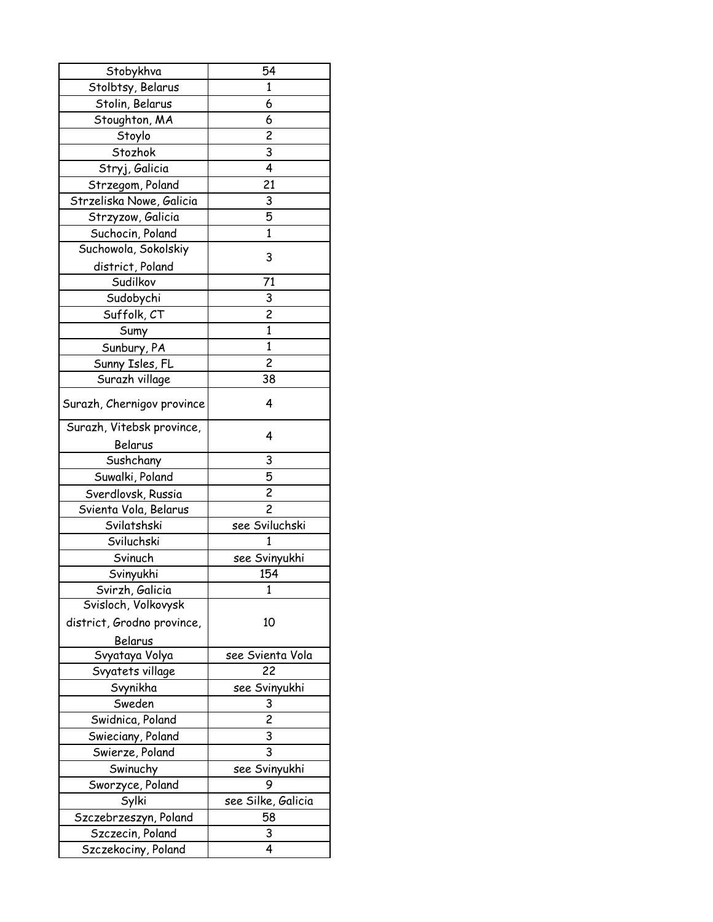| Stobykhva                  | 54                      |
|----------------------------|-------------------------|
| Stolbtsy, Belarus          | 1                       |
| Stolin, Belarus            | 6                       |
| Stoughton, MA              | 6                       |
| Stoylo                     | $\overline{\mathbf{c}}$ |
| Stozhok                    | 3                       |
| Stryj, Galicia             | 4                       |
| Strzegom, Poland           | 21                      |
| Strzeliska Nowe, Galicia   | 3                       |
| Strzyzow, Galicia          | $\overline{5}$          |
| Suchocin, Poland           | $\mathbf{1}$            |
| Suchowola, Sokolskiy       |                         |
| district, Poland           | 3                       |
| Sudilkov                   | 71                      |
| Sudobychi                  | 3                       |
| Suffolk, CT                | $\overline{\mathbf{c}}$ |
| Sumy                       | $\mathbf{1}$            |
| Sunbury, PA                | $\mathbf{1}$            |
| Sunny Isles, FL            | $\overline{\mathbf{c}}$ |
| Surazh village             | 38                      |
|                            |                         |
| Surazh, Chernigov province | 4                       |
| Surazh, Vitebsk province,  | 4                       |
| Belarus                    |                         |
| Sushchany                  | 3                       |
| Suwalki, Poland            | 5                       |
| Sverdlovsk, Russia         | $\overline{c}$          |
| Svienta Vola, Belarus      | $\overline{c}$          |
| Svilatshski                | see Sviluchski          |
| Sviluchski                 | 1                       |
| Svinuch                    | see Svinyukhi           |
| Svinyukhi                  | 154                     |
| Svirzh, Galicia            | 1                       |
| Svisloch, Volkovysk        |                         |
| district, Grodno province, | 10                      |
| Belarus                    |                         |
| Svyataya Volya             | see Svienta Vola        |
| Svyatets village           | 22                      |
| Svynikha                   | see Svinyukhi           |
| Sweden                     | 3                       |
| Swidnica, Poland           | 2                       |
| Swieciany, Poland          | 3                       |
| Swierze, Poland            | 3                       |
| Swinuchy                   | see Svinyukhi           |
| Sworzyce, Poland           | 9                       |
| Sylki                      | see Silke, Galicia      |
| Szczebrzeszyn, Poland      | 58                      |
| Szczecin, Poland           | 3                       |
| Szczekociny, Poland        | 4                       |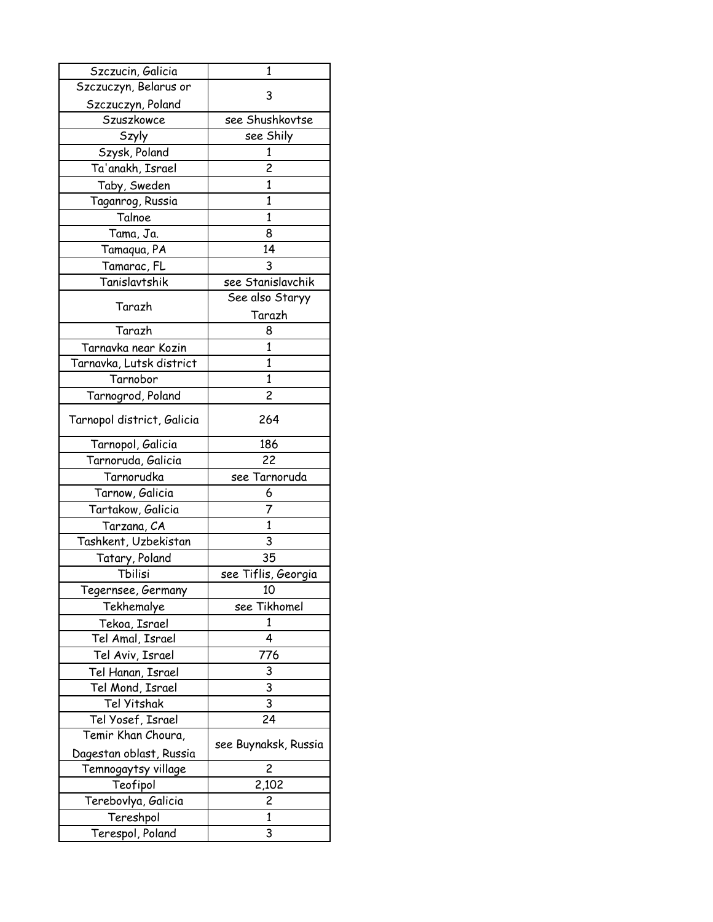| Szczucin, Galicia          | 1                    |
|----------------------------|----------------------|
| Szczuczyn, Belarus or      | 3                    |
| Szczuczyn, Poland          |                      |
| Szuszkowce                 | see Shushkovtse      |
| Szyly                      | see Shily            |
| Szysk, Poland              | 1                    |
| Ta'anakh, Israel           | 2                    |
| Taby, Sweden               | 1                    |
| Taganrog, Russia           | 1                    |
| Talnoe                     | $\mathbf{1}$         |
| Tama, Ja.                  | 8                    |
| Tamaqua, PA                | 14                   |
| Tamarac, FL                | 3                    |
| Tanislavtshik              | see Stanislavchik    |
|                            | See also Staryy      |
| Tarazh                     | Tarazh               |
| Tarazh                     | 8                    |
| Tarnavka near Kozin        | 1                    |
| Tarnavka, Lutsk district   | 1                    |
| Tarnobor                   | 1                    |
| Tarnogrod, Poland          | 2                    |
|                            |                      |
| Tarnopol district, Galicia | 264                  |
| Tarnopol, Galicia          | 186                  |
| Tarnoruda, Galicia         | 22                   |
| Tarnorudka                 | see Tarnoruda        |
| Tarnow, Galicia            | 6                    |
| Tartakow, Galicia          | 7                    |
| Tarzana, CA                | $\mathbf{1}$         |
| Tashkent, Uzbekistan       | 3                    |
| Tatary, Poland             | 35                   |
| Tbilisi                    | see Tiflis, Georgia  |
| Tegernsee, Germany         | 10                   |
| Tekhemalye                 | see Tikhomel         |
| Tekoa, Israel              | 1                    |
| Tel Amal, Israel           | 4                    |
| Tel Aviv, Israel           | 776                  |
| Tel Hanan, Israel          | 3                    |
| Tel Mond, Israel           | 3                    |
| Tel Yitshak                | $\overline{3}$       |
| Tel Yosef, Israel          | 24                   |
| Temir Khan Choura,         |                      |
| Dagestan oblast, Russia    | see Buynaksk, Russia |
| Temnogaytsy village        | 2                    |
| Teofipol                   | 2,102                |
| Terebovlya, Galicia        | 2                    |
| Tereshpol                  | 1                    |
| Terespol, Poland           | 3                    |
|                            |                      |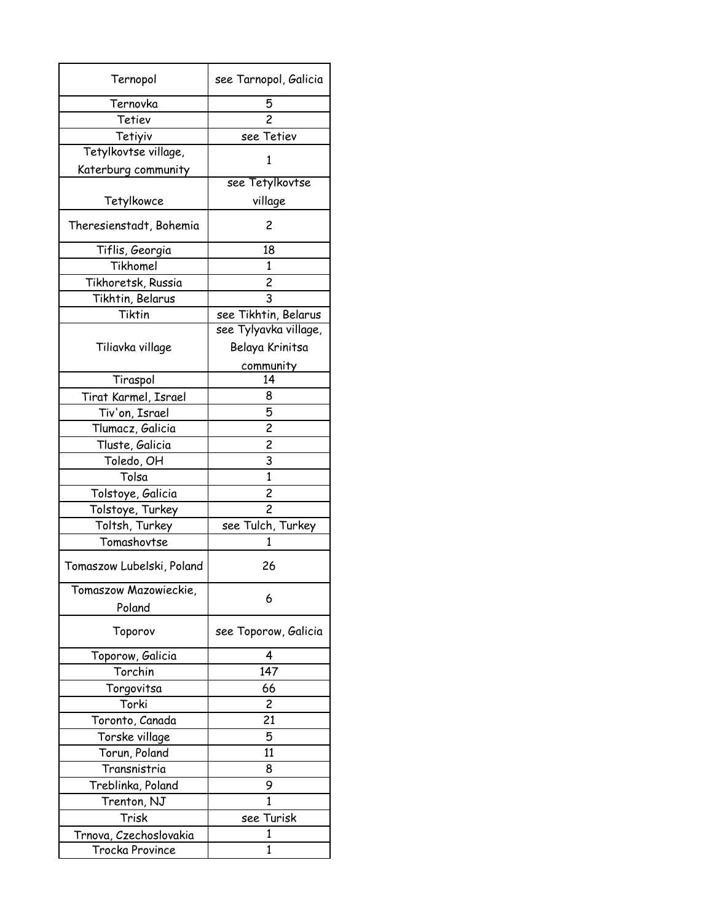| Ternopol                  | see Tarnopol, Galicia   |
|---------------------------|-------------------------|
| Ternovka                  | 5                       |
| Tetiev                    | $\overline{c}$          |
| Tetiyiv                   | see Tetiev              |
| Tetylkovtse village,      | 1                       |
| Katerburg community       |                         |
|                           | see Tetylkovtse         |
| Tetylkowce                | village                 |
| Theresienstadt, Bohemia   | 2                       |
| Tiflis, Georgia           | 18                      |
| Tikhomel                  | 1                       |
| Tikhoretsk, Russia        | $\overline{c}$          |
| Tikhtin, Belarus          | 3                       |
| Tiktin                    | see Tikhtin, Belarus    |
|                           | see Tylyavka village,   |
| Tiliavka village          | Belaya Krinitsa         |
|                           | community               |
| Tiraspol                  | 14                      |
| Tirat Karmel, Israel      | 8                       |
| Tiv'on, Israel            | 5                       |
| Tlumacz, Galicia          | $\overline{\mathbf{c}}$ |
| Tluste, Galicia           | $\overline{c}$          |
| Toledo, OH                | 3                       |
| Tolsa                     | 1                       |
| Tolstoye, Galicia         | $\overline{c}$          |
| Tolstoye, T <u>urkey</u>  | $\overline{c}$          |
| Toltsh, Turkey            | see Tulch, Turkey       |
| Tomashovtse               | 1                       |
| Tomaszow Lubelski, Poland | 26                      |
| Tomaszow Mazowieckie,     |                         |
| Poland                    | 6                       |
| Toporov                   | see Toporow, Galicia    |
| Toporow, Galicia          | 4                       |
| Torchin                   | 147                     |
| Torgovitsa                | 66                      |
| Torki                     | 2                       |
| Toronto, Canada           | 21                      |
| Torske village            | 5                       |
| Torun, Poland             | 11                      |
| Transnistria              | 8                       |
| Treblinka, Poland         | 9                       |
| Trenton, NJ               | 1                       |
| Trisk                     | see Turisk              |
| Trnova, Czechoslovakia    | 1                       |
| Trocka Province           | 1                       |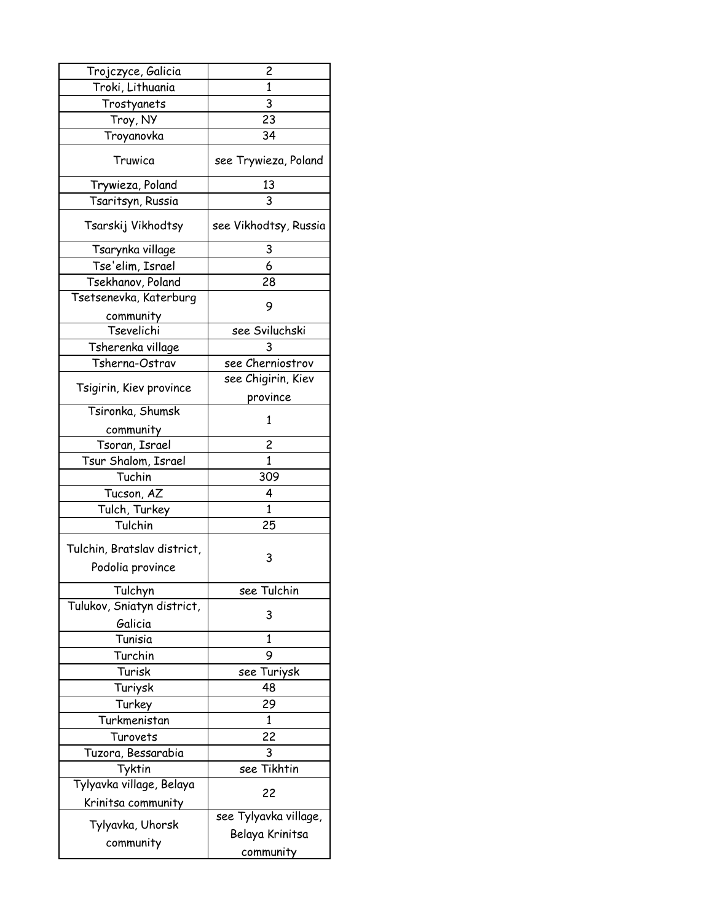| Trojczyce, Galicia                              | 2                     |
|-------------------------------------------------|-----------------------|
| Troki, Lithuania                                | 1                     |
| Trostyanets                                     | 3                     |
| Troy, NY                                        | 23                    |
| Troyanovka                                      | 34                    |
| Truwica                                         | see Trywieza, Poland  |
| Trywieza, Poland                                | 13                    |
| Tsaritsyn, Russia                               | 3                     |
| Tsarskij Vikhodtsy                              | see Vikhodtsy, Russia |
| Tsarynka village                                | 3                     |
| Tse'elim, Israel                                | 6                     |
| Tsekhanov, Poland                               | 28                    |
| Tsetsenevka, Katerburg                          | 9                     |
| community                                       |                       |
| Tsevelichi                                      | see Sviluchski        |
| Tsherenka village                               |                       |
| Tsherna-Ostrav                                  | see Cherniostrov      |
|                                                 | see Chigirin, Kiev    |
| Tsigirin, Kiev province                         | province              |
| Tsironka, Shumsk                                |                       |
| community                                       | 1                     |
| Tsoran, Israel                                  | 2                     |
| Tsur Shalom, Israel                             | $\mathbf{1}$          |
| Tuchin                                          | 309                   |
| Tucson, AZ                                      | 4                     |
| Tulch, Turkey                                   | $\mathbf{1}$          |
| Tulchin                                         | 25                    |
| Tulchin, Bratslav district,<br>Podolia province | 3                     |
| Tulchyn                                         | see Tulchin           |
| Tulukov, Sniatyn district,<br>Galicia           | 3                     |
| Tunisia                                         | 1                     |
| Turchin                                         | 9                     |
| Turisk                                          | see Turiysk           |
| Turiysk                                         | 48                    |
| Turkey                                          | 29                    |
| Turkmenistan                                    | 1                     |
| Turovets                                        | 22                    |
| Tuzora, Bessarabia                              | 3                     |
| Tyktin                                          | see Tikhtin           |
| Tylyavka village, Belaya                        |                       |
| Krinitsa community                              | 22                    |
|                                                 | see Tylyavka village, |
| Tylyavka, Uhorsk                                | Belaya Krinitsa       |
| community                                       | community             |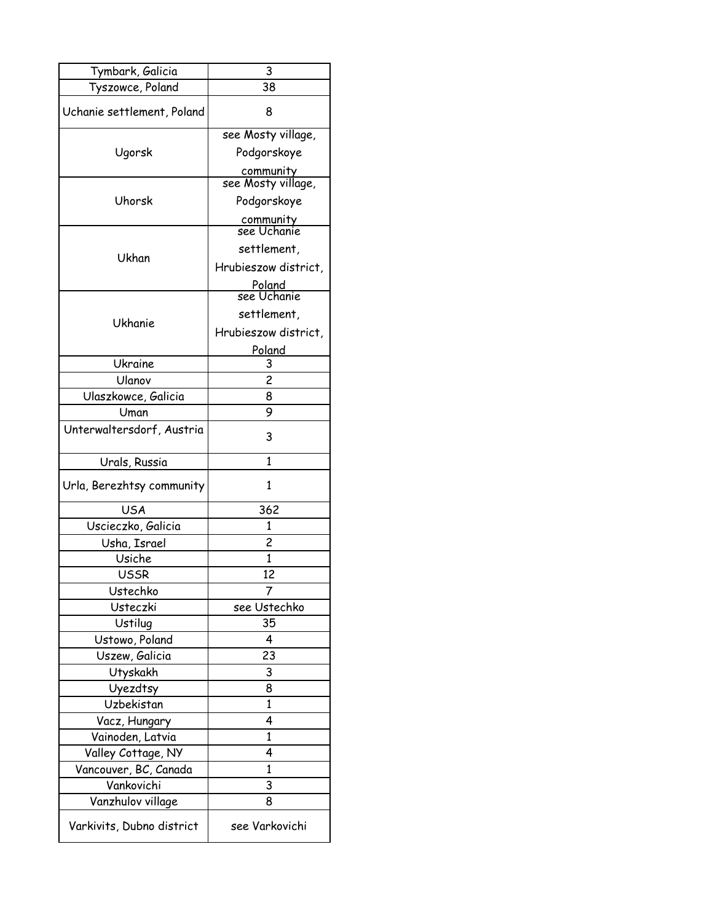| Tymbark, Galicia           | 3                                                                   |
|----------------------------|---------------------------------------------------------------------|
| Tyszowce, Poland           | 38                                                                  |
| Uchanie settlement, Poland | 8                                                                   |
| Ugorsk                     | see Mosty village,<br>Podgorskoye                                   |
|                            | community<br>see Mosty village,                                     |
| Uhorsk                     | Podgorskoye<br><u>community</u><br>see Uchanie                      |
| Ukhan                      | settlement,<br>Hrubieszow district,<br><u>Poland</u><br>see Uchanie |
| <b>Ukhanie</b>             | settlement,<br>Hrubieszow district,<br>Poland                       |
| Ukraine                    | 3                                                                   |
| Ulanov                     | $\overline{c}$                                                      |
| Ulaszkowce, Galicia        | 8                                                                   |
| Uman                       | 9                                                                   |
| Unterwaltersdorf, Austria  | 3                                                                   |
| Urals, Russia              | 1                                                                   |
| Urla, Berezhtsy community  | 1                                                                   |
| <b>USA</b>                 | 362                                                                 |
| Uscieczko, Galicia         | 1                                                                   |
| Usha, Israel               | $\overline{c}$                                                      |
| Usiche                     | 1                                                                   |
| <b>USSR</b>                | 12                                                                  |
| Ustechko                   |                                                                     |
| Usteczki                   | see Ustechko                                                        |
| Ustilug                    | 35                                                                  |
| Ustowo, Poland             | 4                                                                   |
| Uszew, Galicia             | 23                                                                  |
| Utyskakh                   | 3                                                                   |
| Uyezdtsy                   | 8                                                                   |
| Uzbekistan                 | 1                                                                   |
| Vacz, Hungary              | 4                                                                   |
| Vainoden, Latvia           | 1                                                                   |
| Valley Cottage, NY         | 4                                                                   |
| Vancouver, BC, Canada      | $\mathbf{1}$                                                        |
| Vankovichi                 | 3                                                                   |
| Vanzhulov village          |                                                                     |
|                            | 8                                                                   |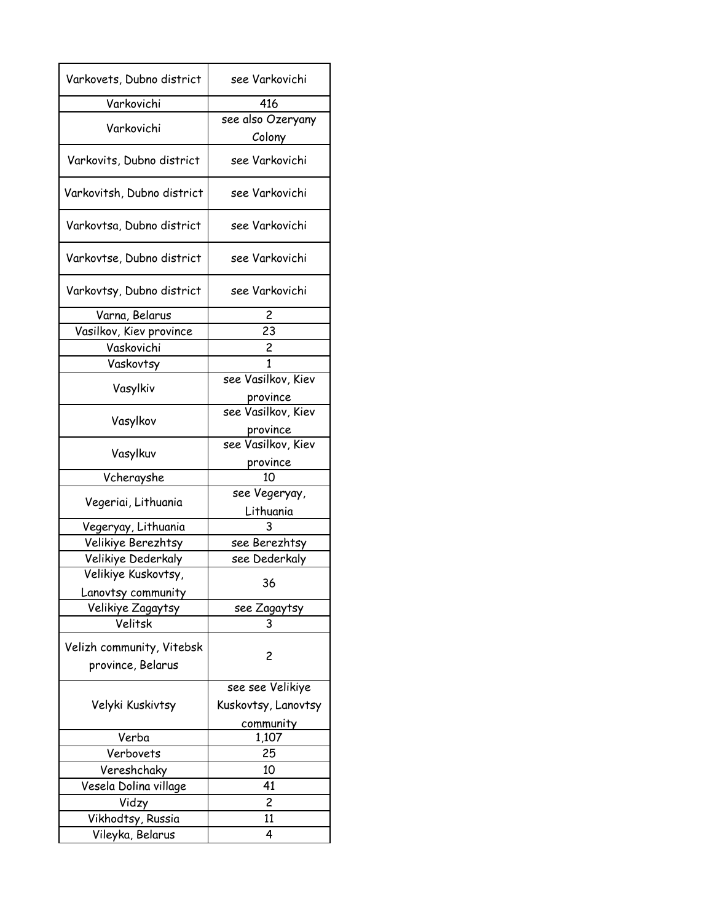| Varkovets, Dubno district                      | see Varkovichi             |
|------------------------------------------------|----------------------------|
| Varkovichi                                     | 416                        |
|                                                | see also Ozeryany          |
| Varkovichi                                     | Colony                     |
| Varkovits, Dubno district                      | see Varkovichi             |
| Varkovitsh, Dubno district                     | see Varkovichi             |
| Varkovtsa, Dubno district                      | see Varkovichi             |
| Varkovtse, Dubno district                      | see Varkovichi             |
| Varkovtsy, Dubno district                      | see Varkovichi             |
| Varna, Belarus                                 | 2                          |
| Vasilkov, Kiev province                        | 23                         |
| Vaskovichi                                     | 2                          |
| Vaskovtsy                                      |                            |
| Vasylkiv                                       | see Vasilkov, Kiev         |
|                                                | province                   |
| Vasylkov                                       | see Vasilkov, Kiev         |
|                                                | province                   |
| Vasylkuv                                       | see Vasilkov, Kiev         |
|                                                | province                   |
| Vcherayshe                                     | 10                         |
| Vegeriai, Lithuania                            | see Vegeryay,<br>Lithuania |
| Vegeryay, Lithuania                            | 3                          |
| Velikiye Berezhtsy                             | see Berezhtsy              |
| Velikiye Dederkaly                             | see Dederkaly              |
| Velikiye Kuskovtsy,                            |                            |
| Lanovtsy community                             | 36.                        |
| Velikiye Zagaytsy                              | see Zagaytsy               |
| Velitsk                                        | 3                          |
| Velizh community, Vitebsk<br>province, Belarus | 2                          |
|                                                | see see Velikiye           |
|                                                |                            |
| Velyki Kuskivtsy                               | Kuskovtsy, Lanovtsy        |
|                                                | community                  |
| Verba<br>Verbovets                             | 1,107<br>25                |
|                                                | 10                         |
| Vereshchaky                                    | 41                         |
| Vesela Dolina village                          |                            |
| Vidzy                                          | $\overline{c}$             |
| Vikhodtsy, Russia                              | 11                         |
| Vileyka, Belarus                               | 4                          |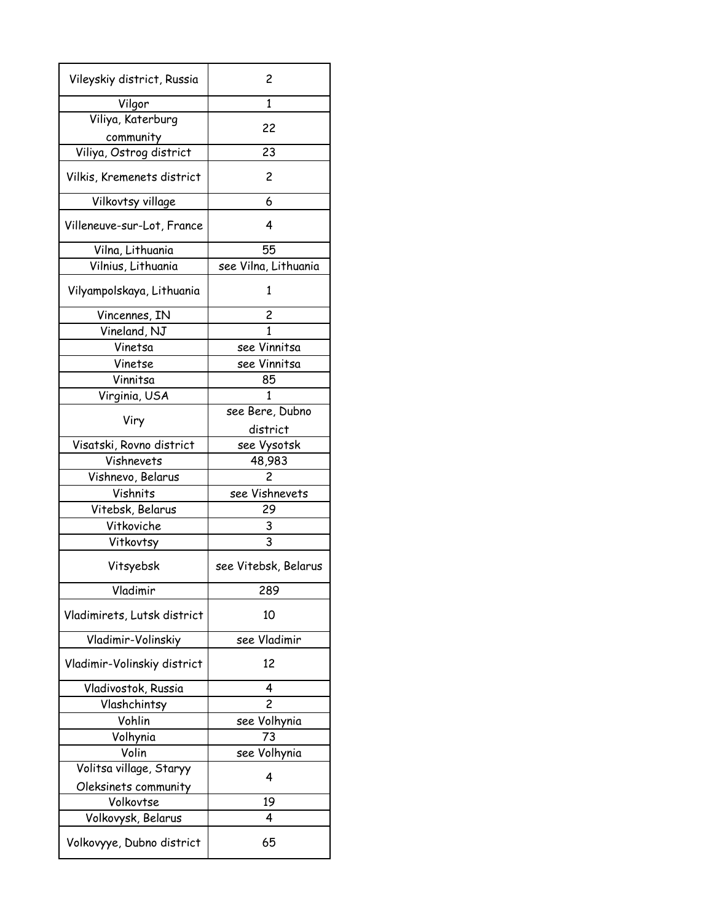| Vileyskiy district, Russia  | 2                    |
|-----------------------------|----------------------|
| Vilgor                      | 1                    |
| Viliya, Katerburg           | 22                   |
| community                   |                      |
| Viliya, Ostrog district     | 23                   |
| Vilkis, Kremenets district  | 2                    |
| Vilkovtsy village           | 6                    |
| Villeneuve-sur-Lot, France  | 4                    |
| Vilna, Lithuania            | 55                   |
| Vilnius, Lithuania          | see Vilna, Lithuania |
| Vilyampolskaya, Lithuania   | 1                    |
| Vincennes, IN               | 2                    |
| Vineland, NJ                | 1                    |
| Vinetsa                     | see Vinnitsa         |
| Vinetse                     | see Vinnitsa         |
| Vinnitsa                    | 85                   |
| Virginia, USA               | 1                    |
|                             | see Bere, Dubno      |
| Viry                        | district             |
| Visatski, Rovno district    | see Vysotsk          |
| Vishnevets                  | 48,983               |
| Vishnevo, Belarus           | 2                    |
| Vishnits                    | see Vishnevets       |
| Vitebsk, Belarus            | 29                   |
| Vitkoviche                  | 3                    |
| Vitkovtsy                   | 3                    |
| Vitsyebsk                   | see Vitebsk, Belarus |
| Vladimir                    | 289                  |
| Vladimirets, Lutsk district | 10                   |
| Vladimir-Volinskiy          | see Vladimir         |
| Vladimir-Volinskiy district | 12                   |
| Vladivostok, Russia         | 4                    |
| Vlashchintsy                | $\overline{c}$       |
| Vohlin                      | see Volhynia         |
| Volhynia                    | 73                   |
| Volin                       | see Volhynia         |
| Volitsa village, Staryy     |                      |
| Oleksinets community        | 4                    |
| Volkovtse                   | 19                   |
| Volkovysk, Belarus          | 4                    |
|                             |                      |
| Volkovyye, Dubno district   | 65                   |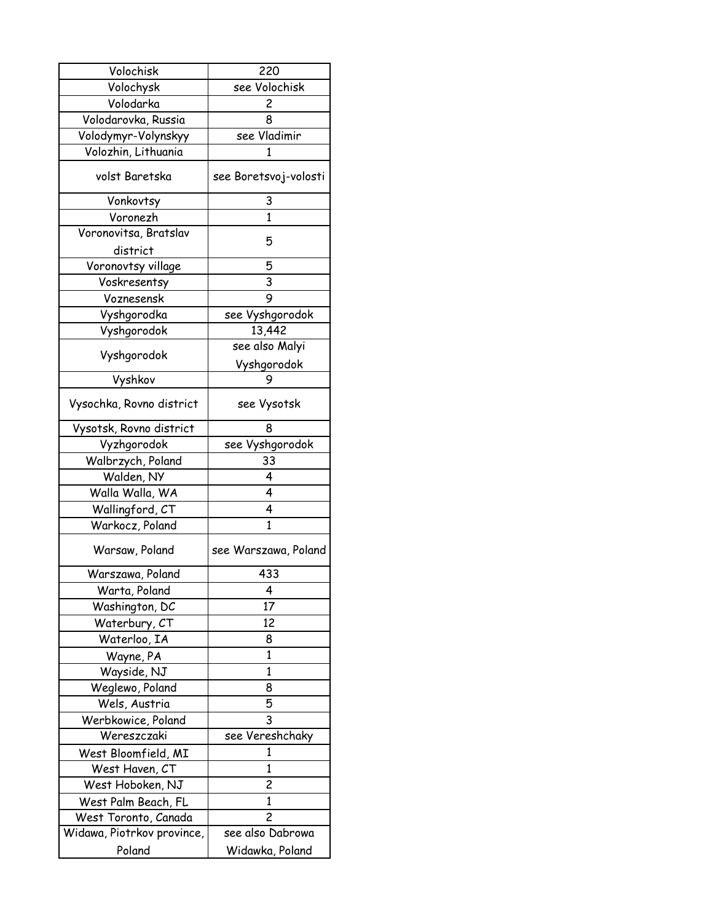| Volochisk                  | 220                   |
|----------------------------|-----------------------|
| Volochysk                  | see Volochisk         |
| Volodarka                  | 2                     |
| Volodarovka, Russia        | 8                     |
| Volodymyr-Volynskyy        | see Vladimir          |
| Volozhin, Lithuania        | 1                     |
| volst Baretska             | see Boretsvoj-volosti |
| Vonkovtsy                  | 3                     |
| Voronezh                   | 1                     |
| Voronovitsa, Bratslav      | 5                     |
| district                   |                       |
| Voronovtsy village         | 5                     |
| Voskresentsy               | 3                     |
| Voznesensk                 | 9                     |
| Vyshgorodka                | see Vyshgorodok       |
| Vyshgorodok                | 13,442                |
|                            | see also Malyi        |
| Vyshgorodok                | Vyshgorodok           |
| Vyshkov                    | 9                     |
| Vysochka, Rovno district   | see Vysotsk           |
| Vysotsk, Rovno district    | 8                     |
| Vyzhgorodok                | see Vyshgorodok       |
| Walbrzych, Poland          | 33                    |
| Walden, NY                 | 4                     |
| Walla Walla, WA            | 4                     |
| Wallingford, CT            | 4                     |
| Warkocz, Poland            | $\mathbf{1}$          |
| Warsaw, Poland             | see Warszawa, Poland  |
| Warszawa, Poland           | 433                   |
| Warta, Poland              | 4                     |
| Washington, DC             | 17                    |
| Waterbury, CT              | 12                    |
| Waterloo, IA               | 8                     |
| Wayne, PA                  | $\mathbf{1}$          |
| Wayside, NJ                | $\mathbf{1}$          |
| Weglewo, Poland            | 8                     |
| Wels, Austria              | 5                     |
| Werbkowice, Poland         | 3                     |
| Wereszczaki                | see Vereshchaky       |
| West Bloomfield, MI        | 1                     |
| West Haven, CT             | $\mathbf{1}$          |
| West Hoboken, NJ           | 2                     |
| West Palm Beach, FL        | $\mathbf{1}$          |
| West Toronto, Canada       | $\overline{c}$        |
| Widawa, Piotrkov province, | see also Dabrowa      |
| Poland                     |                       |
|                            | Widawka, Poland       |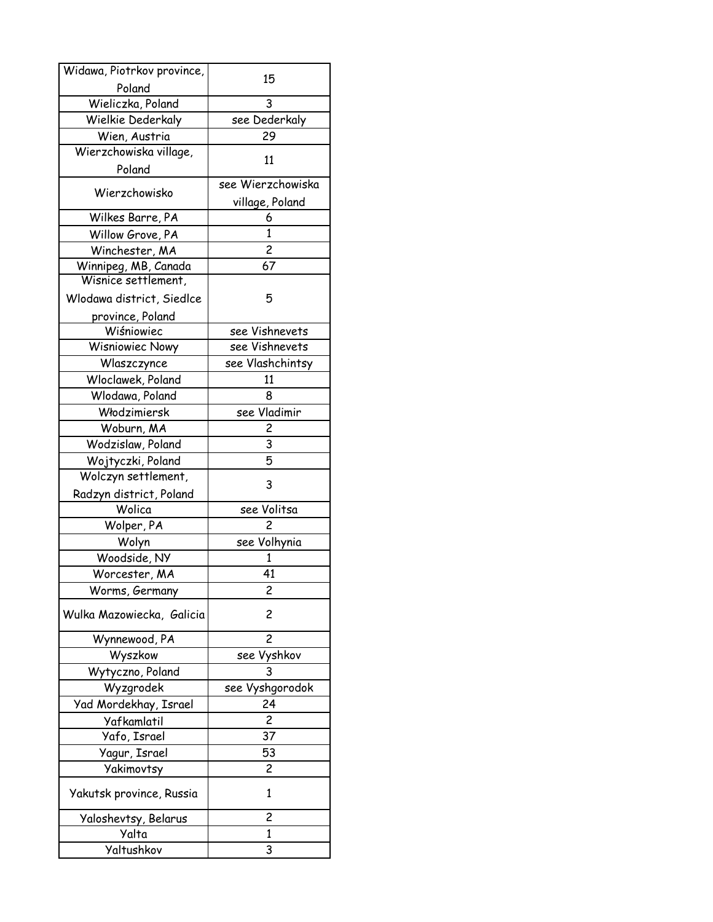| Widawa, Piotrkov province,               | 15                      |
|------------------------------------------|-------------------------|
| Poland                                   |                         |
| Wieliczka, Poland                        | 3                       |
| Wielkie Dederkaly                        | see Dederkaly           |
| Wien, Austria                            | 29                      |
| Wierzchowiska village,                   | 11                      |
| Poland                                   |                         |
| Wierzchowisko                            | see Wierzchowiska       |
|                                          | village, Poland         |
| Wilkes Barre, PA                         | 6                       |
| Willow Grove, PA                         | $\mathbf{1}$            |
| Winchester, MA                           | $\overline{\mathbf{c}}$ |
| Winnipeg, MB, Canada                     | 67                      |
| Wisnice settlement,                      |                         |
| Wlodawa district, Siedlce                | 5                       |
| province, Poland                         |                         |
| Wiśniowiec                               | see Vishnevets          |
| <b>Wisniowiec Nowy</b>                   | see Vishnevets          |
| Wlaszczynce                              | see Vlashchintsy        |
| Wloclawek, Poland                        | 11                      |
| Wlodawa, Poland                          | 8<br>see Vladimir       |
| Włodzimiersk                             |                         |
| Woburn, MA                               | 2                       |
| Wodzislaw, Poland                        | 3<br>5                  |
| Wojtyczki, Poland<br>Wolczyn settlement, |                         |
|                                          | 3                       |
| Radzyn district, Poland<br>Wolica        | see Volitsa             |
| Wolper, PA                               | 2                       |
| Wolyn                                    | see Volhynia            |
| Woodside, NY                             | 1                       |
| Worcester, MA                            | 41                      |
| Worms, Germany                           | 2                       |
| Wulka Mazowiecka, Galicia                | 2                       |
| Wynnewood, PA                            | $\overline{c}$          |
| Wyszkow                                  | see Vyshkov             |
| Wytyczno, Poland                         | 3                       |
| Wyzgrodek                                | see Vyshgorodok         |
| Yad Mordekhay, Israel                    | 24                      |
| Yafkamlatil                              | $\overline{c}$          |
| Yafo, Israel                             | 37                      |
| Yagur, Israel                            | 53                      |
| Yakimovtsy                               | 2                       |
| Yakutsk province, Russia                 | 1                       |
| Yaloshevtsy, Belarus                     | 2                       |
| Yalta                                    | 1                       |
| Yaltushkov                               | 3                       |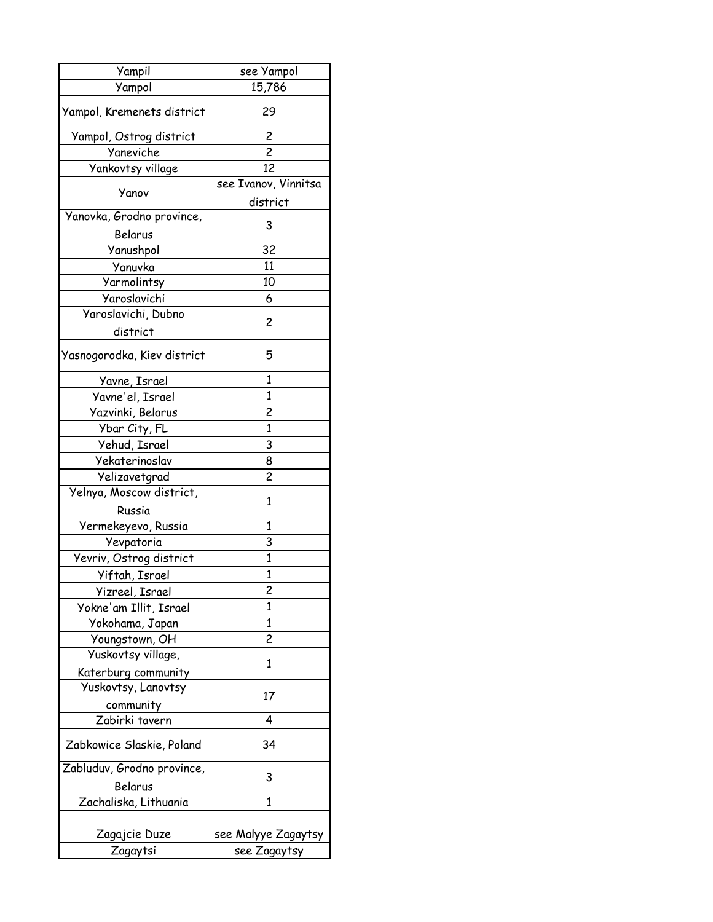| Yampil                      | see Yampol           |
|-----------------------------|----------------------|
| Yampol                      | 15,786               |
| Yampol, Kremenets district  | 29                   |
| Yampol, Ostrog district     | 2                    |
| Yaneviche                   | $\overline{c}$       |
| Yankovtsy village           | 12                   |
|                             | see Ivanov, Vinnitsa |
| Yanov                       | district             |
| Yanovka, Grodno province,   |                      |
| Belarus                     | 3                    |
| Yanushpol                   | 32                   |
| Yanuvka                     | 11                   |
| Yarmolintsy                 | 10                   |
| Yaroslavichi                | 6                    |
| Varoslavichi, Dubno         |                      |
| district                    | 2                    |
| Yasnogorodka, Kiev district | 5                    |
| Yavne, Israel               | 1                    |
| Yavne'el, Israel            | $\mathbf{1}$         |
| Yazvinki, Belarus           | 2                    |
| Ybar City, FL               | $\mathbf{1}$         |
| Yehud, Israel               | 3                    |
| Yekaterinoslav              | 8                    |
| Yelizavetgrad               | $\overline{c}$       |
| Yelnya, Moscow district,    |                      |
| Russia                      | 1                    |
| Yermekeyevo, Russia         | $\mathbf{1}$         |
| Yevpatoria                  | 3                    |
| Yevriv, Ostrog district     | 1                    |
| Yiftah, Israel              | $\mathbf{1}$         |
| Yizreel, Israel             | 2                    |
| Yokne'am Illit, Israel      | 1                    |
| Yokohama, Japan             | 1                    |
| Youngstown, OH              | 2                    |
| Yuskovtsy village,          | 1                    |
| Katerburg community         |                      |
| Yuskovtsy, Lanovtsy         |                      |
| community                   | 17                   |
| Zabirki tavern              | 4                    |
| Zabkowice Slaskie, Poland   | 34                   |
| Zabluduv, Grodno province,  | 3                    |
| Belarus                     |                      |
| Zachaliska, Lithuania       | 1                    |
|                             |                      |
| Zagajcie Duze               | see Malyye Zagaytsy  |
| Zagaytsi                    | see Zagaytsy         |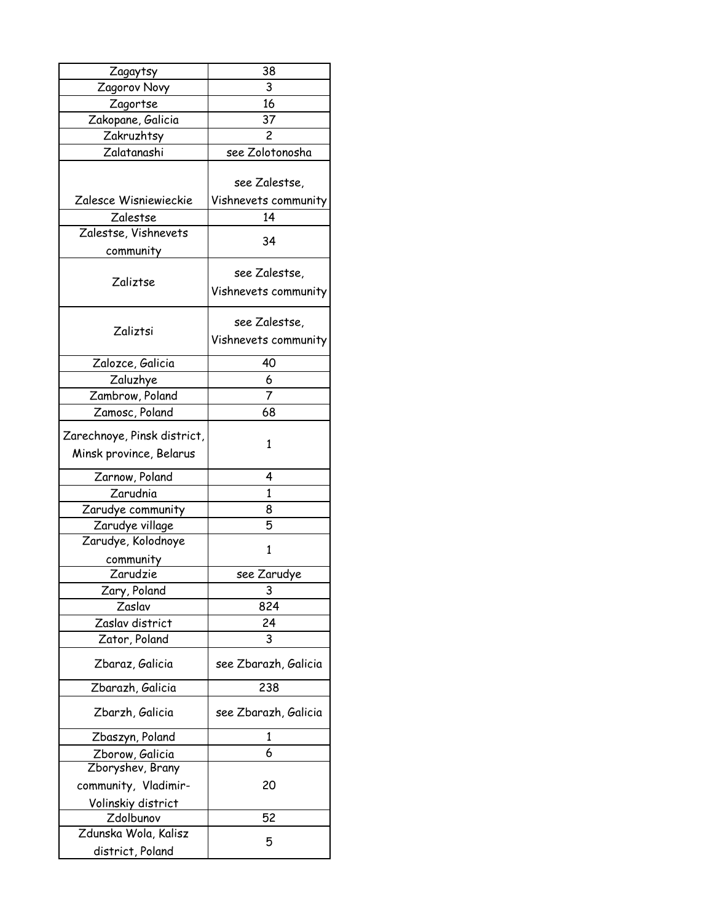| Zagaytsy                                               | 38                                    |
|--------------------------------------------------------|---------------------------------------|
| Zagorov Novy                                           | 3                                     |
| Zagortse                                               | 16                                    |
| Zakopane, Galicia                                      | 37                                    |
| Zakruzhtsy                                             | $\overline{c}$                        |
| Zalatanashi                                            | see Zolotonosha                       |
|                                                        | see Zalestse,                         |
| Zalesce Wisniewieckie                                  | Vishnevets community                  |
| Zalestse                                               | 14                                    |
| Zalestse, Vishnevets                                   | 34                                    |
| community                                              |                                       |
| Zaliztse                                               | see Zalestse,<br>Vishnevets community |
|                                                        | see Zalestse,                         |
| Zaliztsi                                               | Vishnevets community                  |
| Zalozce, Galicia                                       | 40                                    |
| Zaluzhye                                               | 6                                     |
| Zambrow, Poland                                        | 7                                     |
| Zamosc, Poland                                         | 68                                    |
| Zarechnoye, Pinsk district,<br>Minsk province, Belarus | 1                                     |
| Zarnow, Poland                                         | 4                                     |
| Zarudnia                                               | $\mathbf{1}$                          |
| Zarudye community                                      | 8                                     |
| Zarudye village                                        | 5                                     |
| Zarudye, Kolodnoye                                     | 1                                     |
| community                                              |                                       |
| Zarudzie                                               | see Zarudye                           |
| Zary, Poland                                           | 3                                     |
| Zaslav                                                 | 824                                   |
| Zaslav district                                        | 24                                    |
| Zator, Poland                                          | 3                                     |
| Zbaraz, Galicia                                        | see Zbarazh, Galicia                  |
| Zbarazh, Galicia                                       | 238                                   |
| Zbarzh, Galicia                                        | see Zbarazh, Galicia                  |
| Zbaszyn, Poland                                        | 1                                     |
| Zborow, Galicia                                        | 6                                     |
| Zboryshev, Brany                                       |                                       |
| community, Vladimir-                                   | 20                                    |
| <u>Volinskiy district</u>                              |                                       |
| Zdolbunov                                              | 52                                    |
| Zdunska Wola, Kalisz                                   | 5                                     |
| district, Poland                                       |                                       |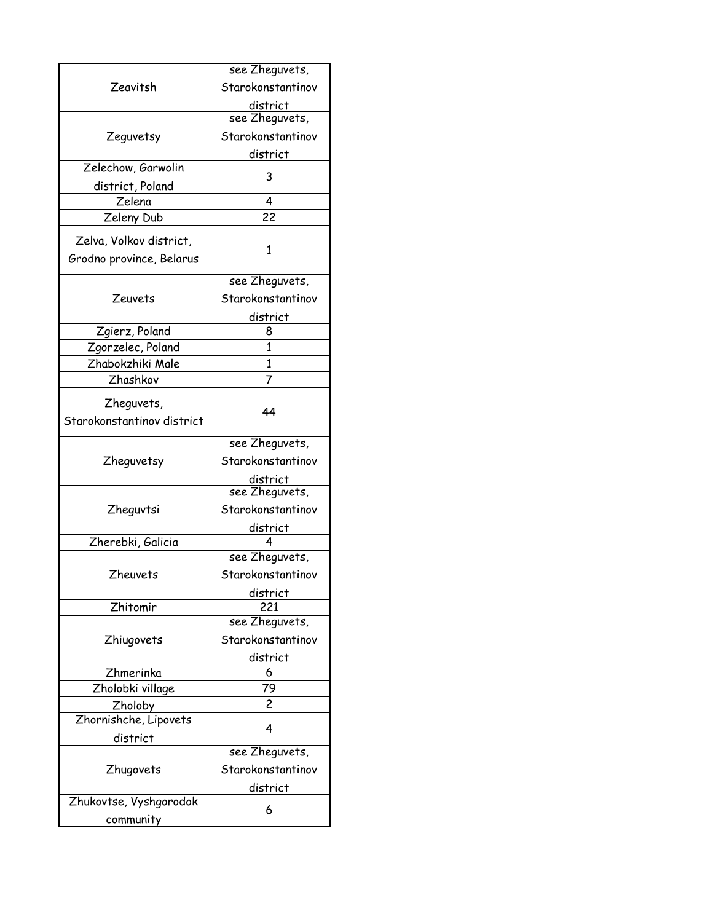| Zeavitsh                   | see Zheguvets,    |
|----------------------------|-------------------|
|                            | Starokonstantinov |
|                            | district          |
|                            | see Zheguvets,    |
| Zeguvetsy                  | Starokonstantinov |
|                            | district          |
| Zelechow, Garwolin         |                   |
| district, Poland           | 3                 |
| Zelena                     | 4                 |
| Zeleny Dub                 | 22                |
| Zelva, Volkov district,    |                   |
| Grodno province, Belarus   | 1                 |
|                            |                   |
|                            | see Zheguvets,    |
| Zeuvets                    | Starokonstantinov |
|                            | district          |
| Zgierz, Poland             | 8                 |
| Zgorzelec, Poland          | 1                 |
| Zhabokzhiki Male           | 1                 |
| Zhashkov                   | 7                 |
| Zheguvets,                 |                   |
| Starokonstantinov district | 44                |
|                            |                   |
|                            | see Zheguvets,    |
| Zheguvetsy                 | Starokonstantinov |
|                            | district          |
|                            | see Zheguvets,    |
| Zheguvtsi                  | Starokonstantinov |
|                            | district          |
| Zherebki, Galicia          |                   |
|                            | see Zheguvets,    |
| <b>Zheuvets</b>            | Starokonstantinov |
|                            | district          |
| Zhitomir                   | 221               |
|                            | see Zheguvets,    |
| Zhiugovets                 | Starokonstantinov |
|                            | district          |
| Zhmerinka                  | 6                 |
| Zholobki village           | 79                |
| <b>Zholoby</b>             | 2                 |
| Zhornishche, Lipovets      | 4                 |
| district                   |                   |
|                            | see Zheguvets,    |
| Zhugovets                  | Starokonstantinov |
|                            | district          |
| Zhukovtse, Vyshgorodok     |                   |
|                            | 6                 |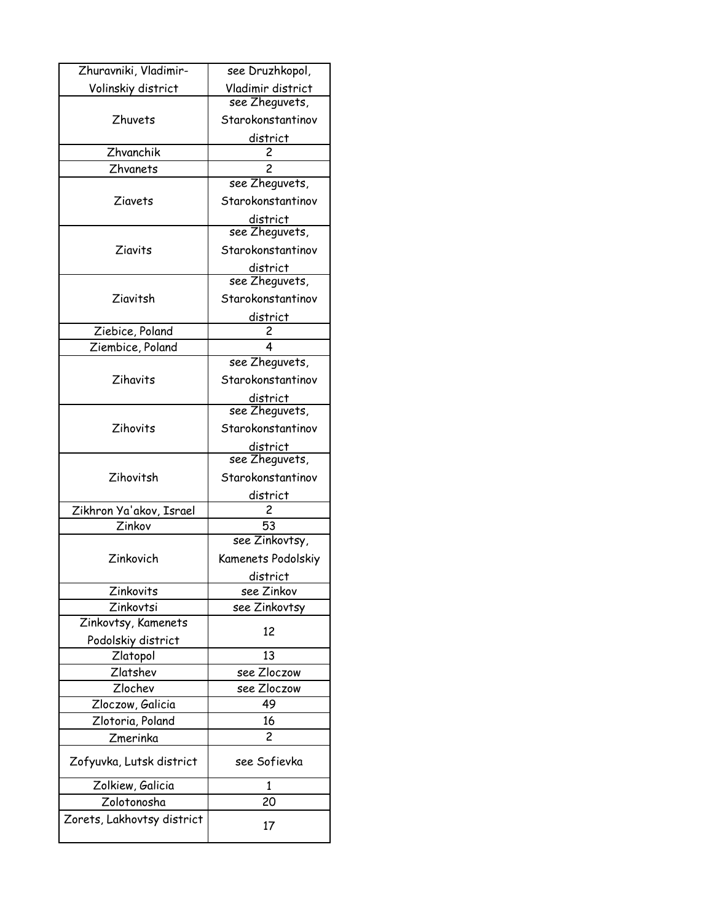| Zhuravniki, Vladimir-      | see Druzhkopol,            |
|----------------------------|----------------------------|
| Volinskiy district         | Vladimir district          |
|                            | see Zheguvets,             |
| Zhuvets                    | Starokonstantinov          |
|                            | district                   |
| Zhvanchik                  | 2                          |
| <b>Zhvanets</b>            | 2                          |
|                            | see Zheguvets,             |
| Ziavets                    | Starokonstantinov          |
|                            | district<br>see Zheguvets, |
|                            |                            |
| Ziavits                    | Starokonstantinov          |
|                            | district                   |
|                            | see Zheguvets,             |
| Ziavitsh                   | Starokonstantinov          |
|                            | district                   |
| Ziebice, Poland            | 2                          |
| Ziembice, Poland           | 4                          |
|                            | see Zheguvets,             |
| Zihavits                   | Starokonstantinov          |
|                            | district                   |
|                            | see Zheguvets,             |
| Zihovits                   | Starokonstantinov          |
|                            | district                   |
|                            | see Zheguvets,             |
| Zihovitsh                  | Starokonstantinov          |
|                            | district                   |
| Zikhron Ya'akov, Israel    | 2                          |
| Zinkov                     | 53                         |
|                            | see Zinkovtsy,             |
| Zinkovich                  | Kamenets Podolskiy         |
|                            | district                   |
| Zinkovits                  | see Zinkov                 |
| Zinkovtsi                  | see Zinkovtsy              |
| Zinkovtsy, Kamenets        | 12                         |
| Podolskiy district         |                            |
| Zlatopol                   | 13                         |
| Zlatshev                   | see Zloczow                |
| Zlochev                    | see Zloczow                |
| Zloczow, Galicia           | 49                         |
| Zlotoria, Poland           | 16                         |
| Zmerinka                   | 2                          |
| Zofyuvka, Lutsk district   | see Sofievka               |
| Zolkiew, Galicia           | 1                          |
| Zolotonosha                | 20                         |
| Zorets, Lakhovtsy district |                            |
|                            | 17                         |